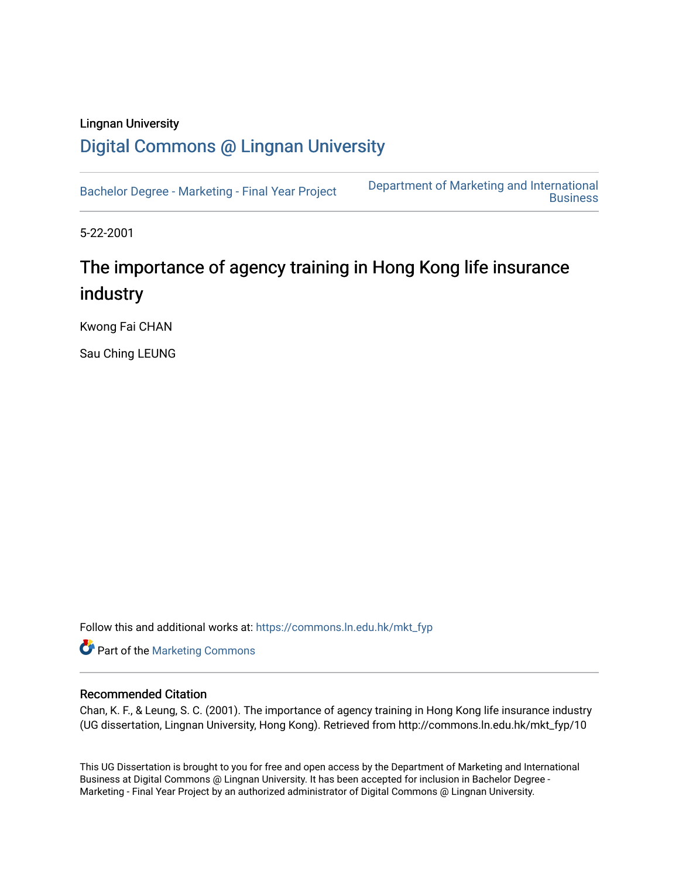# Lingnan University [Digital Commons @ Lingnan University](https://commons.ln.edu.hk/)

[Bachelor Degree - Marketing - Final Year Project](https://commons.ln.edu.hk/mkt_fyp) [Department of Marketing and International](https://commons.ln.edu.hk/mkt)  **Business** 

5-22-2001

# The importance of agency training in Hong Kong life insurance industry

Kwong Fai CHAN

Sau Ching LEUNG

Follow this and additional works at: [https://commons.ln.edu.hk/mkt\\_fyp](https://commons.ln.edu.hk/mkt_fyp?utm_source=commons.ln.edu.hk%2Fmkt_fyp%2F10&utm_medium=PDF&utm_campaign=PDFCoverPages) 

**Part of the [Marketing Commons](http://network.bepress.com/hgg/discipline/638?utm_source=commons.ln.edu.hk%2Fmkt_fyp%2F10&utm_medium=PDF&utm_campaign=PDFCoverPages)** 

#### Recommended Citation

Chan, K. F., & Leung, S. C. (2001). The importance of agency training in Hong Kong life insurance industry (UG dissertation, Lingnan University, Hong Kong). Retrieved from http://commons.ln.edu.hk/mkt\_fyp/10

This UG Dissertation is brought to you for free and open access by the Department of Marketing and International Business at Digital Commons @ Lingnan University. It has been accepted for inclusion in Bachelor Degree - Marketing - Final Year Project by an authorized administrator of Digital Commons @ Lingnan University.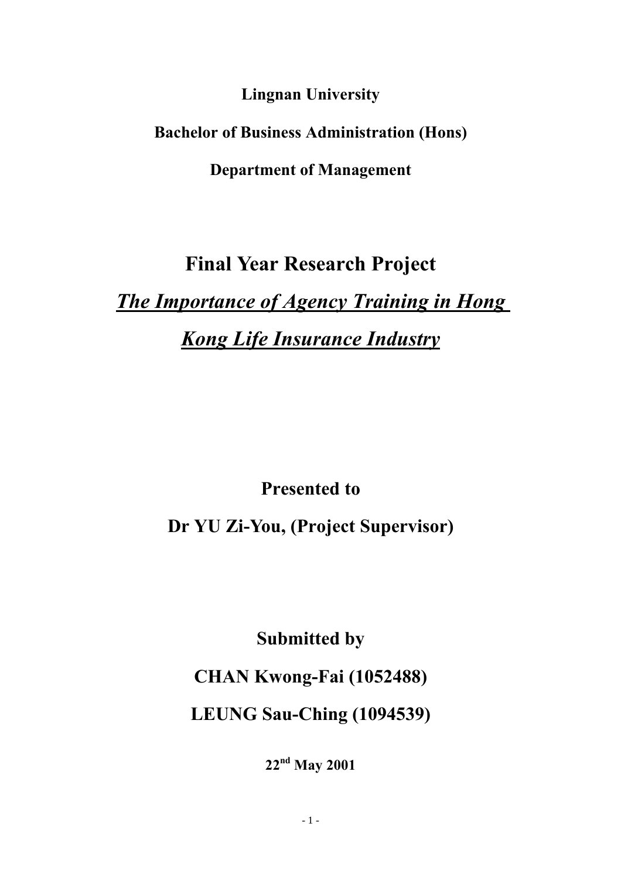**Lingnan University**

**Bachelor of Business Administration (Hons)**

**Department of Management**

# **Final Year Research Project**

*The Importance of Agency Training in Hong Kong Life Insurance Industry*

**Presented to** 

**Dr YU Zi-You, (Project Supervisor)**

**Submitted by**

**CHAN Kwong-Fai (1052488)**

**LEUNG Sau-Ching (1094539)**

**22nd May 2001**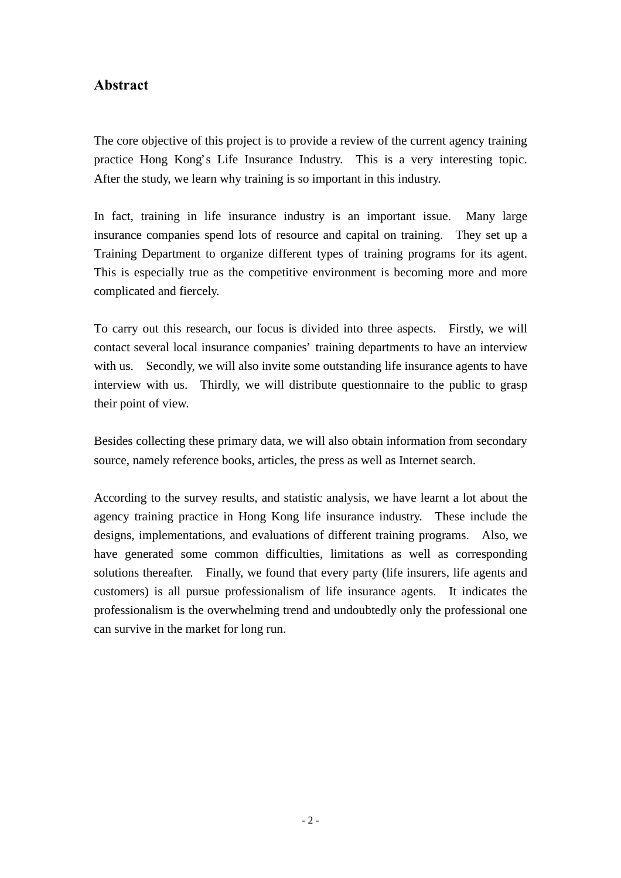# **Abstract**

The core objective of this project is to provide a review of the current agency training practice Hong Kong's Life Insurance Industry. This is a very interesting topic. After the study, we learn why training is so important in this industry.

In fact, training in life insurance industry is an important issue. Many large insurance companies spend lots of resource and capital on training. They set up a Training Department to organize different types of training programs for its agent. This is especially true as the competitive environment is becoming more and more complicated and fiercely.

To carry out this research, our focus is divided into three aspects. Firstly, we will contact several local insurance companies' training departments to have an interview with us. Secondly, we will also invite some outstanding life insurance agents to have interview with us. Thirdly, we will distribute questionnaire to the public to grasp their point of view.

Besides collecting these primary data, we will also obtain information from secondary source, namely reference books, articles, the press as well as Internet search.

According to the survey results, and statistic analysis, we have learnt a lot about the agency training practice in Hong Kong life insurance industry. These include the designs, implementations, and evaluations of different training programs. Also, we have generated some common difficulties, limitations as well as corresponding solutions thereafter. Finally, we found that every party (life insurers, life agents and customers) is all pursue professionalism of life insurance agents. It indicates the professionalism is the overwhelming trend and undoubtedly only the professional one can survive in the market for long run.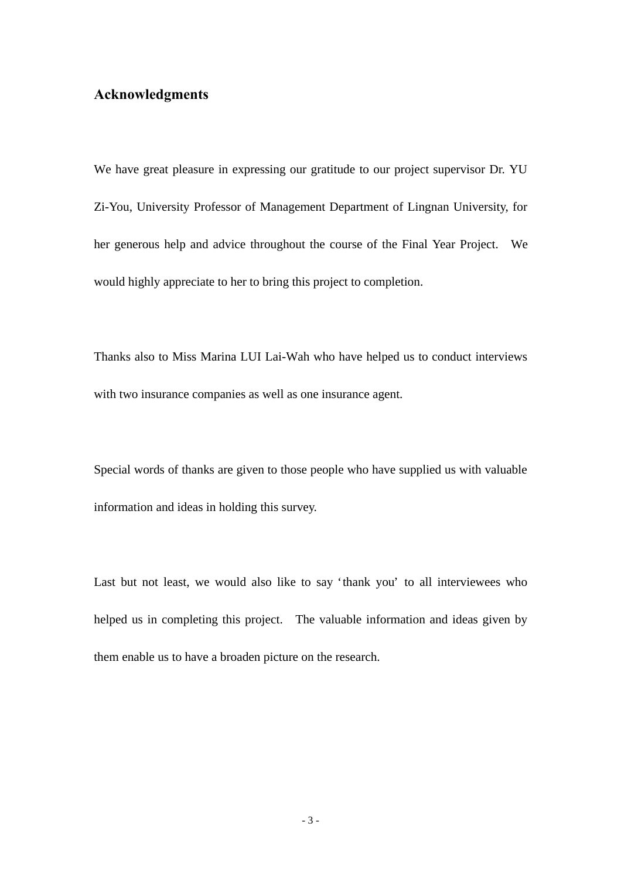# **Acknowledgments**

We have great pleasure in expressing our gratitude to our project supervisor Dr. YU Zi-You, University Professor of Management Department of Lingnan University, for her generous help and advice throughout the course of the Final Year Project. We would highly appreciate to her to bring this project to completion.

Thanks also to Miss Marina LUI Lai-Wah who have helped us to conduct interviews with two insurance companies as well as one insurance agent.

Special words of thanks are given to those people who have supplied us with valuable information and ideas in holding this survey.

Last but not least, we would also like to say 'thank you' to all interviewees who helped us in completing this project. The valuable information and ideas given by them enable us to have a broaden picture on the research.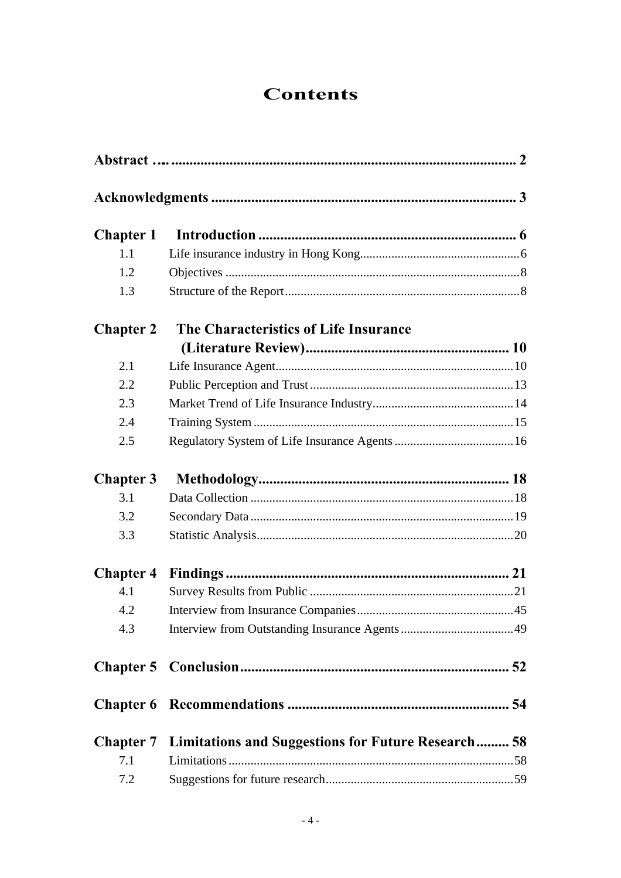# **Contents**

| <b>Chapter 1</b> |                                                                     |  |
|------------------|---------------------------------------------------------------------|--|
| 1.1              |                                                                     |  |
| 1.2              |                                                                     |  |
| 1.3              |                                                                     |  |
| <b>Chapter 2</b> | The Characteristics of Life Insurance                               |  |
|                  |                                                                     |  |
| 2.1              |                                                                     |  |
| 2.2              |                                                                     |  |
| 2.3              |                                                                     |  |
| 2.4              |                                                                     |  |
| 2.5              |                                                                     |  |
| <b>Chapter 3</b> |                                                                     |  |
| 3.1              |                                                                     |  |
| 3.2              |                                                                     |  |
| 3.3              |                                                                     |  |
| <b>Chapter 4</b> |                                                                     |  |
| 4.1              |                                                                     |  |
| 4.2              |                                                                     |  |
| 4.3              |                                                                     |  |
|                  |                                                                     |  |
|                  |                                                                     |  |
|                  | <b>Chapter 7</b> Limitations and Suggestions for Future Research 58 |  |
| 7.1              |                                                                     |  |
| 7.2              |                                                                     |  |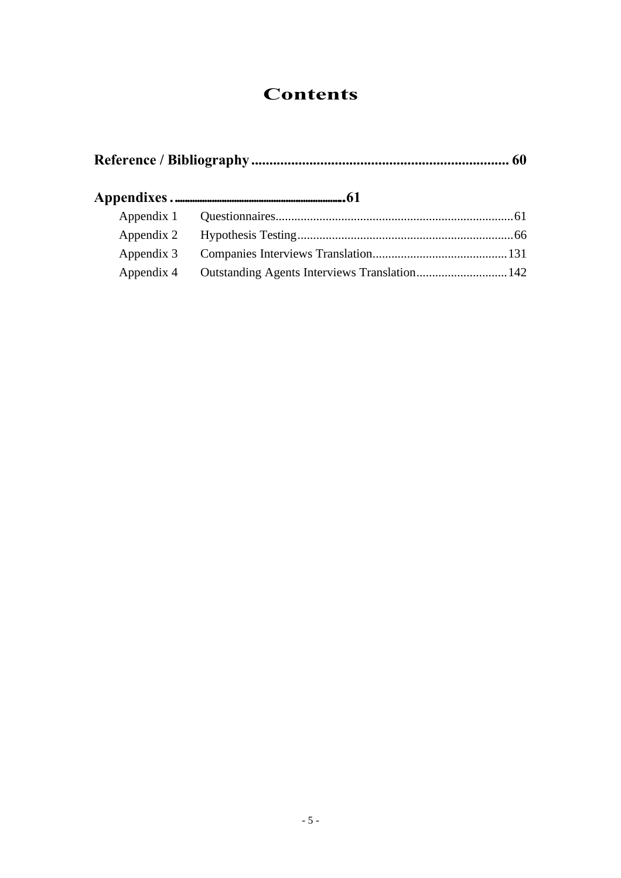# **Contents**

| Appendix 3 |  |  |  |  |
|------------|--|--|--|--|
|            |  |  |  |  |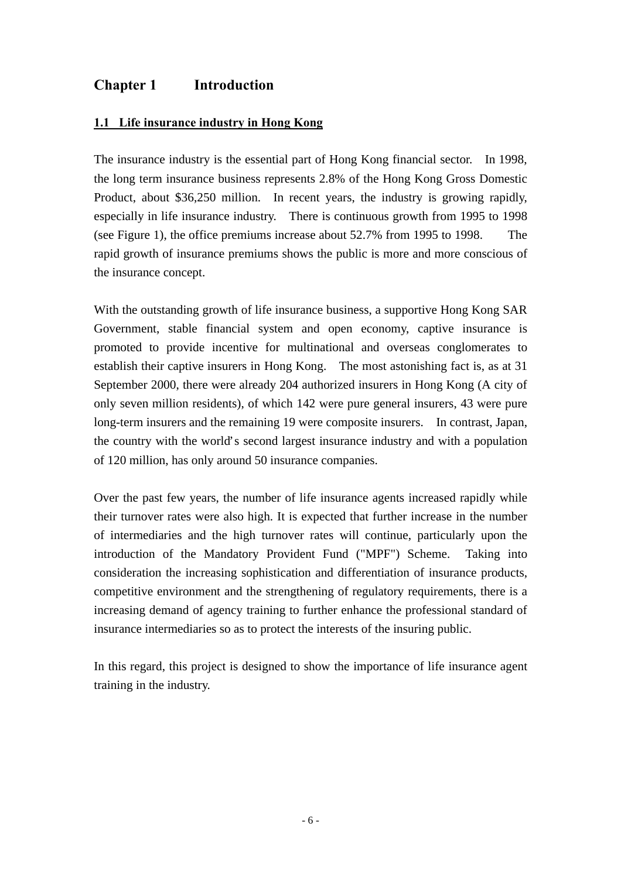# **Chapter 1 Introduction**

### **1.1 Life insurance industry in Hong Kong**

The insurance industry is the essential part of Hong Kong financial sector. In 1998, the long term insurance business represents 2.8% of the Hong Kong Gross Domestic Product, about \$36,250 million. In recent years, the industry is growing rapidly, especially in life insurance industry. There is continuous growth from 1995 to 1998 (see Figure 1), the office premiums increase about 52.7% from 1995 to 1998. The rapid growth of insurance premiums shows the public is more and more conscious of the insurance concept.

With the outstanding growth of life insurance business, a supportive Hong Kong SAR Government, stable financial system and open economy, captive insurance is promoted to provide incentive for multinational and overseas conglomerates to establish their captive insurers in Hong Kong. The most astonishing fact is, as at 31 September 2000, there were already 204 authorized insurers in Hong Kong (A city of only seven million residents), of which 142 were pure general insurers, 43 were pure long-term insurers and the remaining 19 were composite insurers. In contrast, Japan, the country with the world's second largest insurance industry and with a population of 120 million, has only around 50 insurance companies.

Over the past few years, the number of life insurance agents increased rapidly while their turnover rates were also high. It is expected that further increase in the number of intermediaries and the high turnover rates will continue, particularly upon the introduction of the Mandatory Provident Fund ("MPF") Scheme. Taking into consideration the increasing sophistication and differentiation of insurance products, competitive environment and the strengthening of regulatory requirements, there is a increasing demand of agency training to further enhance the professional standard of insurance intermediaries so as to protect the interests of the insuring public.

In this regard, this project is designed to show the importance of life insurance agent training in the industry.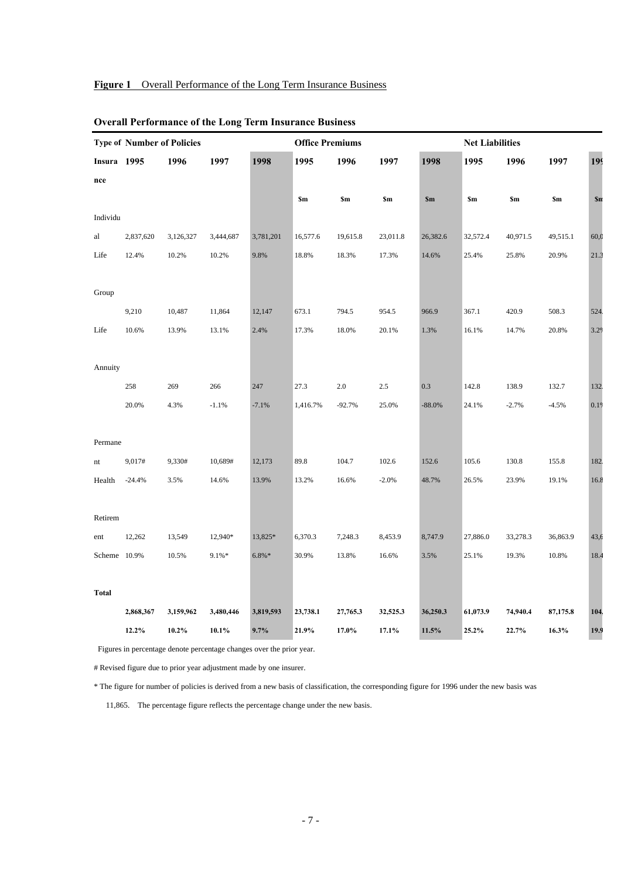#### **Figure 1** Overall Performance of the Long Term Insurance Business

|              | <b>Type of Number of Policies</b> |           |           |           | <b>Office Premiums</b> |          |          |               | <b>Net Liabilities</b> |                |          |      |
|--------------|-----------------------------------|-----------|-----------|-----------|------------------------|----------|----------|---------------|------------------------|----------------|----------|------|
| Insura 1995  |                                   | 1996      | 1997      | 1998      | 1995                   | 1996     | 1997     | 1998          | 1995                   | 1996           | 1997     | 199  |
| nce          |                                   |           |           |           |                        |          |          |               |                        |                |          |      |
|              |                                   |           |           |           | \$m                    | \$m      | \$m      | $\mathbf{Sm}$ | \$m                    | S <sub>m</sub> | \$m      | \$n  |
| Individu     |                                   |           |           |           |                        |          |          |               |                        |                |          |      |
| al           | 2,837,620                         | 3,126,327 | 3,444,687 | 3,781,201 | 16,577.6               | 19,615.8 | 23,011.8 | 26,382.6      | 32,572.4               | 40,971.5       | 49,515.1 | 60,0 |
| Life         | 12.4%                             | 10.2%     | 10.2%     | 9.8%      | 18.8%                  | 18.3%    | 17.3%    | 14.6%         | 25.4%                  | 25.8%          | 20.9%    | 21.3 |
|              |                                   |           |           |           |                        |          |          |               |                        |                |          |      |
| Group        |                                   |           |           |           |                        |          |          |               |                        |                |          |      |
|              | 9,210                             | 10,487    | 11,864    | 12,147    | 673.1                  | 794.5    | 954.5    | 966.9         | 367.1                  | 420.9          | 508.3    | 524  |
| Life         | 10.6%                             | 13.9%     | 13.1%     | 2.4%      | 17.3%                  | 18.0%    | 20.1%    | 1.3%          | 16.1%                  | 14.7%          | 20.8%    | 3.29 |
|              |                                   |           |           |           |                        |          |          |               |                        |                |          |      |
| Annuity      |                                   |           |           |           |                        |          |          |               |                        |                |          |      |
|              | 258                               | 269       | 266       | 247       | 27.3                   | 2.0      | $2.5\,$  | 0.3           | 142.8                  | 138.9          | 132.7    | 132. |
|              | 20.0%                             | 4.3%      | $-1.1%$   | $-7.1%$   | 1,416.7%               | $-92.7%$ | 25.0%    | $-88.0%$      | 24.1%                  | $-2.7%$        | $-4.5%$  | 0.19 |
|              |                                   |           |           |           |                        |          |          |               |                        |                |          |      |
| Permane      |                                   |           |           |           |                        |          |          |               |                        |                |          |      |
| nt           | 9,017#                            | 9,330#    | 10,689#   | 12,173    | 89.8                   | 104.7    | 102.6    | 152.6         | 105.6                  | 130.8          | 155.8    | 182. |
| Health       | $-24.4%$                          | 3.5%      | 14.6%     | 13.9%     | 13.2%                  | 16.6%    | $-2.0%$  | 48.7%         | 26.5%                  | 23.9%          | 19.1%    | 16.8 |
|              |                                   |           |           |           |                        |          |          |               |                        |                |          |      |
| Retirem      |                                   |           |           |           |                        |          |          |               |                        |                |          |      |
| ent          | 12,262                            | 13,549    | 12,940*   | 13,825*   | 6,370.3                | 7,248.3  | 8,453.9  | 8,747.9       | 27,886.0               | 33,278.3       | 36,863.9 | 43,6 |
| Scheme 10.9% |                                   | 10.5%     | $9.1\% *$ | $6.8\%*$  | 30.9%                  | 13.8%    | 16.6%    | 3.5%          | 25.1%                  | 19.3%          | 10.8%    | 18.4 |
|              |                                   |           |           |           |                        |          |          |               |                        |                |          |      |
| <b>Total</b> |                                   |           |           |           |                        |          |          |               |                        |                |          |      |
|              | 2,868,367                         | 3,159,962 | 3,480,446 | 3,819,593 | 23,738.1               | 27,765.3 | 32,525.3 | 36,250.3      | 61,073.9               | 74,940.4       | 87,175.8 | 104  |
|              | 12.2%                             | $10.2\%$  | 10.1%     | 9.7%      | 21.9%                  | 17.0%    | 17.1%    | 11.5%         | 25.2%                  | 22.7%          | 16.3%    | 19.9 |

#### **Overall Performance of the Long Term Insurance Business**

Figures in percentage denote percentage changes over the prior year.

# Revised figure due to prior year adjustment made by one insurer.

\* The figure for number of policies is derived from a new basis of classification, the corresponding figure for 1996 under the new basis was

11,865. The percentage figure reflects the percentage change under the new basis.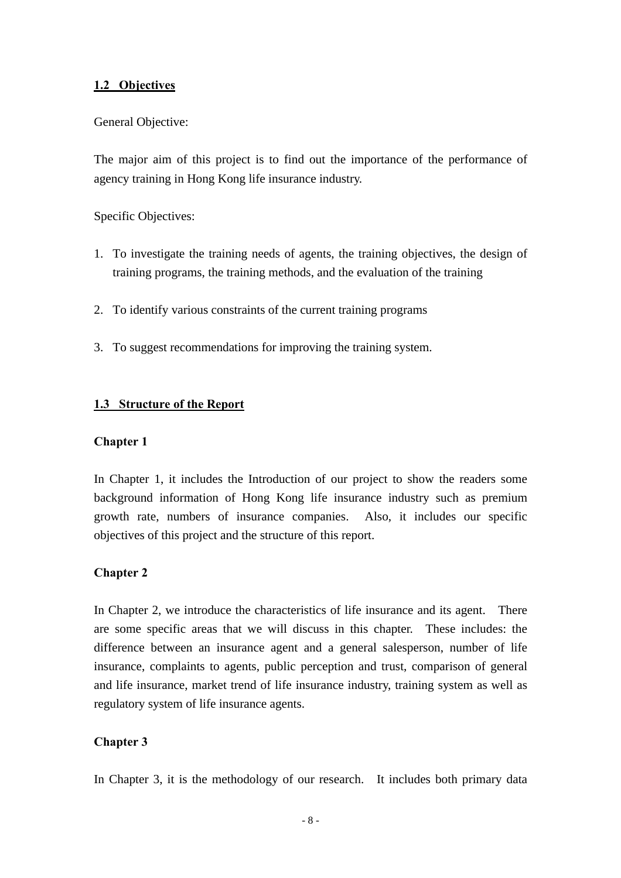### **1.2 Objectives**

#### General Objective:

The major aim of this project is to find out the importance of the performance of agency training in Hong Kong life insurance industry.

Specific Objectives:

- 1. To investigate the training needs of agents, the training objectives, the design of training programs, the training methods, and the evaluation of the training
- 2. To identify various constraints of the current training programs
- 3. To suggest recommendations for improving the training system.

#### **1.3 Structure of the Report**

#### **Chapter 1**

In Chapter 1, it includes the Introduction of our project to show the readers some background information of Hong Kong life insurance industry such as premium growth rate, numbers of insurance companies. Also, it includes our specific objectives of this project and the structure of this report.

#### **Chapter 2**

In Chapter 2, we introduce the characteristics of life insurance and its agent. There are some specific areas that we will discuss in this chapter. These includes: the difference between an insurance agent and a general salesperson, number of life insurance, complaints to agents, public perception and trust, comparison of general and life insurance, market trend of life insurance industry, training system as well as regulatory system of life insurance agents.

#### **Chapter 3**

In Chapter 3, it is the methodology of our research. It includes both primary data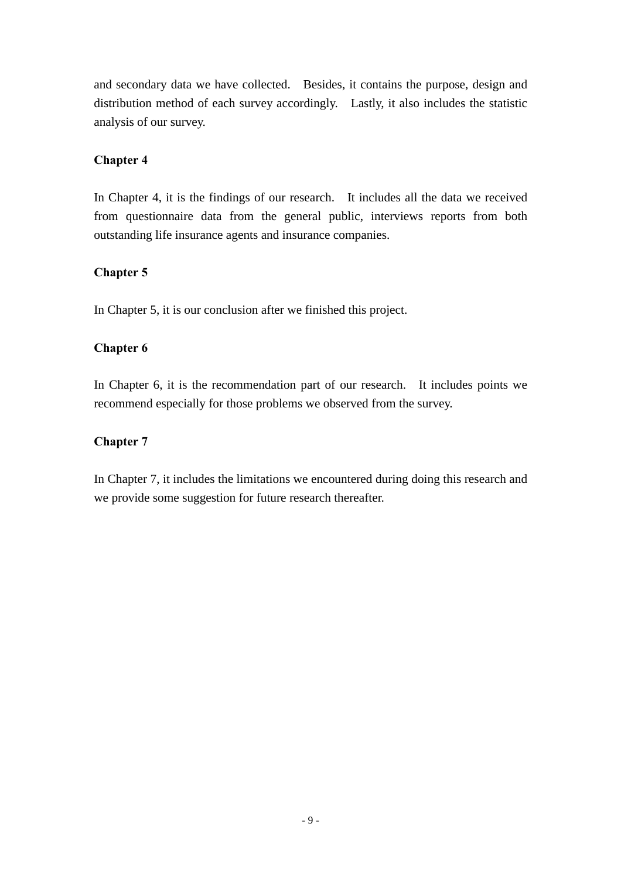and secondary data we have collected. Besides, it contains the purpose, design and distribution method of each survey accordingly. Lastly, it also includes the statistic analysis of our survey.

#### **Chapter 4**

In Chapter 4, it is the findings of our research. It includes all the data we received from questionnaire data from the general public, interviews reports from both outstanding life insurance agents and insurance companies.

# **Chapter 5**

In Chapter 5, it is our conclusion after we finished this project.

# **Chapter 6**

In Chapter 6, it is the recommendation part of our research. It includes points we recommend especially for those problems we observed from the survey.

# **Chapter 7**

In Chapter 7, it includes the limitations we encountered during doing this research and we provide some suggestion for future research thereafter.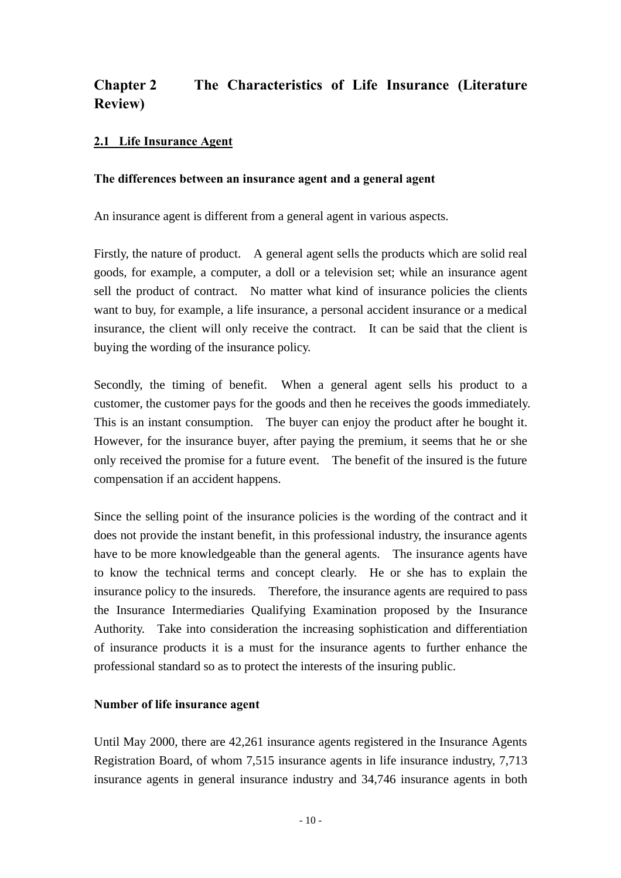# **Chapter 2 The Characteristics of Life Insurance (Literature Review)**

### **2.1 Life Insurance Agent**

#### **The differences between an insurance agent and a general agent**

An insurance agent is different from a general agent in various aspects.

Firstly, the nature of product. A general agent sells the products which are solid real goods, for example, a computer, a doll or a television set; while an insurance agent sell the product of contract. No matter what kind of insurance policies the clients want to buy, for example, a life insurance, a personal accident insurance or a medical insurance, the client will only receive the contract. It can be said that the client is buying the wording of the insurance policy.

Secondly, the timing of benefit. When a general agent sells his product to a customer, the customer pays for the goods and then he receives the goods immediately. This is an instant consumption. The buyer can enjoy the product after he bought it. However, for the insurance buyer, after paying the premium, it seems that he or she only received the promise for a future event. The benefit of the insured is the future compensation if an accident happens.

Since the selling point of the insurance policies is the wording of the contract and it does not provide the instant benefit, in this professional industry, the insurance agents have to be more knowledgeable than the general agents. The insurance agents have to know the technical terms and concept clearly. He or she has to explain the insurance policy to the insureds. Therefore, the insurance agents are required to pass the Insurance Intermediaries Qualifying Examination proposed by the Insurance Authority. Take into consideration the increasing sophistication and differentiation of insurance products it is a must for the insurance agents to further enhance the professional standard so as to protect the interests of the insuring public.

#### **Number of life insurance agent**

Until May 2000, there are 42,261 insurance agents registered in the Insurance Agents Registration Board, of whom 7,515 insurance agents in life insurance industry, 7,713 insurance agents in general insurance industry and 34,746 insurance agents in both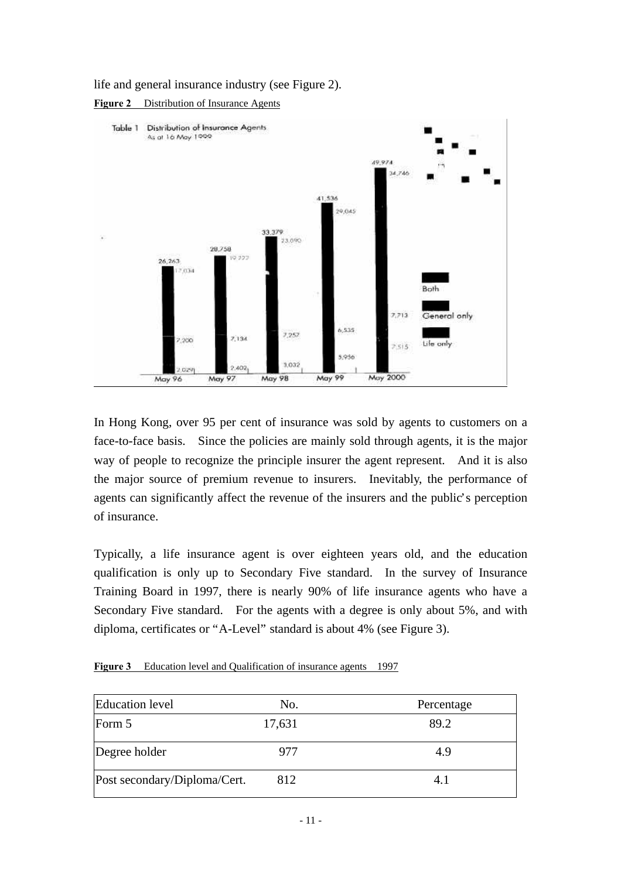life and general insurance industry (see Figure 2).





In Hong Kong, over 95 per cent of insurance was sold by agents to customers on a face-to-face basis. Since the policies are mainly sold through agents, it is the major way of people to recognize the principle insurer the agent represent. And it is also the major source of premium revenue to insurers. Inevitably, the performance of agents can significantly affect the revenue of the insurers and the public's perception of insurance.

Typically, a life insurance agent is over eighteen years old, and the education qualification is only up to Secondary Five standard. In the survey of Insurance Training Board in 1997, there is nearly 90% of life insurance agents who have a Secondary Five standard. For the agents with a degree is only about 5%, and with diploma, certificates or "A-Level" standard is about 4% (see Figure 3).

| <b>Education</b> level       | No.    | Percentage |
|------------------------------|--------|------------|
| Form 5                       | 17,631 | 89.2       |
| Degree holder                | 977    | 4.9        |
| Post secondary/Diploma/Cert. | 812    | 4.1        |

**Figure 3** Education level and Qualification of insurance agents 1997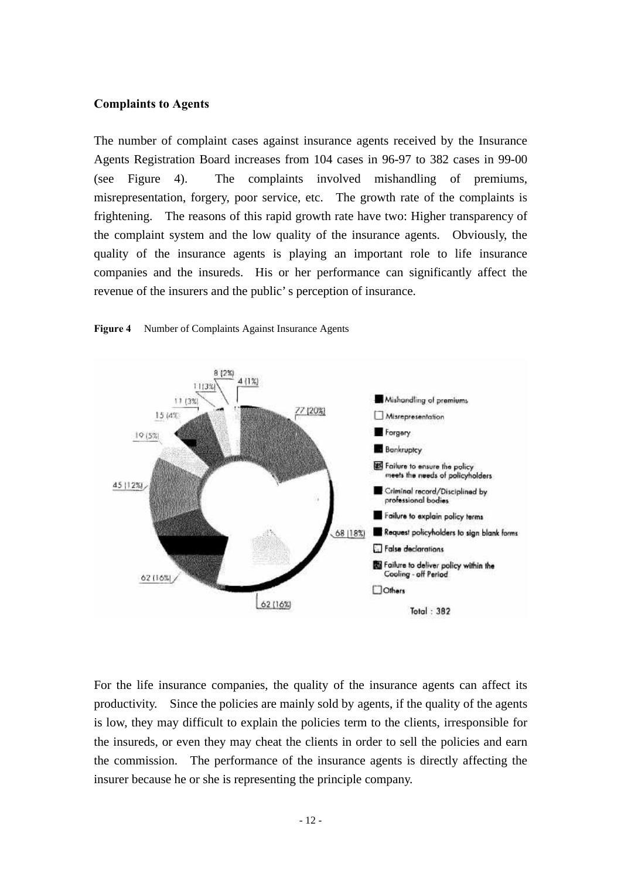#### **Complaints to Agents**

The number of complaint cases against insurance agents received by the Insurance Agents Registration Board increases from 104 cases in 96-97 to 382 cases in 99-00 (see Figure 4). The complaints involved mishandling of premiums, misrepresentation, forgery, poor service, etc. The growth rate of the complaints is frightening. The reasons of this rapid growth rate have two: Higher transparency of the complaint system and the low quality of the insurance agents. Obviously, the quality of the insurance agents is playing an important role to life insurance companies and the insureds. His or her performance can significantly affect the revenue of the insurers and the public's perception of insurance.



**Figure 4** Number of Complaints Against Insurance Agents

For the life insurance companies, the quality of the insurance agents can affect its productivity. Since the policies are mainly sold by agents, if the quality of the agents is low, they may difficult to explain the policies term to the clients, irresponsible for the insureds, or even they may cheat the clients in order to sell the policies and earn the commission. The performance of the insurance agents is directly affecting the insurer because he or she is representing the principle company.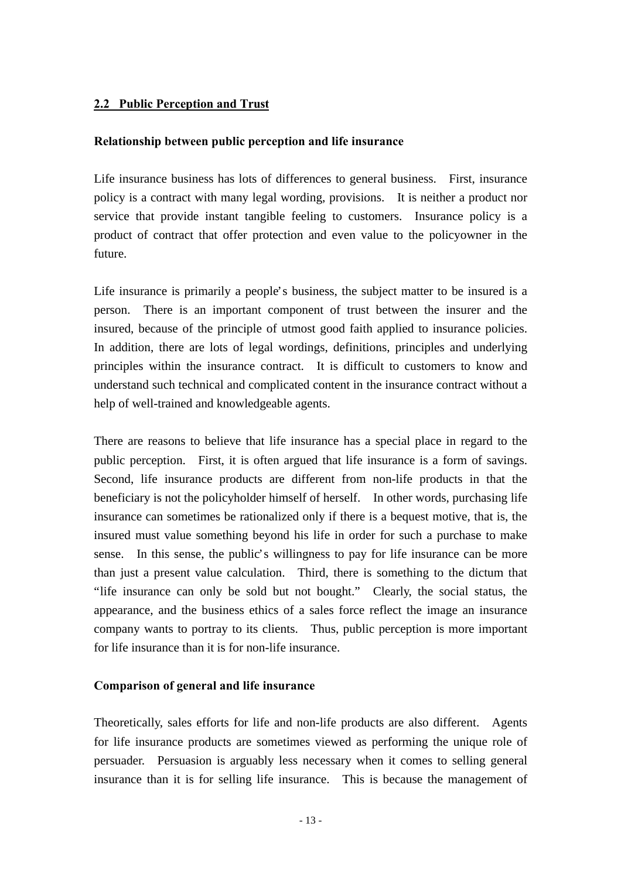# **2.2 Public Perception and Trust**

#### **Relationship between public perception and life insurance**

Life insurance business has lots of differences to general business. First, insurance policy is a contract with many legal wording, provisions. It is neither a product nor service that provide instant tangible feeling to customers. Insurance policy is a product of contract that offer protection and even value to the policyowner in the future.

Life insurance is primarily a people's business, the subject matter to be insured is a person. There is an important component of trust between the insurer and the insured, because of the principle of utmost good faith applied to insurance policies. In addition, there are lots of legal wordings, definitions, principles and underlying principles within the insurance contract. It is difficult to customers to know and understand such technical and complicated content in the insurance contract without a help of well-trained and knowledgeable agents.

There are reasons to believe that life insurance has a special place in regard to the public perception. First, it is often argued that life insurance is a form of savings. Second, life insurance products are different from non-life products in that the beneficiary is not the policyholder himself of herself. In other words, purchasing life insurance can sometimes be rationalized only if there is a bequest motive, that is, the insured must value something beyond his life in order for such a purchase to make sense. In this sense, the public's willingness to pay for life insurance can be more than just a present value calculation. Third, there is something to the dictum that "life insurance can only be sold but not bought." Clearly, the social status, the appearance, and the business ethics of a sales force reflect the image an insurance company wants to portray to its clients. Thus, public perception is more important for life insurance than it is for non-life insurance.

#### **Comparison of general and life insurance**

Theoretically, sales efforts for life and non-life products are also different. Agents for life insurance products are sometimes viewed as performing the unique role of persuader. Persuasion is arguably less necessary when it comes to selling general insurance than it is for selling life insurance. This is because the management of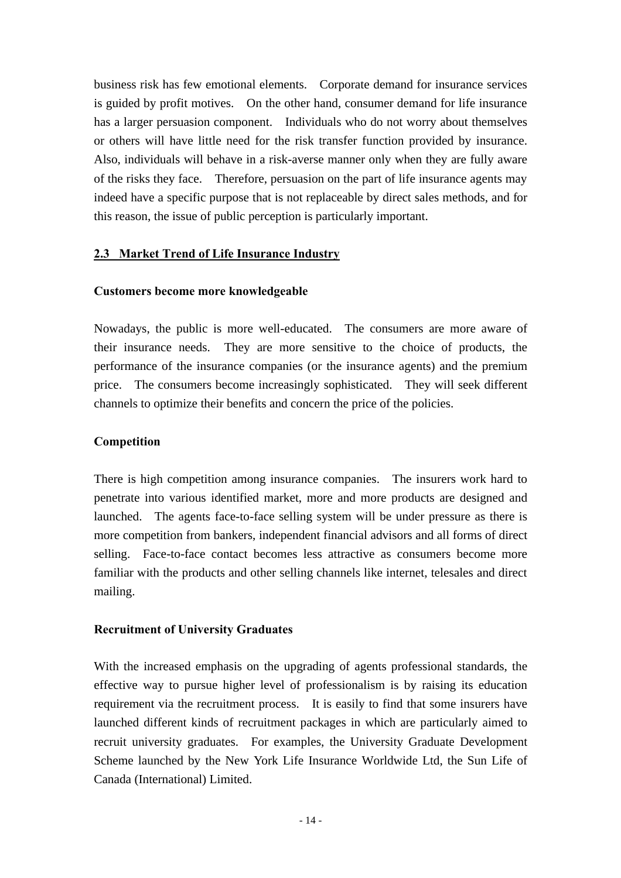business risk has few emotional elements. Corporate demand for insurance services is guided by profit motives. On the other hand, consumer demand for life insurance has a larger persuasion component. Individuals who do not worry about themselves or others will have little need for the risk transfer function provided by insurance. Also, individuals will behave in a risk-averse manner only when they are fully aware of the risks they face. Therefore, persuasion on the part of life insurance agents may indeed have a specific purpose that is not replaceable by direct sales methods, and for this reason, the issue of public perception is particularly important.

# **2.3 Market Trend of Life Insurance Industry**

# **Customers become more knowledgeable**

Nowadays, the public is more well-educated. The consumers are more aware of their insurance needs. They are more sensitive to the choice of products, the performance of the insurance companies (or the insurance agents) and the premium price. The consumers become increasingly sophisticated. They will seek different channels to optimize their benefits and concern the price of the policies.

# **Competition**

There is high competition among insurance companies. The insurers work hard to penetrate into various identified market, more and more products are designed and launched. The agents face-to-face selling system will be under pressure as there is more competition from bankers, independent financial advisors and all forms of direct selling. Face-to-face contact becomes less attractive as consumers become more familiar with the products and other selling channels like internet, telesales and direct mailing.

# **Recruitment of University Graduates**

With the increased emphasis on the upgrading of agents professional standards, the effective way to pursue higher level of professionalism is by raising its education requirement via the recruitment process. It is easily to find that some insurers have launched different kinds of recruitment packages in which are particularly aimed to recruit university graduates. For examples, the University Graduate Development Scheme launched by the New York Life Insurance Worldwide Ltd, the Sun Life of Canada (International) Limited.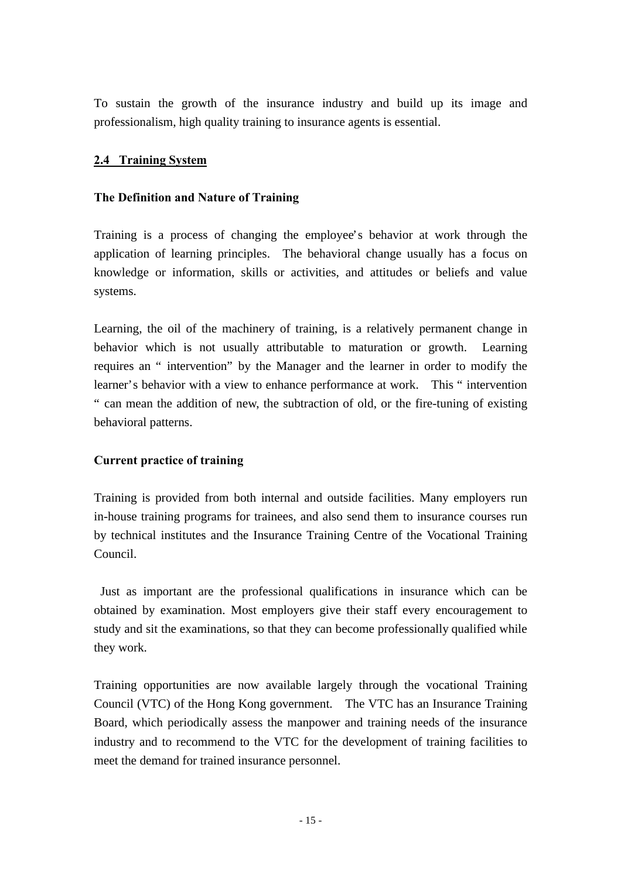To sustain the growth of the insurance industry and build up its image and professionalism, high quality training to insurance agents is essential.

### **2.4 Training System**

#### **The Definition and Nature of Training**

Training is a process of changing the employee's behavior at work through the application of learning principles. The behavioral change usually has a focus on knowledge or information, skills or activities, and attitudes or beliefs and value systems.

Learning, the oil of the machinery of training, is a relatively permanent change in behavior which is not usually attributable to maturation or growth. Learning requires an " intervention" by the Manager and the learner in order to modify the learner's behavior with a view to enhance performance at work. This " intervention " can mean the addition of new, the subtraction of old, or the fire-tuning of existing behavioral patterns.

# **Current practice of training**

Training is provided from both internal and outside facilities. Many employers run in-house training programs for trainees, and also send them to insurance courses run by technical institutes and the Insurance Training Centre of the Vocational Training Council.

 Just as important are the professional qualifications in insurance which can be obtained by examination. Most employers give their staff every encouragement to study and sit the examinations, so that they can become professionally qualified while they work.

Training opportunities are now available largely through the vocational Training Council (VTC) of the Hong Kong government. The VTC has an Insurance Training Board, which periodically assess the manpower and training needs of the insurance industry and to recommend to the VTC for the development of training facilities to meet the demand for trained insurance personnel.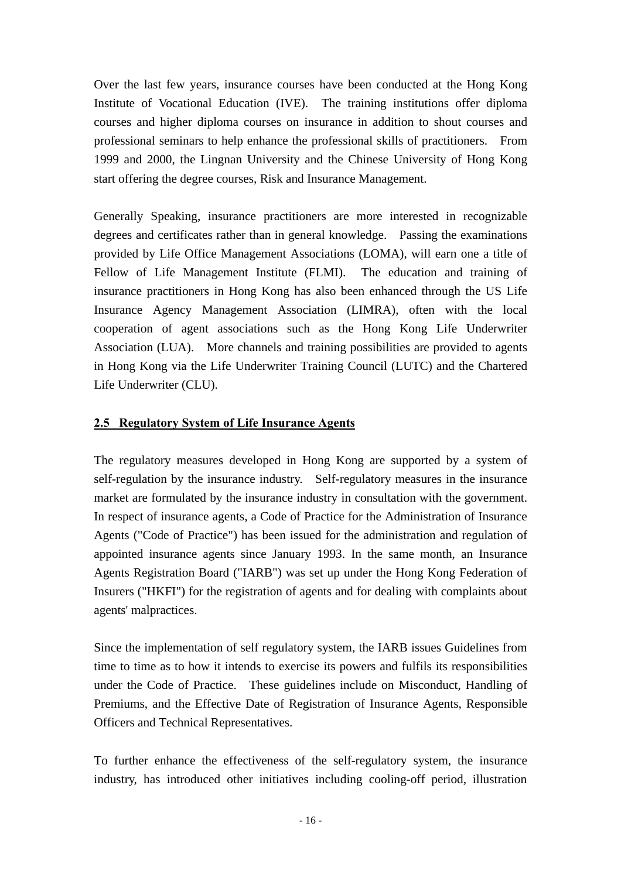Over the last few years, insurance courses have been conducted at the Hong Kong Institute of Vocational Education (IVE). The training institutions offer diploma courses and higher diploma courses on insurance in addition to shout courses and professional seminars to help enhance the professional skills of practitioners. From 1999 and 2000, the Lingnan University and the Chinese University of Hong Kong start offering the degree courses, Risk and Insurance Management.

Generally Speaking, insurance practitioners are more interested in recognizable degrees and certificates rather than in general knowledge. Passing the examinations provided by Life Office Management Associations (LOMA), will earn one a title of Fellow of Life Management Institute (FLMI). The education and training of insurance practitioners in Hong Kong has also been enhanced through the US Life Insurance Agency Management Association (LIMRA), often with the local cooperation of agent associations such as the Hong Kong Life Underwriter Association (LUA). More channels and training possibilities are provided to agents in Hong Kong via the Life Underwriter Training Council (LUTC) and the Chartered Life Underwriter (CLU).

# **2.5 Regulatory System of Life Insurance Agents**

The regulatory measures developed in Hong Kong are supported by a system of self-regulation by the insurance industry. Self-regulatory measures in the insurance market are formulated by the insurance industry in consultation with the government. In respect of insurance agents, a Code of Practice for the Administration of Insurance Agents ("Code of Practice") has been issued for the administration and regulation of appointed insurance agents since January 1993. In the same month, an Insurance Agents Registration Board ("IARB") was set up under the Hong Kong Federation of Insurers ("HKFI") for the registration of agents and for dealing with complaints about agents' malpractices.

Since the implementation of self regulatory system, the IARB issues Guidelines from time to time as to how it intends to exercise its powers and fulfils its responsibilities under the Code of Practice. These guidelines include on Misconduct, Handling of Premiums, and the Effective Date of Registration of Insurance Agents, Responsible Officers and Technical Representatives.

To further enhance the effectiveness of the self-regulatory system, the insurance industry, has introduced other initiatives including cooling-off period, illustration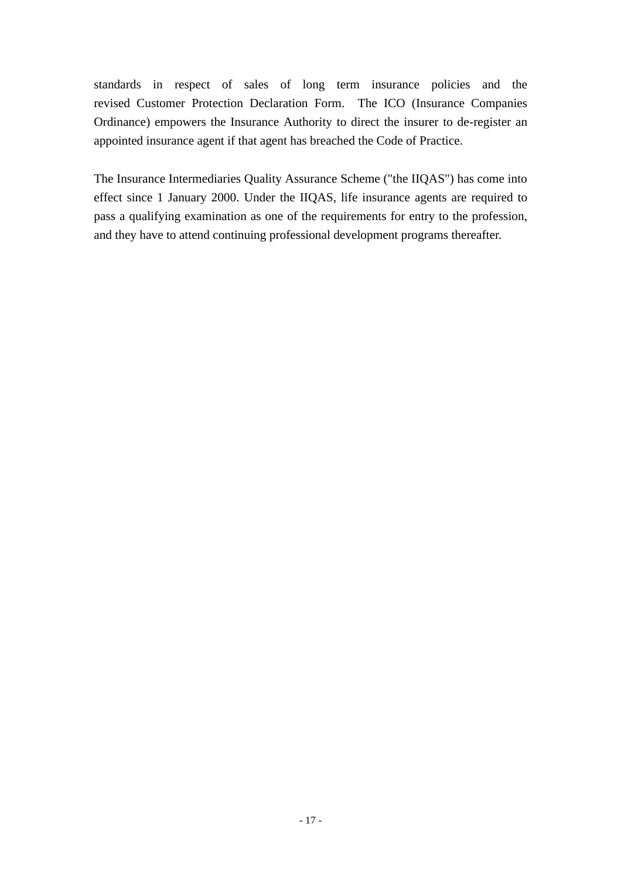standards in respect of sales of long term insurance policies and the revised Customer Protection Declaration Form. The ICO (Insurance Companies Ordinance) empowers the Insurance Authority to direct the insurer to de-register an appointed insurance agent if that agent has breached the Code of Practice.

The Insurance Intermediaries Quality Assurance Scheme ("the IIQAS") has come into effect since 1 January 2000. Under the IIQAS, life insurance agents are required to pass a qualifying examination as one of the requirements for entry to the profession, and they have to attend continuing professional development programs thereafter.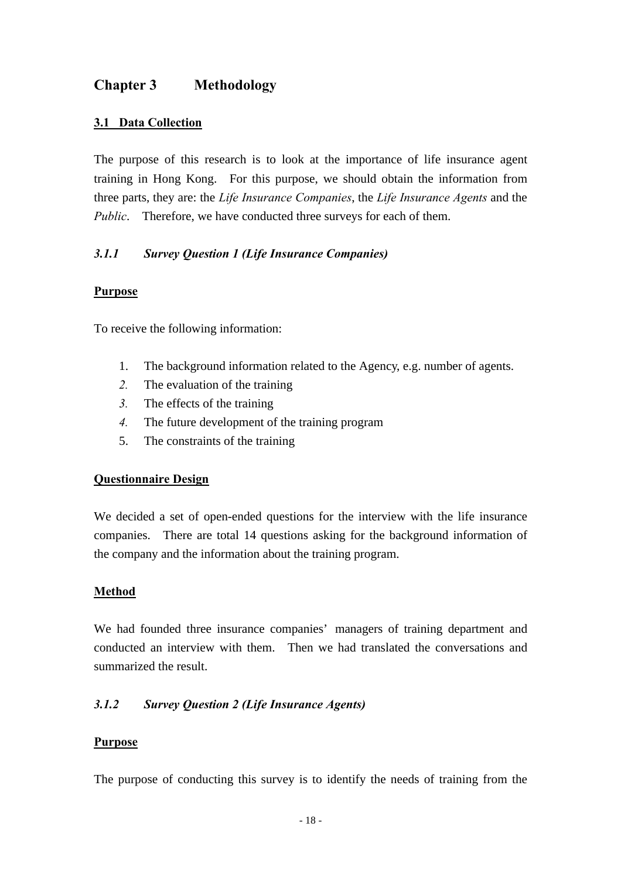# **Chapter 3 Methodology**

# **3.1 Data Collection**

The purpose of this research is to look at the importance of life insurance agent training in Hong Kong. For this purpose, we should obtain the information from three parts, they are: the *Life Insurance Companies*, the *Life Insurance Agents* and the *Public*. Therefore, we have conducted three surveys for each of them.

# *3.1.1 Survey Question 1 (Life Insurance Companies)*

#### **Purpose**

To receive the following information:

- 1. The background information related to the Agency, e.g. number of agents.
- *2.* The evaluation of the training
- *3.* The effects of the training
- *4.* The future development of the training program
- 5. The constraints of the training

# **Questionnaire Design**

We decided a set of open-ended questions for the interview with the life insurance companies. There are total 14 questions asking for the background information of the company and the information about the training program.

# **Method**

We had founded three insurance companies' managers of training department and conducted an interview with them. Then we had translated the conversations and summarized the result.

# *3.1.2 Survey Question 2 (Life Insurance Agents)*

# **Purpose**

The purpose of conducting this survey is to identify the needs of training from the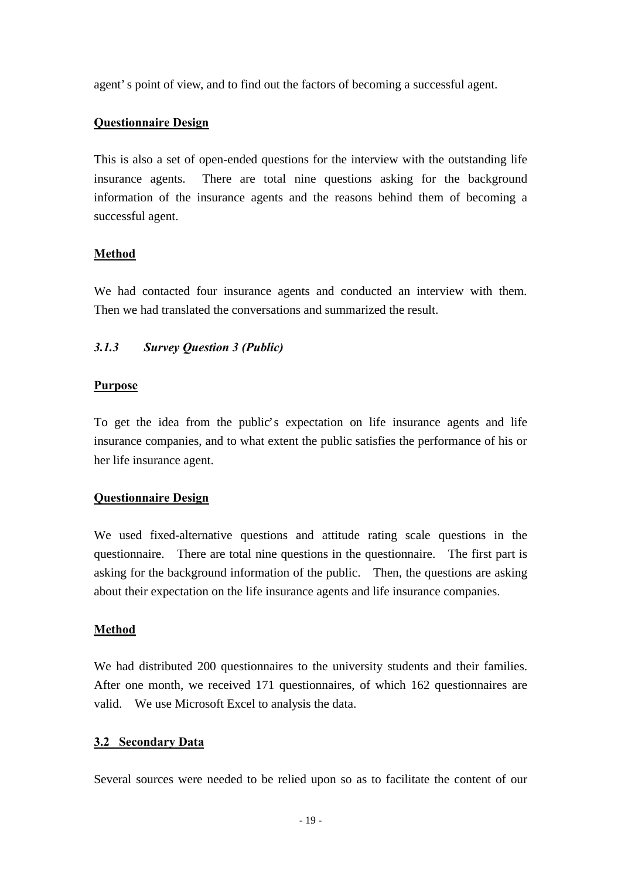agent's point of view, and to find out the factors of becoming a successful agent.

### **Questionnaire Design**

This is also a set of open-ended questions for the interview with the outstanding life insurance agents. There are total nine questions asking for the background information of the insurance agents and the reasons behind them of becoming a successful agent.

# **Method**

We had contacted four insurance agents and conducted an interview with them. Then we had translated the conversations and summarized the result.

# *3.1.3 Survey Question 3 (Public)*

#### **Purpose**

To get the idea from the public's expectation on life insurance agents and life insurance companies, and to what extent the public satisfies the performance of his or her life insurance agent.

# **Questionnaire Design**

We used fixed-alternative questions and attitude rating scale questions in the questionnaire. There are total nine questions in the questionnaire. The first part is asking for the background information of the public. Then, the questions are asking about their expectation on the life insurance agents and life insurance companies.

# **Method**

We had distributed 200 questionnaires to the university students and their families. After one month, we received 171 questionnaires, of which 162 questionnaires are valid. We use Microsoft Excel to analysis the data.

#### **3.2 Secondary Data**

Several sources were needed to be relied upon so as to facilitate the content of our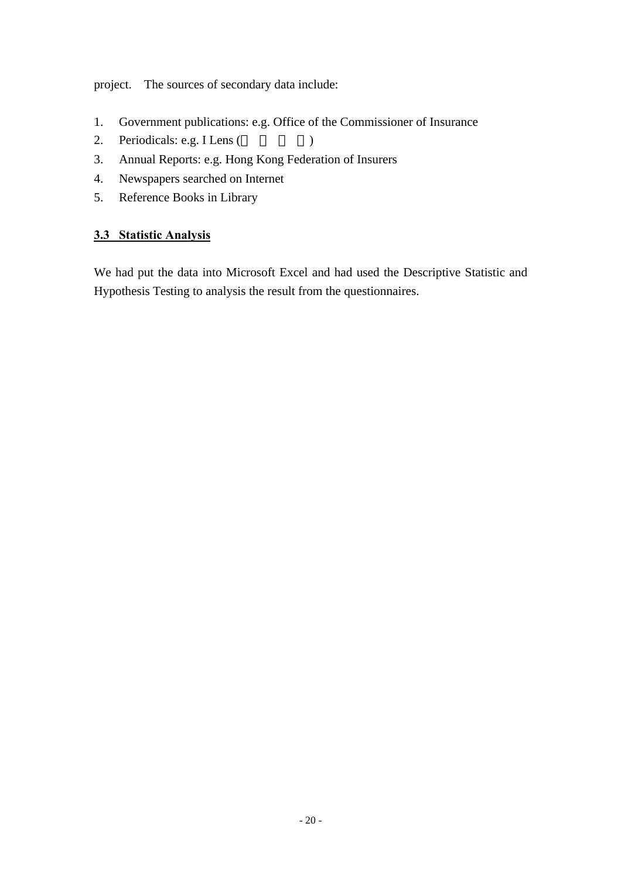project. The sources of secondary data include:

- 1. Government publications: e.g. Office of the Commissioner of Insurance
- 2. Periodicals: e.g. I Lens ()
- 3. Annual Reports: e.g. Hong Kong Federation of Insurers
- 4. Newspapers searched on Internet
- 5. Reference Books in Library

# **3.3 Statistic Analysis**

We had put the data into Microsoft Excel and had used the Descriptive Statistic and Hypothesis Testing to analysis the result from the questionnaires.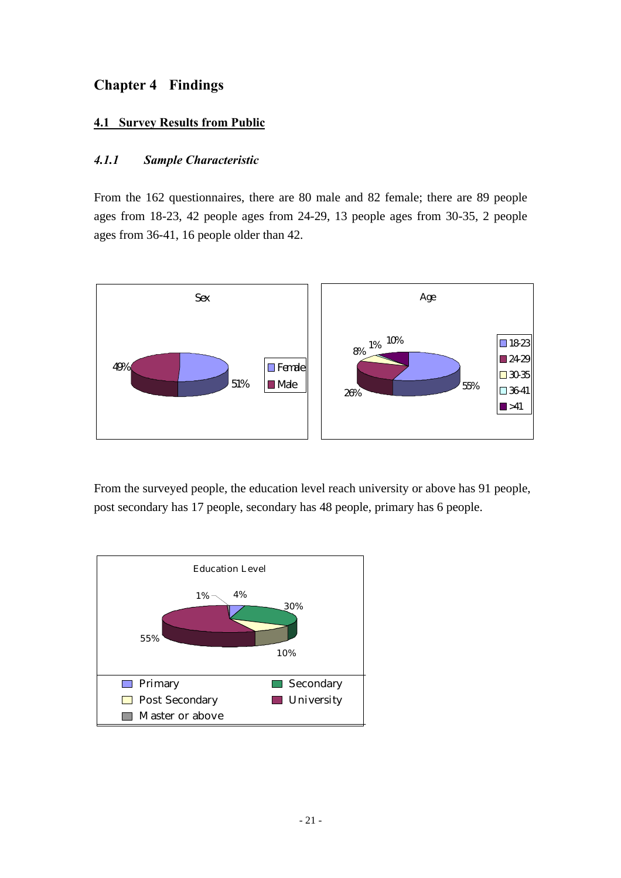# **Chapter 4 Findings**

# **4.1 Survey Results from Public**

# *4.1.1 Sample Characteristic*

From the 162 questionnaires, there are 80 male and 82 female; there are 89 people ages from 18-23, 42 people ages from 24-29, 13 people ages from 30-35, 2 people ages from 36-41, 16 people older than 42.



From the surveyed people, the education level reach university or above has 91 people, post secondary has 17 people, secondary has 48 people, primary has 6 people.

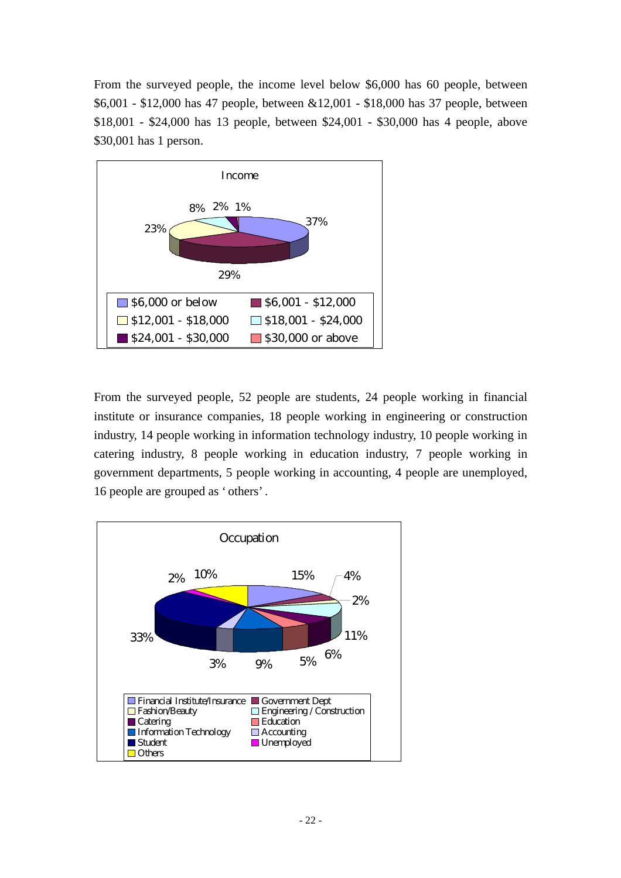From the surveyed people, the income level below \$6,000 has 60 people, between \$6,001 - \$12,000 has 47 people, between &12,001 - \$18,000 has 37 people, between \$18,001 - \$24,000 has 13 people, between \$24,001 - \$30,000 has 4 people, above \$30,001 has 1 person.



From the surveyed people, 52 people are students, 24 people working in financial institute or insurance companies, 18 people working in engineering or construction industry, 14 people working in information technology industry, 10 people working in catering industry, 8 people working in education industry, 7 people working in government departments, 5 people working in accounting, 4 people are unemployed, 16 people are grouped as 'others'.

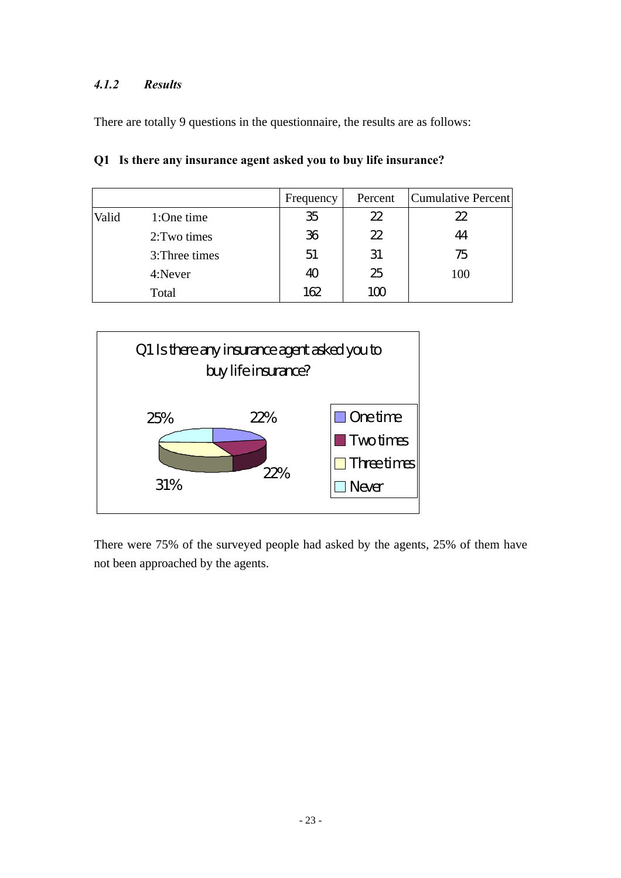# *4.1.2 Results*

There are totally 9 questions in the questionnaire, the results are as follows:

|       |                | Frequency | Percent | Cumulative Percent |
|-------|----------------|-----------|---------|--------------------|
| Valid | 1:One time     | 35        | 22      | $2\!2$             |
|       | 2: Two times   | 36        | 22      | 44                 |
|       | 3: Three times | 51        | 31      | 75                 |
|       | 4:Never        | 40        | 25      | 100                |
|       | Total          | 162       | 100     |                    |

|  |  |  |  |  | Q1 Is there any insurance agent asked you to buy life insurance? |
|--|--|--|--|--|------------------------------------------------------------------|
|--|--|--|--|--|------------------------------------------------------------------|



There were 75% of the surveyed people had asked by the agents, 25% of them have not been approached by the agents.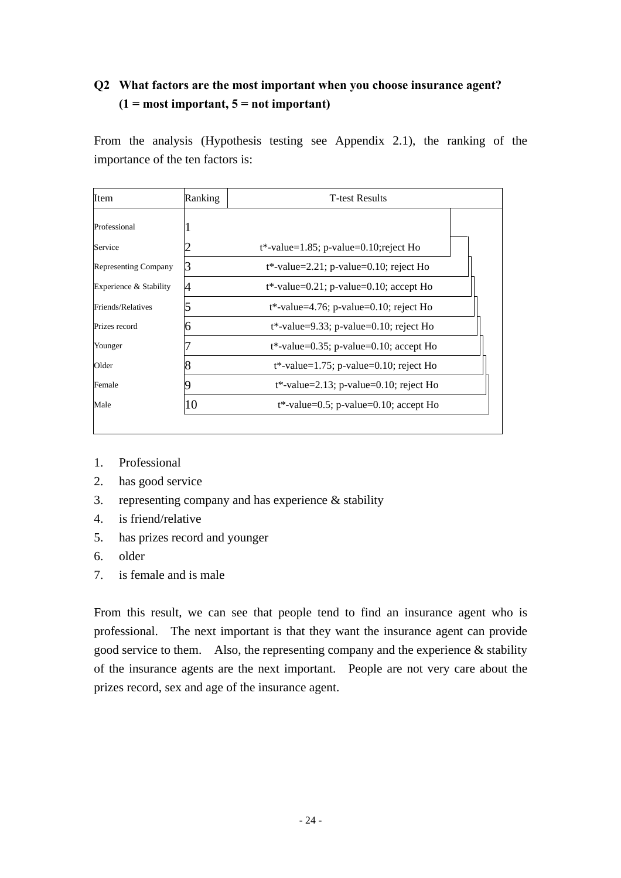# **Q2 What factors are the most important when you choose insurance agent? (1 = most important, 5 = not important)**

From the analysis (Hypothesis testing see Appendix 2.1), the ranking of the importance of the ten factors is:

| Item                        | Ranking | <b>T-test Results</b>                      |  |
|-----------------------------|---------|--------------------------------------------|--|
| Professional                |         |                                            |  |
| Service                     |         | $t^*$ -value=1.85; p-value=0.10; reject Ho |  |
| <b>Representing Company</b> |         | $t^*$ -value=2.21; p-value=0.10; reject Ho |  |
| Experience & Stability      |         | $t^*$ -value=0.21; p-value=0.10; accept Ho |  |
| Friends/Relatives           |         | $t^*$ -value=4.76; p-value=0.10; reject Ho |  |
| Prizes record               | n       | $t^*$ -value=9.33; p-value=0.10; reject Ho |  |
| Younger                     |         | $t^*$ -value=0.35; p-value=0.10; accept Ho |  |
| Older                       |         | $t^*$ -value=1.75; p-value=0.10; reject Ho |  |
| Female                      |         | $t^*$ -value=2.13; p-value=0.10; reject Ho |  |
| Male                        | 10      | $t^*$ -value=0.5; p-value=0.10; accept Ho  |  |

- 1. Professional
- 2. has good service
- 3. representing company and has experience & stability
- 4. is friend/relative
- 5. has prizes record and younger
- 6. older
- 7. is female and is male

From this result, we can see that people tend to find an insurance agent who is professional. The next important is that they want the insurance agent can provide good service to them. Also, the representing company and the experience  $\&$  stability of the insurance agents are the next important. People are not very care about the prizes record, sex and age of the insurance agent.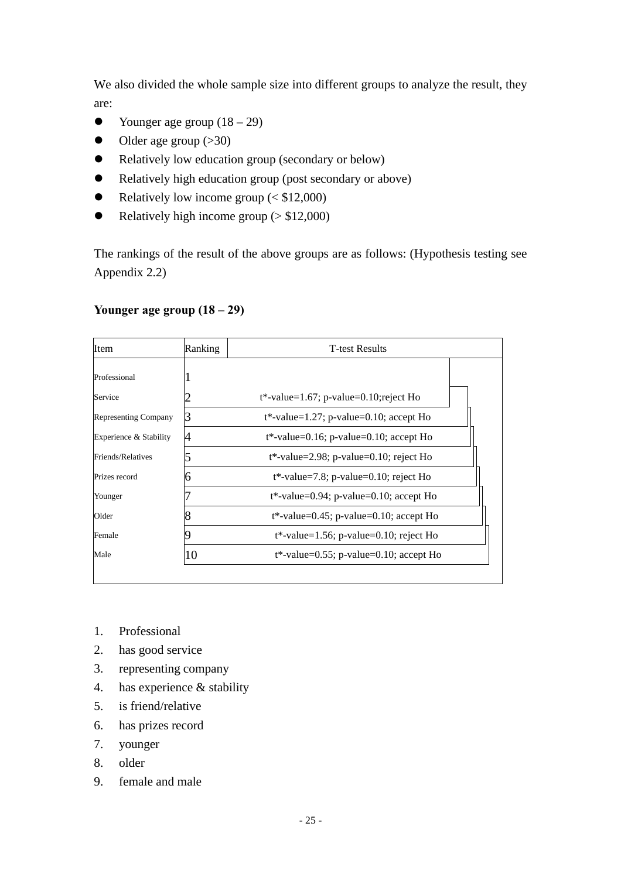We also divided the whole sample size into different groups to analyze the result, they are:

- Younger age group  $(18 29)$
- $\bullet$  Older age group (>30)
- Relatively low education group (secondary or below)
- Relatively high education group (post secondary or above)
- Relatively low income group  $( $$12,000$ )$
- Relatively high income group  $($  > \$12,000)

The rankings of the result of the above groups are as follows: (Hypothesis testing see Appendix 2.2)

# **Younger age group (18 – 29)**

| Item                        | Ranking | <b>T</b> -test Results                     |  |
|-----------------------------|---------|--------------------------------------------|--|
| Professional                |         |                                            |  |
| Service                     |         | $t^*$ -value=1.67; p-value=0.10; reject Ho |  |
| <b>Representing Company</b> | 3       | $t^*$ -value=1.27; p-value=0.10; accept Ho |  |
| Experience & Stability      |         | $t^*$ -value=0.16; p-value=0.10; accept Ho |  |
| Friends/Relatives           |         | $t^*$ -value=2.98; p-value=0.10; reject Ho |  |
| Prizes record               | h       | $t^*$ -value=7.8; p-value=0.10; reject Ho  |  |
| Younger                     |         | $t^*$ -value=0.94; p-value=0.10; accept Ho |  |
| Older                       |         | $t^*$ -value=0.45; p-value=0.10; accept Ho |  |
| Female                      |         | $t^*$ -value=1.56; p-value=0.10; reject Ho |  |
| Male                        | 10      | $t^*$ -value=0.55; p-value=0.10; accept Ho |  |

- 1. Professional
- 2. has good service
- 3. representing company
- 4. has experience & stability
- 5. is friend/relative
- 6. has prizes record
- 7. younger
- 8. older
- 9. female and male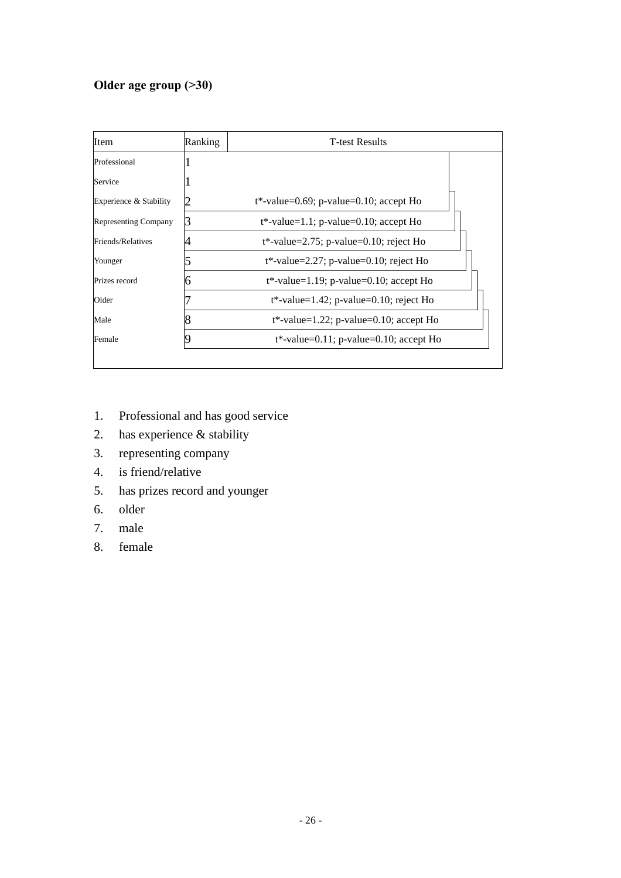# **Older age group (>30)**

| Item                        | Ranking | <b>T-test Results</b>                      |  |
|-----------------------------|---------|--------------------------------------------|--|
| Professional                |         |                                            |  |
| Service                     |         |                                            |  |
| Experience & Stability      |         | $t^*$ -value=0.69; p-value=0.10; accept Ho |  |
| <b>Representing Company</b> |         | $t^*$ -value=1.1; p-value=0.10; accept Ho  |  |
| Friends/Relatives           |         | $t^*$ -value=2.75; p-value=0.10; reject Ho |  |
| Younger                     |         | $t^*$ -value=2.27; p-value=0.10; reject Ho |  |
| Prizes record               |         | $t^*$ -value=1.19; p-value=0.10; accept Ho |  |
| Older                       |         | $t^*$ -value=1.42; p-value=0.10; reject Ho |  |
| Male                        |         | $t^*$ -value=1.22; p-value=0.10; accept Ho |  |
| Female                      |         | $t^*$ -value=0.11; p-value=0.10; accept Ho |  |

- 1. Professional and has good service
- 2. has experience & stability
- 3. representing company
- 4. is friend/relative
- 5. has prizes record and younger
- 6. older
- 7. male
- 8. female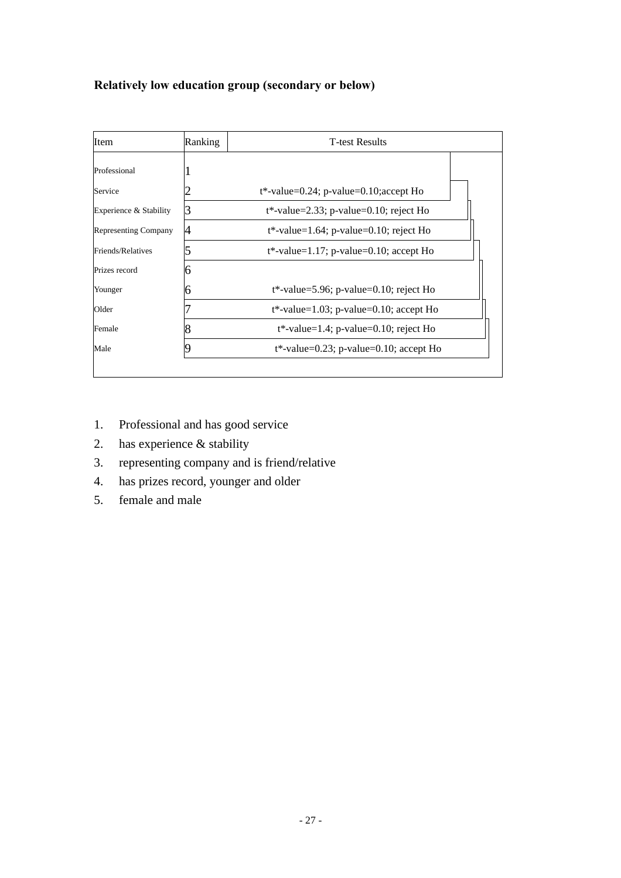# **Relatively low education group (secondary or below)**

| Item                        | Ranking | <b>T</b> -test Results                     |  |
|-----------------------------|---------|--------------------------------------------|--|
| Professional                |         |                                            |  |
| Service                     |         | $t^*$ -value=0.24; p-value=0.10; accept Ho |  |
| Experience & Stability      | 3       | $t^*$ -value=2.33; p-value=0.10; reject Ho |  |
| <b>Representing Company</b> | 4       | $t^*$ -value=1.64; p-value=0.10; reject Ho |  |
| Friends/Relatives           |         | $t^*$ -value=1.17; p-value=0.10; accept Ho |  |
| Prizes record               | n       |                                            |  |
| Younger                     |         | $t^*$ -value=5.96; p-value=0.10; reject Ho |  |
| Older                       |         | $t^*$ -value=1.03; p-value=0.10; accept Ho |  |
| Female                      |         | $t^*$ -value=1.4; p-value=0.10; reject Ho  |  |
| Male                        |         | $t^*$ -value=0.23; p-value=0.10; accept Ho |  |

- 1. Professional and has good service
- 2. has experience & stability
- 3. representing company and is friend/relative
- 4. has prizes record, younger and older
- 5. female and male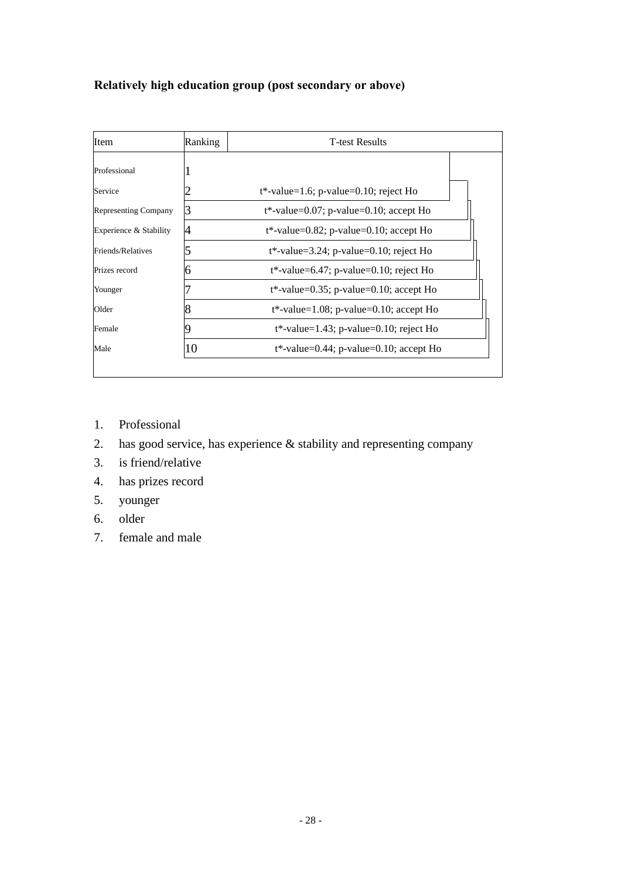# **Relatively high education group (post secondary or above)**

| Item                        | Ranking | <b>T-test Results</b>                      |  |
|-----------------------------|---------|--------------------------------------------|--|
| Professional                |         |                                            |  |
| Service                     |         | $t^*$ -value=1.6; p-value=0.10; reject Ho  |  |
| <b>Representing Company</b> | 3       | $t^*$ -value=0.07; p-value=0.10; accept Ho |  |
| Experience & Stability      |         | $t^*$ -value=0.82; p-value=0.10; accept Ho |  |
| Friends/Relatives           |         | $t^*$ -value=3.24; p-value=0.10; reject Ho |  |
| Prizes record               |         | $t^*$ -value=6.47; p-value=0.10; reject Ho |  |
| Younger                     |         | $t^*$ -value=0.35; p-value=0.10; accept Ho |  |
| Older                       |         | $t^*$ -value=1.08; p-value=0.10; accept Ho |  |
| Female                      |         | $t^*$ -value=1.43; p-value=0.10; reject Ho |  |
| Male                        | 10      | $t^*$ -value=0.44; p-value=0.10; accept Ho |  |

- 1. Professional
- 2. has good service, has experience & stability and representing company
- 3. is friend/relative
- 4. has prizes record
- 5. younger
- 6. older
- 7. female and male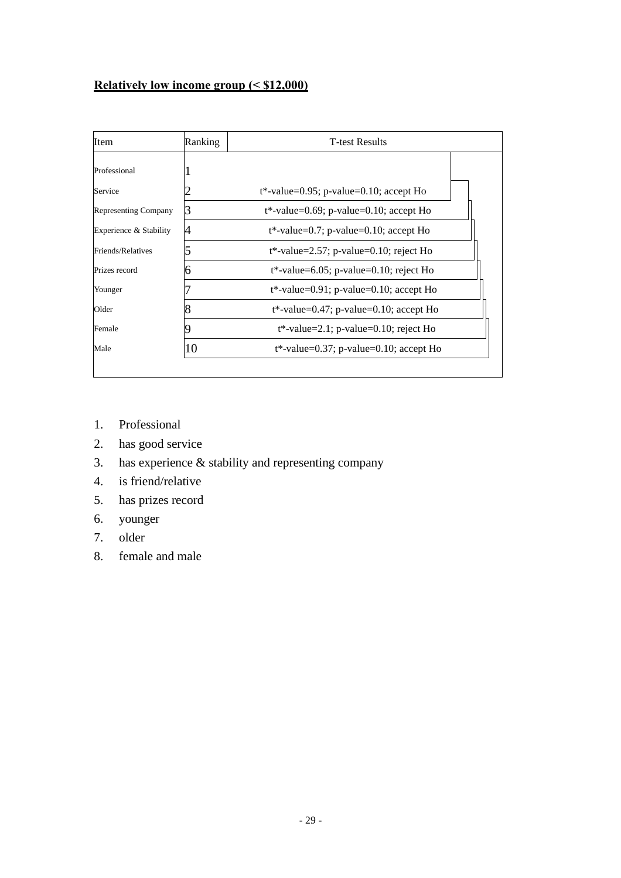# **Relatively low income group (< \$12,000)**

| Item                   | Ranking | <b>T-test Results</b>                      |  |
|------------------------|---------|--------------------------------------------|--|
| Professional           |         |                                            |  |
| Service                |         | $t^*$ -value=0.95; p-value=0.10; accept Ho |  |
| Representing Company   | 3       | $t^*$ -value=0.69; p-value=0.10; accept Ho |  |
| Experience & Stability |         | $t^*$ -value=0.7; p-value=0.10; accept Ho  |  |
| Friends/Relatives      |         | $t^*$ -value=2.57; p-value=0.10; reject Ho |  |
| Prizes record          |         | $t^*$ -value=6.05; p-value=0.10; reject Ho |  |
| Younger                |         | $t^*$ -value=0.91; p-value=0.10; accept Ho |  |
| Older                  | 8       | $t^*$ -value=0.47; p-value=0.10; accept Ho |  |
| Female                 |         | $t^*$ -value=2.1; p-value=0.10; reject Ho  |  |
| Male                   | 10      | $t^*$ -value=0.37; p-value=0.10; accept Ho |  |

- 1. Professional
- 2. has good service
- 3. has experience & stability and representing company
- 4. is friend/relative
- 5. has prizes record
- 6. younger
- 7. older
- 8. female and male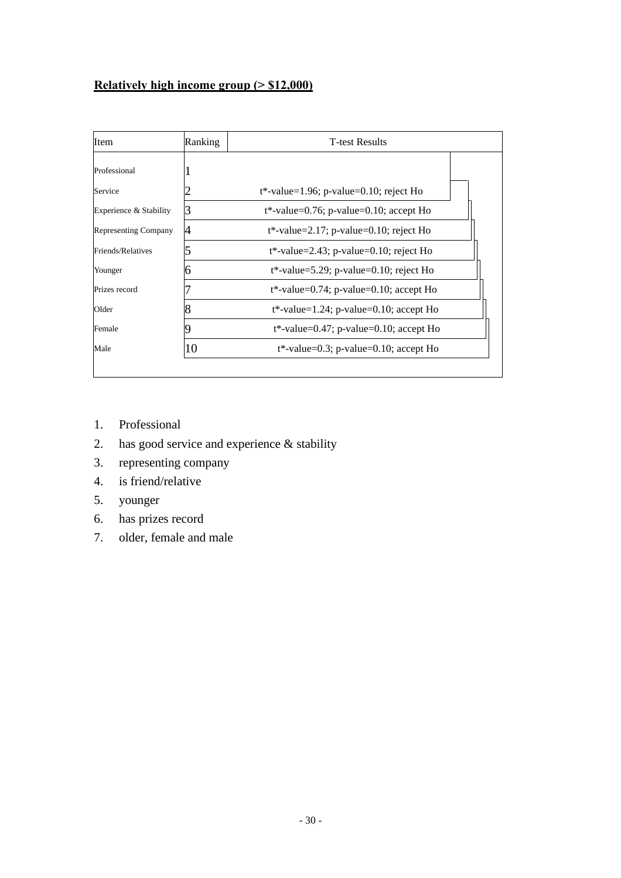# **Relatively high income group (> \$12,000)**

| <b>Item</b>                 | Ranking | <b>T-test Results</b>                      |  |  |
|-----------------------------|---------|--------------------------------------------|--|--|
| Professional                |         |                                            |  |  |
| Service                     |         | $t^*$ -value=1.96; p-value=0.10; reject Ho |  |  |
| Experience & Stability      | 3       | $t^*$ -value=0.76; p-value=0.10; accept Ho |  |  |
| <b>Representing Company</b> |         | $t^*$ -value=2.17; p-value=0.10; reject Ho |  |  |
| Friends/Relatives           |         | $t^*$ -value=2.43; p-value=0.10; reject Ho |  |  |
| Younger                     |         | $t^*$ -value=5.29; p-value=0.10; reject Ho |  |  |
| Prizes record               |         | $t^*$ -value=0.74; p-value=0.10; accept Ho |  |  |
| Older                       |         | $t^*$ -value=1.24; p-value=0.10; accept Ho |  |  |
| Female                      |         | $t^*$ -value=0.47; p-value=0.10; accept Ho |  |  |
| Male                        | 10      | $t^*$ -value=0.3; p-value=0.10; accept Ho  |  |  |

- 1. Professional
- 2. has good service and experience & stability
- 3. representing company
- 4. is friend/relative
- 5. younger
- 6. has prizes record
- 7. older, female and male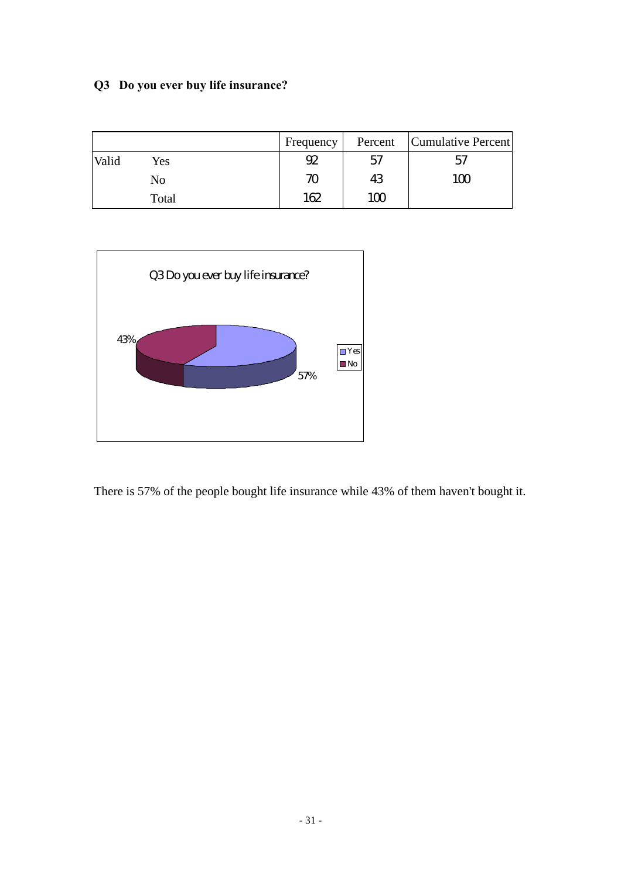# **Q3 Do you ever buy life insurance?**

|       |       | Frequency          | Percent | Cumulative Percent |
|-------|-------|--------------------|---------|--------------------|
| Valid | Yes   | 92                 | 57      | 57                 |
|       | No    | $\boldsymbol{\pi}$ | 43      | 100                |
|       | Total | 162                | 100     |                    |



There is 57% of the people bought life insurance while 43% of them haven't bought it.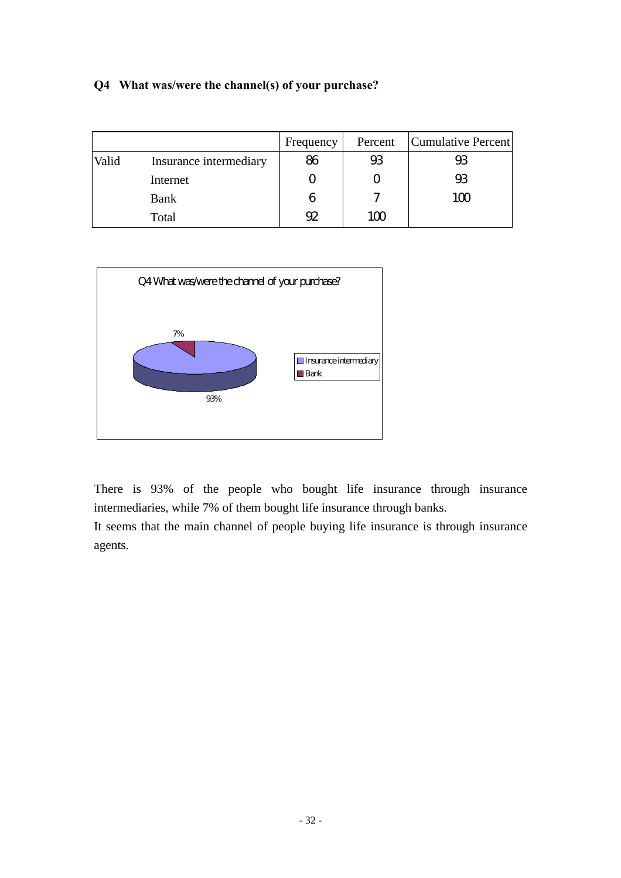# **Q4 What was/were the channel(s) of your purchase?**

|       |                        | Frequency | Percent               | Cumulative Percent |
|-------|------------------------|-----------|-----------------------|--------------------|
| Valid | Insurance intermediary | 86        | $_{\rm \mathfrak{B}}$ | 93                 |
|       | Internet               |           |                       | $9\!\!3$           |
|       | <b>Bank</b>            | 6         | ำ                     | 100                |
|       | Total                  | 92        | 100                   |                    |



There is 93% of the people who bought life insurance through insurance intermediaries, while 7% of them bought life insurance through banks.

It seems that the main channel of people buying life insurance is through insurance agents.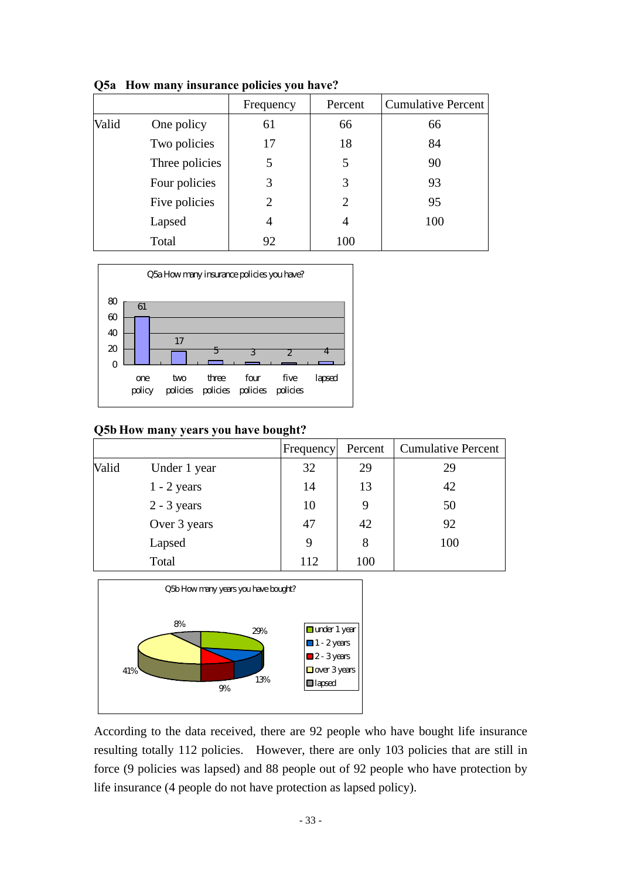|       |                | Frequency             | Percent        | <b>Cumulative Percent</b> |
|-------|----------------|-----------------------|----------------|---------------------------|
| Valid | One policy     | 61                    | 66             | 66                        |
|       | Two policies   | 17                    | 18             | 84                        |
|       | Three policies | 5                     | 5              | 90                        |
|       | Four policies  | 3                     | 3              | 93                        |
|       | Five policies  | $\mathcal{D}_{\cdot}$ | $\overline{2}$ | 95                        |
|       | Lapsed         | 4                     | 4              | 100                       |
|       | Total          | 92                    | 100            |                           |

**Q5a How many insurance policies you have?**



#### **Q5b How many years you have bought?**

|       |               | Frequency | Percent | <b>Cumulative Percent</b> |
|-------|---------------|-----------|---------|---------------------------|
| Valid | Under 1 year  | 32        | 29      | 29                        |
|       | $1 - 2$ years | 14        | 13      | 42                        |
|       | $2 - 3$ years | 10        |         | 50                        |
|       | Over 3 years  | 47        | 42      | 92                        |
|       | Lapsed        | 9         | 8       | 100                       |
|       | Total         | 112       | 100     |                           |



According to the data received, there are 92 people who have bought life insurance resulting totally 112 policies. However, there are only 103 policies that are still in force (9 policies was lapsed) and 88 people out of 92 people who have protection by life insurance (4 people do not have protection as lapsed policy).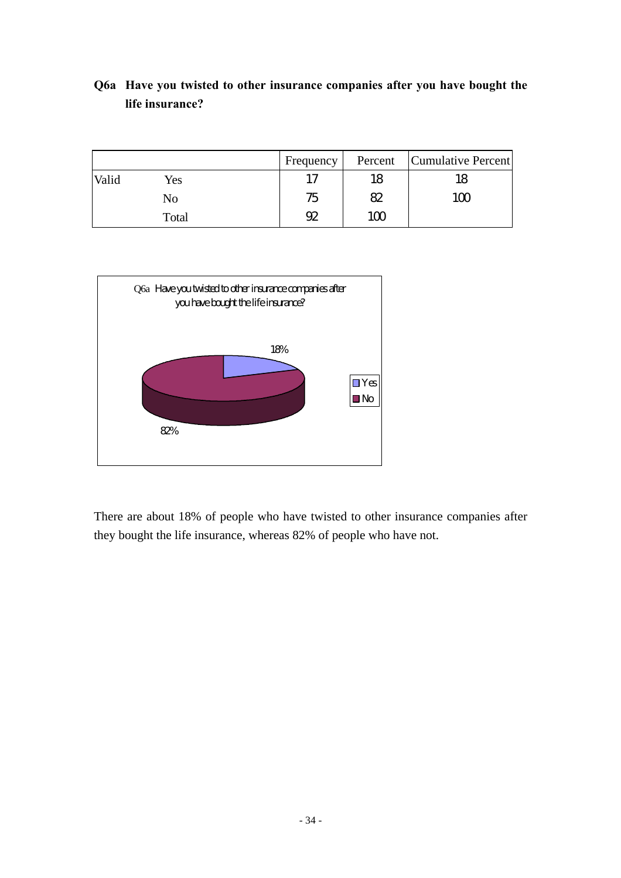# **Q6a Have you twisted to other insurance companies after you have bought the life insurance?**

|       |       | Frequency | Percent | Cumulative Percent |
|-------|-------|-----------|---------|--------------------|
| Valid | Yes   | 17        | 18      | 18                 |
|       | No    | 75        | 82      | 100                |
|       | Total | 92        | 100     |                    |



There are about 18% of people who have twisted to other insurance companies after they bought the life insurance, whereas 82% of people who have not.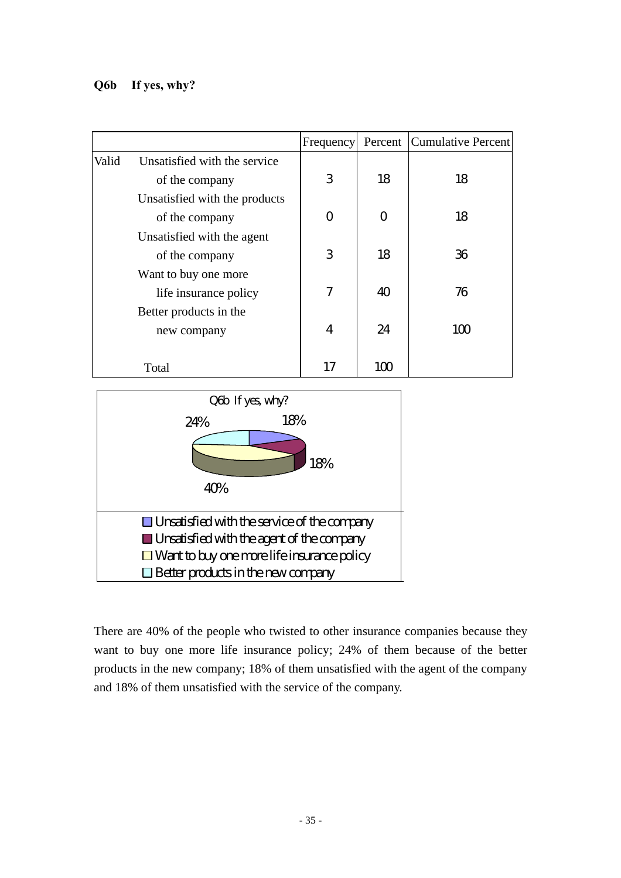# **Q6b If yes, why?**

|       |                               | Frequency |    | Percent Cumulative Percent |
|-------|-------------------------------|-----------|----|----------------------------|
| Valid | Unsatisfied with the service  |           |    |                            |
|       | of the company                | 3         | 18 | 18                         |
|       | Unsatisfied with the products |           |    |                            |
|       | of the company                | O         | ∩  | 18                         |
|       | Unsatisfied with the agent    |           |    |                            |
|       | of the company                | 3         | 18 | 36                         |
|       | Want to buy one more          |           |    |                            |
|       | life insurance policy         | 7         | 40 | 76                         |
|       | Better products in the        |           |    |                            |
|       | new company                   | 4         | 24 | 100                        |
|       |                               |           |    |                            |
|       | Total                         | 17        | 1M |                            |



There are 40% of the people who twisted to other insurance companies because they want to buy one more life insurance policy; 24% of them because of the better products in the new company; 18% of them unsatisfied with the agent of the company and 18% of them unsatisfied with the service of the company.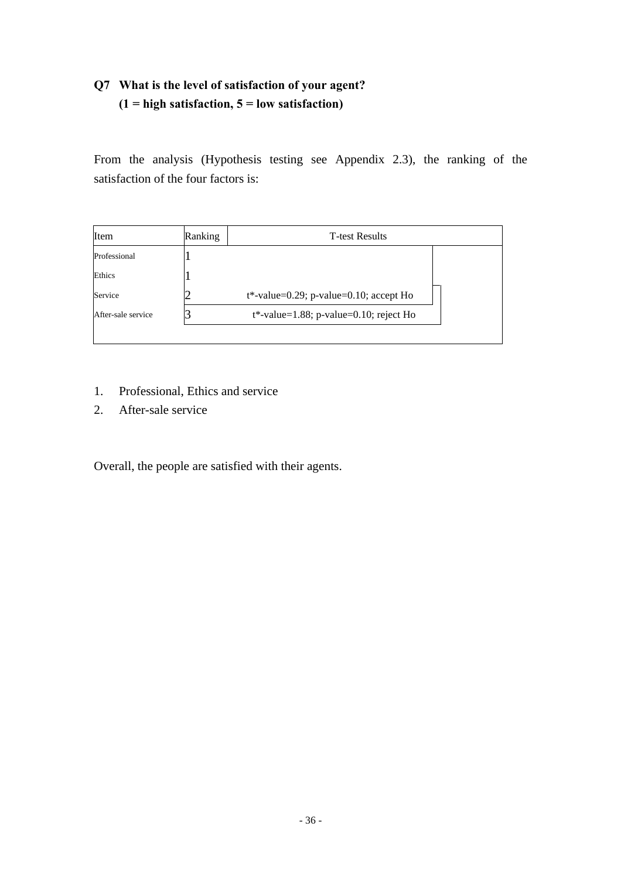# **Q7 What is the level of satisfaction of your agent? (1 = high satisfaction, 5 = low satisfaction)**

From the analysis (Hypothesis testing see Appendix 2.3), the ranking of the satisfaction of the four factors is:

| Item               | Ranking | <b>T</b> -test Results                     |  |  |  |  |  |
|--------------------|---------|--------------------------------------------|--|--|--|--|--|
| Professional       |         |                                            |  |  |  |  |  |
| Ethics             |         |                                            |  |  |  |  |  |
| Service            |         | $t^*$ -value=0.29; p-value=0.10; accept Ho |  |  |  |  |  |
| After-sale service |         | $t^*$ -value=1.88; p-value=0.10; reject Ho |  |  |  |  |  |

- 1. Professional, Ethics and service
- 2. After-sale service

Overall, the people are satisfied with their agents.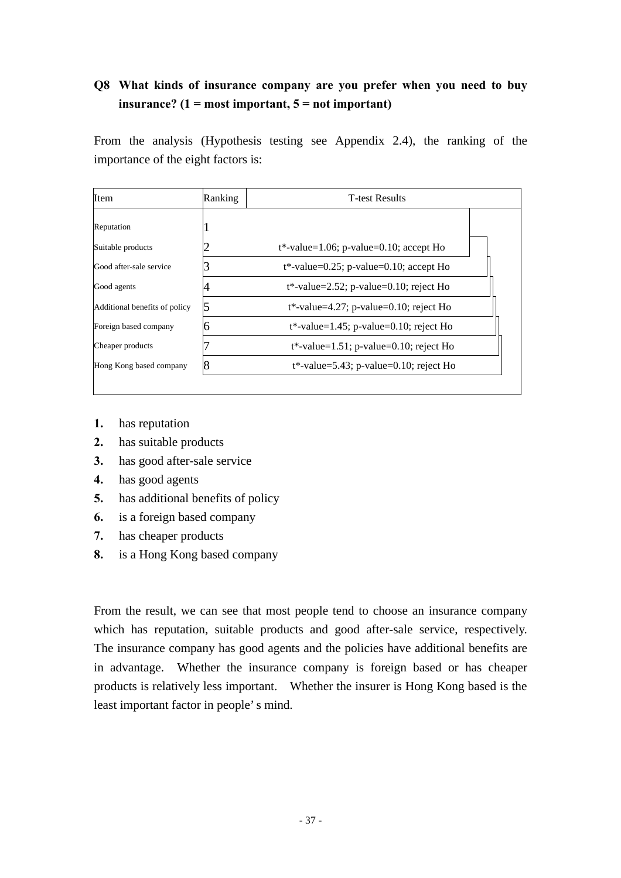# **Q8 What kinds of insurance company are you prefer when you need to buy insurance? (1 = most important, 5 = not important)**

From the analysis (Hypothesis testing see Appendix 2.4), the ranking of the importance of the eight factors is:

| Item                          | Ranking | <b>T</b> -test Results                     |  |
|-------------------------------|---------|--------------------------------------------|--|
| Reputation                    |         |                                            |  |
| Suitable products             |         | $t^*$ -value=1.06; p-value=0.10; accept Ho |  |
| Good after-sale service       |         | $t^*$ -value=0.25; p-value=0.10; accept Ho |  |
| Good agents                   |         | $t^*$ -value=2.52; p-value=0.10; reject Ho |  |
| Additional benefits of policy |         | $t^*$ -value=4.27; p-value=0.10; reject Ho |  |
| Foreign based company         |         | $t^*$ -value=1.45; p-value=0.10; reject Ho |  |
| Cheaper products              |         | $t^*$ -value=1.51; p-value=0.10; reject Ho |  |
| Hong Kong based company       |         | $t^*$ -value=5.43; p-value=0.10; reject Ho |  |

- **1.** has reputation
- **2.** has suitable products
- **3.** has good after-sale service
- **4.** has good agents
- **5.** has additional benefits of policy
- **6.** is a foreign based company
- **7.** has cheaper products
- **8.** is a Hong Kong based company

From the result, we can see that most people tend to choose an insurance company which has reputation, suitable products and good after-sale service, respectively. The insurance company has good agents and the policies have additional benefits are in advantage. Whether the insurance company is foreign based or has cheaper products is relatively less important. Whether the insurer is Hong Kong based is the least important factor in people's mind.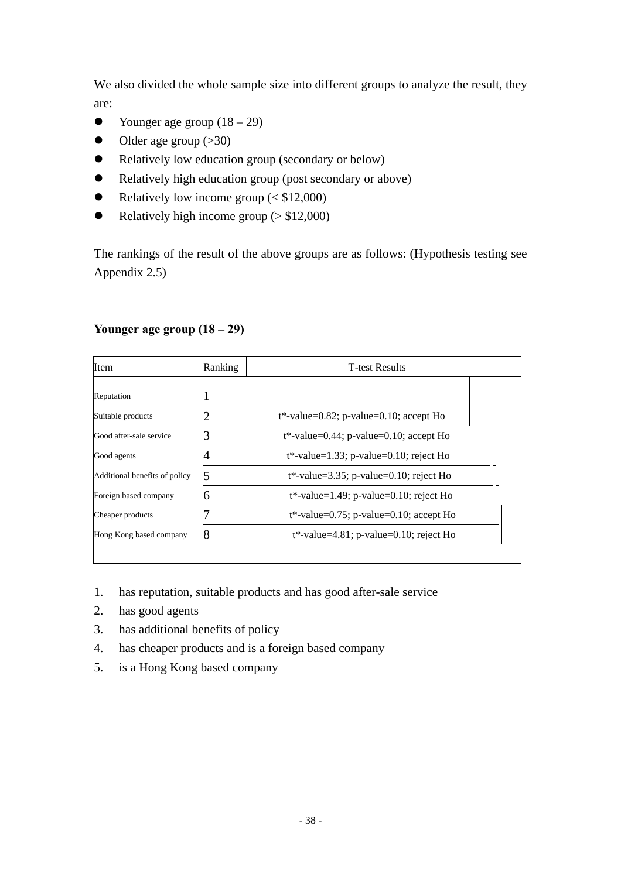We also divided the whole sample size into different groups to analyze the result, they are:

- Younger age group  $(18 29)$
- $\bullet$  Older age group (>30)
- Relatively low education group (secondary or below)
- Relatively high education group (post secondary or above)
- Relatively low income group  $( $$12,000$ )$
- Relatively high income group ( $> $12,000$ )

The rankings of the result of the above groups are as follows: (Hypothesis testing see Appendix 2.5)

### **Younger age group (18 – 29)**

| <b>Item</b>                   | <b>T-test Results</b><br>Ranking |                                            |  |  |  |
|-------------------------------|----------------------------------|--------------------------------------------|--|--|--|
| Reputation                    |                                  |                                            |  |  |  |
| Suitable products             |                                  | $t^*$ -value=0.82; p-value=0.10; accept Ho |  |  |  |
| Good after-sale service       |                                  | $t^*$ -value=0.44; p-value=0.10; accept Ho |  |  |  |
| Good agents                   |                                  | $t^*$ -value=1.33; p-value=0.10; reject Ho |  |  |  |
| Additional benefits of policy |                                  | $t^*$ -value=3.35; p-value=0.10; reject Ho |  |  |  |
| Foreign based company         |                                  | $t^*$ -value=1.49; p-value=0.10; reject Ho |  |  |  |
| Cheaper products              |                                  | $t^*$ -value=0.75; p-value=0.10; accept Ho |  |  |  |
| Hong Kong based company       |                                  | $t^*$ -value=4.81; p-value=0.10; reject Ho |  |  |  |

- 1. has reputation, suitable products and has good after-sale service
- 2. has good agents
- 3. has additional benefits of policy
- 4. has cheaper products and is a foreign based company
- 5. is a Hong Kong based company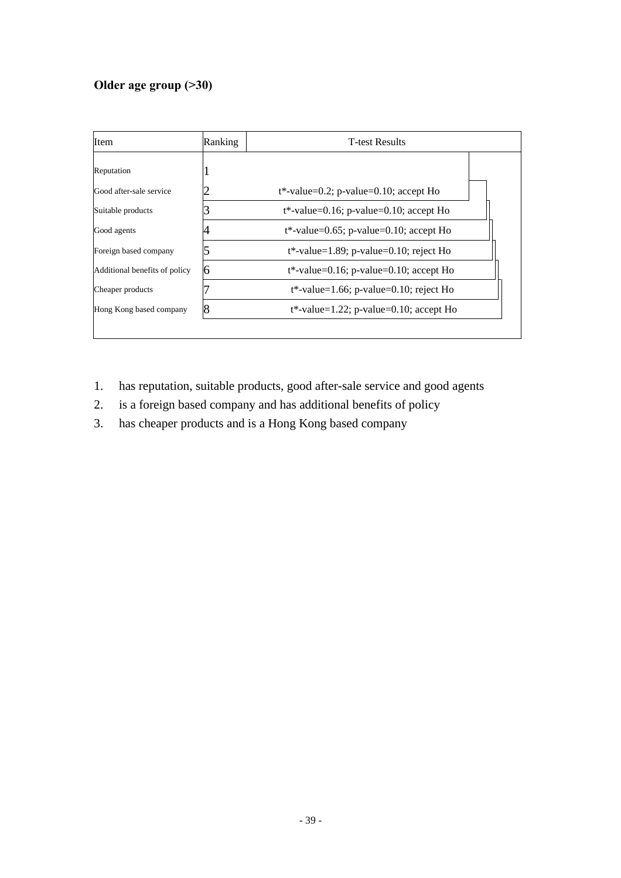# **Older age group (>30)**

| Item                          | Ranking | <b>T-test Results</b>                      |
|-------------------------------|---------|--------------------------------------------|
| Reputation                    |         |                                            |
| Good after-sale service       |         | $t^*$ -value=0.2; p-value=0.10; accept Ho  |
| Suitable products             |         | $t^*$ -value=0.16; p-value=0.10; accept Ho |
| Good agents                   |         | $t^*$ -value=0.65; p-value=0.10; accept Ho |
| Foreign based company         |         | $t^*$ -value=1.89; p-value=0.10; reject Ho |
| Additional benefits of policy | h       | $t^*$ -value=0.16; p-value=0.10; accept Ho |
| Cheaper products              |         | $t^*$ -value=1.66; p-value=0.10; reject Ho |
| Hong Kong based company       |         | $t^*$ -value=1.22; p-value=0.10; accept Ho |

- 1. has reputation, suitable products, good after-sale service and good agents
- 2. is a foreign based company and has additional benefits of policy
- 3. has cheaper products and is a Hong Kong based company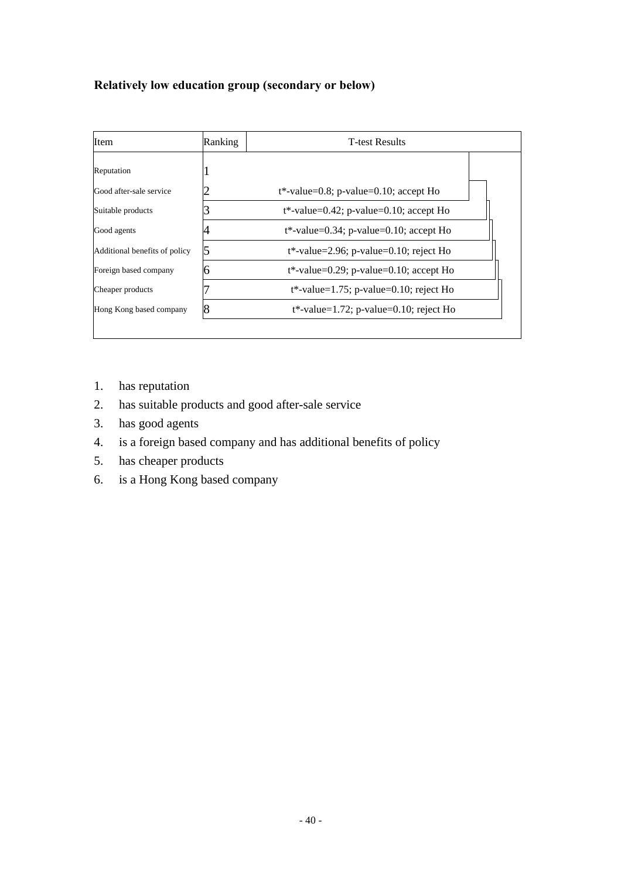## **Relatively low education group (secondary or below)**

| Item                          | Ranking | <b>T</b> -test Results                     |  |
|-------------------------------|---------|--------------------------------------------|--|
| Reputation                    |         |                                            |  |
| Good after-sale service       |         | $t^*$ -value=0.8; p-value=0.10; accept Ho  |  |
| Suitable products             |         | $t^*$ -value=0.42; p-value=0.10; accept Ho |  |
| Good agents                   |         | $t^*$ -value=0.34; p-value=0.10; accept Ho |  |
| Additional benefits of policy |         | $t^*$ -value=2.96; p-value=0.10; reject Ho |  |
| Foreign based company         |         | $t^*$ -value=0.29; p-value=0.10; accept Ho |  |
| Cheaper products              |         | $t^*$ -value=1.75; p-value=0.10; reject Ho |  |
| Hong Kong based company       |         | $t^*$ -value=1.72; p-value=0.10; reject Ho |  |
|                               |         |                                            |  |

- 1. has reputation
- 2. has suitable products and good after-sale service
- 3. has good agents
- 4. is a foreign based company and has additional benefits of policy
- 5. has cheaper products
- 6. is a Hong Kong based company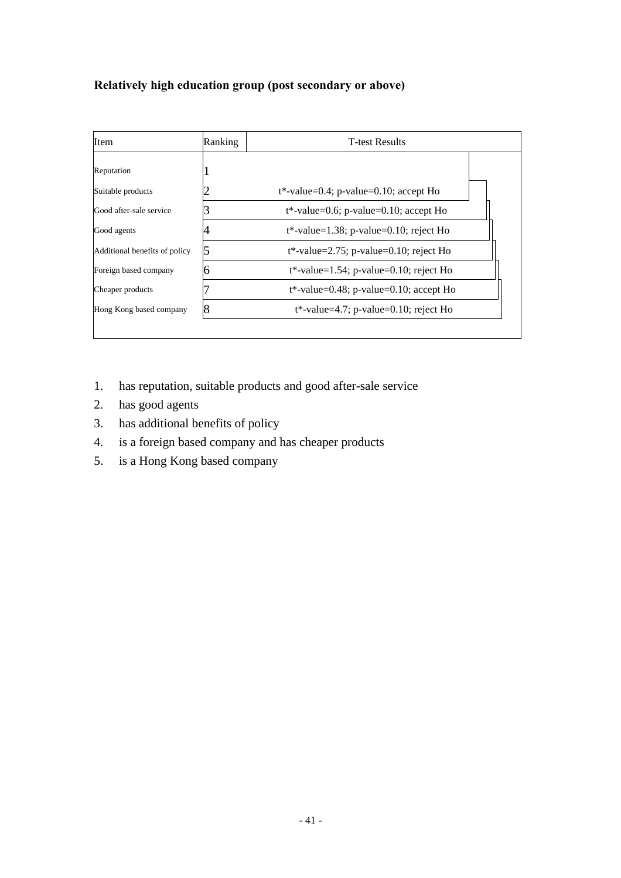## **Relatively high education group (post secondary or above)**

| Item                          | Ranking | <b>T</b> -test Results                     |  |
|-------------------------------|---------|--------------------------------------------|--|
| Reputation                    |         |                                            |  |
| Suitable products             |         | $t^*$ -value=0.4; p-value=0.10; accept Ho  |  |
| Good after-sale service       |         | $t^*$ -value=0.6; p-value=0.10; accept Ho  |  |
| Good agents                   |         | $t^*$ -value=1.38; p-value=0.10; reject Ho |  |
| Additional benefits of policy |         | $t^*$ -value=2.75; p-value=0.10; reject Ho |  |
| Foreign based company         |         | $t^*$ -value=1.54; p-value=0.10; reject Ho |  |
| Cheaper products              |         | $t^*$ -value=0.48; p-value=0.10; accept Ho |  |
| Hong Kong based company       |         | $t^*$ -value=4.7; p-value=0.10; reject Ho  |  |
|                               |         |                                            |  |

- 1. has reputation, suitable products and good after-sale service
- 2. has good agents
- 3. has additional benefits of policy
- 4. is a foreign based company and has cheaper products
- 5. is a Hong Kong based company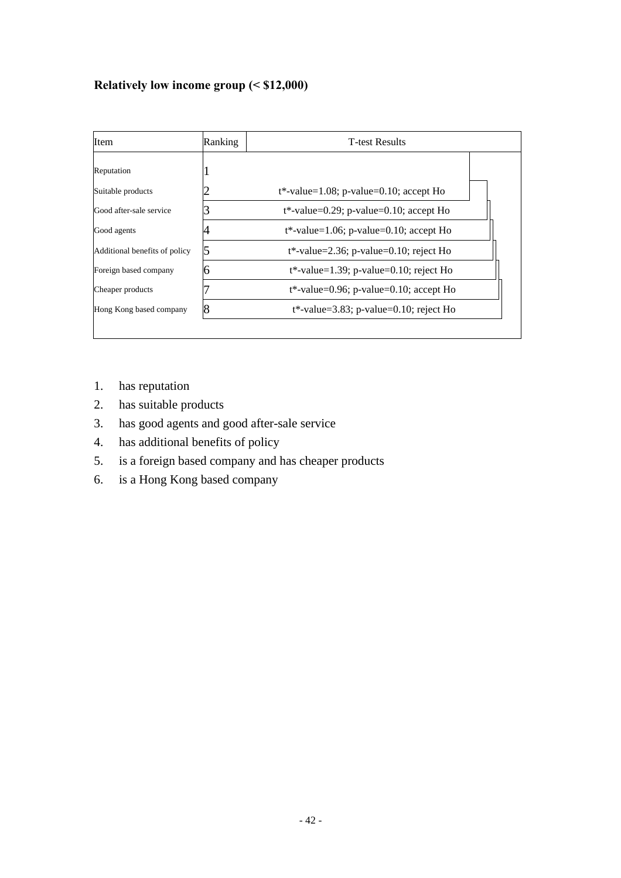## **Relatively low income group (< \$12,000)**

| Item                          | Ranking |                                            |  |
|-------------------------------|---------|--------------------------------------------|--|
| Reputation                    |         |                                            |  |
| Suitable products             |         | $t^*$ -value=1.08; p-value=0.10; accept Ho |  |
| Good after-sale service       |         | $t^*$ -value=0.29; p-value=0.10; accept Ho |  |
| Good agents                   |         | $t^*$ -value=1.06; p-value=0.10; accept Ho |  |
| Additional benefits of policy |         | $t^*$ -value=2.36; p-value=0.10; reject Ho |  |
| Foreign based company         |         | $t^*$ -value=1.39; p-value=0.10; reject Ho |  |
| Cheaper products              |         | $t^*$ -value=0.96; p-value=0.10; accept Ho |  |
| Hong Kong based company       |         | $t^*$ -value=3.83; p-value=0.10; reject Ho |  |
|                               |         |                                            |  |

- 1. has reputation
- 2. has suitable products
- 3. has good agents and good after-sale service
- 4. has additional benefits of policy
- 5. is a foreign based company and has cheaper products
- 6. is a Hong Kong based company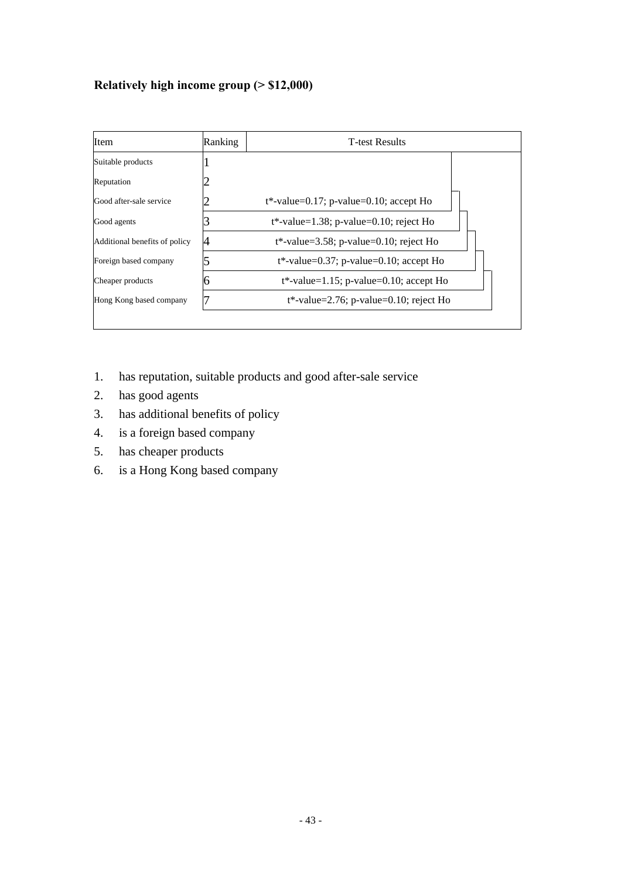# **Relatively high income group (> \$12,000)**

| Item                          | Ranking | <b>T-test Results</b>                      |  |  |  |  |  |
|-------------------------------|---------|--------------------------------------------|--|--|--|--|--|
| Suitable products             |         |                                            |  |  |  |  |  |
| Reputation                    |         |                                            |  |  |  |  |  |
| Good after-sale service       |         | $t^*$ -value=0.17; p-value=0.10; accept Ho |  |  |  |  |  |
| Good agents                   |         | $t^*$ -value=1.38; p-value=0.10; reject Ho |  |  |  |  |  |
| Additional benefits of policy |         | $t^*$ -value=3.58; p-value=0.10; reject Ho |  |  |  |  |  |
| Foreign based company         |         | $t^*$ -value=0.37; p-value=0.10; accept Ho |  |  |  |  |  |
| Cheaper products              |         | $t^*$ -value=1.15; p-value=0.10; accept Ho |  |  |  |  |  |
| Hong Kong based company       |         | $t^*$ -value=2.76; p-value=0.10; reject Ho |  |  |  |  |  |

- 1. has reputation, suitable products and good after-sale service
- 2. has good agents
- 3. has additional benefits of policy
- 4. is a foreign based company
- 5. has cheaper products
- 6. is a Hong Kong based company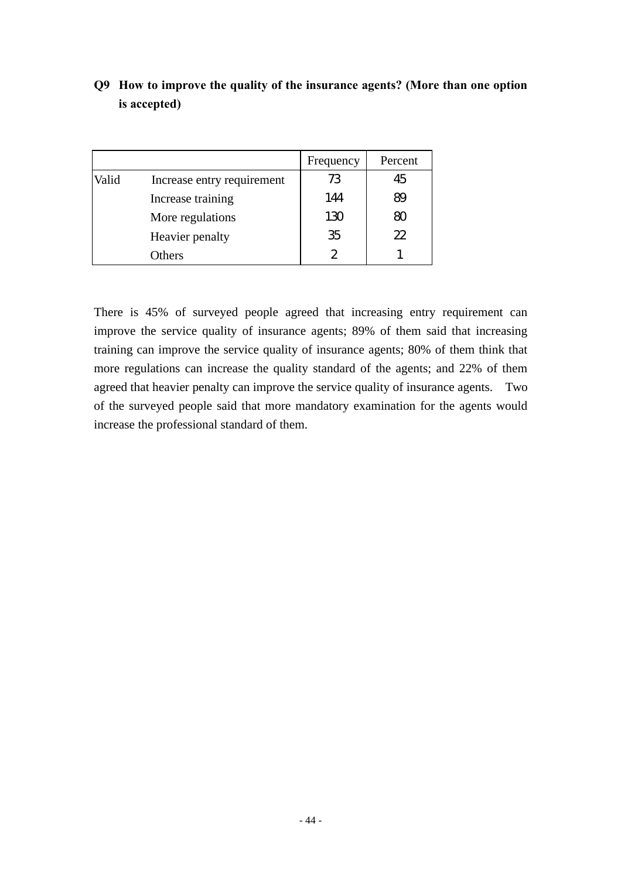|       |                            | Frequency    | Percent |
|-------|----------------------------|--------------|---------|
| Valid | Increase entry requirement | 73           | 45      |
|       | Increase training          | 144          | 89      |
|       | More regulations           | 130          | ഩ       |
|       | Heavier penalty            | 35           | 22      |
|       | Others                     | $\mathbf{2}$ |         |

# **Q9 How to improve the quality of the insurance agents? (More than one option is accepted)**

There is 45% of surveyed people agreed that increasing entry requirement can improve the service quality of insurance agents; 89% of them said that increasing training can improve the service quality of insurance agents; 80% of them think that more regulations can increase the quality standard of the agents; and 22% of them agreed that heavier penalty can improve the service quality of insurance agents. Two of the surveyed people said that more mandatory examination for the agents would increase the professional standard of them.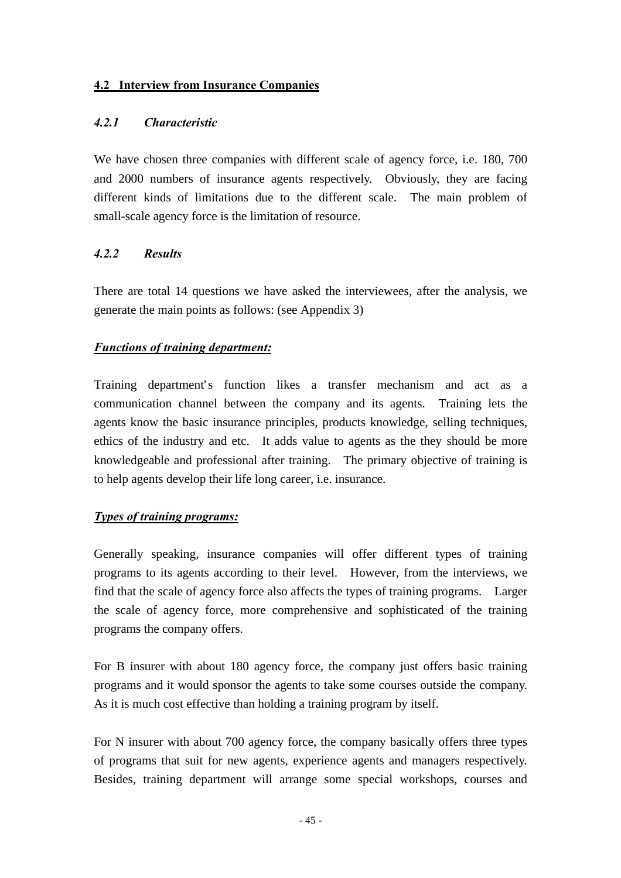#### **4.2 Interview from Insurance Companies**

#### *4.2.1 Characteristic*

We have chosen three companies with different scale of agency force, i.e. 180, 700 and 2000 numbers of insurance agents respectively. Obviously, they are facing different kinds of limitations due to the different scale. The main problem of small-scale agency force is the limitation of resource.

### *4.2.2 Results*

There are total 14 questions we have asked the interviewees, after the analysis, we generate the main points as follows: (see Appendix 3)

### *Functions of training department:*

Training department's function likes a transfer mechanism and act as a communication channel between the company and its agents. Training lets the agents know the basic insurance principles, products knowledge, selling techniques, ethics of the industry and etc. It adds value to agents as the they should be more knowledgeable and professional after training. The primary objective of training is to help agents develop their life long career, i.e. insurance.

#### *Types of training programs:*

Generally speaking, insurance companies will offer different types of training programs to its agents according to their level. However, from the interviews, we find that the scale of agency force also affects the types of training programs. Larger the scale of agency force, more comprehensive and sophisticated of the training programs the company offers.

For B insurer with about 180 agency force, the company just offers basic training programs and it would sponsor the agents to take some courses outside the company. As it is much cost effective than holding a training program by itself.

For N insurer with about 700 agency force, the company basically offers three types of programs that suit for new agents, experience agents and managers respectively. Besides, training department will arrange some special workshops, courses and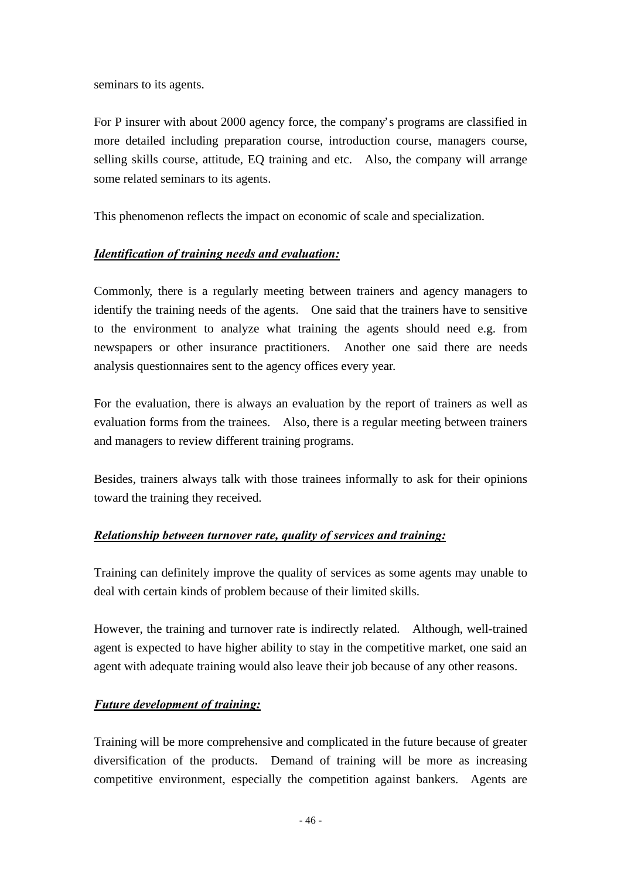seminars to its agents.

For P insurer with about 2000 agency force, the company's programs are classified in more detailed including preparation course, introduction course, managers course, selling skills course, attitude, EQ training and etc. Also, the company will arrange some related seminars to its agents.

This phenomenon reflects the impact on economic of scale and specialization.

## *Identification of training needs and evaluation:*

Commonly, there is a regularly meeting between trainers and agency managers to identify the training needs of the agents. One said that the trainers have to sensitive to the environment to analyze what training the agents should need e.g. from newspapers or other insurance practitioners. Another one said there are needs analysis questionnaires sent to the agency offices every year.

For the evaluation, there is always an evaluation by the report of trainers as well as evaluation forms from the trainees. Also, there is a regular meeting between trainers and managers to review different training programs.

Besides, trainers always talk with those trainees informally to ask for their opinions toward the training they received.

## *Relationship between turnover rate, quality of services and training:*

Training can definitely improve the quality of services as some agents may unable to deal with certain kinds of problem because of their limited skills.

However, the training and turnover rate is indirectly related. Although, well-trained agent is expected to have higher ability to stay in the competitive market, one said an agent with adequate training would also leave their job because of any other reasons.

## *Future development of training:*

Training will be more comprehensive and complicated in the future because of greater diversification of the products. Demand of training will be more as increasing competitive environment, especially the competition against bankers. Agents are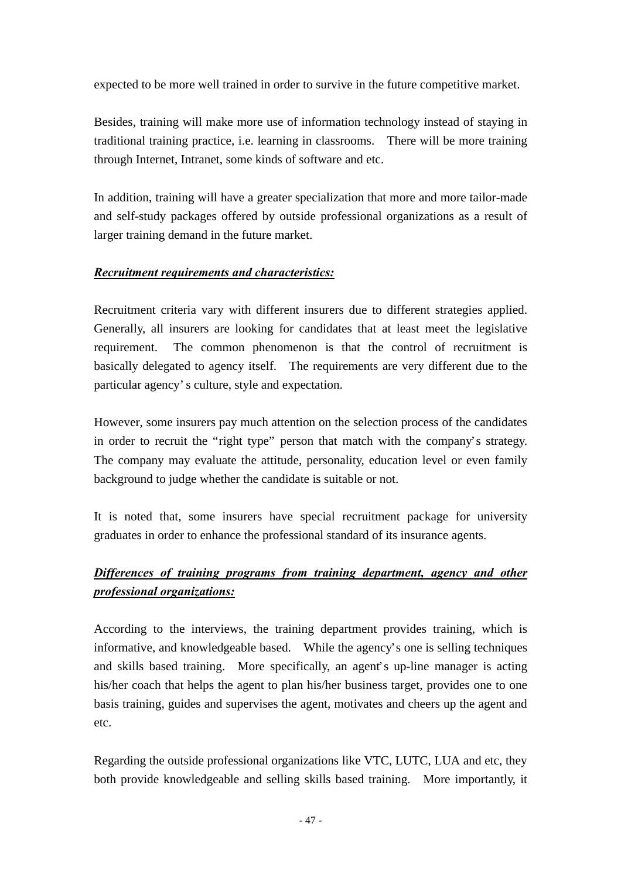expected to be more well trained in order to survive in the future competitive market.

Besides, training will make more use of information technology instead of staying in traditional training practice, i.e. learning in classrooms. There will be more training through Internet, Intranet, some kinds of software and etc.

In addition, training will have a greater specialization that more and more tailor-made and self-study packages offered by outside professional organizations as a result of larger training demand in the future market.

## *Recruitment requirements and characteristics:*

Recruitment criteria vary with different insurers due to different strategies applied. Generally, all insurers are looking for candidates that at least meet the legislative requirement. The common phenomenon is that the control of recruitment is basically delegated to agency itself. The requirements are very different due to the particular agency's culture, style and expectation.

However, some insurers pay much attention on the selection process of the candidates in order to recruit the "right type" person that match with the company's strategy. The company may evaluate the attitude, personality, education level or even family background to judge whether the candidate is suitable or not.

It is noted that, some insurers have special recruitment package for university graduates in order to enhance the professional standard of its insurance agents.

# *Differences of training programs from training department, agency and other professional organizations:*

According to the interviews, the training department provides training, which is informative, and knowledgeable based. While the agency's one is selling techniques and skills based training. More specifically, an agent's up-line manager is acting his/her coach that helps the agent to plan his/her business target, provides one to one basis training, guides and supervises the agent, motivates and cheers up the agent and etc.

Regarding the outside professional organizations like VTC, LUTC, LUA and etc, they both provide knowledgeable and selling skills based training. More importantly, it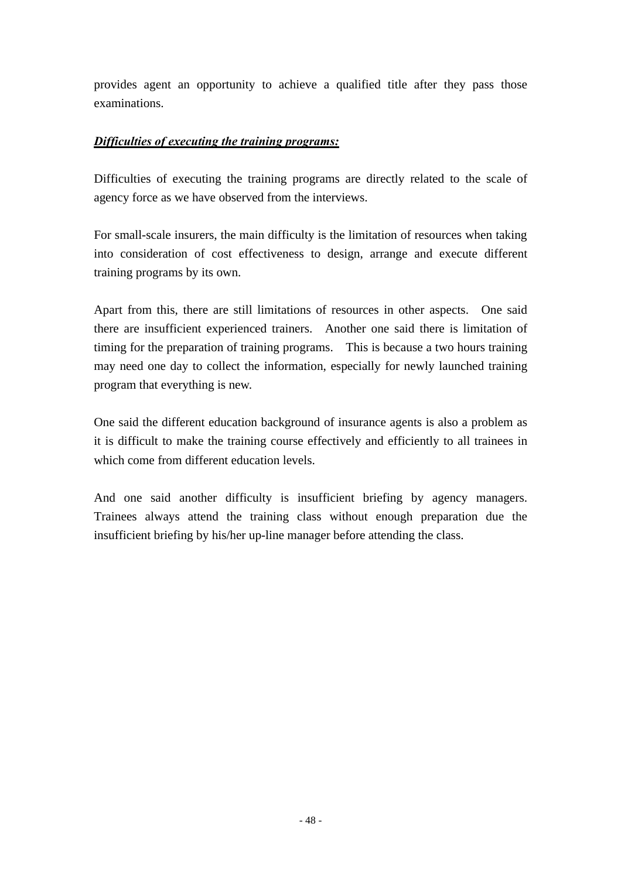provides agent an opportunity to achieve a qualified title after they pass those examinations.

#### *Difficulties of executing the training programs:*

Difficulties of executing the training programs are directly related to the scale of agency force as we have observed from the interviews.

For small-scale insurers, the main difficulty is the limitation of resources when taking into consideration of cost effectiveness to design, arrange and execute different training programs by its own.

Apart from this, there are still limitations of resources in other aspects. One said there are insufficient experienced trainers. Another one said there is limitation of timing for the preparation of training programs. This is because a two hours training may need one day to collect the information, especially for newly launched training program that everything is new.

One said the different education background of insurance agents is also a problem as it is difficult to make the training course effectively and efficiently to all trainees in which come from different education levels.

And one said another difficulty is insufficient briefing by agency managers. Trainees always attend the training class without enough preparation due the insufficient briefing by his/her up-line manager before attending the class.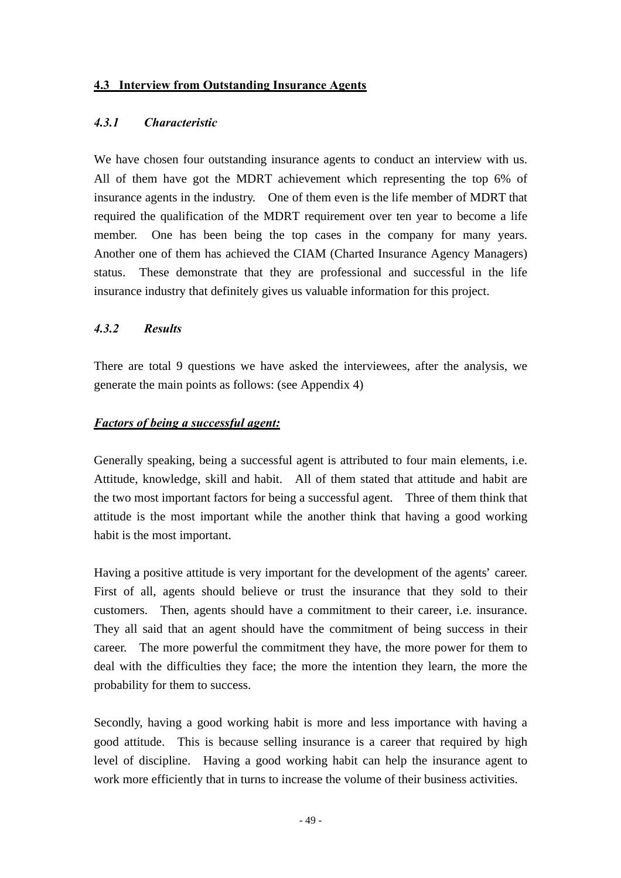#### **4.3 Interview from Outstanding Insurance Agents**

#### *4.3.1 Characteristic*

We have chosen four outstanding insurance agents to conduct an interview with us. All of them have got the MDRT achievement which representing the top 6% of insurance agents in the industry. One of them even is the life member of MDRT that required the qualification of the MDRT requirement over ten year to become a life member. One has been being the top cases in the company for many years. Another one of them has achieved the CIAM (Charted Insurance Agency Managers) status. These demonstrate that they are professional and successful in the life insurance industry that definitely gives us valuable information for this project.

#### *4.3.2 Results*

There are total 9 questions we have asked the interviewees, after the analysis, we generate the main points as follows: (see Appendix 4)

#### *Factors of being a successful agent:*

Generally speaking, being a successful agent is attributed to four main elements, i.e. Attitude, knowledge, skill and habit. All of them stated that attitude and habit are the two most important factors for being a successful agent. Three of them think that attitude is the most important while the another think that having a good working habit is the most important.

Having a positive attitude is very important for the development of the agents' career. First of all, agents should believe or trust the insurance that they sold to their customers. Then, agents should have a commitment to their career, i.e. insurance. They all said that an agent should have the commitment of being success in their career. The more powerful the commitment they have, the more power for them to deal with the difficulties they face; the more the intention they learn, the more the probability for them to success.

Secondly, having a good working habit is more and less importance with having a good attitude. This is because selling insurance is a career that required by high level of discipline. Having a good working habit can help the insurance agent to work more efficiently that in turns to increase the volume of their business activities.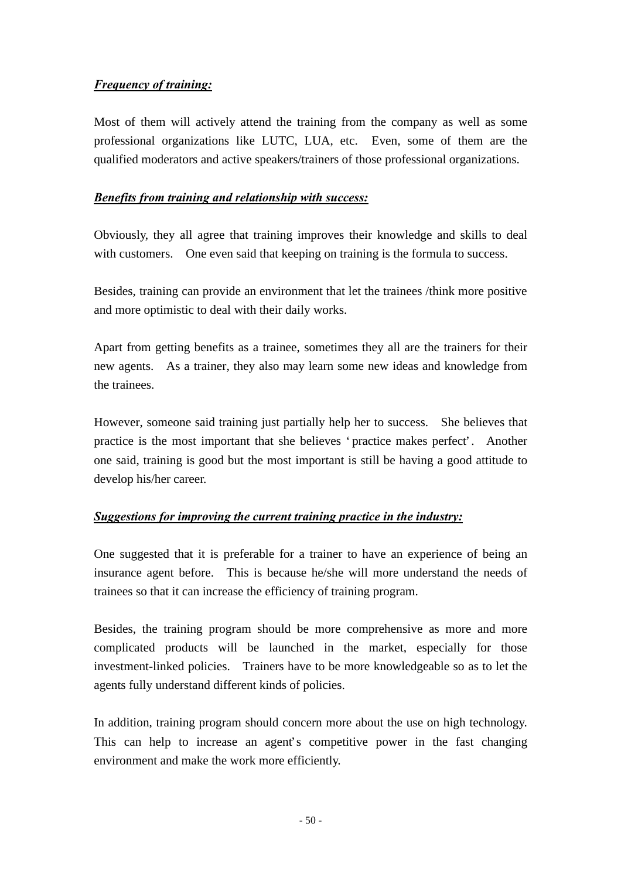### *Frequency of training:*

Most of them will actively attend the training from the company as well as some professional organizations like LUTC, LUA, etc. Even, some of them are the qualified moderators and active speakers/trainers of those professional organizations.

#### *Benefits from training and relationship with success:*

Obviously, they all agree that training improves their knowledge and skills to deal with customers. One even said that keeping on training is the formula to success.

Besides, training can provide an environment that let the trainees /think more positive and more optimistic to deal with their daily works.

Apart from getting benefits as a trainee, sometimes they all are the trainers for their new agents. As a trainer, they also may learn some new ideas and knowledge from the trainees.

However, someone said training just partially help her to success. She believes that practice is the most important that she believes 'practice makes perfect'. Another one said, training is good but the most important is still be having a good attitude to develop his/her career.

#### *Suggestions for improving the current training practice in the industry:*

One suggested that it is preferable for a trainer to have an experience of being an insurance agent before. This is because he/she will more understand the needs of trainees so that it can increase the efficiency of training program.

Besides, the training program should be more comprehensive as more and more complicated products will be launched in the market, especially for those investment-linked policies. Trainers have to be more knowledgeable so as to let the agents fully understand different kinds of policies.

In addition, training program should concern more about the use on high technology. This can help to increase an agent's competitive power in the fast changing environment and make the work more efficiently.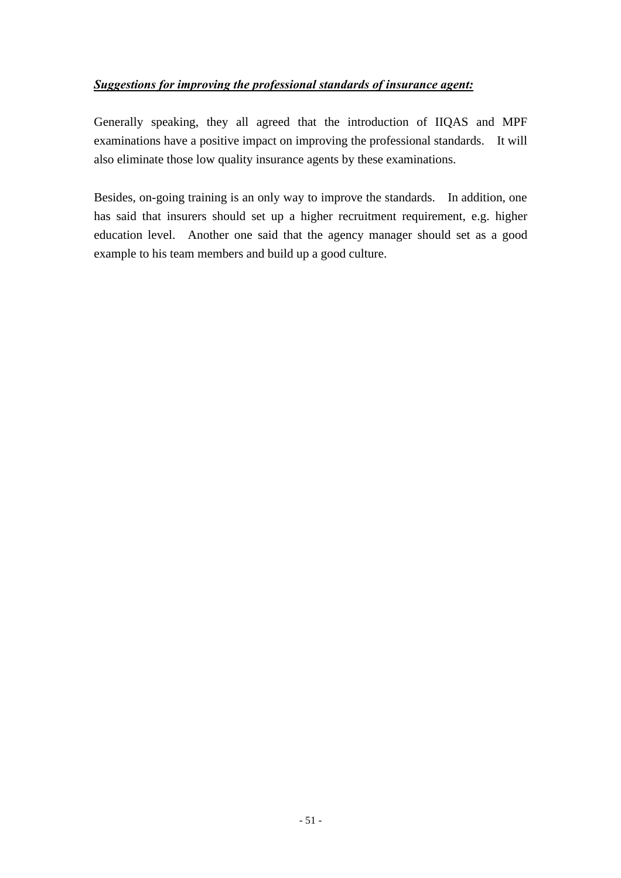### *Suggestions for improving the professional standards of insurance agent:*

Generally speaking, they all agreed that the introduction of IIQAS and MPF examinations have a positive impact on improving the professional standards. It will also eliminate those low quality insurance agents by these examinations.

Besides, on-going training is an only way to improve the standards. In addition, one has said that insurers should set up a higher recruitment requirement, e.g. higher education level. Another one said that the agency manager should set as a good example to his team members and build up a good culture.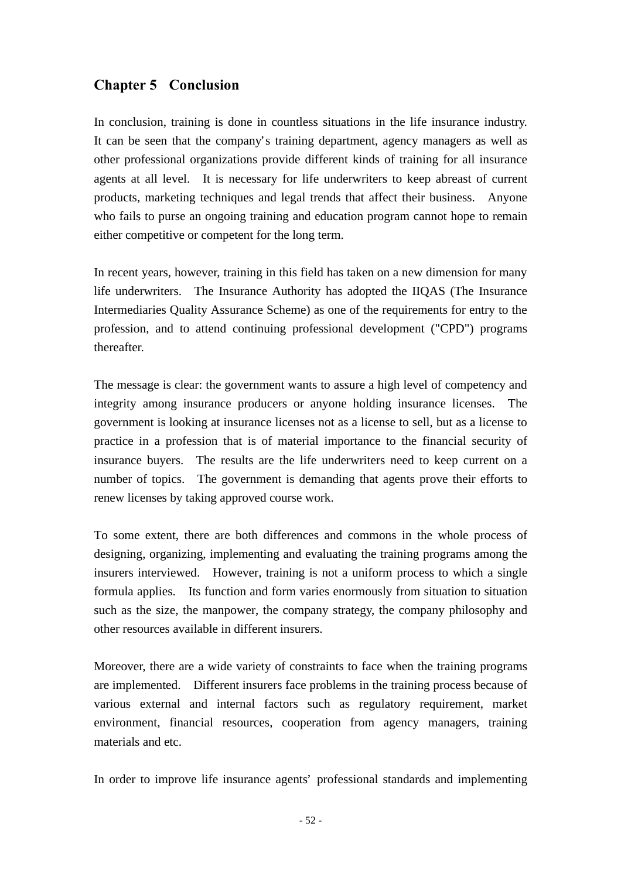# **Chapter 5 Conclusion**

In conclusion, training is done in countless situations in the life insurance industry. It can be seen that the company's training department, agency managers as well as other professional organizations provide different kinds of training for all insurance agents at all level. It is necessary for life underwriters to keep abreast of current products, marketing techniques and legal trends that affect their business. Anyone who fails to purse an ongoing training and education program cannot hope to remain either competitive or competent for the long term.

In recent years, however, training in this field has taken on a new dimension for many life underwriters. The Insurance Authority has adopted the IIQAS (The Insurance Intermediaries Quality Assurance Scheme) as one of the requirements for entry to the profession, and to attend continuing professional development ("CPD") programs thereafter.

The message is clear: the government wants to assure a high level of competency and integrity among insurance producers or anyone holding insurance licenses. The government is looking at insurance licenses not as a license to sell, but as a license to practice in a profession that is of material importance to the financial security of insurance buyers. The results are the life underwriters need to keep current on a number of topics. The government is demanding that agents prove their efforts to renew licenses by taking approved course work.

To some extent, there are both differences and commons in the whole process of designing, organizing, implementing and evaluating the training programs among the insurers interviewed. However, training is not a uniform process to which a single formula applies. Its function and form varies enormously from situation to situation such as the size, the manpower, the company strategy, the company philosophy and other resources available in different insurers.

Moreover, there are a wide variety of constraints to face when the training programs are implemented. Different insurers face problems in the training process because of various external and internal factors such as regulatory requirement, market environment, financial resources, cooperation from agency managers, training materials and etc.

In order to improve life insurance agents' professional standards and implementing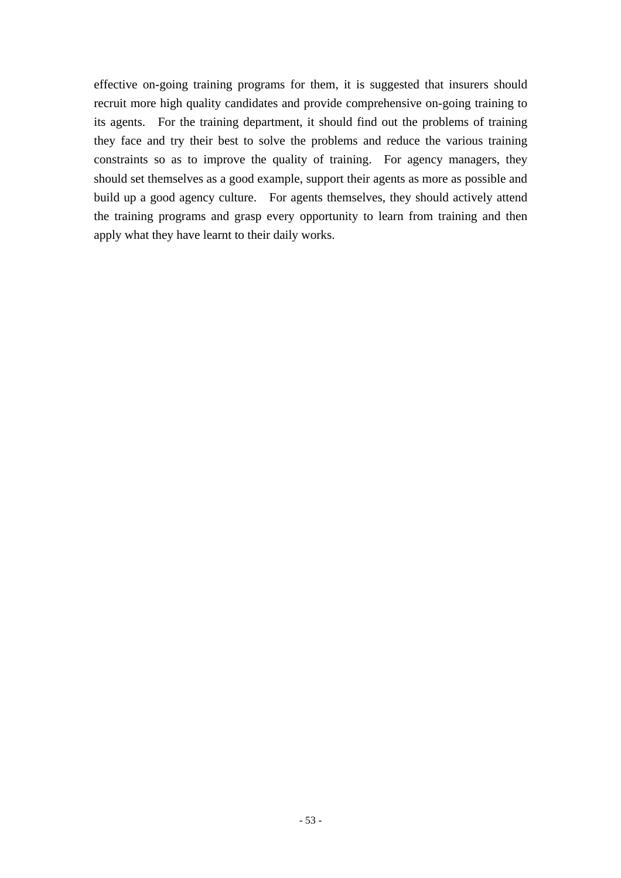effective on-going training programs for them, it is suggested that insurers should recruit more high quality candidates and provide comprehensive on-going training to its agents. For the training department, it should find out the problems of training they face and try their best to solve the problems and reduce the various training constraints so as to improve the quality of training. For agency managers, they should set themselves as a good example, support their agents as more as possible and build up a good agency culture. For agents themselves, they should actively attend the training programs and grasp every opportunity to learn from training and then apply what they have learnt to their daily works.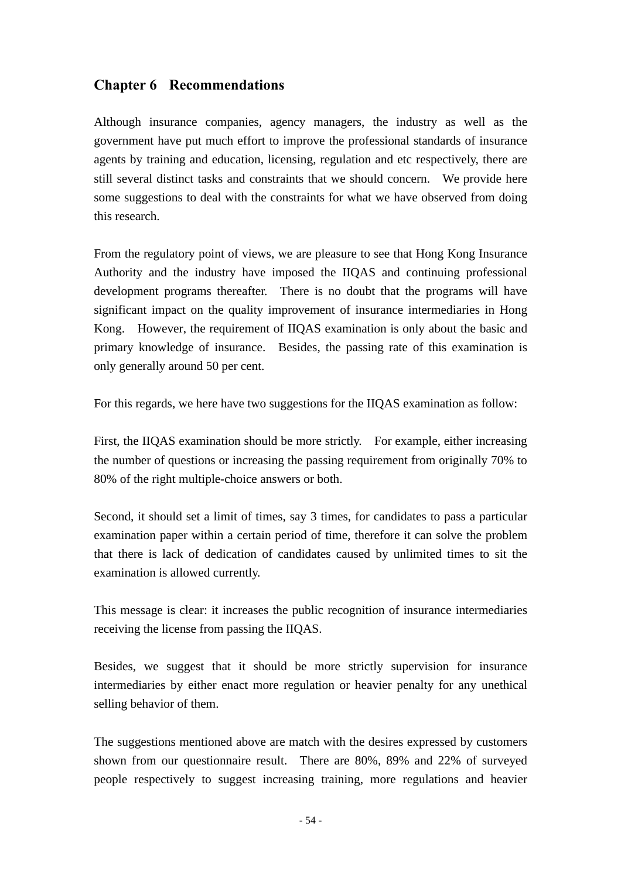# **Chapter 6 Recommendations**

Although insurance companies, agency managers, the industry as well as the government have put much effort to improve the professional standards of insurance agents by training and education, licensing, regulation and etc respectively, there are still several distinct tasks and constraints that we should concern. We provide here some suggestions to deal with the constraints for what we have observed from doing this research.

From the regulatory point of views, we are pleasure to see that Hong Kong Insurance Authority and the industry have imposed the IIQAS and continuing professional development programs thereafter. There is no doubt that the programs will have significant impact on the quality improvement of insurance intermediaries in Hong Kong. However, the requirement of IIQAS examination is only about the basic and primary knowledge of insurance. Besides, the passing rate of this examination is only generally around 50 per cent.

For this regards, we here have two suggestions for the IIQAS examination as follow:

First, the IIQAS examination should be more strictly. For example, either increasing the number of questions or increasing the passing requirement from originally 70% to 80% of the right multiple-choice answers or both.

Second, it should set a limit of times, say 3 times, for candidates to pass a particular examination paper within a certain period of time, therefore it can solve the problem that there is lack of dedication of candidates caused by unlimited times to sit the examination is allowed currently.

This message is clear: it increases the public recognition of insurance intermediaries receiving the license from passing the IIQAS.

Besides, we suggest that it should be more strictly supervision for insurance intermediaries by either enact more regulation or heavier penalty for any unethical selling behavior of them.

The suggestions mentioned above are match with the desires expressed by customers shown from our questionnaire result. There are 80%, 89% and 22% of surveyed people respectively to suggest increasing training, more regulations and heavier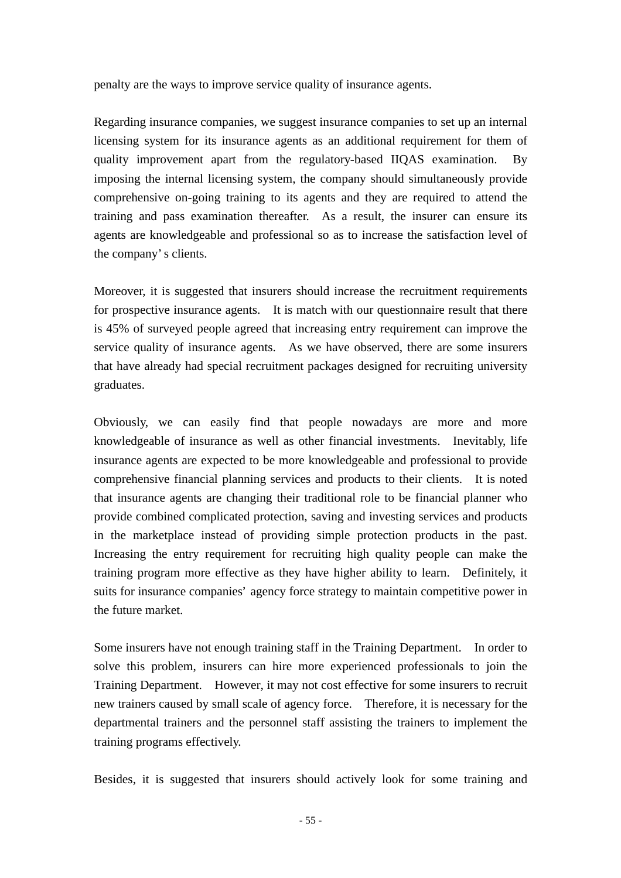penalty are the ways to improve service quality of insurance agents.

Regarding insurance companies, we suggest insurance companies to set up an internal licensing system for its insurance agents as an additional requirement for them of quality improvement apart from the regulatory-based IIQAS examination. By imposing the internal licensing system, the company should simultaneously provide comprehensive on-going training to its agents and they are required to attend the training and pass examination thereafter. As a result, the insurer can ensure its agents are knowledgeable and professional so as to increase the satisfaction level of the company's clients.

Moreover, it is suggested that insurers should increase the recruitment requirements for prospective insurance agents. It is match with our questionnaire result that there is 45% of surveyed people agreed that increasing entry requirement can improve the service quality of insurance agents. As we have observed, there are some insurers that have already had special recruitment packages designed for recruiting university graduates.

Obviously, we can easily find that people nowadays are more and more knowledgeable of insurance as well as other financial investments. Inevitably, life insurance agents are expected to be more knowledgeable and professional to provide comprehensive financial planning services and products to their clients. It is noted that insurance agents are changing their traditional role to be financial planner who provide combined complicated protection, saving and investing services and products in the marketplace instead of providing simple protection products in the past. Increasing the entry requirement for recruiting high quality people can make the training program more effective as they have higher ability to learn. Definitely, it suits for insurance companies' agency force strategy to maintain competitive power in the future market.

Some insurers have not enough training staff in the Training Department. In order to solve this problem, insurers can hire more experienced professionals to join the Training Department. However, it may not cost effective for some insurers to recruit new trainers caused by small scale of agency force. Therefore, it is necessary for the departmental trainers and the personnel staff assisting the trainers to implement the training programs effectively.

Besides, it is suggested that insurers should actively look for some training and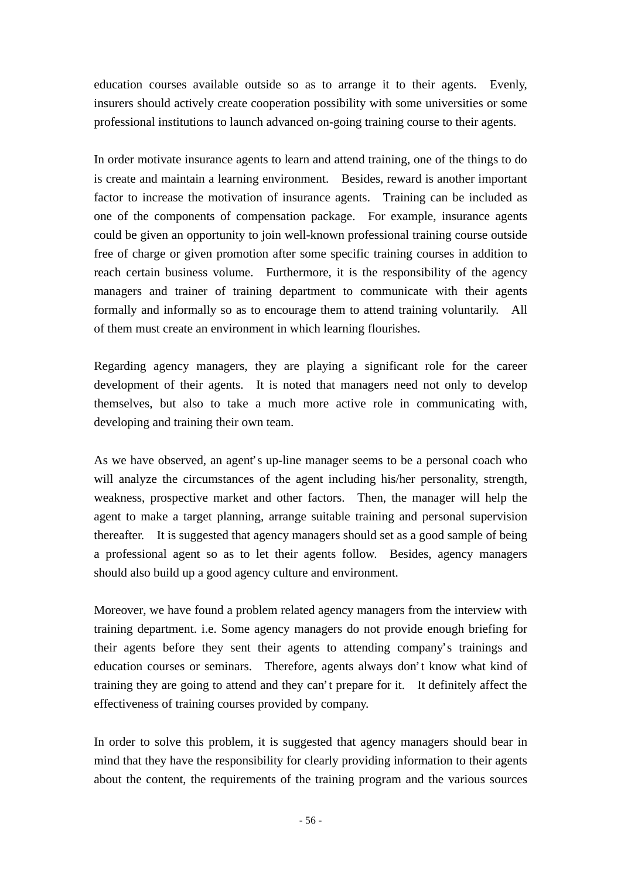education courses available outside so as to arrange it to their agents. Evenly, insurers should actively create cooperation possibility with some universities or some professional institutions to launch advanced on-going training course to their agents.

In order motivate insurance agents to learn and attend training, one of the things to do is create and maintain a learning environment. Besides, reward is another important factor to increase the motivation of insurance agents. Training can be included as one of the components of compensation package. For example, insurance agents could be given an opportunity to join well-known professional training course outside free of charge or given promotion after some specific training courses in addition to reach certain business volume. Furthermore, it is the responsibility of the agency managers and trainer of training department to communicate with their agents formally and informally so as to encourage them to attend training voluntarily. All of them must create an environment in which learning flourishes.

Regarding agency managers, they are playing a significant role for the career development of their agents. It is noted that managers need not only to develop themselves, but also to take a much more active role in communicating with, developing and training their own team.

As we have observed, an agent's up-line manager seems to be a personal coach who will analyze the circumstances of the agent including his/her personality, strength, weakness, prospective market and other factors. Then, the manager will help the agent to make a target planning, arrange suitable training and personal supervision thereafter. It is suggested that agency managers should set as a good sample of being a professional agent so as to let their agents follow. Besides, agency managers should also build up a good agency culture and environment.

Moreover, we have found a problem related agency managers from the interview with training department. i.e. Some agency managers do not provide enough briefing for their agents before they sent their agents to attending company's trainings and education courses or seminars. Therefore, agents always don't know what kind of training they are going to attend and they can't prepare for it. It definitely affect the effectiveness of training courses provided by company.

In order to solve this problem, it is suggested that agency managers should bear in mind that they have the responsibility for clearly providing information to their agents about the content, the requirements of the training program and the various sources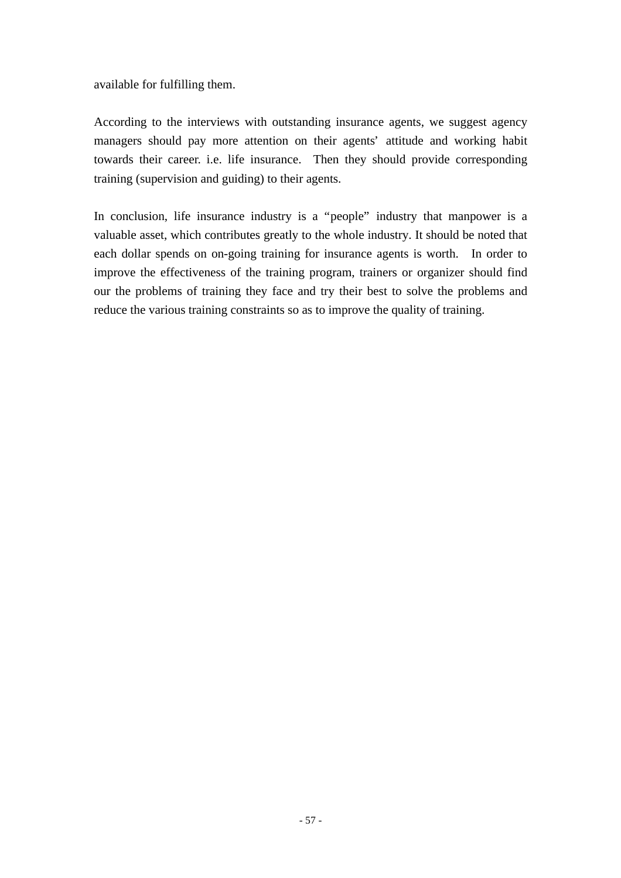available for fulfilling them.

According to the interviews with outstanding insurance agents, we suggest agency managers should pay more attention on their agents' attitude and working habit towards their career. i.e. life insurance. Then they should provide corresponding training (supervision and guiding) to their agents.

In conclusion, life insurance industry is a "people" industry that manpower is a valuable asset, which contributes greatly to the whole industry. It should be noted that each dollar spends on on-going training for insurance agents is worth. In order to improve the effectiveness of the training program, trainers or organizer should find our the problems of training they face and try their best to solve the problems and reduce the various training constraints so as to improve the quality of training.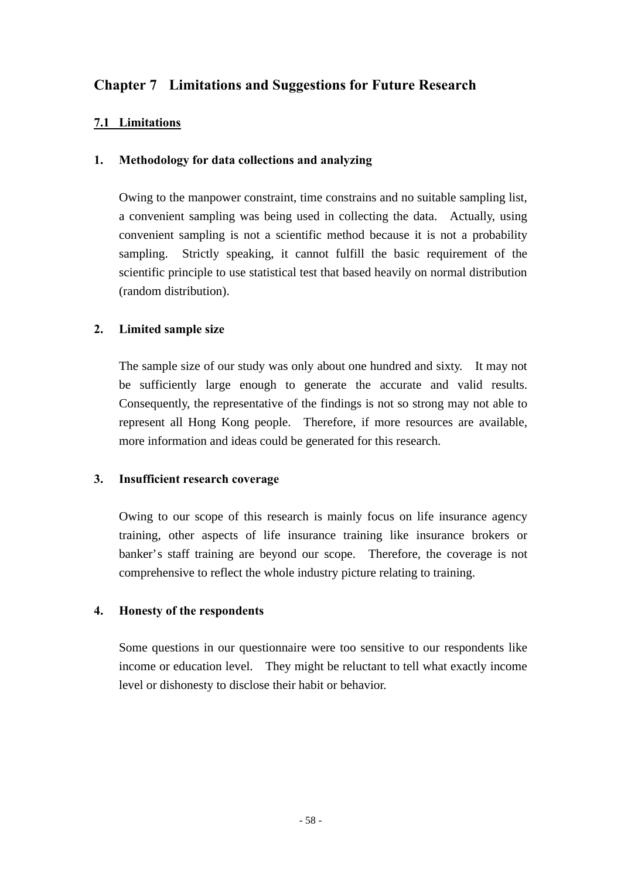# **Chapter 7 Limitations and Suggestions for Future Research**

# **7.1 Limitations**

### **1. Methodology for data collections and analyzing**

Owing to the manpower constraint, time constrains and no suitable sampling list, a convenient sampling was being used in collecting the data. Actually, using convenient sampling is not a scientific method because it is not a probability sampling. Strictly speaking, it cannot fulfill the basic requirement of the scientific principle to use statistical test that based heavily on normal distribution (random distribution).

### **2. Limited sample size**

The sample size of our study was only about one hundred and sixty. It may not be sufficiently large enough to generate the accurate and valid results. Consequently, the representative of the findings is not so strong may not able to represent all Hong Kong people. Therefore, if more resources are available, more information and ideas could be generated for this research.

#### **3. Insufficient research coverage**

Owing to our scope of this research is mainly focus on life insurance agency training, other aspects of life insurance training like insurance brokers or banker's staff training are beyond our scope. Therefore, the coverage is not comprehensive to reflect the whole industry picture relating to training.

## **4. Honesty of the respondents**

Some questions in our questionnaire were too sensitive to our respondents like income or education level. They might be reluctant to tell what exactly income level or dishonesty to disclose their habit or behavior.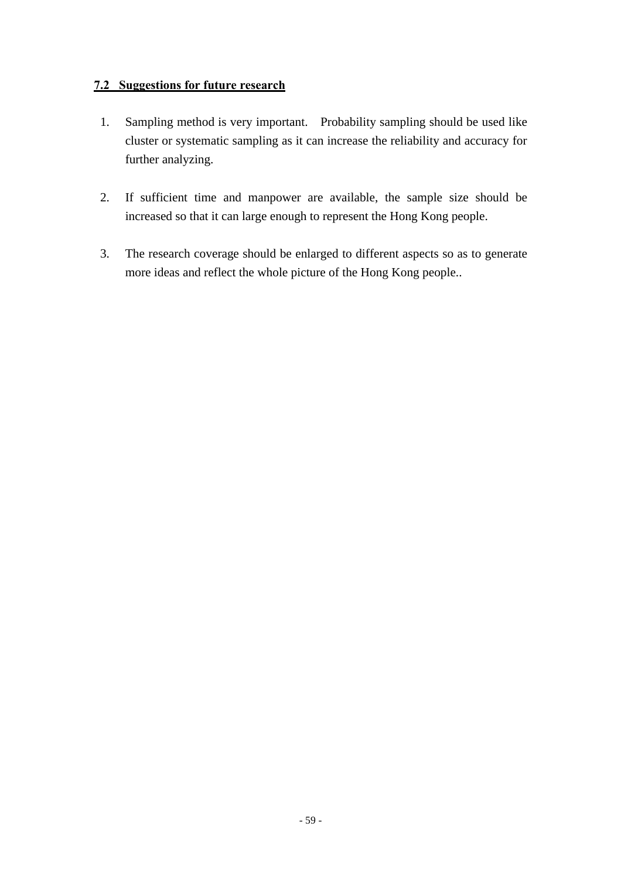### **7.2 Suggestions for future research**

- 1. Sampling method is very important. Probability sampling should be used like cluster or systematic sampling as it can increase the reliability and accuracy for further analyzing.
- 2. If sufficient time and manpower are available, the sample size should be increased so that it can large enough to represent the Hong Kong people.
- 3. The research coverage should be enlarged to different aspects so as to generate more ideas and reflect the whole picture of the Hong Kong people..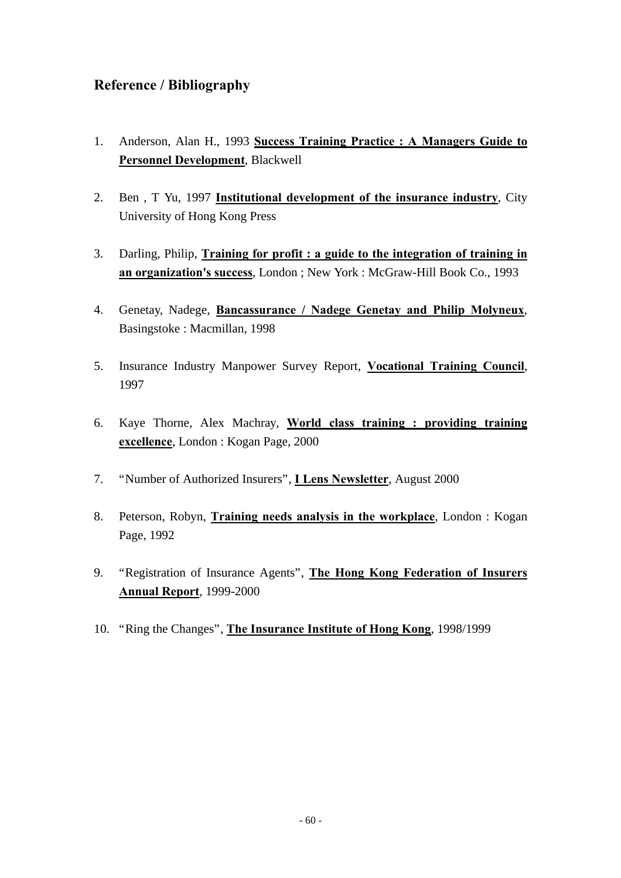# **Reference / Bibliography**

- 1. Anderson, Alan H., 1993 **Success Training Practice : A Managers Guide to Personnel Development**, Blackwell
- 2. Ben , T Yu, 1997 **Institutional development of the insurance industry**, City University of Hong Kong Press
- 3. Darling, Philip, **Training for profit : a guide to the integration of training in an organization's success**, London ; New York : McGraw-Hill Book Co., 1993
- 4. Genetay, Nadege, **Bancassurance / Nadege Genetay and Philip Molyneux**, Basingstoke : Macmillan, 1998
- 5. Insurance Industry Manpower Survey Report, **Vocational Training Council**, 1997
- 6. Kaye Thorne, Alex Machray, **World class training : providing training excellence**, London : Kogan Page, 2000
- 7. "Number of Authorized Insurers", **I Lens Newsletter**, August 2000
- 8. Peterson, Robyn, **Training needs analysis in the workplace**, London : Kogan Page, 1992
- 9. "Registration of Insurance Agents", **The Hong Kong Federation of Insurers Annual Report**, 1999-2000
- 10. "Ring the Changes", **The Insurance Institute of Hong Kong**, 1998/1999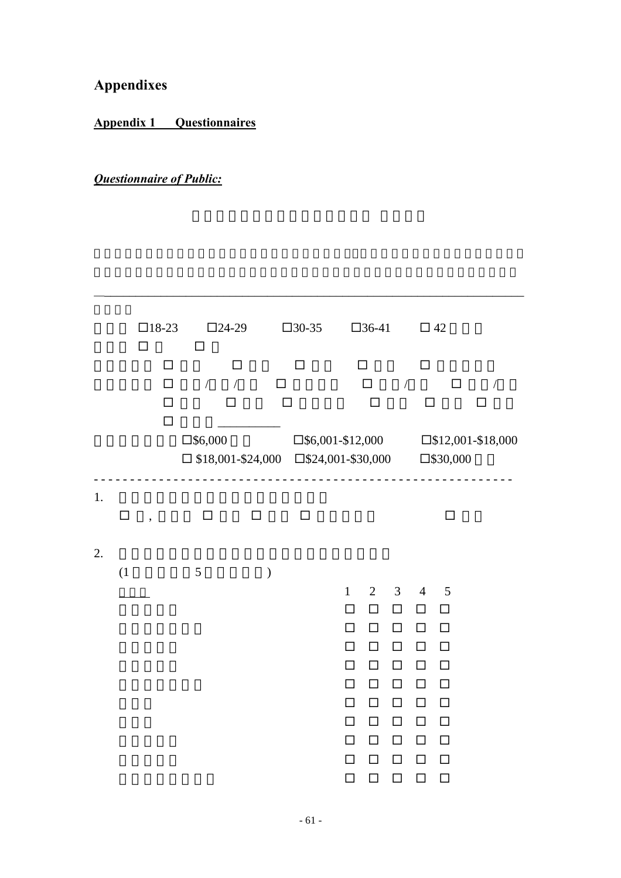**Appendixes**

**Appendix 1 Questionnaires**

# *Questionnaire of Public:*

|    |        | $\square$ 18-23<br>□     |                       | □                    | $\square$ 24-29 |               | $\square$ 30-35                                                                                                             |                                                                | $\square$ 36-41                                        |                                                             | $\Box$ 42                                         |                                           |               |  |
|----|--------|--------------------------|-----------------------|----------------------|-----------------|---------------|-----------------------------------------------------------------------------------------------------------------------------|----------------------------------------------------------------|--------------------------------------------------------|-------------------------------------------------------------|---------------------------------------------------|-------------------------------------------|---------------|--|
|    |        |                          | □<br>П<br>П<br>$\Box$ | $\sqrt{\phantom{a}}$ | П<br>$\sqrt{2}$ | ப             | П                                                                                                                           |                                                                | $\Box$<br>$\Box$                                       | $\bigg)$                                                    | П<br>□                                            | $\Box$                                    | $\bigg)$<br>П |  |
|    |        |                          |                       | $\square$ \$6,000    |                 |               | $\square$ \$6,001-\$12,000 $\square$ \$12,001-\$18,000<br>$\Box$ \$18,001-\$24,000 $\Box$ \$24,001-\$30,000 $\Box$ \$30,000 |                                                                |                                                        |                                                             |                                                   |                                           |               |  |
| 1. | $\Box$ | $\overline{\phantom{a}}$ |                       | $\Box$               |                 | $\Box$        | $\Box$                                                                                                                      |                                                                |                                                        |                                                             |                                                   | $\Box$                                    |               |  |
| 2. | (1)    |                          |                       | 5                    |                 | $\mathcal{E}$ |                                                                                                                             | $\mathbf{1}$<br>$\Box$<br>$\Box$<br>$\Box$<br>П<br>$\Box$<br>П | $\overline{2}$<br>$\Box$<br>□<br>$\Box$<br>□<br>□<br>□ | $\mathfrak{Z}$<br>$\Box$<br>□<br>$\Box$<br>□<br>$\Box$<br>П | $\overline{4}$<br>□<br>□<br>□<br>□<br>$\Box$<br>□ | 5<br>□<br>□<br>$\Box$<br>□<br>$\Box$<br>□ |               |  |
|    |        |                          |                       |                      |                 |               |                                                                                                                             | $\Box$<br>П<br>П<br>◻                                          | $\Box$<br>$\Box$<br>□<br>□                             | $\Box$<br>$\Box$<br>□<br>П                                  | □<br>$\Box$<br>□<br>$\Box$                        | $\Box$<br>$\Box$<br>□<br>□                |               |  |

\_\_\_\_\_\_\_\_\_\_\_\_\_\_\_\_\_\_\_\_\_\_\_\_\_\_\_\_\_\_\_\_\_\_\_\_\_\_\_\_\_\_\_\_\_\_\_\_\_\_\_\_\_\_\_\_\_\_\_\_\_\_\_\_\_\_\_\_\_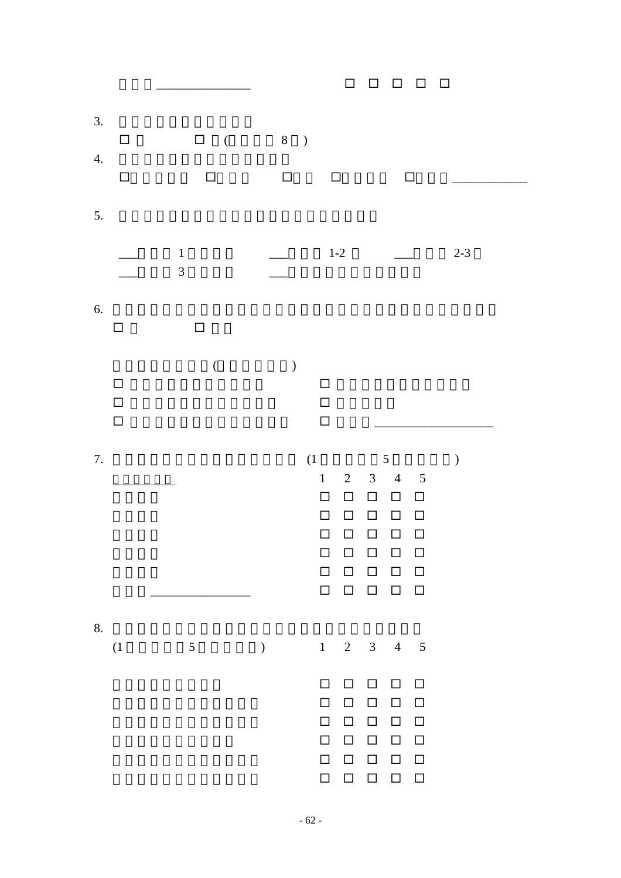|                                            |                                              | $\Box$<br>$\Box$<br>$\Box$<br>$\Box$<br>$\Box$                                                                                                                                                                                                                                                                                                                                                                                                                    |
|--------------------------------------------|----------------------------------------------|-------------------------------------------------------------------------------------------------------------------------------------------------------------------------------------------------------------------------------------------------------------------------------------------------------------------------------------------------------------------------------------------------------------------------------------------------------------------|
| 3.<br>$\Box$<br>$\overline{4}$ .<br>$\Box$ | $\Box$<br>$\overline{\phantom{a}}$<br>$\Box$ | $8$ )<br>$\Box$<br>$\Box$<br>$\Box$                                                                                                                                                                                                                                                                                                                                                                                                                               |
| 5.                                         |                                              |                                                                                                                                                                                                                                                                                                                                                                                                                                                                   |
|                                            | $\mathbf 1$<br>$\overline{3}$                | $1-2\,$<br>$2 - 3$                                                                                                                                                                                                                                                                                                                                                                                                                                                |
| 6.<br>$\Box$                               | $\Box$                                       |                                                                                                                                                                                                                                                                                                                                                                                                                                                                   |
| $\Box$<br>$\Box$<br>$\Box$                 | $\big($                                      | $\big)$<br>$\Box$<br>$\Box$<br>$\Box$                                                                                                                                                                                                                                                                                                                                                                                                                             |
| $7. \,$                                    |                                              | $(1 -$<br>$\mathfrak{S}$<br>$\mathcal{E}$<br>$\mathbf{1}$<br>$\overline{2}$<br>$\overline{3}$<br>$\overline{4}$<br>$\overline{\phantom{0}}$<br>$\Box$<br>$\Box$<br>$\Box$<br>$\Box$<br>$\Box$<br>$\Box$<br>$\Box$<br>$\Box$<br>$\Box$<br>□<br>$\Box$<br>□<br>$\Box$<br>$\Box$<br>$\Box$<br>$\Box$<br>$\Box$<br>□<br>П<br>$\Box$<br>$\Box$<br>$\Box$<br>$\Box$<br>$\Box$<br>$\Box$<br>$\begin{array}{cccccccccccccc} \Box & \Box & \Box & \Box & \Box \end{array}$ |
| 8.<br>(1)                                  | $5\overline{)}$                              | $1 \quad 2 \quad 3 \quad 4 \quad 5$<br>$\big)$                                                                                                                                                                                                                                                                                                                                                                                                                    |
|                                            |                                              | $\Box$<br>$\Box$<br>$\Box$<br>$\Box$<br>$\Box$<br>$\Box$<br>$\Box$<br>$\Box$<br>$\Box$<br>$\Box$<br>$\Box$<br>$\Box$<br>$\Box$<br>$\Box$<br>$\Box$<br>$\Box$<br>$\Box$<br>$\Box$<br>$\Box$<br>$\Box$<br>$\Box$<br>$\Box$<br>$\Box$<br>$\Box$<br>$\Box$<br>$\Box$<br>$\Box$<br>$\Box$<br>$\Box$<br>$\Box$                                                                                                                                                          |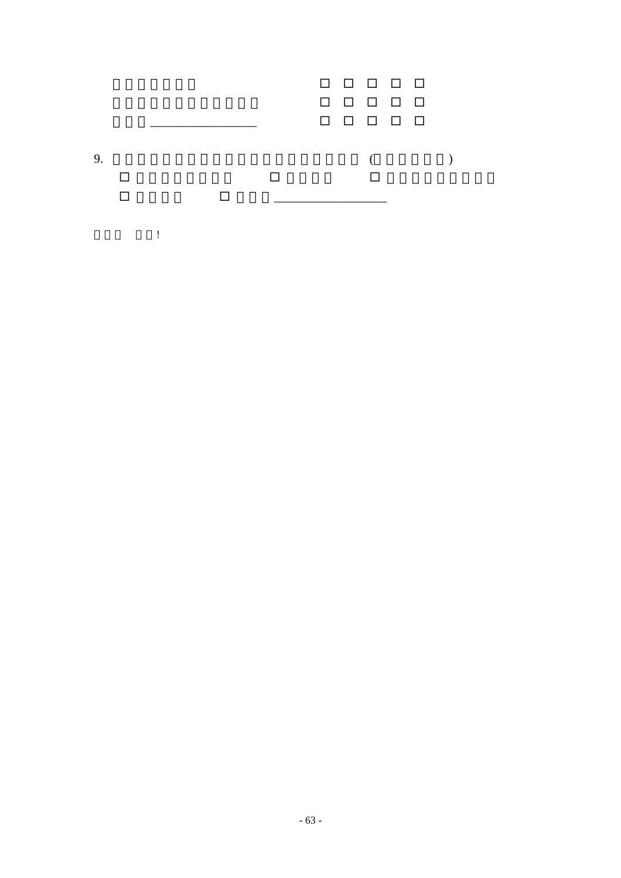|    |  |  |  | 00000<br>00000<br>00000 |  |  |  |
|----|--|--|--|-------------------------|--|--|--|
| 9. |  |  |  |                         |  |  |  |
|    |  |  |  |                         |  |  |  |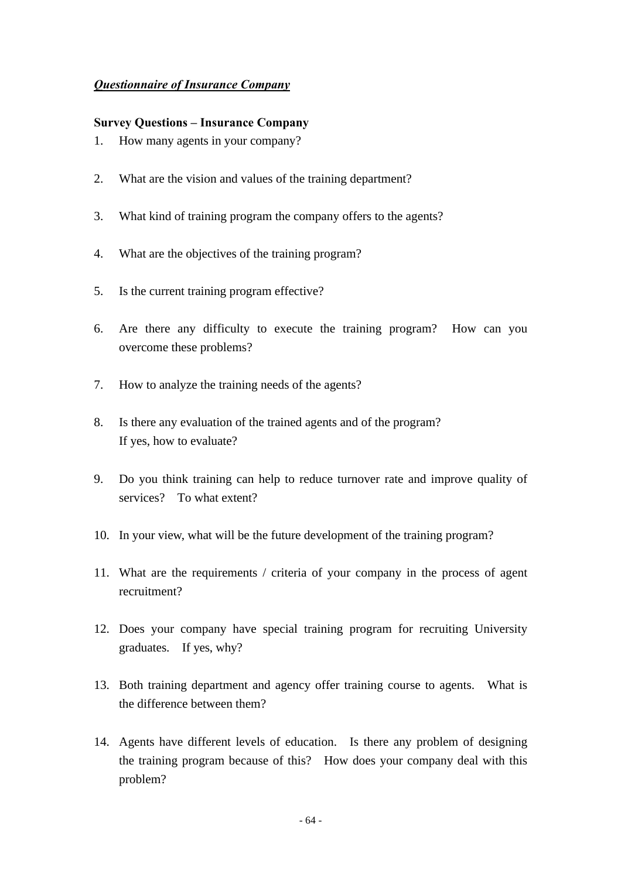### *Questionnaire of Insurance Company*

#### **Survey Questions – Insurance Company**

- 1. How many agents in your company?
- 2. What are the vision and values of the training department?
- 3. What kind of training program the company offers to the agents?
- 4. What are the objectives of the training program?
- 5. Is the current training program effective?
- 6. Are there any difficulty to execute the training program? How can you overcome these problems?
- 7. How to analyze the training needs of the agents?
- 8. Is there any evaluation of the trained agents and of the program? If yes, how to evaluate?
- 9. Do you think training can help to reduce turnover rate and improve quality of services? To what extent?
- 10. In your view, what will be the future development of the training program?
- 11. What are the requirements / criteria of your company in the process of agent recruitment?
- 12. Does your company have special training program for recruiting University graduates. If yes, why?
- 13. Both training department and agency offer training course to agents. What is the difference between them?
- 14. Agents have different levels of education. Is there any problem of designing the training program because of this? How does your company deal with this problem?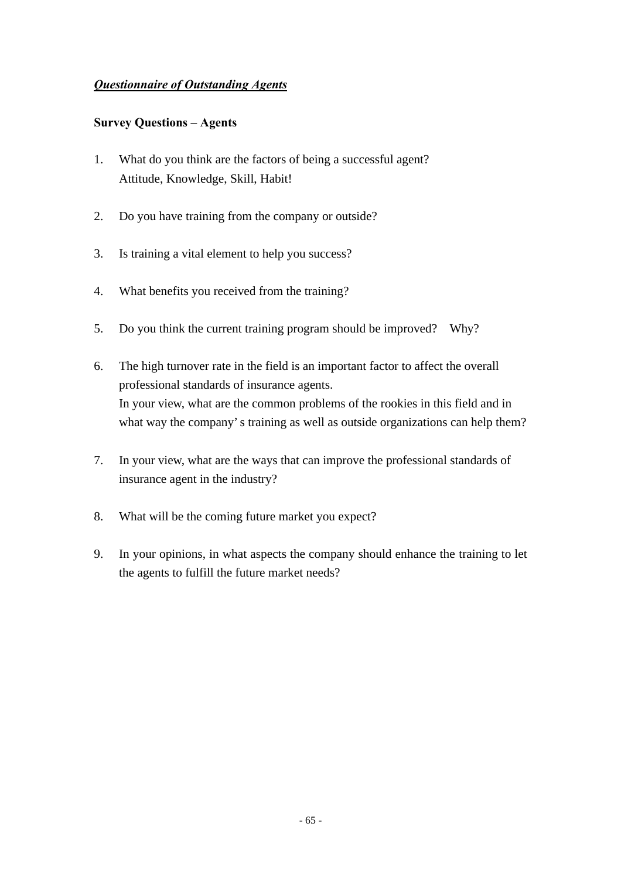### *Questionnaire of Outstanding Agents*

#### **Survey Questions – Agents**

- 1. What do you think are the factors of being a successful agent? Attitude, Knowledge, Skill, Habit!
- 2. Do you have training from the company or outside?
- 3. Is training a vital element to help you success?
- 4. What benefits you received from the training?
- 5. Do you think the current training program should be improved? Why?
- 6. The high turnover rate in the field is an important factor to affect the overall professional standards of insurance agents. In your view, what are the common problems of the rookies in this field and in what way the company's training as well as outside organizations can help them?
- 7. In your view, what are the ways that can improve the professional standards of insurance agent in the industry?
- 8. What will be the coming future market you expect?
- 9. In your opinions, in what aspects the company should enhance the training to let the agents to fulfill the future market needs?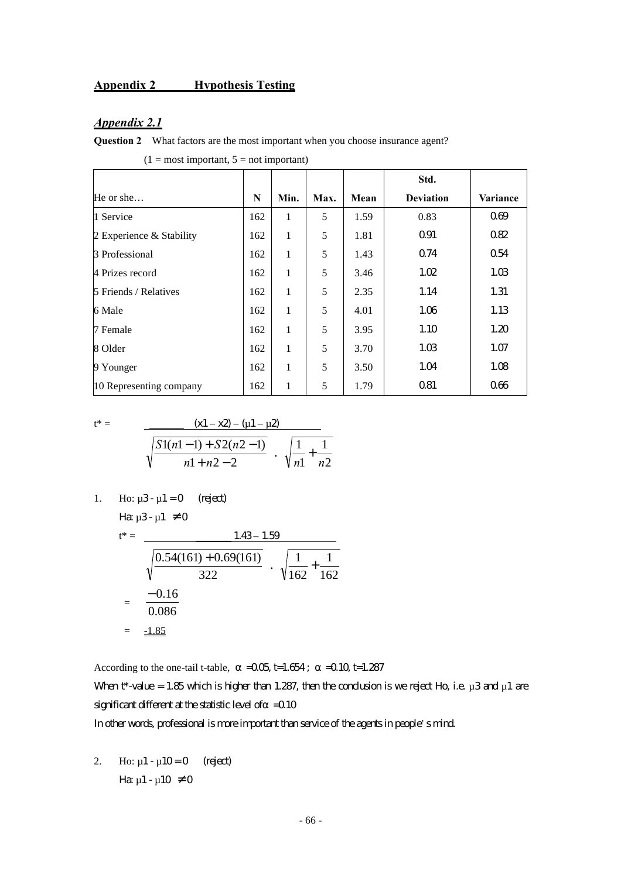### **Appendix 2 Hypothesis Testing**

#### *Appendix 2.1*

 $\blacksquare$ 

**Question 2** What factors are the most important when you choose insurance agent?

|                          |     |              |      |      | Std.             |          |
|--------------------------|-----|--------------|------|------|------------------|----------|
| He or she                | N   | Min.         | Max. | Mean | <b>Deviation</b> | Variance |
| 1 Service                | 162 | 1            | 5    | 1.59 | 0.83             | 069      |
| 2 Experience & Stability | 162 | 1            | 5    | 1.81 | Q91              | 082      |
| 3 Professional           | 162 | $\mathbf{1}$ | 5    | 1.43 | Q74              | 054      |
| 4 Prizes record          | 162 | 1            | 5    | 3.46 | 1.02             | 1.03     |
| 5 Friends / Relatives    | 162 | 1            | 5    | 2.35 | 1.14             | 1.31     |
| 6 Male                   | 162 | 1            | 5    | 4.01 | 1.06             | 1.13     |
| 7 Female                 | 162 | 1            | 5    | 3.95 | 1.10             | 1.20     |
| 8 Older                  | 162 | 1            | 5    | 3.70 | 1.03             | 1.07     |
| 9 Younger                | 162 | 1            | 5    | 3.50 | 1.04             | 1.08     |
| 10 Representing company  | 162 | 1            | 5    | 1.79 | Q81              | 066      |

 $\blacksquare$ 

 $\overline{\phantom{a}}$ 

 $(1 = \text{most important}, 5 = \text{not important})$ 

$$
t^* = \frac{(x1 - x2) - (u1 - u2)}{\sqrt{\frac{S1(n1 - 1) + S2(n2 - 1)}{n1 + n2 - 2}} \cdot \sqrt{\frac{1}{n1} + \frac{1}{n2}}}
$$

1. Ho: 
$$
\mu
$$
3- $\mu$ 1=0 (reject)  
Ha  $\mu$ 3- $\mu$ 1  $\neq$  0

$$
t^* = \frac{1.43 - 1.59}{\sqrt{\frac{0.54(161) + 0.69(161)}{322}} \cdot \sqrt{\frac{1}{162} + \frac{1}{162}}}
$$
  
=  $\frac{-0.16}{0.086}$   
=  $\frac{-1.85}{\sqrt{0.086}}$ 

According to the one-tail t-table,  $=$   $-0.05$  t=1.654;  $=$   $-0.10$  t=1.287 When t\*-value = 1.85 which is higher than 1.287, then the conclusion is we reject Ho, i.e.  $\mu$ 3 and  $\mu$ 1 are significant different at the statistic level of  $=$  0.10

#### In other words, professional is more important than service of the agents in people's mind.

2. Ho:  $\mu$ 1 -  $\mu$ 10 = 0 (reject) Ha  $\mu$ 1 -  $\mu$ 10  $\neq$  0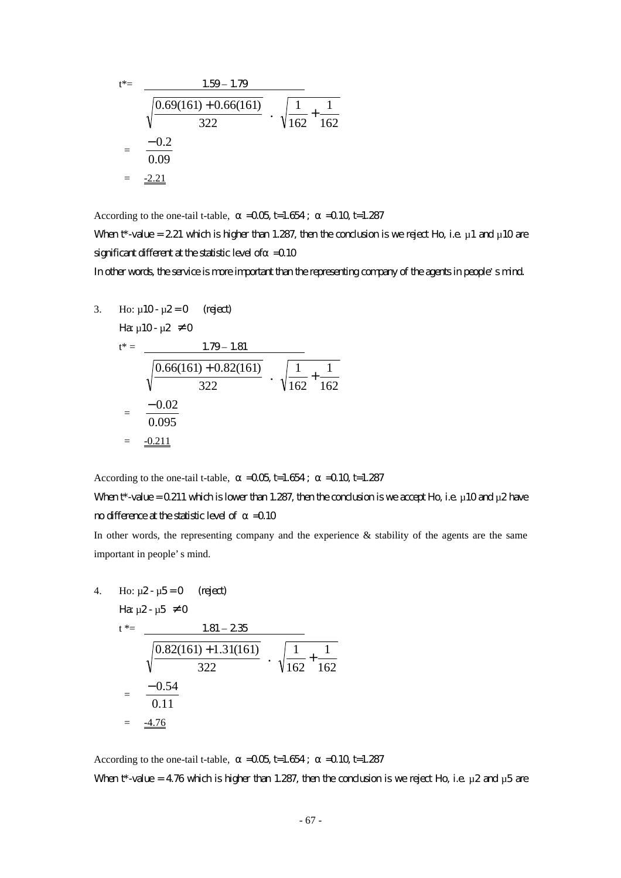$$
t^* = \frac{1.59 - 1.79}{\sqrt{\frac{0.69(161) + 0.66(161)}{322}} \cdot \sqrt{\frac{1}{162} + \frac{1}{162}}}
$$
  
=  $\frac{-0.2}{0.09}$   
=  $\frac{-2.21}{}$ 

According to the one-tail t-table,  $=$   $-0.05$  t=1.654;  $=$   $-0.10$  t=1.287

When  $t^*$ -value = 2.21 which is higher than 1.287, then the conclusion is we reject Ho, i.e.  $\mu$  1 and  $\mu$  10 are significant different at the statistic level of  $=0.10$ 

In other words, the service is more important than the representing company of the agents in people's mind.

1

3. Ho: 
$$
\mu
$$
10-  $\mu$ 2=0 (reject)  
\n
$$
H\mathbf{a} \mu
$$
10-  $\mu$ 2 \ne 0  
\n
$$
t^* = \frac{1.79 - 1.81}{\sqrt{\frac{0.66(161) + 0.82(161)}{322}} \cdot \sqrt{\frac{1}{162} + \frac{1}{162}}
$$
\n
$$
= \frac{-0.02}{0.095}
$$
\n
$$
= \frac{-0.211}{\sqrt{0.095}}
$$

According to the one-tail t-table,  $=$   $-0.05$  t=1.654;  $=$   $-0.10$  t=1.287

# When  $t^*$ -value = 0.211 which is lower than 1.287, then the conclusion is we accept Ho, i.e.  $\mu$  10 and  $\mu$ 2 have modifference at the statistic level of  $=$  0.10

In other words, the representing company and the experience  $\&$  stability of the agents are the same important in people's mind.

4. Ho: 
$$
\mu
$$
2- $\mu$ 5=0 (rigect)

$$
H\!\alpha\,\mu2\!\cdot\mu5\,\neq0
$$

$$
t^* = \frac{1.81 - 2.35}{\sqrt{\frac{0.82(161) + 1.31(161)}{322}} \cdot \sqrt{\frac{1}{162} + \frac{1}{162}}
$$

$$
= \frac{-0.54}{0.11}
$$

$$
= \frac{-4.76}{}
$$

According to the one-tail t-table,  $=$   $-0.05$  t=1.654;  $=$   $-0.10$  t=1.287 When t\*-value = 4.76 which is higher than 1.287, then the conclusion is we reject Ho, i.e.  $\mu$ 2 and  $\mu$ 5 are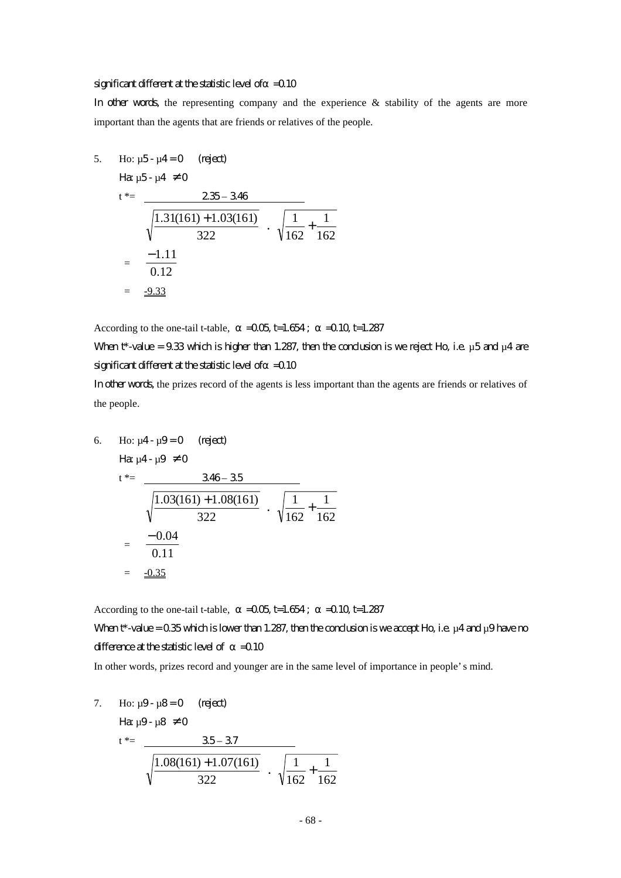#### significant different at the statistic level of  $=$  0.10

In other words, the representing company and the experience  $\&$  stability of the agents are more important than the agents that are friends or relatives of the people.

5. Ho: 
$$
\mu
$$
5- $\mu$ 4=0 (reject)  
\n $t^* = \frac{235-346}{\sqrt{\frac{1.31(161)+1.03(161)}{322}} \cdot \sqrt{\frac{1}{162} + \frac{1}{162}}$   
\n $= \frac{-1.11}{0.12}$   
\n $= \frac{-9.33}{2}$ 

According to the one-tail t-table,  $=$   $-0.05$  t=1.654;  $=$   $-0.10$  t=1.287

When  $t^*$ -value = 9.33 which is higher than 1.287, then the conclusion is we reject Ho, i.e.  $\mu$ 5 and  $\mu$ 4 are significant different at the statistic level of  $=$  0.10

In other words, the prizes record of the agents is less important than the agents are friends or relatives of the people.

6. Ho: 
$$
\mu
$$
4- $\mu$ 9=0 (rigect)  
\n
$$
\begin{aligned}\n\text{Ha } \mu \text{4-}\mu \text{9} &\neq 0 \\
t^* &= \frac{346 - 35}{\sqrt{\frac{1.03(161) + 1.08(161)}{322}} \cdot \sqrt{\frac{1}{162} + \frac{1}{162}} \\
&= \frac{-0.04}{0.11} \\
&= \frac{-0.35}{\sqrt{\frac{1}{162} + \frac{1}{162}}}\n\end{aligned}
$$

According to the one-tail t-table,  $=$   $-0.05$  t=1.654;  $=$   $-0.10$  t=1.287

When  $t^*$ -value = 0.35 which is lower than 1.287, then the conclusion is we accept Ho, i.e.  $\mu$ 4 and  $\mu$ 9 have no difference at the statistic level of  $=$  0.10

In other words, prizes record and younger are in the same level of importance in people's mind.

7. Ho:  $\mu$ 9 -  $\mu$ 8 = 0 (reject)

Ha  $\mu$ 9 -  $\mu$ 8  $\neq$  0

$$
t^* = \frac{35-37}{\sqrt{\frac{1.08(161)+1.07(161)}{322}} \cdot \sqrt{\frac{1}{162} + \frac{1}{162}}}
$$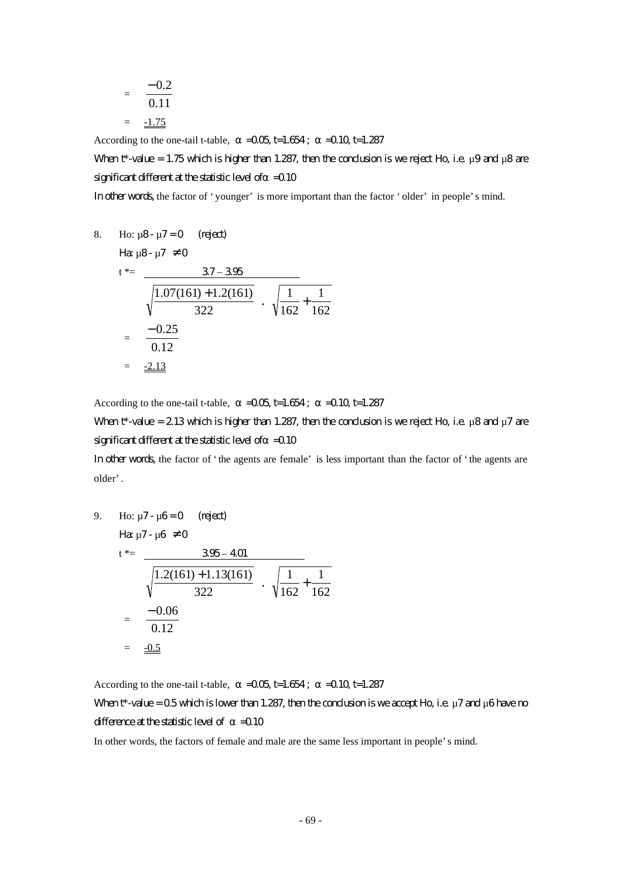$$
= \frac{-0.2}{0.11}
$$

$$
= \frac{-1.75}{}
$$

According to the one-tail t-table,  $=$   $-0.05$  t=1.654;  $=$   $-0.10$  t=1.287

When  $t^*$ -value = 1.75 which is higher than 1.287, then the conclusion is we reject Ho, i.e.  $\mu$ 9 and  $\mu$ 8 are significant different at the statistic level of  $=$  0.10

In other words, the factor of 'younger' is more important than the factor 'older' in people's mind.

8. Ho: 
$$
\mu
$$
8-  $\mu$ 7=0 (reject)  
\n
$$
\begin{aligned}\n\text{Hg } \mu \text{B} - \mu \text{7} &= 0 \\
\text{Hg } \mu \text{B} - \mu \text{7} &= 0\n\end{aligned}
$$
\n
$$
\frac{37 - 395}{\sqrt{\frac{1.07(161) + 1.2(161)}{322}} \cdot \sqrt{\frac{1}{162} + \frac{1}{162}}}
$$
\n
$$
= \frac{-0.25}{0.12}
$$
\n
$$
= \frac{-2.13}{2.13}
$$

According to the one-tail t-table,  $=$   $-0.05$  t=1.654;  $=$   $-0.10$  t=1.287

When  $t^*$ -value = 2.13 which is higher than 1.287, then the conclusion is we reject Ho, i.e.  $\mu$ 8 and  $\mu$ 7 are significant different at the statistic level of  $=$  0.10

In other words, the factor of 'the agents are female' is less important than the factor of 'the agents are older'.

9. Ho: 
$$
\mu
$$
7- $\mu$ 6=0 (reject)  
\n
$$
\begin{aligned}\n\text{Hg } \mu \text{7-}\mu \text{6} &\neq 0 \\
t^* &= \frac{395 - 401}{\sqrt{\frac{1.2(161) + 1.13(161)}{322}} \cdot \sqrt{\frac{1}{162} + \frac{1}{162}} \\
&= \frac{-0.06}{0.12} \\
&= \frac{-0.5}{\sqrt{\frac{1}{162} + \frac{1}{162}}}\n\end{aligned}
$$

According to the one-tail t-table,  $=$   $-0.05$  t=1.654;  $=$   $-0.10$  t=1.287

# When  $t^*$ -value = 0.5 which is lower than 1.287, then the condusion is we accept Ho, i.e.  $\mu$ 7 and  $\mu$ 6 have no difference at the statistic level of  $=$  0.10

In other words, the factors of female and male are the same less important in people's mind.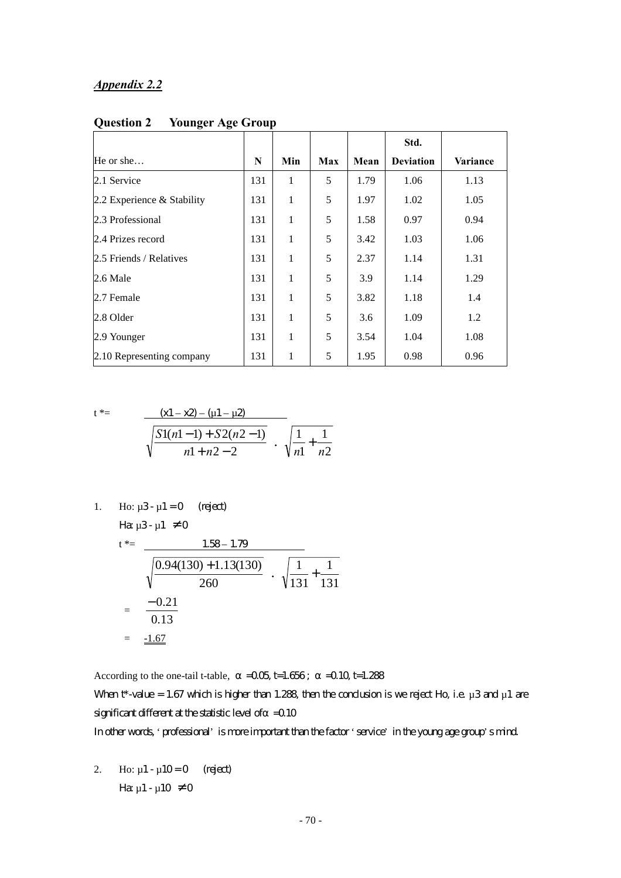#### *Appendix 2.2*

|                            |     |              |     |      | Std.             |          |
|----------------------------|-----|--------------|-----|------|------------------|----------|
| He or she                  | N   | Min          | Max | Mean | <b>Deviation</b> | Variance |
| 2.1 Service                | 131 | 1            | 5   | 1.79 | 1.06             | 1.13     |
| 2.2 Experience & Stability | 131 | 1            | 5   | 1.97 | 1.02             | 1.05     |
| 2.3 Professional           | 131 | 1            | 5   | 1.58 | 0.97             | 0.94     |
| 2.4 Prizes record          | 131 | 1            | 5   | 3.42 | 1.03             | 1.06     |
| 2.5 Friends / Relatives    | 131 | 1            | 5   | 2.37 | 1.14             | 1.31     |
| 2.6 Male                   | 131 | 1            | 5   | 3.9  | 1.14             | 1.29     |
| 2.7 Female                 | 131 | 1            | 5   | 3.82 | 1.18             | 1.4      |
| 2.8 Older                  | 131 | 1            | 5   | 3.6  | 1.09             | 1.2      |
| 2.9 Younger                | 131 | $\mathbf{1}$ | 5   | 3.54 | 1.04             | 1.08     |
| 2.10 Representing company  | 131 | 1            | 5   | 1.95 | 0.98             | 0.96     |

**Question 2 Younger Age Group** 

$$
t^* = \frac{(x1 - x2) - (u1 - u2)}{\sqrt{\frac{S1(n1 - 1) + S2(n2 - 1)}{n1 + n2 - 2}} \cdot \sqrt{\frac{1}{n1} + \frac{1}{n2}}}
$$

1. Ho: 
$$
\mu
$$
3- $\mu$ 1 = 0 (reject)  
Ha  $\mu$ 3- $\mu$ 1  $\neq$  0  
 $t^* =$  1.58-1.79

$$
\frac{1.35 - 1.75}{\sqrt{\frac{0.94(130) + 1.13(130)}{260}} \cdot \sqrt{\frac{1}{131} + \frac{1}{131}}
$$
  
=  $\frac{-0.21}{0.13}$   
=  $\frac{-1.67}{\sqrt{\frac{1}{131} + \frac{1}{131}}}$ 

According to the one-tail t-table,  $=0.05$  t=1.656;  $=0.10$  t=1.288

When t\*-value = 1.67 which is higher than 1.288, then the conclusion is we reject Ho, i.e.  $\mu$ 3 and  $\mu$ 1 are significant different at the statistic level of  $=$  0.10

In other words, 'professional' is more important than the factor 'service' in the young age group's mind.

2. Ho:  $\mu$ 1 -  $\mu$ 10 = 0 (reject) Ha  $\mu$ 1 -  $\mu$ 10  $\neq$  0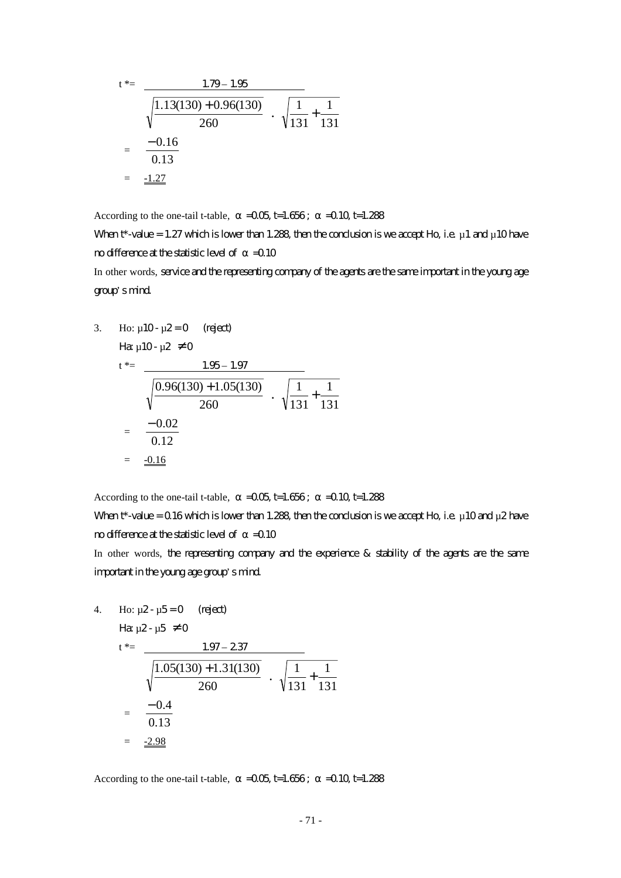$$
t^* = \frac{1.79 - 1.95}{\sqrt{\frac{1.13(130) + 0.96(130)}{260}} \cdot \sqrt{\frac{1}{131} + \frac{1}{131}}
$$
  
=  $\frac{-0.16}{0.13}$   
=  $\frac{-1.27}{1.33}$ 

According to the one-tail t-table,  $=$   $-0.05$  t=1.656;  $=$   $-0.10$  t=1.288

When  $t^*$ -value = 1.27 which is lower than 1.288, then the condusion is we accept Ho, i.e.  $\mu$  1 and  $\mu$  10 have  $n$  of  $f$  =0.10

In other words, service and the representing company of the agents are the same important in the young age group's mind.

3. Ho: 
$$
\mu
$$
10-  $\mu$ 2=0 (regect)  
\n $t^* = \frac{1.95 - 1.97}{\sqrt{\frac{0.96(130) + 1.05(130)}{260}} \cdot \sqrt{\frac{1}{131} + \frac{1}{131}}$   
\n $= \frac{-0.02}{0.12}$   
\n $= \frac{-0.16}{\sqrt{\frac{0.96(130) + 1.05(130)}{260}}}$ 

According to the one-tail t-table,  $=$   $-0.05$  t=1.656;  $=$   $-0.10$  t=1.288

When  $t^*$ -value = 0.16 which is lower than 1.288, then the conclusion is we accept Ho, i.e.  $\mu$ 10 and  $\mu$ 2 have no difference at the statistic level of  $=$  0.10

In other words, the representing company and the experience & stability of the agents are the same important in the young age group's mind.

4. Ho:  $\mu$ 2 -  $\mu$ 5 = 0 (reject)

$$
H\!\alpha\,\mu2\!\cdot\mu5\neq0
$$

$$
t^* = \frac{1.97 - 237}{\sqrt{\frac{1.05(130) + 1.31(130)}{260}} \cdot \sqrt{\frac{1}{131} + \frac{1}{131}}
$$
  
=  $\frac{-0.4}{0.13}$   
=  $\frac{-2.98}{}$ 

According to the one-tail t-table,  $=$   $-0.05$  t=1.656;  $=$   $-0.10$  t=1.288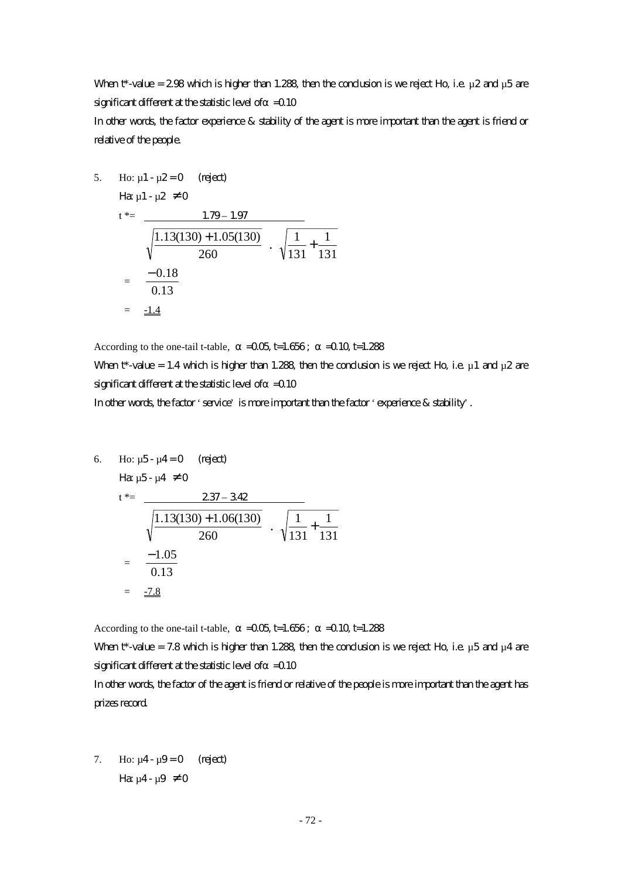When t\*-value = 2.98 which is higher than 1.288, then the conclusion is we reject Ho, i.e.  $\mu$ 2 and  $\mu$ 5 are significant different at the statistic level of  $=$  0.10

In other words, the factor experience & stability of the agent is more important than the agent is friend or relative of the people.

5. Ho:  $\mu$ 1 -  $\mu$ 2 = 0 (reject)  $\mu_{2}$   $\mu_{1}$   $\mu_{2}$   $\neq$  0

$$
t^* = \frac{1.79 - 1.97}{\sqrt{\frac{1.13(130) + 1.05(130)}{260}} \cdot \sqrt{\frac{1.13(130) + 1.05(130)}{260}}}
$$

$$
= \frac{-0.18}{0.13}
$$

$$
= \frac{-1.4}{1.4}
$$

According to the one-tail t-table,  $=$   $-0.05$  t=1.656;  $=$   $-0.10$  t=1.288

When t\*-value = 1.4 which is higher than 1.288, then the conclusion is we reject Ho, i.e.  $\mu$ 1 and  $\mu$ 2 are significant different at the statistic level of  $=$  0.10

131 1

131  $\frac{1}{2}$  +

In other words, the factor 'service' is more important than the factor 'experience & stability'.

6. Ho:  $\mu$ 5 -  $\mu$ 4 = 0 (reject)

$$
\text{H}\!\mathbf{a}\ \mu \text{5-}\mu \text{4}\ \neq 0
$$

$$
t^* = \frac{237 - 342}{\sqrt{\frac{1.13(130) + 1.06(130)}{260}} \cdot \sqrt{\frac{1}{131} + \frac{1}{131}}
$$
  
=  $\frac{-1.05}{0.13}$   
=  $\frac{-7.8}{1.3}$ 

According to the one-tail t-table,  $=$   $-0.05$  t=1.656;  $=$   $-0.10$  t=1.288

When t\*-value = 7.8 which is higher than 1.288, then the conclusion is we reject Ho, i.e.  $\mu$ 5 and  $\mu$ 4 are significant different at the statistic level of  $=$  0.10

In other words, the factor of the agent is friend or relative of the people is more important than the agent has prizes record.

7. Ho:  $\mu$ 4 -  $\mu$ 9 = 0 (reject) Ha:  $\mu$ 4 -  $\mu$ 9  $\neq$  0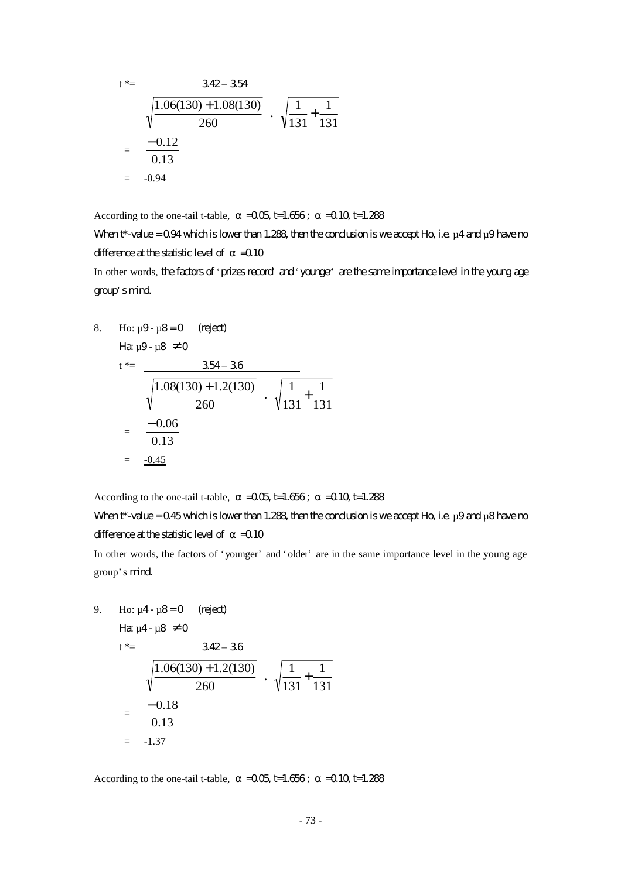$$
t^* = \frac{342 - 354}{\sqrt{\frac{1.06(130) + 1.08(130)}{260}} \cdot \sqrt{\frac{1}{131} + \frac{1}{131}}
$$
  
=  $\frac{-0.12}{0.13}$   
=  $\frac{-0.94}{\sqrt{\frac{1}{131}}}$ 

According to the one-tail t-table,  $=$   $-0.05$  t=1.656;  $=$   $-0.10$  t=1.288

When  $t^*$ -value = 0.94 which is lower than 1.288, then the conclusion is we accept Ho, i.e.  $\mu$ 4 and  $\mu$ 9 have no difference at the statistic level of  $=$  0.10

In other words, the factors of 'prizes record' and 'younger' are the same importance level in the young age group's mind.

8. Ho: 
$$
\mu
$$
9- $\mu$ 8=0 (regect)  
\n
$$
\begin{aligned}\n\text{Ha } \mu \text{9-} \mu \text{8} &\neq 0 \\
t^* &= \frac{354 - 36}{\sqrt{\frac{1.08(130) + 1.2(130)}{260}} \cdot \sqrt{\frac{1}{131} + \frac{1}{131}} \\
&= \frac{-0.06}{0.13} \\
&= \frac{-0.45}{\sqrt{\frac{1.08(130) + 1.2(130)}{260}} \cdot \sqrt{\frac{1}{131} + \frac{1}{131}}\n\end{aligned}
$$

According to the one-tail t-table,  $=$   $-0.05$  t=1.656;  $=$   $-0.10$  t=1.288

When  $t^*$ -value = 0.45 which is lower than 1.288, then the conclusion is we accept Ho, i.e.  $\mu$ 9 and  $\mu$ 8 have no difference at the statistic level of  $=$  0.10

In other words, the factors of 'younger' and 'older' are in the same importance level in the young age group's mind.

9. Ho:  $\mu$ 4 -  $\mu$ 8 = 0 (reject)

$$
H\!\mathbf{a} \mu 4 \cdot \mu 8 \neq 0
$$

$$
t^* = \frac{342 - 36}{\sqrt{\frac{1.06(130) + 1.2(130)}{260}} \cdot \sqrt{\frac{1}{131} + \frac{1}{131}}
$$
  
=  $\frac{-0.18}{0.13}$   
=  $\frac{-1.37}{2}$ 

According to the one-tail t-table,  $=$   $-0.05$ ,  $\text{t}$ =1.656;  $=$   $-0.10$ ,  $\text{t}$ =1.288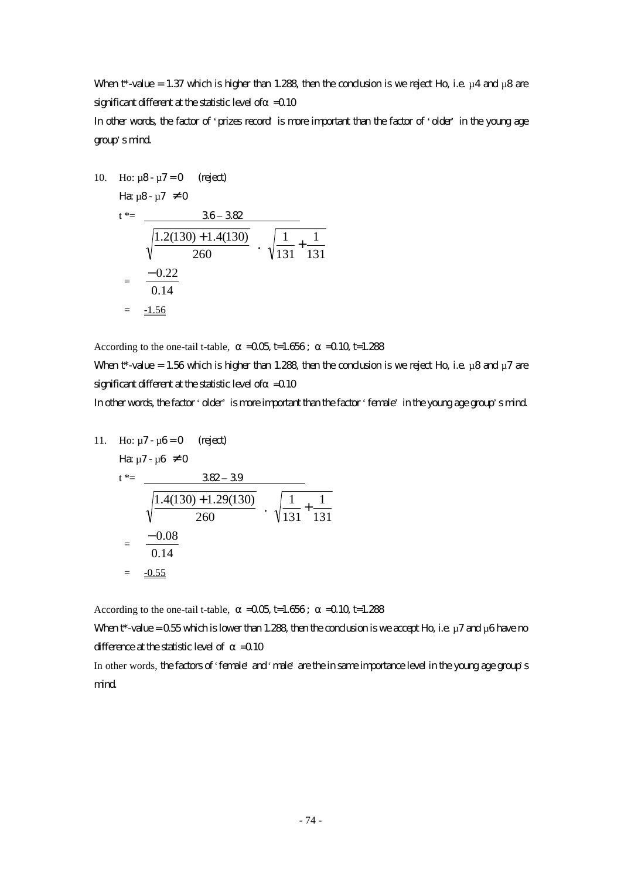When t\*-value = 1.37 which is higher than 1.288, then the conclusion is we reject Ho, i.e.  $\mu$ 4 and  $\mu$ 8 are significant different at the statistic level of  $=$  0.10

In other words, the factor of 'prizes record' is more important than the factor of 'older' in the young age group's mind.

10. Ho: 
$$
\mu
$$
8-  $\mu$ 7=0 (reject)  
He:  $\mu$ 8-  $\mu$ 7  $\neq$  0  
1<sup>\*</sup> = 38-38

$$
t^* = \frac{36 - 382}{\sqrt{\frac{1.2(130) + 1.4(130)}{260}} \cdot \sqrt{\frac{1}{131} + \frac{1}{131}}
$$

$$
= \frac{-0.22}{0.14}
$$

$$
= \frac{-1.56}{0.14}
$$

According to the one-tail t-table,  $=$   $-0.05$  t=1.656;  $=$   $-0.10$  t=1.288

When t\*-value = 1.56 which is higher than 1.288, then the conclusion is we reject Ho, i.e.  $\mu$ 8 and  $\mu$ 7 are significant different at the statistic level of  $=$  0.10

In other words, the factor 'older' is more important than the factor 'female' in the young age group's mind.

1

11. Ho: 
$$
\mu
$$
7-  $\mu$ 6=0 (reject)  
\n
$$
\begin{aligned}\n\text{Hence,} \quad \mu \text{Hence,} \quad \mu \text{Hence,} \\
t^* &= \frac{382 - 39}{\sqrt{\frac{1.4(130) + 1.29(130)}{260}} \cdot \sqrt{\frac{1}{131} + \frac{1}{131}} \\
&= \frac{-0.08}{0.14} \\
&= \frac{-0.55}{\sqrt{\frac{1}{131} + \frac{1}{131}}} \\
&= \frac{-0.55}{\sqrt{\frac{1}{131} + \frac{1}{131}}} \\
&= \frac{-0.55}{\sqrt{\frac{1}{131} + \frac{1}{131}}} \\
&= \frac{-0.55}{\sqrt{\frac{1}{131} + \frac{1}{131}}} \\
&= \frac{-0.55}{\sqrt{\frac{1}{131} + \frac{1}{131}}} \\
&= \frac{-0.55}{\sqrt{\frac{1}{131} + \frac{1}{131}}} \\
&= \frac{-0.55}{\sqrt{\frac{1}{131} + \frac{1}{131}}} \\
&= \frac{-0.55}{\sqrt{\frac{1}{131} + \frac{1}{131}}} \\
&= \frac{-0.55}{\sqrt{\frac{1}{131} + \frac{1}{131}}} \\
&= \frac{-0.55}{\sqrt{\frac{1}{131} + \frac{1}{131}}} \\
&= \frac{-0.55}{\sqrt{\frac{1}{131} + \frac{1}{131}}} \\
&= \frac{-0.55}{\sqrt{\frac{1}{131} + \frac{1}{131}}} \\
&= \frac{-0.55}{\sqrt{\frac{1}{131} + \frac{1}{131}}} \\
&= \frac{-0.55}{\sqrt{\frac{1}{131} + \frac{1}{131}}} \\
&= \frac{-0.55}{\sqrt{\frac{1}{131} + \frac{1}{131}}} \\
&= \frac{-0.55}{\sqrt{\frac{1}{131} + \frac{1}{131}}} \\
&= \frac{-0.55}{\sqrt{\frac{1}{131} + \frac{1}{131}}} \\
&= \frac{-0.55}{\sqrt{\frac{1}{131} + \frac{1}{131}}} \\
&= \frac{-0.55}{\
$$

According to the one-tail t-table,  $=$   $-0.05$  t=1.656;  $=$   $-0.10$  t=1.288

When  $t^*$ -value = 0.55 which is lower than 1.288, then the conclusion is we accept Ho, i.e.  $\mu$  7 and  $\mu$ 6 have no difference at the statistic level of  $=0.10$ 

In other words, the factors of 'female' and 'male' are the insame importance level in the young age group's mind.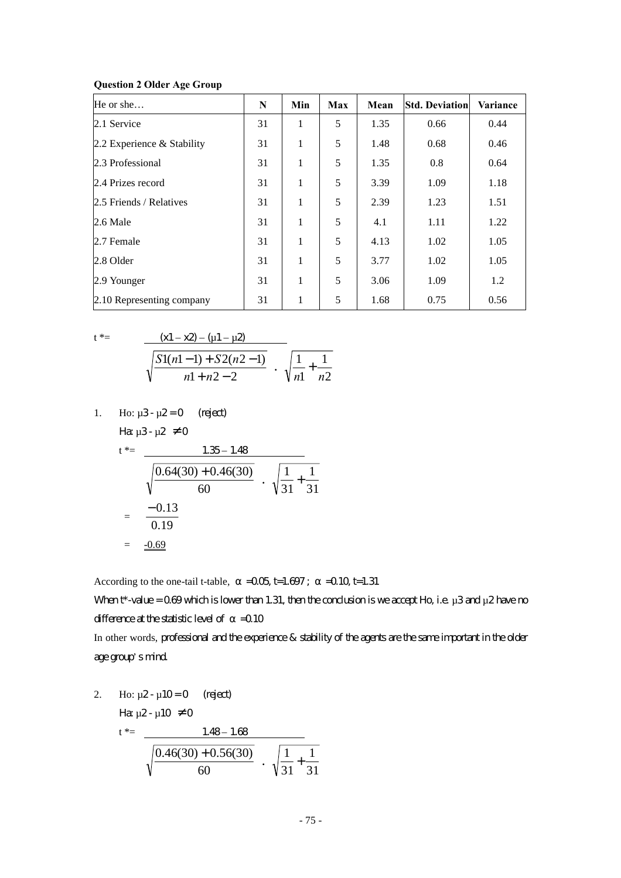| He or she                  | N  | Min | <b>Max</b> | Mean | <b>Std. Deviation</b> | Variance |
|----------------------------|----|-----|------------|------|-----------------------|----------|
| 2.1 Service                | 31 | 1   | 5          | 1.35 | 0.66                  | 0.44     |
| 2.2 Experience & Stability | 31 | 1   | 5          | 1.48 | 0.68                  | 0.46     |
| 2.3 Professional           | 31 | 1   | 5          | 1.35 | 0.8                   | 0.64     |
| 2.4 Prizes record          | 31 | 1   | 5          | 3.39 | 1.09                  | 1.18     |
| 2.5 Friends / Relatives    | 31 | 1   | 5          | 2.39 | 1.23                  | 1.51     |
| $2.6$ Male                 | 31 | 1   | 5          | 4.1  | 1.11                  | 1.22     |
| 2.7 Female                 | 31 | 1   | 5          | 4.13 | 1.02                  | 1.05     |
| 2.8 Older                  | 31 | 1   | 5          | 3.77 | 1.02                  | 1.05     |
| 2.9 Younger                | 31 | 1   | 5          | 3.06 | 1.09                  | 1.2      |
| 2.10 Representing company  | 31 | 1   | 5          | 1.68 | 0.75                  | 0.56     |

#### **Question 2 Older Age Group**

$$
t\,\,{}^*\equiv
$$

t \*=  $(x1-x2) - (u1 - \mu2)$  $-1 + n2 - 2$  $1(n1-1) + S2(n2-1)$  $+n2 -1$  +  $S2(n2$  $n1 + n$  $\frac{S1(n-1) + S2(n-1)}{n+1}$   $\cdot \sqrt{\frac{1}{n+1}} + \frac{1}{n+1}$ 1 1 1 *n n* +

1. Ho:  $\mu$ 3 -  $\mu$ 2 = 0 (reject) Ha:  $\mu$ 3 -  $\mu$ 2  $\neq$  0

$$
t^* = \frac{1.35 - 1.48}{\sqrt{\frac{0.64(30) + 0.46(30)}{60}} \cdot \sqrt{\frac{1}{31} + \frac{1}{31}}
$$
  
=  $\frac{-0.13}{0.19}$   
=  $\frac{-0.69}{\sqrt{\frac{1}{11} + \frac{1}{31}}}$ 

According to the one-tail t-table,  $=$   $-0.05$  t=1.697;  $=$   $-0.10$  t=1.31

When  $t^*$ -value = 0.69 which is lower than 1.31, then the conclusion is we accept Ho, i.e.  $\mu$ 3 and  $\mu$ 2 have no difference at the statistic level of  $=$  0.10

In other words, professional and the experience & stability of the agents are the same important in the older age group's mind.

2. Ho: 
$$
\mu
$$
2- $\mu$ 10=0 (reject)  
\n
$$
\begin{aligned}\n\text{Hence,} \\
t^* &= \frac{1.48 - 1.68}{\sqrt{\frac{0.46(30) + 0.56(30)}{60}}} \\
\frac{1}{\sqrt{31}} + \frac{1}{31}\n\end{aligned}
$$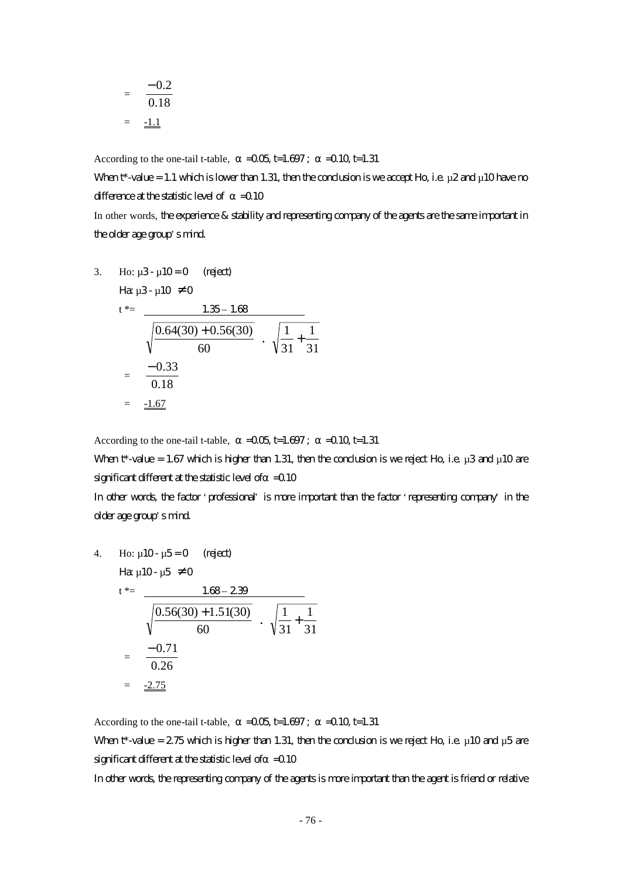$$
= \frac{-0.2}{0.18}
$$

$$
= \frac{-1.1}{}
$$

According to the one-tail t-table,  $=0.05$  t=1.697;  $=0.10$  t=1.31

When  $t^*$ -value = 1.1 which is lower than 1.31, then the condusion is we accept Ho, i.e.  $\mu$ 2 and  $\mu$ 10 have no difference at the statistic level of  $=0.10$ In other words, the experience & stability and representing company of the agents are the same important in

the older age group's mind.

3. Ho: 
$$
\mu
$$
3-  $\mu$ 10=0 (rigect)  
\n $t^* = \frac{1.35 - 1.68}{\sqrt{\frac{0.64(30) + 0.56(30)}{60}} \cdot \sqrt{\frac{1}{31} + \frac{1}{31}}$   
\n $= \frac{-0.33}{0.18}$   
\n $= \frac{-1.67}{\sqrt{\frac{0.67}{0.18}}}$ 

According to the one-tail t-table,  $=$   $-0.05$ , t=1.697;  $=$   $-0.10$  t=1.31

When  $t^*$ -value = 1.67 which is higher than 1.31, then the conclusion is we reject Ho, i.e.  $\mu$ 3 and  $\mu$ 10 are significant different at the statistic level of  $=$  0.10

In other words, the factor 'professional' is more important than the factor 'representing company' in the older age group's mind.

4. Ho: 
$$
\mu
$$
10-  $\mu$ 5=0 (reject)  
\n $t^* = \frac{1.68 - 2.39}{\sqrt{\frac{0.56(30) + 1.51(30)}{60}} \cdot \sqrt{\frac{1}{31} + \frac{1}{31}}$   
\n $= \frac{-0.71}{0.26}$   
\n $= \frac{-2.75}{\sqrt{\frac{0.56(30) + 1.51(30)}{0.26}}}$ 

According to the one-tail t-table,  $=$   $-0.05$  t=1.697;  $=$   $-0.10$  t=1.31 When t\*-value =  $275$  which is higher than 1.31, then the condusion is we reject Ho, i.e.  $\mu$  10 and  $\mu$ 5 are significant different at the statistic level of  $=$  0.10

In other words, the representing company of the agents is more important than the agent is friend or relative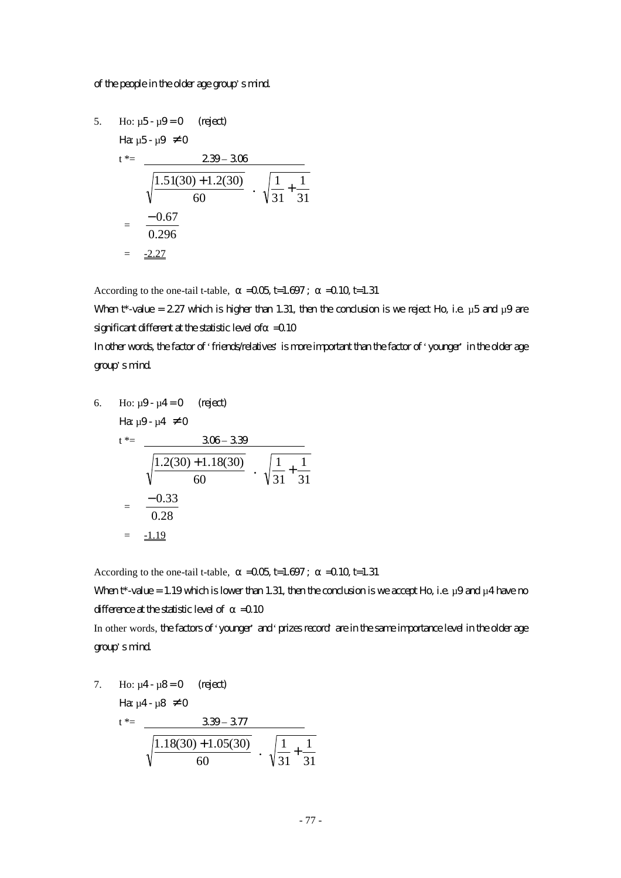#### of the people in the older age group's mind.

5. Ho: 
$$
\mu
$$
5- $\mu$ 9=0 (reject)  
\n $t^* = \frac{239-306}{\sqrt{\frac{1.51(30)+1.2(30)}{60}} \cdot \sqrt{\frac{1}{31} + \frac{1}{31}}$   
\n $= \frac{-0.67}{0.296}$   
\n $= \frac{-2.27}{4}$ 

According to the one-tail t-table,  $=$   $-0.05$  t=1.697;  $=$   $-0.10$  t=1.31

When  $t^*$ -value = 2.27 which is higher than 1.31, then the conclusion is we reject Ho, i.e.  $\mu$ 5 and  $\mu$ 9 are significant different at the statistic level of  $=$  0.10

In other words, the factor of 'friends/relatives' is more important than the factor of 'younger' in the older age group's mind.

6. Ho: 
$$
\mu
$$
9- $\mu$ 4=0 (regect)  
\n $t^* = \frac{306-339}{\sqrt{\frac{1.2(30)+1.18(30)}{60}} \cdot \sqrt{\frac{1}{31} + \frac{1}{31}}$   
\n $= \frac{-0.33}{0.28}$   
\n $= \frac{-1.19}{\sqrt{31 + \frac{1}{31}}}$ 

According to the one-tail t-table,  $=$   $-0.05$  t=1.697;  $=$   $-0.10$  t=1.31

When  $t^*$ -value = 1.19 which is lower than 1.31, then the conclusion is we accept Ho, i.e.  $\mu$ 9 and  $\mu$ 4 have no difference at the statistic level of  $=$  0.10

In other words, the factors of 'younger' and 'prizes record' are in the same importance level in the older age group's mind.

7. Ho: 
$$
\mu
$$
4- $\mu$ 8=0 (reject)  
\n
$$
\begin{array}{rcl}\n\text{Hence,} & \mu < 4.4 \\
\text{Hence,} & \mu < 4.4 \\
\hline\n\frac{1.18(30) + 1.05(30)}{60} < \sqrt{\frac{1}{31} + \frac{1}{31}}\n\end{array}
$$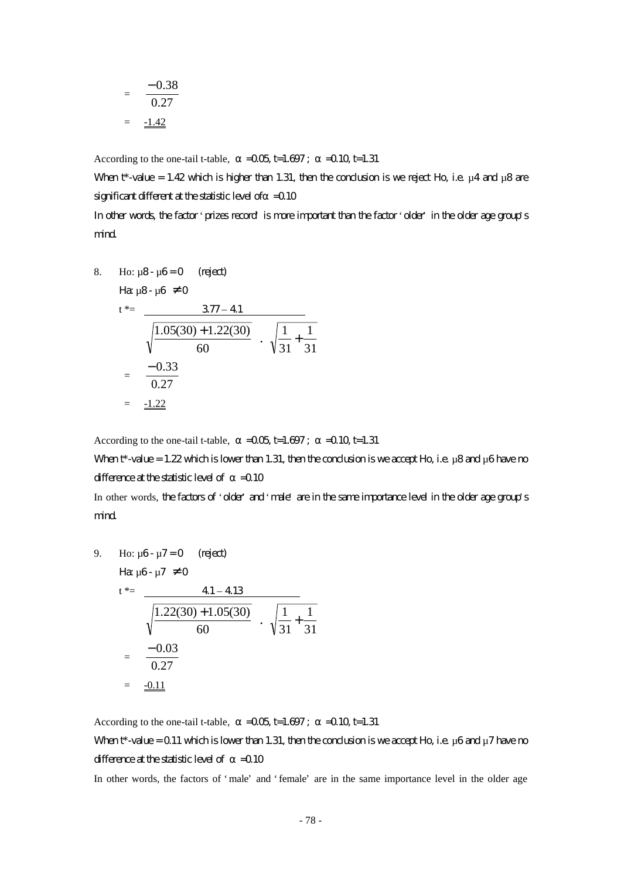$$
= \frac{-0.38}{0.27}
$$

$$
= \frac{-1.42}{}
$$

According to the one-tail t-table,  $=0.05$  t=1.697;  $=0.10$  t=1.31

When  $t^*$ -value = 1.42 which is higher than 1.31, then the conclusion is we reject Ho, i.e.  $\mu$ 4 and  $\mu$ 8 are significant different at the statistic level of  $=$  0.10

In other words, the factor 'prizes record' is more important than the factor 'older' in the older age group's mind.

8. Ho: 
$$
\mu
$$
8-  $\mu$ 6=0 (reject)  
\n
$$
\begin{aligned}\n\text{Hence,} \\
\mu \text{B} - \mu \text{C} &\neq 0 \\
\text{Hence,} \\
\mu \text{C} &\neq 0\n\end{aligned}
$$
\n
$$
\begin{aligned}\n\text{Hence,} \\
\mu \text{C} &\neq 0\n\end{aligned}
$$
\n
$$
\begin{aligned}\n\text{Hence,} \\
\mu \text{D} &\neq 0\n\end{aligned}
$$
\n
$$
\begin{aligned}\n\text{Hence,} \\
\mu \text{D} &\neq 0\n\end{aligned}
$$
\n
$$
\begin{aligned}\n\text{Hence,} \\
\frac{377 - 41}{60} \\
\hline\n\text{Fence,} \\
\frac{1.05(30) + 1.22(30)}{60} \\
\hline\n\text{Fence,} \\
\sqrt{\frac{1}{31} + \frac{1}{31}} \\
\hline\n\text{Fence,} \\
\frac{-0.33}{0.27}\n\end{aligned}
$$

According to the one-tail t-table,  $=$   $-0.05$  t=1.697;  $=$   $-0.10$  t=1.31

When  $t^*$ -value = 1.22 which is lower than 1.31, then the conclusion is we accept Ho, i.e.  $\mu$ 8 and  $\mu$ 6 have no difference at the statistic level of  $=$  0.10

In other words, the factors of 'older' and 'male' are in the same importance level in the older age group's mind.

9. Ho: 
$$
\mu
$$
6- $\mu$ 7=0 (reject)  
\n $t^* = \frac{41-413}{\sqrt{\frac{1.22(30)+1.05(30)}{60}} \cdot \sqrt{\frac{1}{31} + \frac{1}{31}}$   
\n $= \frac{-0.03}{0.27}$   
\n $= \frac{-0.11}{\sqrt{\frac{1}{1.21}}}$ 

According to the one-tail t-table,  $=$   $-0.05$  t=1.697;  $=$   $-0.10$  t=1.31 When  $t^*$ -value = 0.11 which is lower than 1.31, then the conclusion is we accept Ho, i.e.  $\mu$ 6 and  $\mu$ 7 have no difference at the statistic level of  $=$  0.10

In other words, the factors of 'male' and 'female' are in the same importance level in the older age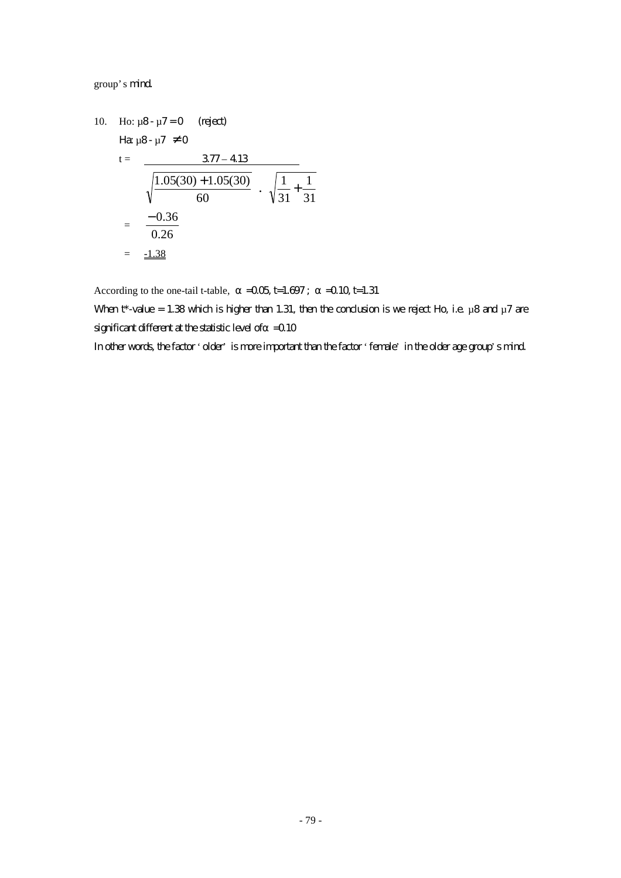group's mind.

10. Ho: 
$$
\mu
$$
8- $\mu$ 7=0 (reject)  
\n
$$
\begin{aligned}\n\text{Hence } \mu \times \mu \times \text{Hence } \mu \times \text{Hence } \mu \times \text{Hence } \mu \times \text{Hence } \mu \times \text{Hence } \mu \times \text{Hence } \mu \times \text{Hence } \mu \times \text{Hence } \mu \times \text{Hence } \mu \times \text{Hence } \mu \times \text{Hence } \mu \times \text{Hence } \mu \times \text{Hence } \mu \times \text{Hence } \mu \times \text{Hence } \mu \times \text{Hence } \mu \times \text{Hence } \mu \times \text{Hence } \mu \times \text{Hence } \mu \times \text{Hence } \mu \times \text{Hence } \mu \times \text{Hence } \mu \times \text{Hence } \mu \times \text{Hence } \mu \times \text{Hence } \mu \times \text{Hence } \mu \times \text{Hence } \mu \times \text{Hence } \mu \times \text{Hence } \mu \times \text{Hence } \mu \times \text{Hence } \mu \times \text{Hence } \mu \times \text{Hence } \mu \times \text{Hence } \mu \times \text{Hence } \mu \times \text{Hence } \mu \times \text{Hence } \mu \times \text{Hence } \mu \times \text{Hence } \mu \times \text{Hence } \mu \times \text{Hence } \mu \times \text{Hence } \mu \times \text{Hence } \mu \times \text{Hence } \mu \times \text{Hence } \mu \times \text{Hence } \mu \times \text{Hence } \mu \times \text{Hence } \mu \times \text{Hence } \mu \times \text{Hence } \mu \times \text{Hence } \mu \times \text{Hence } \mu \times \text{Hence } \mu \times \text{Hence } \mu \times \text{Hence } \mu \times \text{Hence } \mu \times \text{Hence } \mu \times \text{Hence } \mu \times \text{Hence } \mu \times \text{Hence } \mu \times \text{Hence } \mu \times \text{Hence } \mu \times \text{Hence } \mu \times \text{Hence } \mu \times \text{Hence } \mu \times \text{Hence } \mu \times \text{Hence } \mu \times \text{Hence } \mu \times \text{Hence } \mu \times \text{Hence } \mu \times \text{Hence } \mu \
$$

According to the one-tail t-table,  $=$   $-0.05$  t=1.697;  $=$   $-0.10$  t=1.31

When  $t^*$ -value = 1.38 which is higher than 1.31, then the conclusion is we reject Ho, i.e.  $\mu$ 8 and  $\mu$ 7 are significant different at the statistic level of  $=$  0.10

In other words, the factor 'older' is more important than the factor 'female' in the older age group's mind.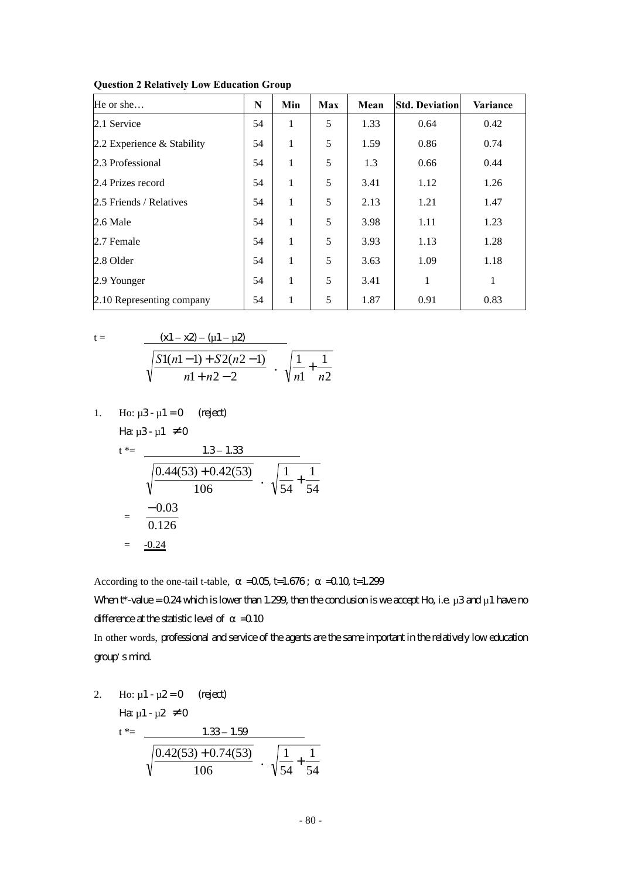| He or she                    | N  | Min | Max | Mean | <b>Std. Deviation</b> | Variance |
|------------------------------|----|-----|-----|------|-----------------------|----------|
| 2.1 Service                  | 54 | 1   | 5   | 1.33 | 0.64                  | 0.42     |
| 2.2 Experience $&$ Stability | 54 | 1   | 5   | 1.59 | 0.86                  | 0.74     |
| 2.3 Professional             | 54 | 1   | 5   | 1.3  | 0.66                  | 0.44     |
| 2.4 Prizes record            | 54 | 1   | 5   | 3.41 | 1.12                  | 1.26     |
| 2.5 Friends / Relatives      | 54 | 1   | 5   | 2.13 | 1.21                  | 1.47     |
| 2.6 Male                     | 54 | 1   | 5   | 3.98 | 1.11                  | 1.23     |
| 2.7 Female                   | 54 | 1   | 5   | 3.93 | 1.13                  | 1.28     |
| 2.8 Older                    | 54 | 1   | 5   | 3.63 | 1.09                  | 1.18     |
| 2.9 Younger                  | 54 | 1   | 5   | 3.41 | 1                     | 1        |
| 2.10 Representing company    | 54 | 1   | 5   | 1.87 | 0.91                  | 0.83     |

**Question 2 Relatively Low Education Group** 

$$
t =
$$

$$
\frac{(x1-x2) - (u1 - u2)}{\sqrt{\frac{S1(n1-1) + S2(n2-1)}{n1 + n2 - 2}}} \cdot \sqrt{\frac{1}{n1} + \frac{1}{n2}}
$$

1. Ho:  $\mu$ 3 -  $\mu$ 1 = 0 (reject) Ha:  $\mu$ 3 -  $\mu$ 1  $\neq$  0

$$
t^* = \frac{1.3 - 1.33}{\sqrt{\frac{0.44(53) + 0.42(53)}{106}} \cdot \sqrt{\frac{1}{54} + \frac{1}{54}}
$$

$$
= \frac{-0.03}{0.126}
$$

$$
= \frac{-0.24}{\sqrt{\frac{1}{54} + \frac{1}{54}}}
$$

According to the one-tail t-table,  $=0.05$  t=1.676;  $=0.10$  t=1.299

When  $t^*$ -value = 0.24 which is lower than 1.299, then the conclusion is we accept Ho, i.e.  $\mu$ 3 and  $\mu$ 1 have no difference at the statistic level of  $=$  0.10

In other words, professional and service of the agents are the same important in the relatively low education group's mind.

2. Ho: 
$$
\mu
$$
1 -  $\mu$ 2 = 0 (reject)  
\n
$$
\text{Hence } \mu
$$
1 -  $\mu$ 2 \neq 0  
\nt\*= 
$$
\frac{1.33 - 1.59}{\sqrt{\frac{0.42(53) + 0.74(53)}{106}} \cdot \sqrt{\frac{1}{54} + \frac{1}{54}}}
$$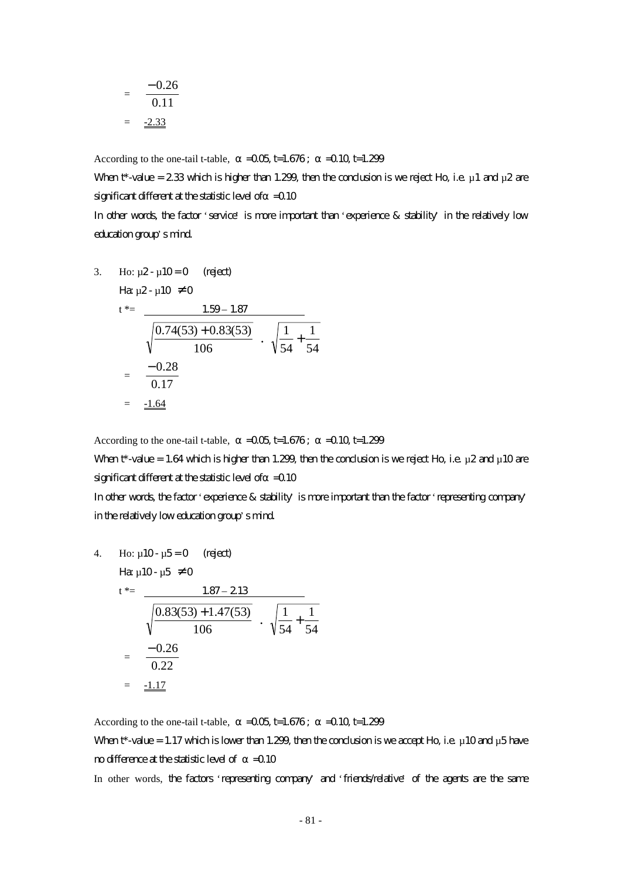$$
= \frac{-0.26}{0.11}
$$

$$
= \frac{-2.33}{}
$$

According to the one-tail t-table,  $=$   $-0.05$  t=1.676;  $=$   $-0.10$  t=1.299

When t\*-value = 2.33 which is higher than 1.299, then the conclusion is we reject Ho, i.e.  $\mu$  1 and  $\mu$ 2 are significant different at the statistic level of  $=$  0.10

In other words, the factor 'service' is more important than 'experience & stability' in the relatively low education group's mind.

3. Ho: 
$$
\mu
$$
2- $\mu$ 10=0 (reject)  
\n $t^* = \frac{1.59 - 1.87}{\sqrt{\frac{0.74(53) + 0.83(53)}{106}} \cdot \sqrt{\frac{1}{54} + \frac{1}{54}}$   
\n $= \frac{-0.28}{0.17}$   
\n $= \frac{-1.64}{\sqrt{\frac{0.74(53) + 0.83(53)}{0.17}}}$ 

According to the one-tail t-table,  $=$   $-0.05$  t=1.676;  $=$   $-0.10$  t=1.299

When  $t^*$ -value = 1.64 which is higher than 1.299, then the conclusion is we reject Ho, i.e.  $\mu$ 2 and  $\mu$ 10 are significant different at the statistic level of  $=$  0.10

In other words, the factor 'experience & stability' is more important than the factor 'representing company' in the relatively low education group's mind.

4. Ho: 
$$
\mu
$$
10-  $\mu$ 5=0 (reject)  
\n $t^* = \frac{1.87 - 213}{\sqrt{\frac{0.83(53) + 1.47(53)}{106}} \cdot \sqrt{\frac{1}{54} + \frac{1}{54}}$   
\n $= \frac{-0.26}{0.22}$   
\n $= \frac{-1.17}{\sqrt{\frac{0.83(53) + 1.47(53)}{0.22}}}$ 

According to the one-tail t-table,  $=$   $-0.05$  t=1.676;  $=$   $-0.10$  t=1.299 When  $t^*$ -value = 1.17 which is lower than 1.299, then the condusion is we accept Ho, i.e.  $\mu$ 10 and  $\mu$ 5 have no difference at the statistic level of  $=$  0.10

In other words, the factors 'representing company' and 'friends/relative' of the agents are the same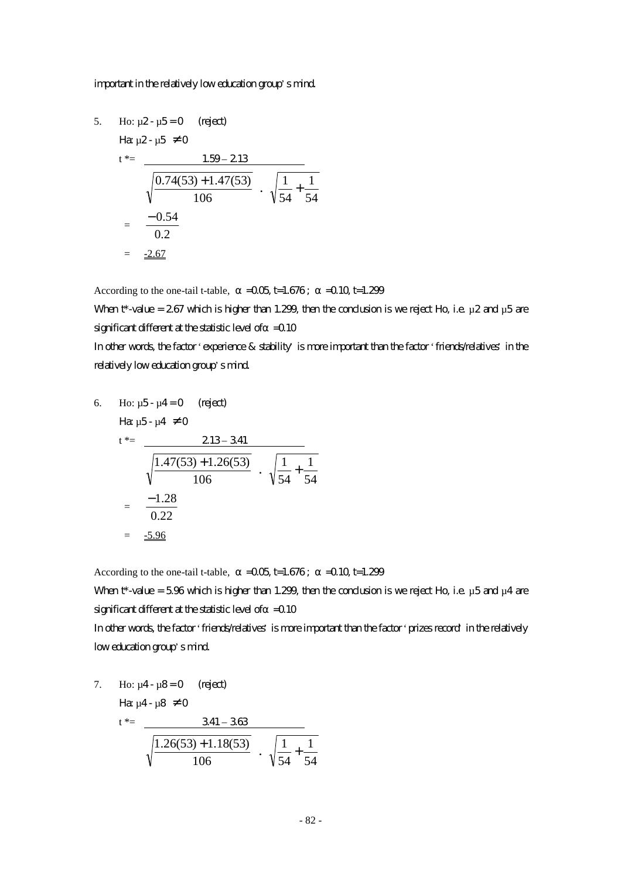#### important in the relatively low education group's mind.

5. Ho: 
$$
\mu
$$
2- $\mu$ 5=0 (reject)  
\n $t^* = \frac{1.59 - 2.13}{\sqrt{\frac{0.74(53) + 1.47(53)}{106}} \cdot \sqrt{\frac{1}{54} + \frac{1}{54}}$   
\n $= \frac{-0.54}{0.2}$   
\n $= \frac{-2.67}{0.2}$ 

According to the one-tail t-table,  $=$   $-0.05$  t=1.676;  $=$   $-0.10$  t=1.299

When t\*-value = 2.67 which is higher than 1.299, then the conclusion is we reject Ho, i.e.  $\mu$ 2 and  $\mu$ 5 are significant different at the statistic level of  $=$  0.10

In other words, the factor 'experience & stability' is more important than the factor 'friends/relatives' in the relatively low education group's mind.

6. Ho: 
$$
\mu
$$
5- $\mu$ 4=0 (reject)  
\n $t^* = \frac{213-341}{\sqrt{\frac{1.47(53)+1.26(53)}{106}} \cdot \sqrt{\frac{1}{54} + \frac{1}{54}}$   
\n $= \frac{-1.28}{0.22}$   
\n $= \frac{-5.96}{\sqrt{\frac{1}{54} + \frac{1}{54}}}$ 

According to the one-tail t-table,  $=$   $-0.05$  t=1.676;  $=$   $-0.10$  t=1.299

When  $t^*$ -value = 5.96 which is higher than 1.299, then the conclusion is we reject Ho, i.e.  $\mu$ 5 and  $\mu$ 4 are significant different at the statistic level of  $=$  0.10

In other words, the factor 'friends/relatives' is more important than the factor 'prizes record' in the relatively low education group's mind.

7. Ho:  $\mu$ 4 -  $\mu$ 8 = 0 (reject) Ha:  $\mu$ 4 -  $\mu$ 8  $\neq$  0 t  $* = 341 - 363$ 106  $\frac{1.26(53) + 1.18(53)}{106}$   $\cdot \sqrt{\frac{1}{54} + \frac{1}{54}}$ 1 54  $\frac{1}{\cdot}$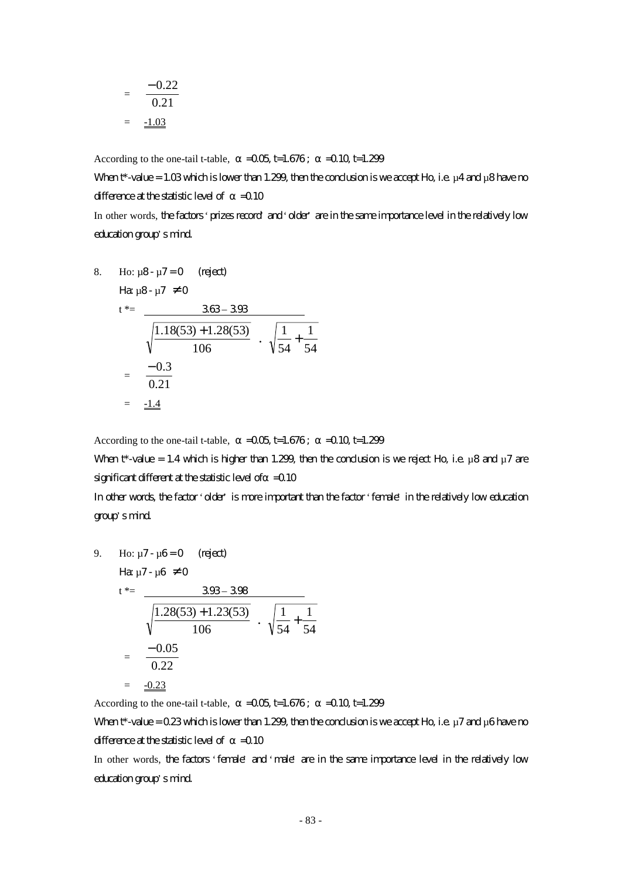$$
= \frac{-0.22}{0.21}
$$

$$
= \frac{-1.03}{}
$$

According to the one-tail t-table,  $=$   $-0.05$  t=1.676;  $=$   $-0.10$  t=1.299

When  $t^*$ -value = 1.03 which is lower than 1.299, then the conclusion is we accept Ho, i.e.  $\mu$ 4 and  $\mu$ 8 have no difference at the statistic level of  $=0.10$ 

In other words, the factors 'prizes record' and 'older' are in the same importance level in the relatively low education group's mind.

8. Ho: 
$$
\mu
$$
8-  $\mu$ 7 = 0 (reject)  
\n
$$
\begin{aligned}\n\text{Hence,} \\
\mu \text{B} - \mu \text{C} &= 0 \\
\text{Hence,} \\
\mu \text{C} &= 0\n\end{aligned}
$$
\n
$$
\begin{aligned}\n\text{Hence,} \\
\mu \text{D} &= 0.3 \\
\text{Hence,} \\
\mu \text{D} &= 0.3\n\end{aligned}
$$
\n
$$
\begin{aligned}\n\text{Hence,} \\
\mu \text{D} &= 0.3 \\
\text{D} &= 0.3\n\end{aligned}
$$
\n
$$
\begin{aligned}\n&= \frac{-0.3}{0.21} \\
&= \frac{-1.4}{0.21}\n\end{aligned}
$$

According to the one-tail t-table,  $=$   $-0.05$  t=1.676;  $=$   $-0.10$  t=1.299

When  $t^*$ -value = 1.4 which is higher than 1.299, then the conclusion is we reject Ho, i.e.  $\mu$ 8 and  $\mu$ 7 are significant different at the statistic level of  $=$  0.10

In other words, the factor 'older' is more important than the factor 'female' in the relatively low education group's mind.

9. Ho: 
$$
\mu
$$
7- $\mu$ 6=0 (reject)  
\n $t^* = \frac{308-308}{\sqrt{\frac{1.28(53)+1.23(53)}{106}} \cdot \sqrt{\frac{1}{54} + \frac{1}{54}}$   
\n $= \frac{-0.05}{0.22}$   
\n $= \frac{-0.23}{\sqrt{54}}$ 

According to the one-tail t-table,  $=$   $-0.05$  t=1.676;  $=$   $-0.10$  t=1.299

When  $t^*$ -value = 0.23 which is lower than 1.299, then the conclusion is we accept Ho, i.e.  $\mu$ 7 and  $\mu$ 6 have no difference at the statistic level of  $=$  0.10

In other words, the factors 'female' and 'male' are in the same importance level in the relatively low education group's mind.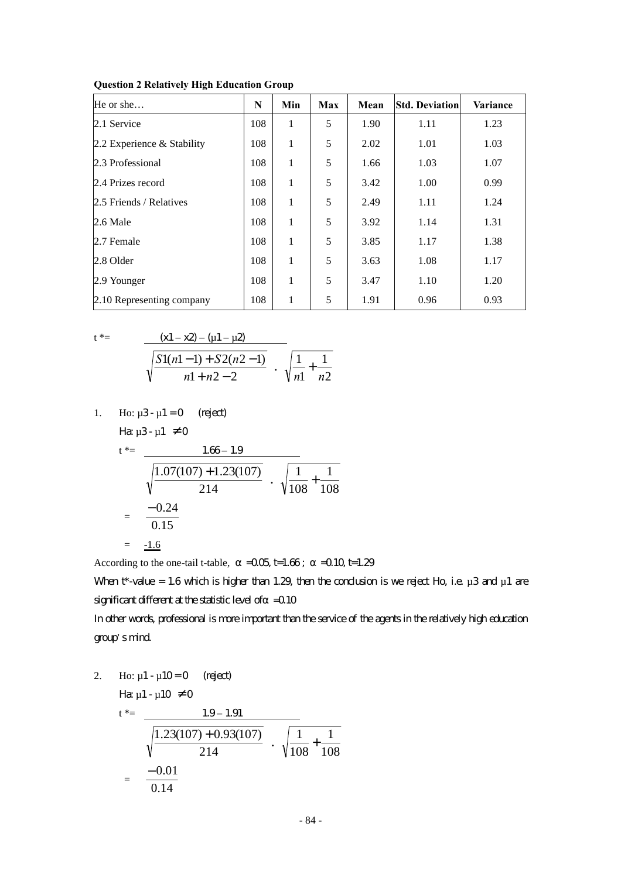| He or she                    | N   | Min | Max | Mean | <b>Std. Deviation</b> | <b>Variance</b> |
|------------------------------|-----|-----|-----|------|-----------------------|-----------------|
| 2.1 Service                  | 108 | 1   | 5   | 1.90 | 1.11                  | 1.23            |
| 2.2 Experience $&$ Stability | 108 | 1   | 5   | 2.02 | 1.01                  | 1.03            |
| 2.3 Professional             | 108 | 1   | 5   | 1.66 | 1.03                  | 1.07            |
| 2.4 Prizes record            | 108 | 1   | 5   | 3.42 | 1.00                  | 0.99            |
| 2.5 Friends / Relatives      | 108 | 1   | 5   | 2.49 | 1.11                  | 1.24            |
| 2.6 Male                     | 108 | 1   | 5   | 3.92 | 1.14                  | 1.31            |
| 2.7 Female                   | 108 | 1   | 5   | 3.85 | 1.17                  | 1.38            |
| 2.8 Older                    | 108 | 1   | 5   | 3.63 | 1.08                  | 1.17            |
| 2.9 Younger                  | 108 | 1   | 5   | 3.47 | 1.10                  | 1.20            |
| 2.10 Representing company    | 108 | 1   | 5   | 1.91 | 0.96                  | 0.93            |

**Question 2 Relatively High Education Group**

$$
t^* =
$$

$$
\frac{(x1-x2) - (u1-u2)}{\sqrt{\frac{S1(n1-1) + S2(n2-1)}{n1+n2-2}}} \cdot \sqrt{\frac{1}{n1} + \frac{1}{n2}}
$$

1. Ho:  $\mu$ 3 -  $\mu$ 1 = 0 (reject) Ha:  $\mu$ 3 -  $\mu$ 1  $\neq$  0

$$
t^* = \frac{1.66 - 1.9}{\sqrt{\frac{1.07(107) + 1.23(107)}{214}} \cdot \sqrt{\frac{1}{108} + \frac{1}{108}}
$$

$$
= \frac{-0.24}{0.15}
$$

$$
= \frac{-1.6}{\sqrt{108 + 101}}
$$

According to the one-tail t-table,  $=0.05$  t=1.66;  $=0.10$  t=1.29

When  $t^*$ -value = 1.6 which is higher than 1.29, then the conclusion is we reject Ho, i.e.  $\mu$ 3 and  $\mu$ 1 are significant different at the statistic level of  $=$  0.10

In other words, professional is more important than the service of the agents in the relatively high education group's mind.

2. Ho:  $\mu$ 1 -  $\mu$ 10 = 0 (reject)

Ha  $\mu$ 1 -  $\mu$ 10  $\neq$  0

$$
t^* = \frac{1.9 - 1.91}{\sqrt{\frac{1.23(107) + 0.93(107)}{214}} \cdot \sqrt{\frac{1}{108} + \frac{1}{108}}
$$

$$
= \frac{-0.01}{0.14}
$$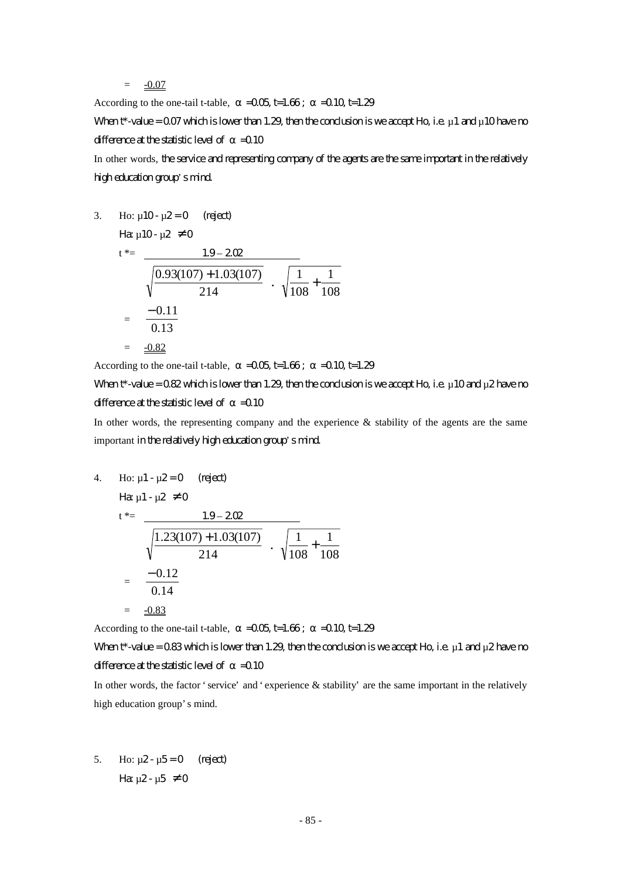$= -0.07$ 

According to the one-tail t-table,  $=$   $-0.05$  t=1.66;  $=$   $-0.10$  t=1.29 When  $t^*$ -value = 0.07 which is lower than 1.29, then the conclusion is we accept Ho, i.e.  $\mu$  1 and  $\mu$  10 have no difference at the statistic level of  $=$  0.10 In other words, the service and representing company of the agents are the same important in the relatively

high education group's mind.

3. Ho: 
$$
\mu
$$
10-  $\mu$ 2=0 (reject)  
\n
$$
\begin{aligned}\n\text{Hg } \mu \text{10- } \mu \text{2} &\neq 0 \\
t^* &= \frac{1.9 - 202}{\sqrt{\frac{0.93(107) + 1.03(107)}{214}} \cdot \sqrt{\frac{1}{108} + \frac{1}{108}} \\
&= \frac{-0.11}{0.13} \\
&= \frac{-0.82}{\sqrt{\frac{1}{108} + \frac{1}{108}}} \\
&= \frac{-0.82}{\sqrt{\frac{1}{108} + \frac{1}{108}}} \\
&= \frac{-0.82}{\sqrt{\frac{1}{108} + \frac{1}{108}}} \\
&= \frac{-0.82}{\sqrt{\frac{1}{108} + \frac{1}{108}}} \\
&= \frac{-0.82}{\sqrt{\frac{1}{108} + \frac{1}{108}}} \\
&= \frac{-0.82}{\sqrt{\frac{1}{108} + \frac{1}{108}}} \\
&= \frac{-0.82}{\sqrt{\frac{1}{108} + \frac{1}{108}}} \\
&= \frac{-0.82}{\sqrt{\frac{1}{108} + \frac{1}{108}}} \\
&= \frac{-0.82}{\sqrt{\frac{1}{108} + \frac{1}{108}}} \\
&= \frac{-0.82}{\sqrt{\frac{1}{108} + \frac{1}{108}}} \\
&= \frac{-0.82}{\sqrt{\frac{1}{108} + \frac{1}{108}}} \\
&= \frac{-0.82}{\sqrt{\frac{1}{108} + \frac{1}{108}}} \\
&= \frac{-0.82}{\sqrt{\frac{1}{108} + \frac{1}{108}}} \\
&= \frac{-0.82}{\sqrt{\frac{1}{108} + \frac{1}{108}}} \\
&= \frac{-0.82}{\sqrt{\frac{1}{108} + \frac{1}{108}}} \\
&= \frac{-0.82}{\sqrt{\frac{1}{108} + \frac{1}{108}}} \\
&= \frac{-0.82}{\sqrt{\frac{1}{108} + \frac{1}{108}}} \\
&= \frac{-0.82}{\sqrt{\frac{1}{108} + \frac{1}{108}}} \\
&= \frac{-0.82
$$

According to the one-tail t-table,  $=$   $-0.05$  t=1.66;  $=$   $-0.10$  t=1.29

# When  $t^*$ -value = 0.82 which is lower than 1.29, then the conclusion is we accept Ho, i.e.  $\mu$  10 and  $\mu$ 2 have no difference at the statistic level of  $=$  0.10

In other words, the representing company and the experience & stability of the agents are the same important in the relatively high education group's mind.

4. Ho: 
$$
\mu_1 - \mu_2 = 0
$$
 (reject)  
\n
$$
\begin{aligned}\n\text{Hence,} \quad \mu_1 - \mu_2 &= 0 \\
\text{Hence,} \quad \mu_1 - \mu_2 &= 0\n\end{aligned}
$$
\n
$$
\begin{aligned}\n\text{Hence,} \quad \mu_1 - \mu_2 &= 0 \\
\text{Hence,} \quad \mu_1 - \mu_2 &= 0\n\end{aligned}
$$
\n
$$
\begin{aligned}\n\text{Hence,} \quad \mu_1 - \mu_2 &= 0 \\
\text{Hence,} \quad \mu_1 - \mu_2 &= 0\n\end{aligned}
$$
\n
$$
\begin{aligned}\n\text{Hence,} \quad \mu_1 - \mu_2 &= 0 \\
\text{Hence,} \quad \mu_1 - \mu_2 &= 0\n\end{aligned}
$$
\n
$$
\begin{aligned}\n\text{Hence,} \quad \mu_1 - \mu_2 &= 0 \\
\text{Hence,} \quad \mu_1 - \mu_2 &= 0\n\end{aligned}
$$
\n
$$
\begin{aligned}\n\text{Hence,} \quad \mu_1 - \mu_2 &= 0 \\
\text{Hence,} \quad \mu_1 - \mu_2 &= 0\n\end{aligned}
$$

According to the one-tail t-table,  $=$   $-0.05$  t=1.66;  $=$   $-0.10$  t=1.29

# When  $t^*$ -value = 0.83 which is lower than 1.29, then the conclusion is we accept Ho, i.e.  $\mu$ 1 and  $\mu$ 2 have no difference at the statistic level of  $=$  0.10

In other words, the factor 'service' and 'experience & stability' are the same important in the relatively high education group's mind.

5. Ho:  $\mu$ 2 -  $\mu$ 5 = 0 (reject) Ha  $\mu$ 2 -  $\mu$ 5  $\neq$  0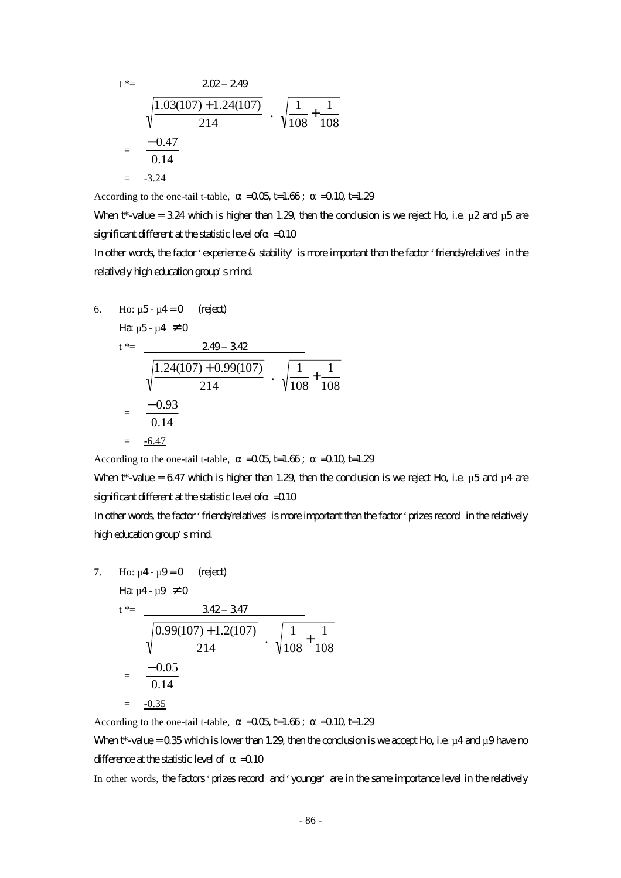$$
t^* = \frac{202 - 249}{\sqrt{\frac{1.03(107) + 1.24(107)}{214}} \cdot \sqrt{\frac{1}{108} + \frac{1}{108}}}
$$
  
=  $\frac{-0.47}{0.14}$   
=  $\frac{-3.24}{\sqrt{108 + 104}}$ 

According to the one-tail t-table,  $=$   $-0.05$  t=1.66;  $=$   $-0.10$  t=1.29

When t\*-value = 3.24 which is higher than 1.29, then the conclusion is we reject Ho, i.e.  $\mu$ 2 and  $\mu$ 5 are significant different at the statistic level of  $=$  0.10

In other words, the factor 'experience & stability' is more important than the factor 'friends/relatives' in the relatively high education group's mind.

6. Ho: 
$$
\mu
$$
5- $\mu$ 4=0 (right)  
\n $t^* = \frac{249 - 342}{\sqrt{\frac{1.24(107) + 0.99(107)}{214}} \cdot \sqrt{\frac{1}{108} + \frac{1}{108}}$   
\n $= \frac{-0.93}{0.14}$   
\n $= \frac{-6.47}{\sqrt{108 + 0.005}}$ 

According to the one-tail t-table,  $=0.05$  t=1.66;  $=0.10$  t=1.29

When t\*-value = 6.47 which is higher than 1.29, then the conclusion is we reject Ho, i.e.  $\mu$ 5 and  $\mu$ 4 are significant different at the statistic level of  $=$  0.10

In other words, the factor 'friends/relatives' is more important than the factor 'prizes record' in the relatively high education group's mind.

7. Ho: 
$$
\mu
$$
4- $\mu$ 9=0 (reject)  
\n
$$
\begin{aligned}\n\text{Hence,} \\
t^* &= \frac{342 - 347}{\sqrt{\frac{0.99(107) + 1.2(107)}{214}} \cdot \sqrt{\frac{1}{108} + \frac{1}{108}} \\
&= \frac{-0.05}{0.14} \\
&= \frac{-0.35}{\sqrt{\frac{0.35}{2100}}}\n\end{aligned}
$$

According to the one-tail t-table,  $=$   $-0.05$  t=1.66;  $=$   $-0.10$  t=1.29

When  $t^*$ -value = 0.35 which is lower than 1.29, then the conclusion is we accept Ho, i.e.  $\mu$ 4 and  $\mu$ 9 have no difference at the statistic level of  $=$  0.10

In other words, the factors 'prizes record' and 'younger' are in the same importance level in the relatively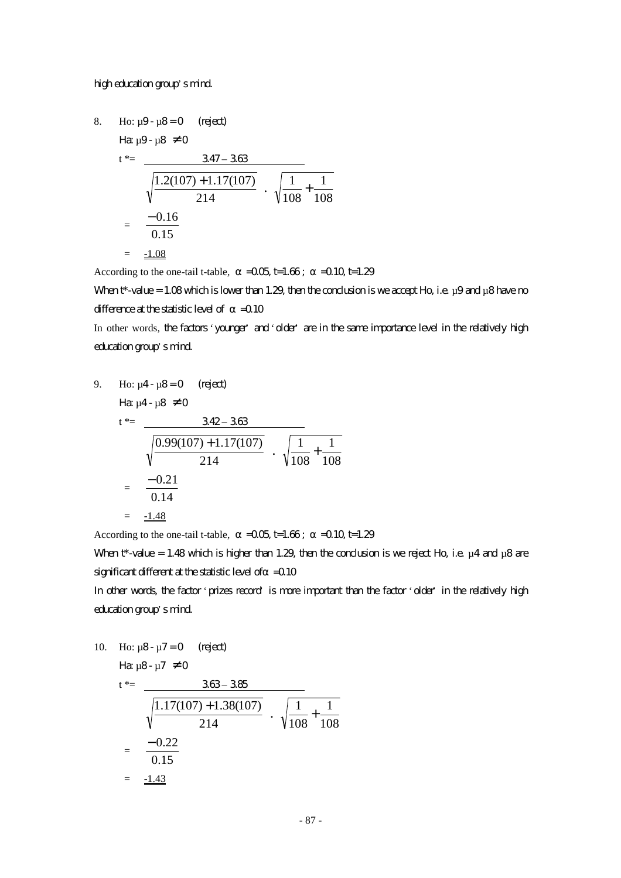#### high education group's mind.

8. Ho: 
$$
\mu
$$
9-  $\mu$ 8 = 0 (reject)  
\n
$$
\begin{aligned}\n\text{Hz } \mu \text{9- } \mu \text{8} &\neq 0 \\
t^* &= \frac{347 - 368}{\sqrt{\frac{1.2(107) + 1.17(107)}{214}} \cdot \sqrt{\frac{1}{108} + \frac{1}{108}} \\
&= \frac{-0.16}{0.15} \\
&= \frac{-1.08}{\sqrt{\frac{1}{108} + \frac{1}{108}}} \\
&= \frac{-1.08}{\sqrt{\frac{1}{108} + \frac{1}{108}}} \\
&= \frac{-1.08}{\sqrt{\frac{1}{108} + \frac{1}{108}}} \\
&= \frac{-1.08}{\sqrt{\frac{1}{108} + \frac{1}{108}}} \\
&= \frac{-1.08}{\sqrt{\frac{1}{108} + \frac{1}{108}}} \\
&= \frac{-1.08}{\sqrt{\frac{1}{108} + \frac{1}{108}}} \\
&= \frac{-1.08}{\sqrt{\frac{1}{108} + \frac{1}{108}}} \\
&= \frac{-1.08}{\sqrt{\frac{1}{108} + \frac{1}{108}}} \\
&= \frac{-1.08}{\sqrt{\frac{1}{108} + \frac{1}{108}}} \\
&= \frac{-1.08}{\sqrt{\frac{1}{108} + \frac{1}{108}}} \\
&= \frac{-1.08}{\sqrt{\frac{1}{108} + \frac{1}{108}}} \\
&= \frac{-1.08}{\sqrt{\frac{1}{108} + \frac{1}{108}}} \\
&= \frac{-1.08}{\sqrt{\frac{1}{108} + \frac{1}{108}}} \\
&= \frac{1.08}{\sqrt{\frac{1}{108} + \frac{1}{108}}} \\
&= \frac{1.08}{\sqrt{\frac{1}{108} + \frac{1}{108}}} \\
&= \frac{1.08}{\sqrt{\frac{1}{108} + \frac{1}{108}}} \\
&= \frac{1.08}{\sqrt{\frac{1}{108} + \frac{1}{108}}} \\
&= \frac{1.08}{\sqrt{\frac{1}{108} + \frac{1}{108}}} \\
&= \frac{1.08}{\
$$

According to the one-tail t-table,  $=$   $-0.05$  t=1.66;  $=$   $-0.10$  t=1.29

When  $t^*$ -value = 1.08 which is lower than 1.29, then the conclusion is we accept Ho, i.e.  $\mu$ 9 and  $\mu$ 8 have no difference at the statistic level of  $=$  0.10

In other words, the factors 'younger' and 'older' are in the same importance level in the relatively high education group's mind.

9. Ho: 
$$
\mu
$$
4- $\mu$ 8=0 (reject)  
\n $t^* = \frac{342 - 363}{\sqrt{\frac{0.99(107) + 1.17(107)}{214}} \cdot \sqrt{\frac{1}{108} + \frac{1}{108}}$   
\n $= \frac{-0.21}{0.14}$   
\n $= \frac{-1.48}{\sqrt{0.99(107) + 1.17(107)}}$ 

According to the one-tail t-table,  $=$   $-0.05$  t=1.66;  $=$   $-0.10$  t=1.29

When t\*-value = 1.48 which is higher than 1.29, then the conclusion is we reject Ho, i.e.  $\mu$ 4 and  $\mu$ 8 are significant different at the statistic level of  $=$  0.10

In other words, the factor 'prizes record' is more important than the factor 'older' in the relatively high education group's mind.

10. Ho: 
$$
\mu
$$
8-  $\mu$ 7 = 0 (reject)  
\n
$$
\begin{aligned}\n\text{Hg } \mu \text{B} - \mu \text{7} &= 0 \\
\text{t}^* &= \frac{363 - 385}{\sqrt{\frac{1.17(107) + 1.38(107)}{214}} \cdot \sqrt{\frac{1}{108} + \frac{1}{108}} \\
&= \frac{-0.22}{0.15} \\
&= \frac{-1.43}{\sqrt{\frac{1.43}{214}}} \\
\text{Hg } \mu \text{C}^* &= \frac{-1.43}{\sqrt{\frac{1.43}{214}}} \\
\text{Hg } \mu \text{C}^* &= \frac{-1.43}{\sqrt{\frac{1.43}{214}}} \\
\text{Hg } \mu \text{C}^* &= \frac{-1.43}{\sqrt{\frac{1.43}{214}}} \\
\text{Hg } \mu \text{C}^* &= \frac{-1.43}{\sqrt{\frac{1.43}{214}}} \\
\text{Hg } \mu \text{C}^* &= \frac{-1.43}{\sqrt{\frac{1.43}{214}}} \\
\text{Hg } \mu \text{C}^* &= \frac{-1.43}{\sqrt{\frac{1.43}{214}}} \\
\text{Hg } \mu \text{C}^* &= \frac{-1.43}{\sqrt{\frac{1.43}{214}}} \\
\text{Hg } \mu \text{C}^* &= \frac{-1.43}{\sqrt{\frac{1.43}{214}}} \\
\text{Hg } \mu \text{C}^* &= \frac{-1.43}{\sqrt{\frac{1.43}{214}}} \\
\text{Hg } \mu \text{C}^* &= \frac{-1.43}{\sqrt{\frac{1.43}{214}}} \\
\text{Hg } \mu \text{C}^* &= \frac{-1.43}{\sqrt{\frac{1.43}{214}}} \\
\text{Hg } \mu \text{C}^* &= \frac{-1.43}{\sqrt{\frac{1.43}{214}}} \\
\text{Hg } \mu \text{C}^* &= \frac{-1.43}{\sqrt{\frac{1.43}{214}}} \\
\text{Hg } \mu \text{C}^* &= \frac{-1.43}{\sqrt
$$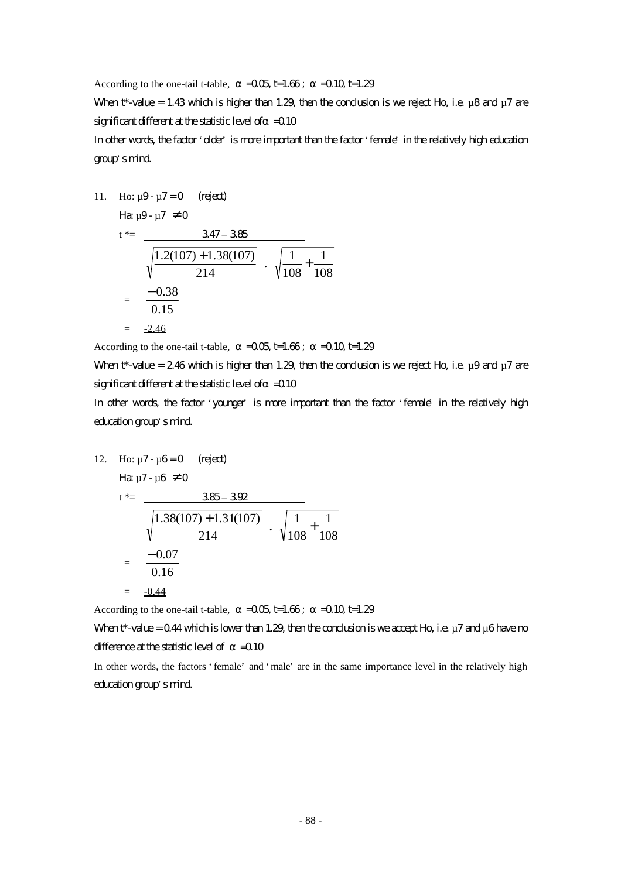According to the one-tail t-table,  $=$   $-0.05$  t=1.66;  $=$   $-0.10$  t=1.29

When t\*-value = 1.43 which is higher than 1.29, then the conclusion is we reject Ho, i.e.  $\mu$ 8 and  $\mu$ 7 are significant different at the statistic level of  $=$  0.10

In other words, the factor 'older' is more important than the factor 'female' in the relatively high education group's mind.

11. Ho: 
$$
\mu
$$
9-  $\mu$ 7=0 (rigect)

$$
\begin{aligned}\n\text{Hence,} \\
\mathbf{H}^* &= \frac{347 - 385}{\sqrt{\frac{1.2(107) + 1.38(107)}{214}} \cdot \sqrt{\frac{1}{108} + \frac{1}{108}} \\
&= \frac{-0.38}{0.15} \\
&= \frac{-2.46}{\sqrt{\frac{1}{108} + \frac{1}{108}}}\n\end{aligned}
$$

According to the one-tail t-table,  $=$   $-0.05$  t=1.66;  $=$   $-0.10$  t=1.29

When t\*-value = 2.46 which is higher than 1.29, then the conclusion is we reject Ho, i.e.  $\mu$ 9 and  $\mu$ 7 are significant different at the statistic level of  $=$  0.10

In other words, the factor 'younger' is more important than the factor 'female' in the relatively high education group's mind.

12. Ho: 
$$
\mu
$$
7 -  $\mu$ 6 = 0 (reject)

$$
H\!\alpha\,\mu7\!\cdot\mu6\,\neq0
$$

$$
t^* = \frac{385 - 392}{\sqrt{\frac{1.38(107) + 1.31(107)}{214}} \cdot \sqrt{\frac{1}{108} + \frac{1}{108}}
$$

$$
= \frac{-0.07}{0.16}
$$

$$
= \frac{-0.44}{10.5}
$$

According to the one-tail t-table,  $=$   $-0.05$  t=1.66;  $=$   $-0.10$  t=1.29

When  $t^*$ -value = 0.44 which is lower than 1.29, then the conclusion is we accept Ho, i.e.  $\mu$  7 and  $\mu$ 6 have no difference at the statistic level of  $=$  0.10

In other words, the factors 'female' and 'male' are in the same importance level in the relatively high education group's mind.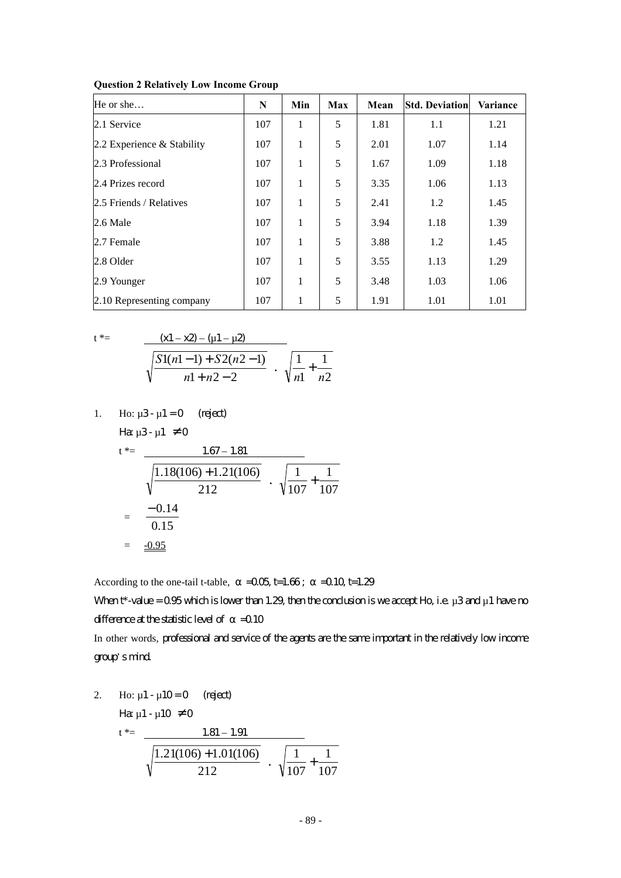| He or she                  | N   | Min | Max | Mean | <b>Std. Deviation</b> | Variance |
|----------------------------|-----|-----|-----|------|-----------------------|----------|
| 2.1 Service                | 107 | 1   | 5   | 1.81 | 1.1                   | 1.21     |
| 2.2 Experience & Stability | 107 | 1   | 5   | 2.01 | 1.07                  | 1.14     |
| 2.3 Professional           | 107 | 1   | 5   | 1.67 | 1.09                  | 1.18     |
| 2.4 Prizes record          | 107 | 1   | 5   | 3.35 | 1.06                  | 1.13     |
| 2.5 Friends / Relatives    | 107 | 1   | 5   | 2.41 | 1.2                   | 1.45     |
| 2.6 Male                   | 107 | 1   | 5   | 3.94 | 1.18                  | 1.39     |
| 2.7 Female                 | 107 | 1   | 5   | 3.88 | 1.2                   | 1.45     |
| 2.8 Older                  | 107 | 1   | 5   | 3.55 | 1.13                  | 1.29     |
| 2.9 Younger                | 107 | 1   | 5   | 3.48 | 1.03                  | 1.06     |
| 2.10 Representing company  | 107 | 1   | 5   | 1.91 | 1.01                  | 1.01     |

 $\frac{1}{n^2} + \frac{1}{n^2}$ 

1 1 *n n* +

1

**Question 2 Relatively Low Income Group**

$$
t^* = \frac{(x1 - x2) - (u1 - u2)}{\sqrt{\frac{S1(n1 - 1) + S2(n2 - 1)}{n1 + n2 - 2}}}
$$

1. Ho: 
$$
\mu
$$
3- $\mu$ 1 = 0 (reject)  
Ha  $\mu$ 3- $\mu$ 1  $\neq$  0

$$
t^* =
$$
 1.67 – 1.81

$$
\frac{1.07 - 1.81}{\sqrt{\frac{1.18(106) + 1.21(106)}{212}} \cdot \sqrt{\frac{1}{107} + \frac{1}{107}}
$$
  
=  $\frac{-0.14}{0.15}$   
=  $\frac{-0.95}{\sqrt{107}}$ 

According to the one-tail t-table,  $=$   $-0.05$  t=1.66;  $=$   $-0.10$  t=1.29

When  $t^*$ -value = 0.95 which is lower than 1.29, then the conclusion is we accept Ho, i.e.  $\mu$ 3 and  $\mu$ 1 have no difference at the statistic level of  $=$  0.10

In other words, professional and service of the agents are the same important in the relatively low income group's mind.

2. Ho: 
$$
\mu
$$
1 -  $\mu$ 10 = 0 (reject)  
\n
$$
H\mathbf{a} \mu
$$
1 -  $\mu$ 10  $\neq$  0  
\n
$$
t^* = \frac{1.81 - 1.91}{\sqrt{\frac{1.21(106) + 1.01(106)}{212}} \cdot \sqrt{\frac{1}{107} + \frac{1}{107}}}
$$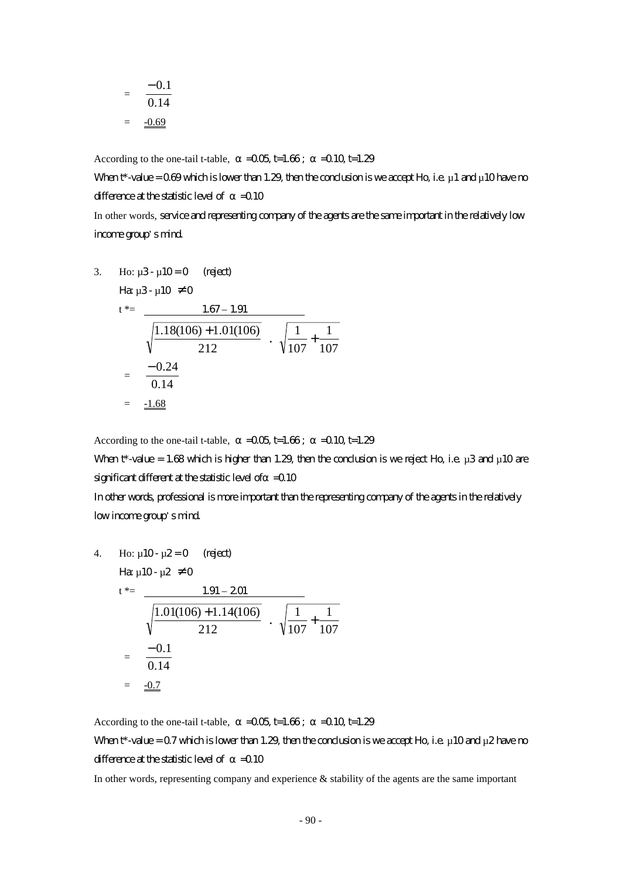$$
= \frac{-0.1}{0.14}
$$

$$
= \frac{-0.69}{}
$$

According to the one-tail t-table,  $=$   $-0.05$  t=1.66;  $=$   $-0.10$  t=1.29

When  $t^*$ -value = 0.69 which is lower than 1.29, then the conclusion is we accept Ho, i.e.  $\mu$  1 and  $\mu$  10 have no difference at the statistic level of  $=$  0.10

In other words, service and representing company of the agents are the same important in the relatively low income group's mind.

3. Ho: 
$$
\mu
$$
3-  $\mu$ 10=0 (reject)  
\n $t^* = \frac{1.67 - 1.91}{\sqrt{\frac{1.18(106) + 1.01(106)}{212}} \cdot \sqrt{\frac{1}{107} + \frac{1}{107}}$   
\n $= \frac{-0.24}{0.14}$   
\n $= \frac{-1.68}{}$ 

According to the one-tail t-table,  $=$   $-0.05$  t=1.66;  $=$   $-0.10$  t=1.29 When  $t^*$ -value = 1.68 which is higher than 1.29, then the conclusion is we reject Ho, i.e.  $\mu$ 3 and  $\mu$ 10 are significant different at the statistic level of  $=$  0.10 In other words, professional is more important than the representing company of the agents in the relatively

### low income group's mind.

4. Ho: 
$$
\mu
$$
10-  $\mu$ 2=0 (reject)  
\n
$$
H\mathbf{a} \mu
$$
10-  $\mu$ 2 \ne 0  
\n
$$
t^* = \frac{1.91 - 201}{\sqrt{\frac{1.01(106) + 1.14(106)}{212}} \cdot \sqrt{\frac{1}{107} + \frac{1}{107}}
$$
\n
$$
= \frac{-0.1}{0.14}
$$
\n
$$
= \frac{-0.7}{\sqrt{\frac{1}{107}} + \frac{1}{107}}
$$

According to the one-tail t-table,  $=$   $-0.05$  t=1.66;  $=$   $-0.10$  t=1.29 When  $t^*$ -value = 0.7 which is lower than 1.29, then the condusion is we accept Ho, i.e.  $\mu$  10 and  $\mu$ 2 have no difference at the statistic level of  $=$  0.10

In other words, representing company and experience & stability of the agents are the same important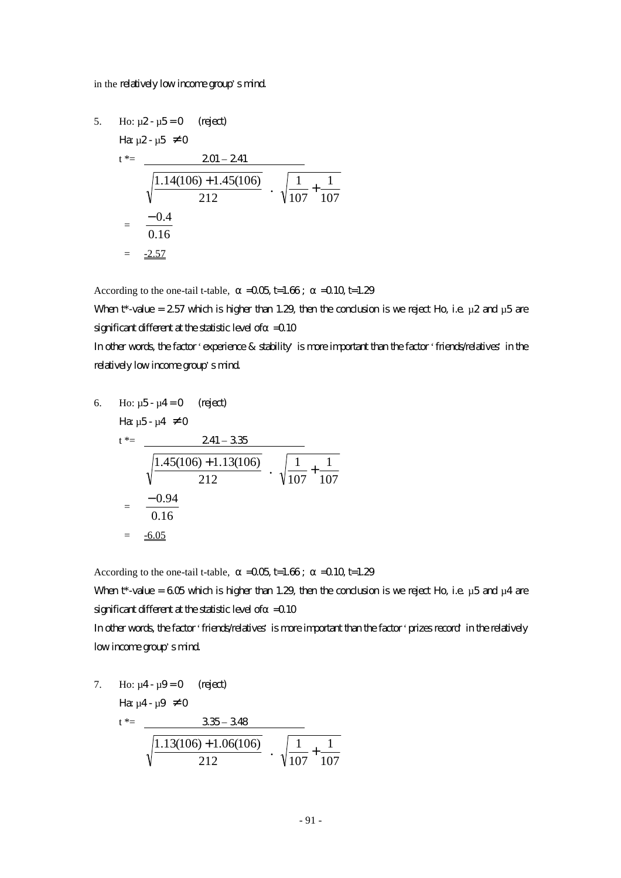#### in the relatively low income group's mind.

5. Ho: 
$$
\mu
$$
2- $\mu$ 5=0 (reject)  
\n $t^* = \frac{201 - 241}{\sqrt{\frac{1.14(106) + 1.45(106)}{212}} \cdot \sqrt{\frac{1}{107} + \frac{1}{107}}$   
\n $= \frac{-0.4}{0.16}$   
\n $= \frac{-2.57}{24.5}$ 

According to the one-tail t-table,  $=0.05$  t=1.66;  $=0.10$  t=1.29

When t\*-value = 2.57 which is higher than 1.29, then the conclusion is we reject Ho, i.e.  $\mu$ 2 and  $\mu$ 5 are significant different at the statistic level of  $=$  0.10

In other words, the factor 'experience & stability' is more important than the factor 'friends/relatives' in the relatively low income group's mind.

6. Ho: 
$$
\mu
$$
5- $\mu$ 4=0 (reject)  
\n
$$
\begin{aligned}\n\text{Hg } \mu \text{5-}\mu \text{4} &= 0 \\
\text{t}^* &= \frac{241 - 335}{\sqrt{\frac{1.45(106) + 1.13(106)}{212}} \cdot \sqrt{\frac{1}{107} + \frac{1}{107}} \\
&= \frac{-0.94}{0.16} \\
&= \frac{-6.05}{\sqrt{\frac{1}{107} + \frac{1}{107}}} \\
\text{Hg } \mu \text{ is the same as } \mu \text{ is the same as } \mu \text{ is the same as } \mu \text{ is the same as } \mu \text{ is the same as } \mu \text{ is the same as } \mu \text{ is the same as } \mu \text{ is the same as } \mu \text{ is the same as } \mu \text{ is the same as } \mu \text{ is the same as } \mu \text{ is the same as } \mu \text{ is the same as } \mu \text{ is the same as } \mu \text{ is the same as } \mu \text{ is the same as } \mu \text{ is the same as } \mu \text{ is the same as } \mu \text{ is the same as } \mu \text{ is the same as } \mu \text{ is the same as } \mu \text{ is the same as } \mu \text{ is the same as } \mu \text{ is the same as } \mu \text{ is the same as } \mu \text{ is the same as } \mu \text{ is the same as } \mu \text{ is the same as } \mu \text{ is the same as } \mu \text{ is the same as } \mu \text{ is the same as } \mu \text{ is the same as } \mu \text{ is the same as } \mu \text{ is the same as } \mu \text{ is the same as } \mu \text{ is the same as } \mu \text{ is the same as } \mu \text{ is the same as } \mu \text{ is the same as } \mu \text{ is the same as } \mu \text{ is the same as } \mu \text{ is the same as } \mu \text{ is the same as } \mu \text{ is the same as } \mu \text{ is the same as } \mu \text{ is the same as } \mu \text{ is the same as } \mu \text{ is the same as } \mu \text{ is the same as } \mu \text{ is the same as } \mu \text{ is the same as } \mu \text{ is the same as } \mu \text{ is the same as } \mu \text{ is the same as } \mu \text{ is the same as } \mu \text{ is the same as } \mu \text{
$$

According to the one-tail t-table,  $=0.05$  t=1.66;  $=0.10$  t=1.29

When  $t^*$ -value = 605 which is higher than 1.29, then the conclusion is we reject Ho, i.e.  $\mu$ 5 and  $\mu$ 4 are significant different at the statistic level of  $=$  0.10

In other words, the factor 'friends/relatives' is more important than the factor 'prizes record' in the relatively low income group's mind.

7. Ho: 
$$
\mu
$$
4- $\mu$ 9=0 (reject)  
\n
$$
\begin{array}{r}\n\text{H}\alpha \mu \text{4-}\mu \text{9} \neq 0 \\
\text{t}^* = \frac{335 - 348}{\sqrt{\frac{1.13(106) + 1.06(106)}{212}} \cdot \sqrt{\frac{1}{107} + \frac{1}{107}}\n\end{array}
$$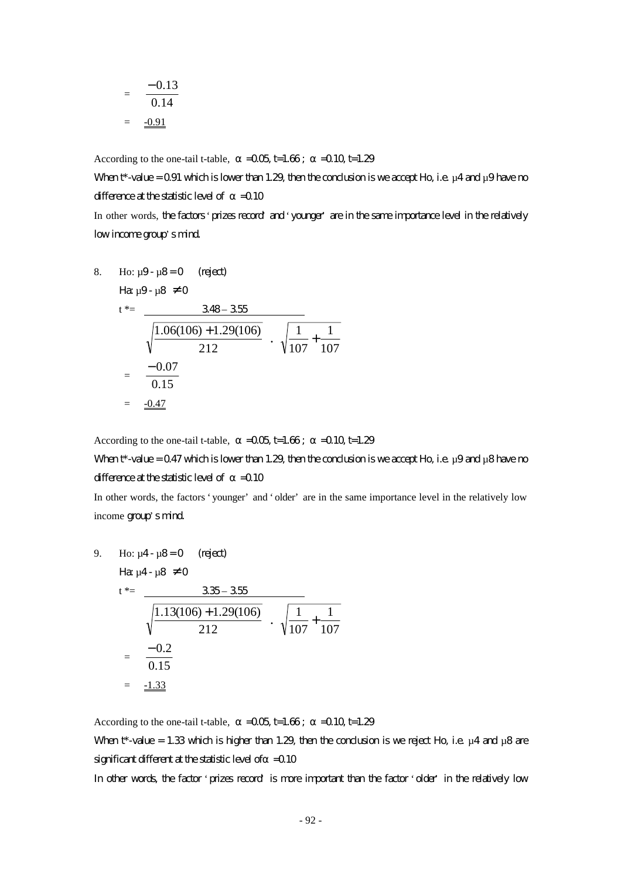$$
= \frac{-0.13}{0.14}
$$

$$
= \frac{-0.91}{}
$$

According to the one-tail t-table,  $=$   $-0.05$  t=1.66;  $=$   $-0.10$  t=1.29

When  $t^*$ -value = 0.91 which is lower than 1.29, then the conclusion is we accept Ho, i.e.  $\mu$ 4 and  $\mu$ 9 have no difference at the statistic level of  $=0.10$ 

In other words, the factors 'prizes record' and 'younger' are in the same importance level in the relatively low income group's mind.

8. Ho: 
$$
\mu
$$
9-  $\mu$ 8=0 (reject)  
\n
$$
\begin{aligned}\n\text{Hg } \mu \text{9- } \mu \text{8} &\neq 0 \\
t^* &= \frac{348 - 355}{\sqrt{\frac{1.06(106) + 1.29(106)}{212}} \cdot \sqrt{\frac{1}{107} + \frac{1}{107}} \\
&= \frac{-0.07}{0.15} \\
&= \frac{-0.47}{\sqrt{\frac{1}{107} + \frac{1}{107}}} \\
&= \frac{-0.47}{\sqrt{\frac{1}{107} + \frac{1}{107}}} \\
&= \frac{-0.47}{\sqrt{\frac{1}{107} + \frac{1}{107}}} \\
&= \frac{-0.47}{\sqrt{\frac{1}{107} + \frac{1}{107}}} \\
&= \frac{-0.47}{\sqrt{\frac{1}{107} + \frac{1}{107}}} \\
&= \frac{-0.47}{\sqrt{\frac{1}{107} + \frac{1}{107}}} \\
&= \frac{-0.47}{\sqrt{\frac{1}{107} + \frac{1}{107}}} \\
&= \frac{-0.47}{\sqrt{\frac{1}{107} + \frac{1}{107}}} \\
&= \frac{-0.47}{\sqrt{\frac{1}{107} + \frac{1}{107}}} \\
&= \frac{-0.47}{\sqrt{\frac{1}{107} + \frac{1}{107}}} \\
&= \frac{-0.47}{\sqrt{\frac{1}{107} + \frac{1}{107}}} \\
&= \frac{-0.47}{\sqrt{\frac{1}{107} + \frac{1}{107}}} \\
&= \frac{-0.47}{\sqrt{\frac{1}{107} + \frac{1}{107}}} \\
&= \frac{-0.47}{\sqrt{\frac{1}{107} + \frac{1}{107}}} \\
&= \frac{-0.47}{\sqrt{\frac{1}{107} + \frac{1}{107}}} \\
&= \frac{-0.47}{\sqrt{\frac{1}{107} + \frac{1}{107}}} \\
&= \frac{-0.47}{\sqrt{\frac{1}{107} + \frac{1}{107}}} \\
&= \frac{-0.47}{\sqrt{\frac{1}{107} + \frac{1}{107}}} \\
&= \frac{-0.47}{\
$$

According to the one-tail t-table,  $=$   $-0.05$  t=1.66;  $=$   $-0.10$  t=1.29

# When  $t^*$ -value = 0.47 which is lower than 1.29, then the conclusion is we accept Ho, i.e.  $\mu$ 9 and  $\mu$ 8 have no difference at the statistic level of  $=0.10$

In other words, the factors 'younger' and 'older' are in the same importance level in the relatively low income group's mind.

9. Ho: 
$$
\mu
$$
4- $\mu$ 8=0 (reject)  
\n $t^* = \frac{335-355}{\sqrt{\frac{1.13(106)+1.29(106)}{212}} \cdot \sqrt{\frac{1}{107} + \frac{1}{107}}$   
\n $= \frac{-0.2}{0.15}$   
\n $= \frac{-1.33}{\sqrt{0.15}}$ 

According to the one-tail t-table,  $=$   $-0.05$  t=1.66;  $=$   $-0.10$  t=1.29

When t\*-value = 1.33 which is higher than 1.29, then the conclusion is we reject Ho, i.e.  $\mu$ 4 and  $\mu$ 8 are significant different at the statistic level of  $=$  0.10

In other words, the factor 'prizes record' is more important than the factor 'older' in the relatively low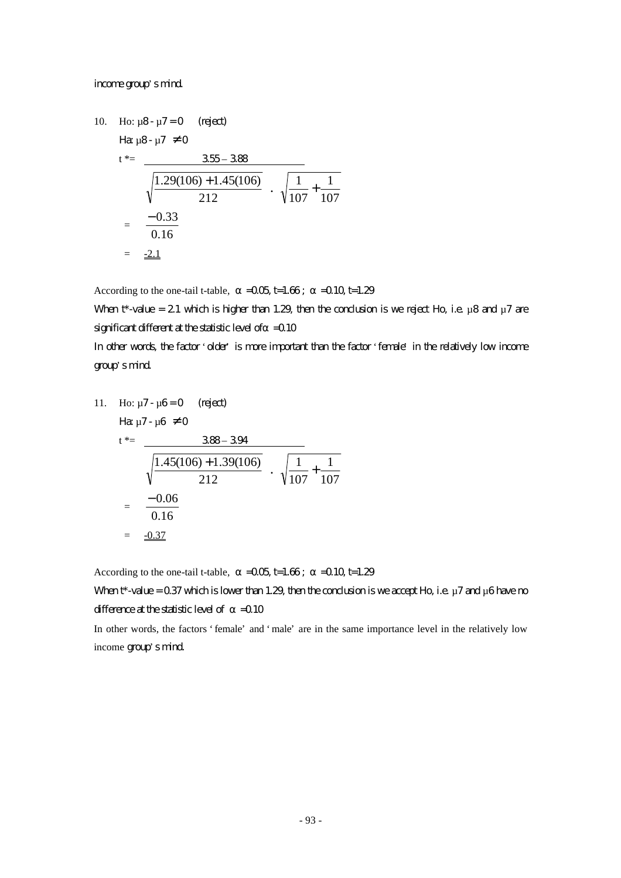#### income group's mind.

10. Ho: 
$$
\mu
$$
8-  $\mu$ 7 = 0 (regect)  
\n
$$
\begin{aligned}\n\text{Hx } \mu \text{8- } \mu \text{7} &= 0 \\
\text{t}^* &= \frac{355 - 388}{\sqrt{\frac{1.29(106) + 1.45(106)}{212}}} \\
&= \frac{-0.33}{0.16} \\
&= \frac{-2.1}{2}\n\end{aligned}
$$

According to the one-tail t-table,  $=0.05$  t=1.66;  $=0.10$  t=1.29

When t\*-value = 2.1 which is higher than 1.29, then the conclusion is we reject Ho, i.e.  $\mu$ 8 and  $\mu$ 7 are significant different at the statistic level of  $=$  0.10

In other words, the factor 'older' is more important than the factor 'female' in the relatively low income group's mind.

11. Ho: 
$$
\mu
$$
7-  $\mu$ 6 = 0 (right)  
\n $t^* = \frac{388 - 394}{\sqrt{\frac{1.45(106) + 1.39(106)}{212}} \cdot \sqrt{\frac{1}{107} + \frac{1}{107}}$   
\n $= \frac{-0.06}{0.16}$   
\n $= \frac{-0.37}{\sqrt{\frac{1}{107} + \frac{1}{107}}}$ 

According to the one-tail t-table,  $=0.05$  t=1.66;  $=0.10$  t=1.29

When  $t^*$ -value = 0.37 which is lower than 1.29, then the conclusion is we accept Ho, i.e.  $\mu$  7 and  $\mu$ 6 have no difference at the statistic level of  $=$  0.10

In other words, the factors 'female' and 'male' are in the same importance level in the relatively low income group's mind.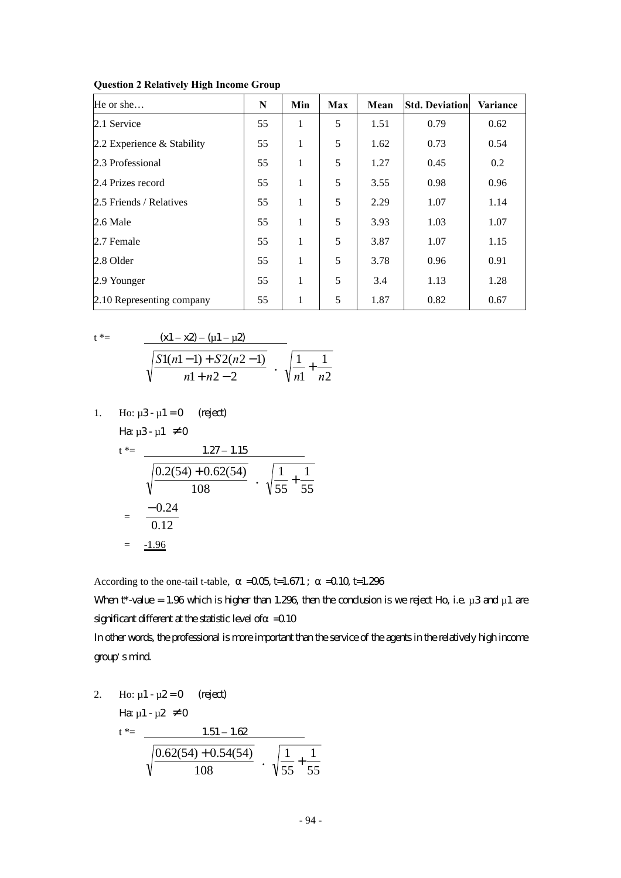| He or she                    | N  | Min | Max | Mean | <b>Std. Deviation</b> | Variance |
|------------------------------|----|-----|-----|------|-----------------------|----------|
| 2.1 Service                  | 55 | 1   | 5   | 1.51 | 0.79                  | 0.62     |
| 2.2 Experience $&$ Stability | 55 | 1   | 5   | 1.62 | 0.73                  | 0.54     |
| 2.3 Professional             | 55 | 1   | 5   | 1.27 | 0.45                  | 0.2      |
| 2.4 Prizes record            | 55 | 1   | 5   | 3.55 | 0.98                  | 0.96     |
| 2.5 Friends / Relatives      | 55 | 1   | 5   | 2.29 | 1.07                  | 1.14     |
| $2.6$ Male                   | 55 | 1   | 5   | 3.93 | 1.03                  | 1.07     |
| 2.7 Female                   | 55 | 1   | 5   | 3.87 | 1.07                  | 1.15     |
| 2.8 Older                    | 55 | 1   | 5   | 3.78 | 0.96                  | 0.91     |
| 2.9 Younger                  | 55 | 1   | 5   | 3.4  | 1.13                  | 1.28     |
| 2.10 Representing company    | 55 | 1   | 5   | 1.87 | 0.82                  | 0.67     |

**Question 2 Relatively High Income Group**

$$
t \mathbin{\ast}=
$$

$$
t^* = \frac{(x1 - x2) - (u1 - u2)}{\sqrt{\frac{S1(n1 - 1) + S2(n2 - 1)}{n1 + n2 - 2}} \cdot \sqrt{\frac{1}{n1} + \frac{1}{n2}}}
$$

1. Ho: 
$$
\mu
$$
3- $\mu$ 1 = 0 (right)  
Ha  $\mu$ 3- $\mu$ 1  $\neq$  0

$$
t^* = \frac{1.27 - 1.15}{\sqrt{\frac{0.2(54) + 0.62(54)}{108}} \cdot \sqrt{\frac{1}{55} + \frac{1}{55}}
$$
  
=  $\frac{-0.24}{0.12}$   
=  $\frac{-1.96}{\sqrt{\frac{0.2(54)}{108}}}$ 

According to the one-tail t-table,  $=$   $-0.05$  t=1.671;  $=$   $-0.10$  t=1.296

When  $t^*$ -value = 1.96 which is higher than 1.296, then the conclusion is we reject Ho, i.e.  $\mu$ 3 and  $\mu$ 1 are significant different at the statistic level of  $=$  0.10

In other words, the professional is more important than the service of the agents in the relatively high income group's mind.

2. Ho: 
$$
\mu
$$
1 -  $\mu$ 2 = 0 (reject)  
\n
$$
\begin{array}{rcl}\n\text{Hence} & \mu_1 < \mu_2 \neq 0 \\
\text{Hence} & \mu_1 < \mu_2 \neq 0\n\end{array}
$$
\n
$$
\frac{1.51 - 1.62}{\sqrt{\frac{0.62(54) + 0.54(54)}{108}} \cdot \sqrt{\frac{1}{55} + \frac{1}{55}}}
$$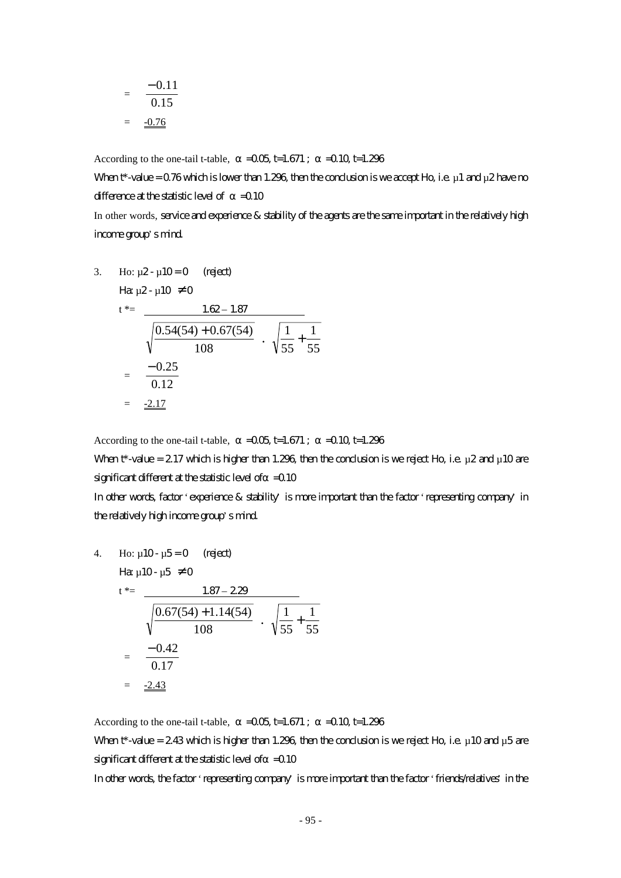$$
= \frac{-0.11}{0.15}
$$

$$
= \frac{-0.76}{}
$$

According to the one-tail t-table,  $=$   $-0.05$  t=1.671;  $=$   $-0.10$  t=1.296

When  $t^*$ -value = 0.76 which is lower than 1.296, then the conclusion is we accept Ho, i.e.  $\mu$  1 and  $\mu$ 2 have no difference at the statistic level of  $=0.10$ 

In other words, service and experience & stability of the agents are the same important in the relatively high income group's mind.

3. Ho: 
$$
\mu
$$
2- $\mu$ 10=0 (reject)  
\n $t^* = \frac{1.62 - 1.87}{\sqrt{\frac{0.54(54) + 0.67(54)}{108}} \cdot \sqrt{\frac{1}{55} + \frac{1}{55}}$   
\n $= \frac{-0.25}{0.12}$   
\n $= \frac{-2.17}{\sqrt{0.54(54) + 0.67(54)}}$ 

According to the one-tail t-table,  $=$   $-0.05$  t=1.671;  $=$   $-0.10$  t=1.296

When  $t^*$ -value = 2.17 which is higher than 1.296, then the conclusion is we reject Ho, i.e.  $\mu$ 2 and  $\mu$ 10 are significant different at the statistic level of  $=$  0.10

In other words, factor 'experience & stability' is more important than the factor 'representing company' in the relatively high income group's mind.

4. Ho: 
$$
\mu
$$
10-  $\mu$ 5=0 (reject)  
\n
$$
H\mathbf{a} \mu
$$
10-  $\mu$ 5 \neq 0  
\n
$$
t^* = \frac{1.87 - 2.29}{\sqrt{\frac{0.67(54) + 1.14(54)}{108}} \cdot \sqrt{\frac{1}{55} + \frac{1}{55}}
$$
\n
$$
= \frac{-0.42}{0.17}
$$
\n
$$
= \frac{-2.43}{\sqrt{\frac{1}{55} + \frac{1}{55}}}
$$

According to the one-tail t-table,  $=$   $-0.05$  t=1.671;  $=$   $-0.10$  t=1.296

When  $t^*$ -value = 2.43 which is higher than 1.296, then the conclusion is we reject Ho, i.e.  $\mu$  10 and  $\mu$ 5 are significant different at the statistic level of  $=$  0.10

In other words, the factor 'representing company' is more important than the factor 'friends/relatives' in the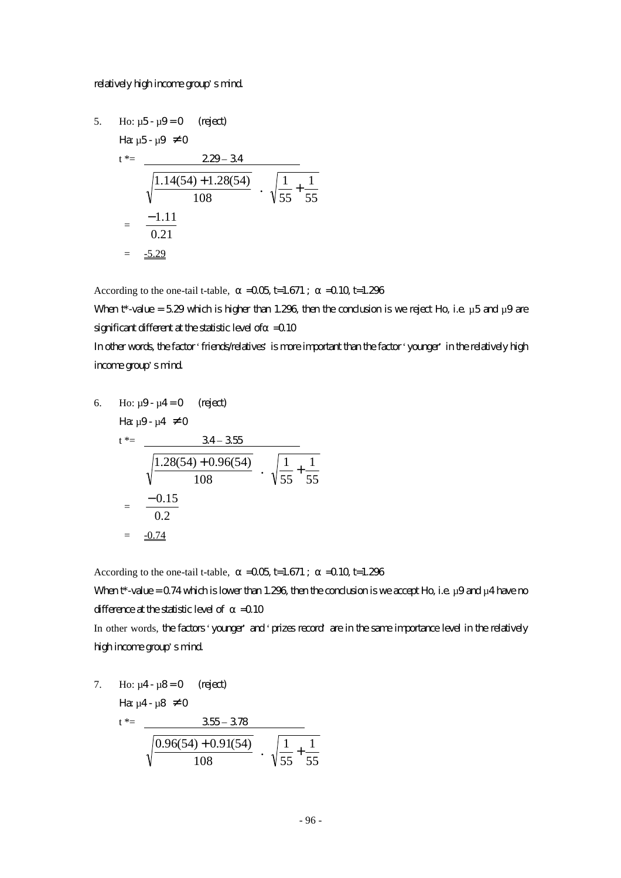#### relatively high income group's mind.

5. Ho: 
$$
\mu
$$
5- $\mu$ 9=0 (reject)  
\n
$$
\begin{aligned}\n\text{Ha } \mu \text{5-} \mu \text{9} &\neq 0 \\
t^* &= \frac{229 - 34}{\sqrt{\frac{1.14(54) + 1.28(54)}{108}} \cdot \sqrt{\frac{1}{55} + \frac{1}{55}} \\
&= \frac{-1.11}{0.21} \\
&= \frac{-5.29}{\sqrt{55 + \frac{1}{55}}} \\
&= \frac{-5.29}{\sqrt{55 + \frac{1}{55}}} \\
&= \frac{-5.29}{\sqrt{55 + \frac{1}{55}}} \\
&= \frac{-5.29}{\sqrt{55 + \frac{1}{55}}} \\
&= \frac{-5.29}{\sqrt{55 + \frac{1}{55}}} \\
&= \frac{-5.29}{\sqrt{55 + \frac{1}{55}}} \\
&= \frac{-5.29}{\sqrt{55 + \frac{1}{55}}} \\
&= \frac{-5.29}{\sqrt{55 + \frac{1}{55}}} \\
&= \frac{-5.29}{\sqrt{55 + \frac{1}{55}}} \\
&= \frac{-5.29}{\sqrt{55 + \frac{1}{55}}} \\
&= \frac{-5.29}{\sqrt{55 + \frac{1}{55}}} \\
&= \frac{-5.29}{\sqrt{55 + \frac{1}{55}}} \\
&= \frac{-5.29}{\sqrt{55 + \frac{1}{55}}} \\
&= \frac{-5.29}{\sqrt{55 + \frac{1}{55}}} \\
&= \frac{-5.29}{\sqrt{55 + \frac{1}{55}}} \\
&= \frac{-5.29}{\sqrt{55 + \frac{1}{55}}} \\
&= \frac{-5.29}{\sqrt{55 + \frac{1}{55}}} \\
&= \frac{-5.29}{\sqrt{55 + \frac{1}{55}}} \\
&= \frac{-5.29}{\sqrt{55 + \frac{1}{55}}} \\
&= \frac{-5.29}{\sqrt{55 + \frac{1}{55}}} \\
&= \frac{-5.29}{\sqrt{55 + \frac{1}{55}}} \\
&= \frac{-5.29}{\sqrt{55 + \frac{1}{55}}} \\
&= \frac{-5.29}{\sqrt{55 + \frac{1}{55}}} \\
&= \frac{-5.29}{\sqrt
$$

According to the one-tail t-table,  $=0.05$  t=1.671;  $=0.10$  t=1.296

When  $t^*$ -value = 5.29 which is higher than 1.296, then the conclusion is we reject Ho, i.e.  $\mu$ 5 and  $\mu$ 9 are significant different at the statistic level of  $=$  0.10

In other words, the factor 'friends/relatives' is more important than the factor 'younger' in the relatively high income group's mind.

6. Ho: 
$$
\mu
$$
9- $\mu$ 4=0 (reject)  
\n $t^* = \frac{34 - 355}{\sqrt{\frac{1.28(54) + 0.96(54)}{108}} \cdot \sqrt{\frac{1}{55} + \frac{1}{55}}$   
\n $= \frac{-0.15}{0.2}$   
\n $= \frac{-0.74}{\sqrt{\frac{1.28(54)}{108}}}$ 

According to the one-tail t-table,  $=$   $-0.05$  t=1.671;  $=$   $-0.10$  t=1.296

When  $t^*$ -value = 0.74 which is lower than 1.296, then the conclusion is we accept Ho, i.e. µ9 and µ4 have no difference at the statistic level of  $=$  0.10

In other words, the factors 'younger' and 'prizes record' are in the same importance level in the relatively high income group's mind.

7. Ho: 
$$
\mu
$$
4- $\mu$ 8=0 (reject)  
\n
$$
\begin{array}{rcl}\n\text{Hence,} & \mu \text{Hence,} \\
\downarrow & \text{Hence,} \\
\hline\n\sqrt{\frac{0.96(54) + 0.91(54)}{108}} \\
\downarrow & \text{Hence,} \\
\hline\n\sqrt{\frac{1}{55} + \frac{1}{55}} \\
\hline\n\end{array}
$$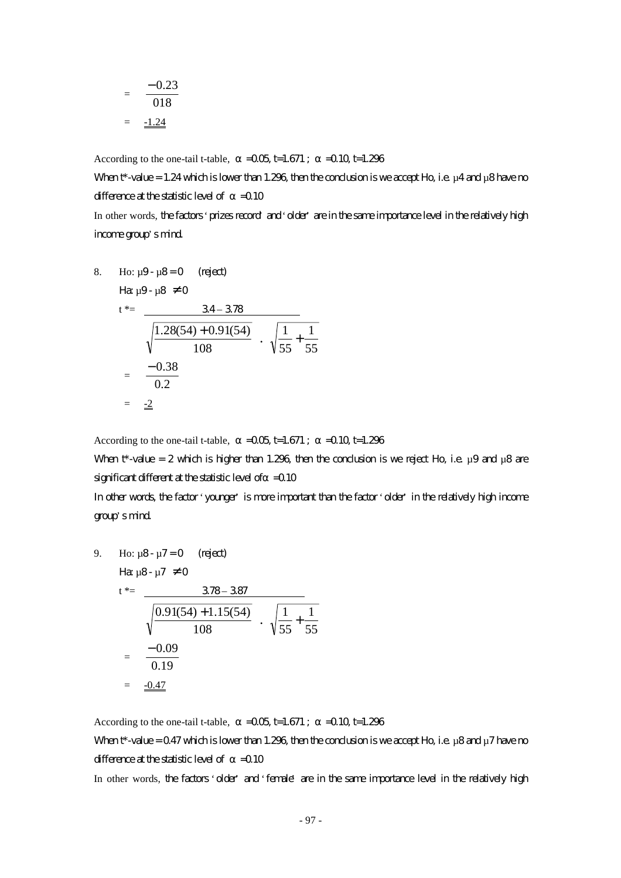$$
= \frac{-0.23}{018}
$$

$$
= \frac{-1.24}{}
$$

According to the one-tail t-table,  $=$   $-0.05$  t=1.671;  $=$   $-0.10$  t=1.296

When  $t^*$ -value = 1.24 which is lower than 1.296, then the conclusion is we accept Ho, i.e.  $\mu$ 4 and  $\mu$ 8 have no difference at the statistic level of  $=0.10$ 

In other words, the factors 'prizes record' and 'older' are in the same importance level in the relatively high income group's mind.

8. Ho: 
$$
\mu
$$
9-  $\mu$ 8=0 (reject)  
\n $t^* = \frac{34-378}{\sqrt{\frac{1.28(54)+0.91(54)}{108}} \cdot \sqrt{\frac{1}{55} + \frac{1}{55}}$   
\n $= \frac{-0.38}{0.2}$   
\n $= \frac{-2}{\sqrt{55}}$ 

According to the one-tail t-table,  $=$   $-0.05$  t=1.671;  $=$   $-0.10$  t=1.296

When t\*-value = 2 which is higher than 1.296, then the conclusion is we reject Ho, i.e.  $\mu$ 9 and  $\mu$ 8 are significant different at the statistic level of  $=$  0.10

In other words, the factor 'younger' is more important than the factor 'older' in the relatively high income group's mind.

9. Ho: 
$$
\mu
$$
8-  $\mu$ 7=0 (reject)  
\n $t^* = \frac{378-387}{\sqrt{\frac{0.91(54)+1.15(54)}{108}} \cdot \sqrt{\frac{1}{55} + \frac{1}{55}}$   
\n $= \frac{-0.09}{0.19}$   
\n $= \frac{-0.47}{\sqrt{\frac{0.91(54)}{108}}}$ 

According to the one-tail t-table,  $=$   $-0.05$  t=1.671;  $=$   $-0.10$  t=1.296 When  $t^*$ -value = 0.47 which is lower than 1.296, then the conclusion is we accept Ho, i.e.  $\mu$ 8 and  $\mu$ 7 have no difference at the statistic level of  $=$  0.10

In other words, the factors 'older' and 'female' are in the same importance level in the relatively high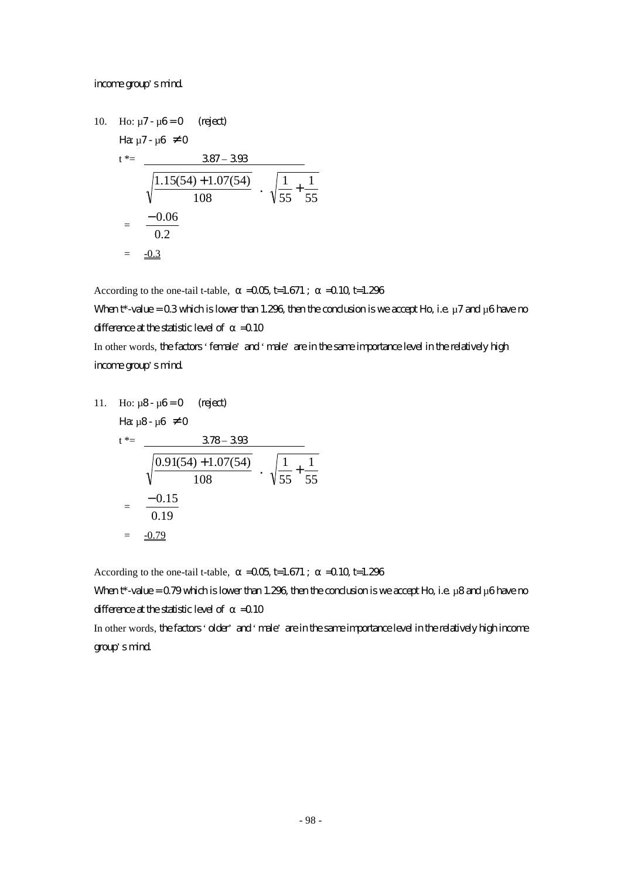#### income group's mind.

10. Ho: 
$$
\mu
$$
7- $\mu$ 6=0 (reject)  
\n
$$
\begin{aligned}\n\text{Hg } \mu \text{7-}\mu \text{6} &\neq 0 \\
t^* &= \frac{387 - 393}{\sqrt{\frac{1.15(54) + 1.07(54)}{108}} \cdot \sqrt{\frac{1}{55} + \frac{1}{55}} \\
&= \frac{-0.06}{0.2} \\
&= \frac{-0.3}{\sqrt{55 + \frac{1}{55}}} \\
\text{Hg } \mu \text{m} \end{aligned}
$$

According to the one-tail t-table,  $=0.05$  t=1.671;  $=0.10$  t=1.296

When  $t^*$ -value = 0.3 which is lower than 1.296, then the condusion is we accept Ho, i.e.  $\mu$ 7 and  $\mu$ 6 have no difference at the statistic level of  $=0.10$ 

In other words, the factors 'female' and 'male' are in the same importance level in the relatively high income group's mind.

11. Ho: 
$$
\mu
$$
8-  $\mu$ 6=0 (reject)  
\n $t^* = \frac{378 - 393}{\sqrt{\frac{0.91(54) + 1.07(54)}{108}} \cdot \sqrt{\frac{1}{55} + \frac{1}{55}}$   
\n $= \frac{-0.15}{0.19}$   
\n $= \frac{-0.79}{\sqrt{0.91}}$ 

According to the one-tail t-table,  $=$   $-0.05$  t=1.671;  $=$   $-0.10$  t=1.296

When  $t^*$ -value = 0.79 which is lower than 1.296, then the conclusion is we accept Ho, i.e. µ8 and µ6 have no difference at the statistic level of  $=$  0.10

In other words, the factors 'older' and 'male' are in the same importance level in the relatively high income group's mind.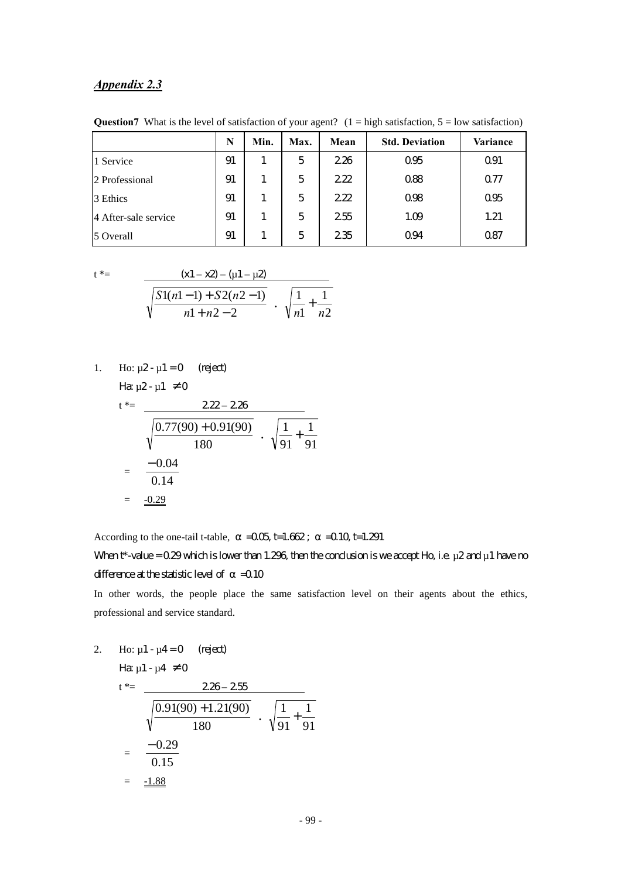## *Appendix 2.3*

|                      | N  | Min. | Max. | Mean | <b>Std. Deviation</b> | Variance |
|----------------------|----|------|------|------|-----------------------|----------|
| 1 Service            | 91 |      | 5    | 226  | 095                   | Q91      |
| 2 Professional       | 91 |      | 5    | 222  | 088                   | 077      |
| 3 Ethics             | 91 |      | 5    | 222  | 098                   | 095      |
| 4 After-sale service | 91 |      | 5    | 255  | 1.09                  | 1.21     |
| 5 Overall            | 91 |      | 5    | 235  | 094                   | 087      |

**Question7** What is the level of satisfaction of your agent?  $(1 = high satisfaction, 5 = low satisfaction)$ 

$$
t^* =
$$

| $(x1 - x2) - (\mu 1 - \mu 2)$      |                                       |
|------------------------------------|---------------------------------------|
| $\left  S1(n-1) + S2(n-1) \right $ |                                       |
| $n1 + n2 - 2$                      | $\sqrt{n}$ <sup>+</sup> $\frac{n}{2}$ |

1. Ho:  $\mu$ 2 -  $\mu$ 1 = 0 (reject) Ha:  $u2 - u1 \neq 0$ 

$$
t^* = 222 - 226
$$

$$
\sqrt{\frac{0.77(90) + 0.91(90)}{180}} \cdot \sqrt{\frac{1}{91} + \frac{1}{91}}
$$
  
=  $\frac{-0.04}{0.14}$   
=  $\frac{-0.29}{\sqrt{0.29}}$ 

According to the one-tail t-table,  $=$   $-0.05$  t=1.662;  $=$   $-0.10$  t=1.291

When  $t^*$ -value = 0.29 which is lower than 1.296, then the conclusion is we accept Ho, i.e.  $\mu$ 2 and  $\mu$ 1 have no difference at the statistic level of  $=$  0.10

In other words, the people place the same satisfaction level on their agents about the ethics, professional and service standard.

2. Ho:  $\mu$ 1 -  $\mu$ 4 = 0 (reject)

$$
H\!\mathbf{a} \mu \mathbf{1} \cdot \mu \mathbf{4} \neq 0
$$

$$
t^* = \frac{228 - 255}{\sqrt{\frac{0.91(90) + 1.21(90)}{180}} \cdot \sqrt{\frac{1}{91} + \frac{1}{91}}
$$

$$
= \frac{-0.29}{0.15}
$$

$$
= \frac{-1.88}{\sqrt{0.15}}
$$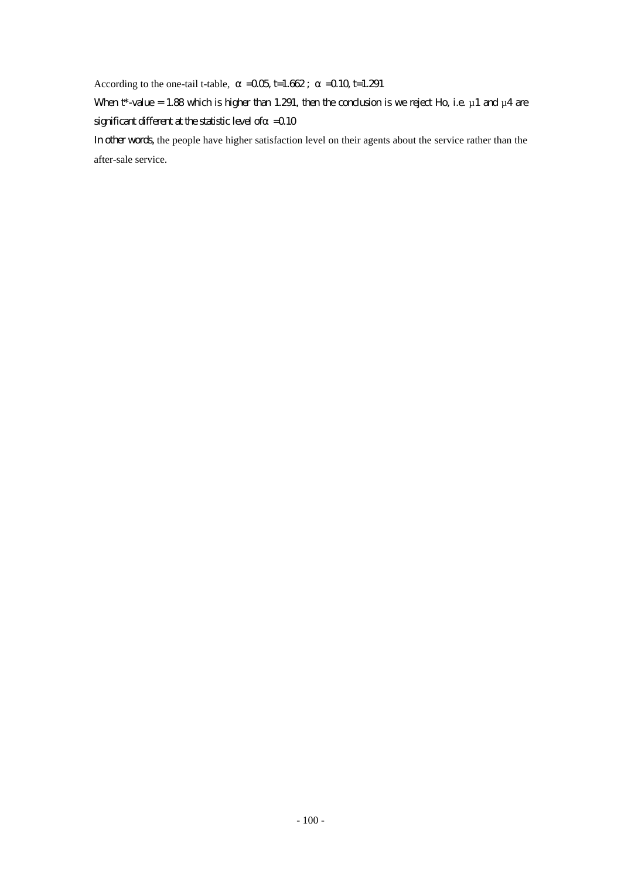According to the one-tail t-table,  $=0.05$  t=1.662;  $=0.10$  t=1.291

When  $t^*$ -value = 1.88 which is higher than 1.291, then the conclusion is we reject Ho, i.e.  $\mu$  1 and  $\mu$ 4 are significant different at the statistic level of  $=$  0.10

In other words, the people have higher satisfaction level on their agents about the service rather than the after-sale service.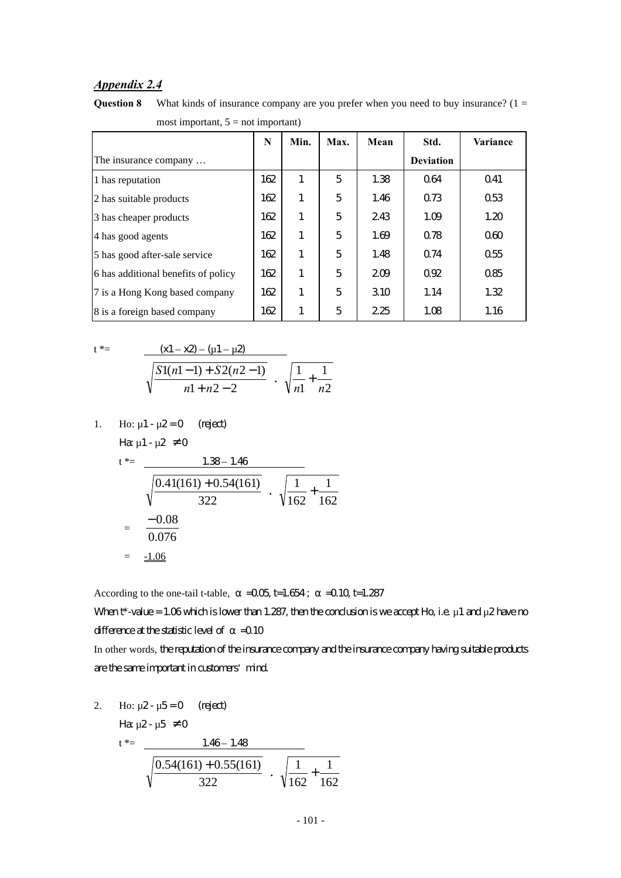## *Appendix 2.4*

**Question 8** What kinds of insurance company are you prefer when you need to buy insurance? (1 = most important,  $5 = not$  important)

|                                     | N   | Min. | Max. | Mean | Std.             | Variance    |
|-------------------------------------|-----|------|------|------|------------------|-------------|
| The insurance company               |     |      |      |      | <b>Deviation</b> |             |
| 1 has reputation                    | 162 | 1    | 5    | 1.38 | 064              | $\Omega$ 41 |
| 2 has suitable products             | 162 | 1    | 5    | 1.46 | 073              | 053         |
| 3 has cheaper products              | 162 | 1    | 5    | 243  | 1.09             | 1.20        |
| 4 has good agents                   | 162 | 1    | 5    | 1.69 | 078              | 060         |
| 5 has good after-sale service       | 162 | 1    | 5    | 1.48 | 074              | 055         |
| 6 has additional benefits of policy | 162 | 1    | 5    | 209  | $\Omega$         | 085         |
| 7 is a Hong Kong based company      | 162 | 1    | 5    | 310  | 1.14             | 1.32        |
| 8 is a foreign based company        | 162 | 1    | 5    | 225  | 1.08             | 1.16        |

2

1

$$
t^* = \frac{(x1 - x2) - (u1 - u2)}{\sqrt{\frac{S1(n1 - 1) + S2(n2 - 1)}{n1 + n2 - 2}} \cdot \sqrt{\frac{1}{n1} + \frac{1}{n2}}}
$$

1. Ho: 
$$
\mu
$$
1- $\mu$ 2=0 (reject)  
\n
$$
H\alpha \mu
$$
1- $\mu$ 2 \ne 0  
\n
$$
t^* = \frac{1.38 - 1.46}{\sqrt{\frac{0.41(161) + 0.54(161)}{322}} \cdot \sqrt{\frac{1}{162} + \frac{1}{162}}
$$
\n
$$
= \frac{-0.08}{0.076}
$$

$$
= \underline{-1.06}
$$

According to the one-tail t-table,  $=$   $-0.05$  t=1.654;  $=$   $-0.10$  t=1.287

When  $t^*$ -value = 1.06 which is lower than 1.287, then the conclusion is we accept Ho, i.e.  $\mu$  1 and  $\mu$ 2 have no difference at the statistic level of  $=$  0.10

In other words, the reputation of the insurance company and the insurance company having suitable products are the same important in customers' mind.

2. Ho:  $\mu$ 2 -  $\mu$ 5 = 0 (reject)

Ha  $\mu$ 2- $\mu$ 5  $\neq$  0

$$
t^* = \frac{1.46 - 1.48}{\sqrt{\frac{0.54(161) + 0.55(161)}{322}} \cdot \sqrt{\frac{1}{162} + \frac{1}{162}}}
$$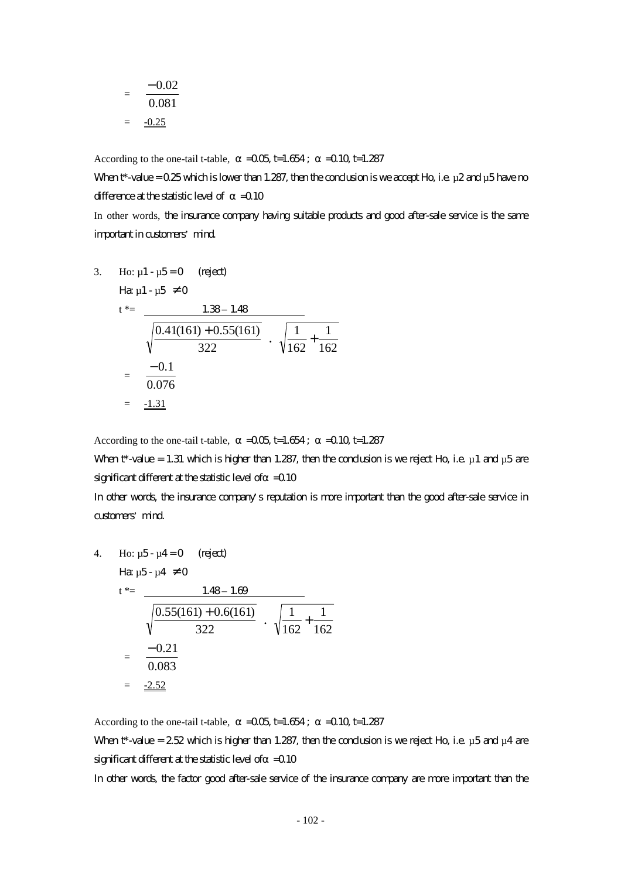$$
= \frac{-0.02}{0.081}
$$

$$
= \frac{-0.25}{0.081}
$$

According to the one-tail t-table,  $=$   $-0.05$  t=1.654;  $=$   $-0.10$  t=1.287

When  $t^*$ -value = 0.25 which is lower than 1.287, then the conclusion is we accept Ho, i.e.  $\mu$ 2 and  $\mu$ 5 have no difference at the statistic level of  $=0.10$ In other words, the insurance company having suitable products and good after-sale service is the same

important in customers' mind.

3. Ho: µ1 - µ5 = 0 (reject) Ha: µ1 - µ5 ≠ 0 t \*= 1.38 – 1.48 322 0.41(161) + 0.55(161) **.** 162 1 162 1 + = 0.076 − 0.1 = -1.31

According to the one-tail t-table,  $=0.05$  t=1.654;  $=0.10$  t=1.287

When  $t^*$ -value = 1.31 which is higher than 1.287, then the conclusion is we reject Ho, i.e.  $\mu$ 1 and  $\mu$ 5 are significant different at the statistic level of  $=$  0.10

In other words, the insurance company's reputation is more important than the good after-sale service in customers' mind.

4. Ho: 
$$
\mu
$$
5- $\mu$ 4=0 (reject)  
\n $t^* = \frac{1.48 - 1.69}{\sqrt{\frac{0.55(161) + 0.6(161)}{322}} \cdot \sqrt{\frac{1}{162} + \frac{1}{162}}$   
\n $= \frac{-0.21}{0.083}$   
\n $= \frac{-2.52}{\sqrt{0.083}}$ 

According to the one-tail t-table,  $=$   $-0.05$  t=1.654;  $=$   $-0.10$  t=1.287 When  $t^*$ -value = 2.52 which is higher than 1.287, then the conclusion is we reject Ho, i.e.  $\mu$ 5 and  $\mu$ 4 are significant different at the statistic level of  $=$  0.10

In other words, the factor good after-sale service of the insurance company are more important than the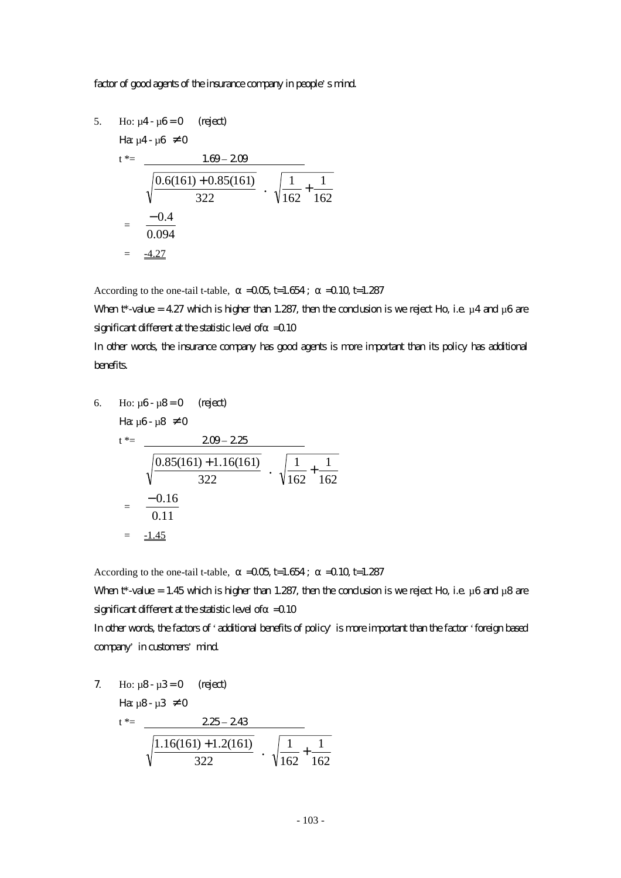#### factor of good agents of the insurance company in people's mind.

5. Ho:  $\mu$ 4 -  $\mu$ 6 = 0 (reject)

Example 4.18. The sum of the following matrices:

\n
$$
t^* = \frac{1.69 - 209}{\sqrt{\frac{0.6(161) + 0.85(161)}{322}} \cdot \sqrt{\frac{1}{162} + \frac{1}{162}}
$$
\n
$$
= \frac{-0.4}{0.094}
$$
\n
$$
= \frac{-4.27}{\sqrt{\frac{0.094}{162}}}
$$

According to the one-tail t-table,  $=0.05$  t=1.654;  $=0.10$  t=1.287

When t\*-value = 4.27 which is higher than 1.287, then the conclusion is we reject Ho, i.e.  $\mu$ 4 and  $\mu$ 6 are significant different at the statistic level of  $=$  0.10

In other words, the insurance company has good agents is more important than its policy has additional benefits.

6. Ho: 
$$
\mu
$$
6-  $\mu$ 8=0 (rigect)  
\n $t^* = \frac{2\omega - 225}{\sqrt{\frac{0.85(161) + 1.16(161)}{322}} \cdot \sqrt{\frac{1}{162} + \frac{1}{162}}$   
\n $= \frac{-0.16}{0.11}$   
\n $= \frac{-1.45}{0.11}$ 

According to the one-tail t-table,  $=0.05$  t=1.654;  $=0.10$  t=1.287

When  $t^*$ -value = 1.45 which is higher than 1.287, then the conclusion is we reject Ho, i.e.  $\mu$ 6 and  $\mu$ 8 are significant different at the statistic level of  $=$  0.10

In other words, the factors of 'additional benefits of policy' is more important than the factor 'foreign based company' in customers' mind.

7. Ho: 
$$
\mu
$$
8-  $\mu$ 3=0 (reject)  
\n
$$
\begin{array}{rcl}\n\text{H}\alpha \mu \text{B} - \mu \text{3} \neq 0 \\
\text{t}^* & = & 225 - 243 \\
\sqrt{\frac{1.16(161) + 1.2(161)}{322}} \cdot \sqrt{\frac{1}{162} + \frac{1}{162}}\n\end{array}
$$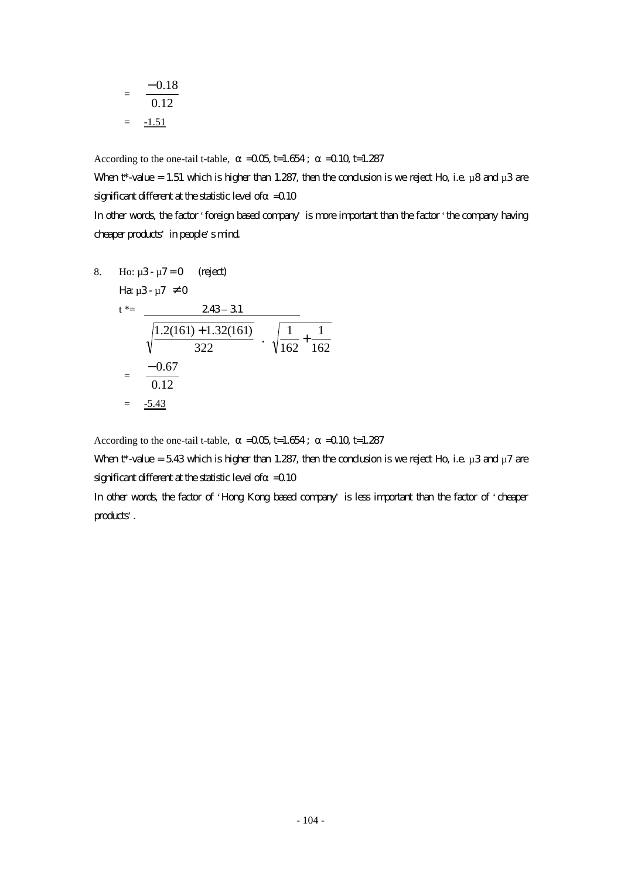$$
= \frac{-0.18}{0.12}
$$

$$
= \frac{-1.51}{}
$$

According to the one-tail t-table,  $=$   $-0.05$  t=1.654;  $=$   $-0.10$  t=1.287

When  $t^*$ -value = 1.51 which is higher than 1.287, then the conclusion is we reject Ho, i.e.  $\mu$ 8 and  $\mu$ 3 are significant different at the statistic level of  $=$  0.10 In other words, the factor 'foreign based company' is more important than the factor 'the company having

cheaper products' in people's mind.

8. Ho: 
$$
\mu
$$
3-  $\mu$ 7=0 (right)  
\n $t^* = \frac{243-31}{\sqrt{\frac{1.2(161)+1.32(161)}{322}} \cdot \sqrt{\frac{1}{162} + \frac{1}{162}}$   
\n $= \frac{-0.67}{0.12}$   
\n $= \frac{-5.43}{}$ 

According to the one-tail t-table,  $=0.05$  t=1.654;  $=0.10$  t=1.287

When  $t^*$ -value = 5.43 which is higher than 1.287, then the conclusion is we reject Ho, i.e.  $\mu$ 3 and  $\mu$ 7 are significant different at the statistic level of  $=$  0.10

In other words, the factor of 'Hong Kong based company' is less important than the factor of 'cheaper products'.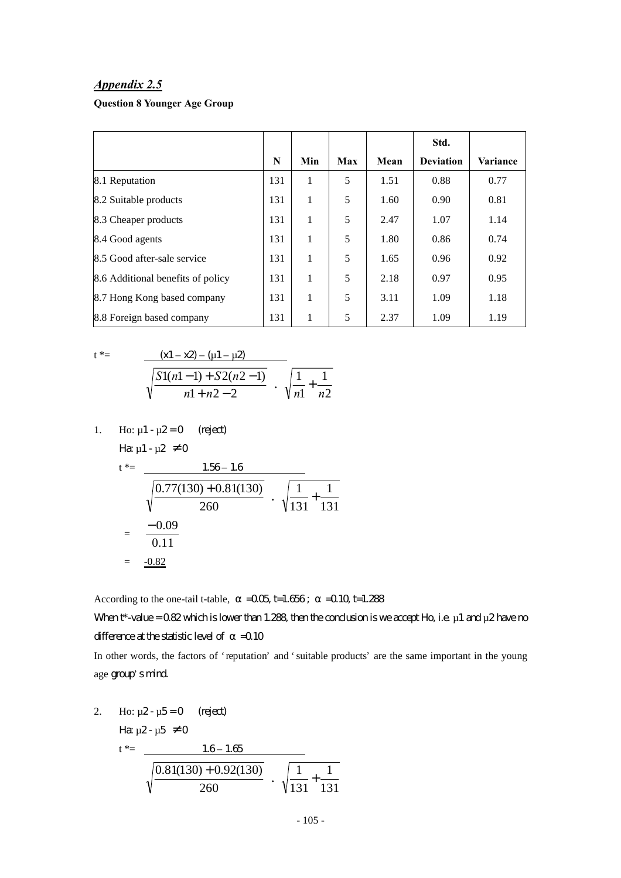#### *Appendix 2.5*

## **Question 8 Younger Age Group**

|                                   |     |     |     |      | Std.             |          |
|-----------------------------------|-----|-----|-----|------|------------------|----------|
|                                   | N   | Min | Max | Mean | <b>Deviation</b> | Variance |
| 8.1 Reputation                    | 131 | 1   | 5   | 1.51 | 0.88             | 0.77     |
| 8.2 Suitable products             | 131 | 1   | 5   | 1.60 | 0.90             | 0.81     |
| 8.3 Cheaper products              | 131 | 1   | 5   | 2.47 | 1.07             | 1.14     |
| 8.4 Good agents                   | 131 | 1   | 5   | 1.80 | 0.86             | 0.74     |
| 8.5 Good after-sale service       | 131 | 1   | 5   | 1.65 | 0.96             | 0.92     |
| 8.6 Additional benefits of policy | 131 | 1   | 5   | 2.18 | 0.97             | 0.95     |
| 8.7 Hong Kong based company       | 131 | 1   | 5   | 3.11 | 1.09             | 1.18     |
| 8.8 Foreign based company         | 131 | 1   | 5   | 2.37 | 1.09             | 1.19     |

2 1

+

$$
t^* = \frac{(x1 - x2) - (u1 - u2)}{\sqrt{\frac{S1(n1 - 1) + S2(n2 - 1)}{n1 + n2 - 2}} \cdot \sqrt{\frac{1}{n1} + \frac{1}{n}}
$$

1. Ho: 
$$
\mu
$$
1 -  $\mu$ 2 = 0 (reject)  
Ha  $\mu$ 1 -  $\mu$ 2  $\neq$  0

$$
t^* = \frac{1.56 - 1.6}{\sqrt{\frac{0.77(130) + 0.81(130)}{260}} \cdot \sqrt{\frac{1}{131} + \frac{1}{131}}
$$
  
=  $\frac{-0.09}{0.11}$   
=  $\frac{-0.82}{\sqrt{\frac{0.82}{131}}}$ 

According to the one-tail t-table,  $=$   $-0.05$  t=1.656;  $=$   $-0.10$  t=1.288 When  $t^*$ -value = 0.82 which is lower than 1.288, then the conclusion is we accept Ho, i.e.  $\mu$  1 and  $\mu$ 2 have no difference at the statistic level of  $=$  0.10

In other words, the factors of 'reputation' and 'suitable products' are the same important in the young age group's mind.

2. Ho: 
$$
\mu
$$
2-  $\mu$ 5=0 (reject)  
\n
$$
\frac{16}{\mu}
$$
Eq.  $\mu$ 2-  $\mu$ 5 \neq 0  
\n
$$
t^* = \frac{1.6 - 1.65}{\sqrt{\frac{0.81(130) + 0.92(130)}{260}} \cdot \sqrt{\frac{1}{131} + \frac{1}{131}}
$$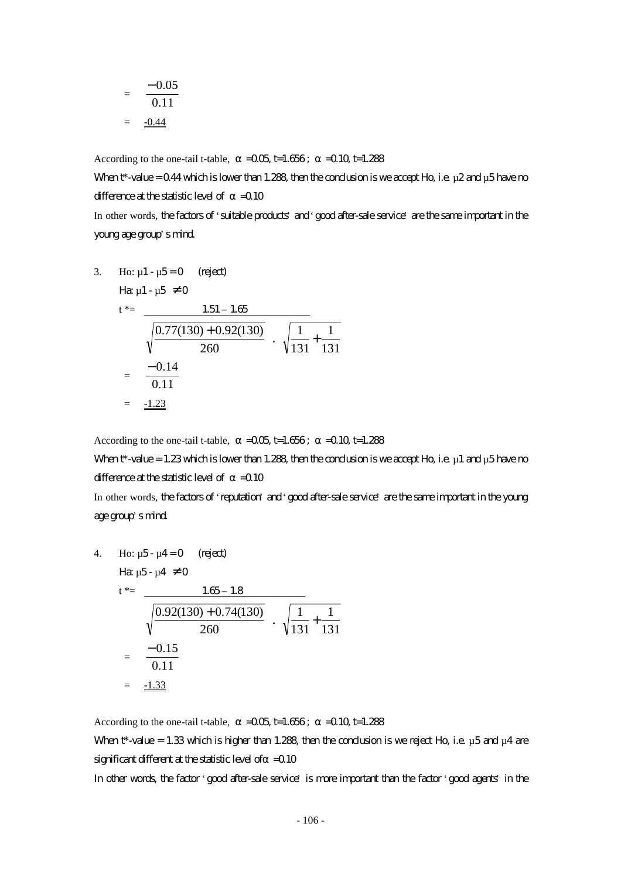$$
= \frac{-0.05}{0.11}
$$

$$
= \frac{-0.44}{}
$$

According to the one-tail t-table,  $=$   $-0.05$  t=1.656;  $=$   $-0.10$  t=1.288

When  $t^*$ -value = 0.44 which is lower than 1.288, then the conclusion is we accept Ho, i.e.  $\mu$ 2 and  $\mu$ 5 have no difference at the statistic level of  $=0.10$ 

In other words, the factors of 'suitable products' and 'good after-sale service' are the same important in the young age group's mind.

3. Ho: 
$$
\mu
$$
1- $\mu$ 5=0 (reject)  
\n
$$
\begin{aligned}\n\text{Hence,} \\
t^* &= \frac{1.51 - 1.65}{\sqrt{\frac{0.77(130) + 0.92(130)}{260}} \cdot \sqrt{\frac{1}{131} + \frac{1}{131}} \\
&= \frac{-0.14}{0.11} \\
&= \frac{-1.23}{\sqrt{\frac{0.72(130)}{260}}}\n\end{aligned}
$$

According to the one-tail t-table,  $=$   $-0.05$  t=1.656;  $=$   $-0.10$  t=1.288

When  $t^*$ -value = 1.23 which is lower than 1.288, then the conclusion is we accept Ho, i.e.  $\mu$ 1 and  $\mu$ 5 have no difference at the statistic level of  $=0.10$ 

In other words, the factors of 'reputation' and 'good after-sale service' are the same important in the young age group's mind.

4. Ho: 
$$
\mu
$$
5- $\mu$ 4=0 (reject)  
\n $t^* = \frac{1.65 - 1.8}{\sqrt{\frac{0.92(130) + 0.74(130)}{260}} \cdot \sqrt{\frac{1}{131} + \frac{1}{131}}$   
\n $= \frac{-0.15}{0.11}$   
\n $= \frac{-1.33}{0.11}$ 

According to the one-tail t-table,  $=$   $-0.05$  t=1.656;  $=$   $-0.10$  t=1.288 When  $t^*$ -value = 1.33 which is higher than 1.288, then the conclusion is we reject Ho, i.e.  $\mu$ 5 and  $\mu$ 4 are significant different at the statistic level of  $=$  0.10

In other words, the factor 'good after-sale service' is more important than the factor 'good agents' in the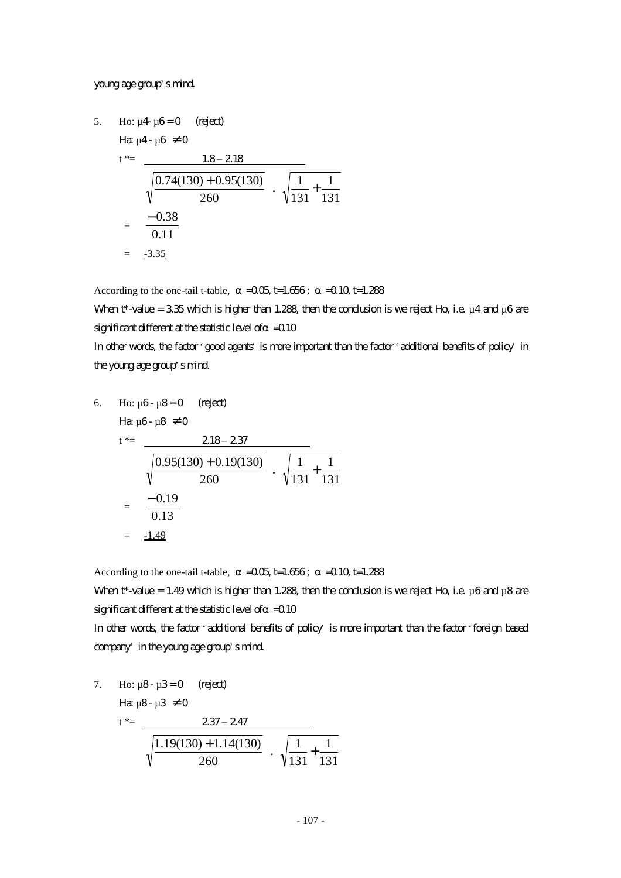#### young age group's mind.

5. Ho: 
$$
\mu
$$
4  $\mu$ 6 = 0 (reject)  
\n
$$
\begin{aligned}\n\text{Hg } \mu \text{4- } \mu \text{6} &\neq 0 \\
t^* &= \frac{1.8 - 2.18}{\sqrt{\frac{0.74(130) + 0.95(130)}{260}} \cdot \sqrt{\frac{1}{131} + \frac{1}{131}} \\
&= \frac{-0.38}{0.11} \\
&= \frac{-3.35}{\sqrt{\frac{0.74(130) + 0.95(130)}{260}} \cdot \sqrt{\frac{1}{131} + \frac{1}{131}}\n\end{aligned}
$$

According to the one-tail t-table,  $=0.05$  t=1.656;  $=0.10$  t=1.288

When t\*-value = 3.35 which is higher than 1.288, then the conclusion is we reject Ho, i.e.  $\mu$ 4 and  $\mu$ 6 are significant different at the statistic level of  $=$  0.10

In other words, the factor 'good agents' is more important than the factor 'additional benefits of policy' in the young age group's mind.

6. Ho: 
$$
\mu
$$
6-  $\mu$ 8=0 (reject)  
\n
$$
\begin{aligned}\n\text{Hg } \mu \text{G} \cdot \mu \text{S} &\neq 0 \\
t^* &= \frac{218 - 237}{\sqrt{\frac{0.95(130) + 0.19(130)}{260}} \cdot \sqrt{\frac{1}{131} + \frac{1}{131}} \\
&= \frac{-0.19}{0.13} \\
&= \frac{\pm 1.49}{\sqrt{\frac{0.95(130) + 0.19(130)}{260}} \cdot \sqrt{\frac{1}{131} + \frac{1}{131}}\n\end{aligned}
$$

According to the one-tail t-table,  $=$   $-0.05$  t=1.656;  $=$   $-0.10$  t=1.288

When  $t^*$ -value = 1.49 which is higher than 1.288, then the conclusion is we reject Ho, i.e.  $\mu$ 6 and  $\mu$ 8 are significant different at the statistic level of  $=$  0.10

In other words, the factor 'additional benefits of policy' is more important than the factor 'foreign based company' in the young age group's mind.

7. Ho: 
$$
\mu
$$
8-  $\mu$ 3=0 (reject)  
\n
$$
\begin{aligned}\n\text{Hence,} \\
t^* &= \frac{237 - 247}{\sqrt{\frac{1.19(130) + 1.14(130)}{260}} \cdot \sqrt{\frac{1}{131} + \frac{1}{131}}\n\end{aligned}
$$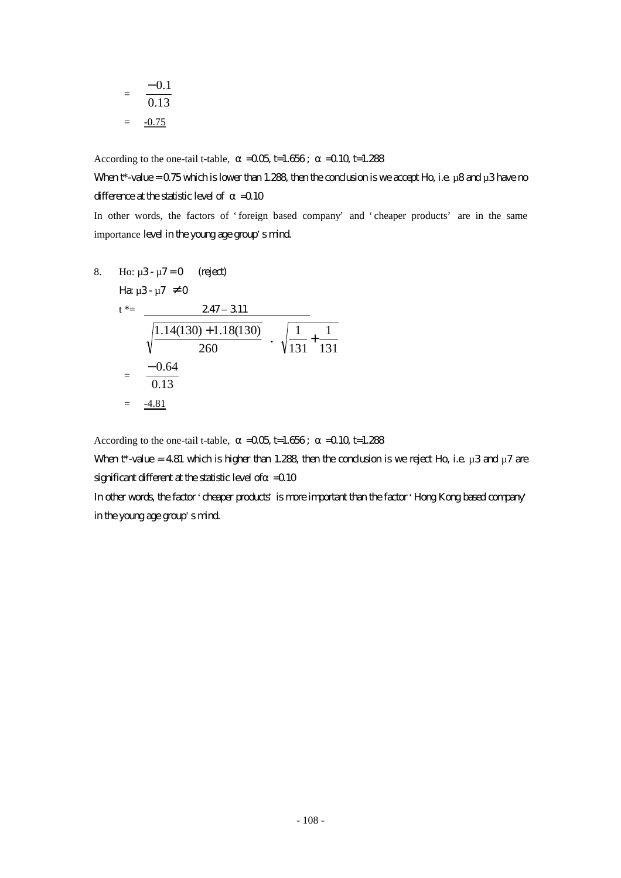$$
= \frac{-0.1}{0.13}
$$

$$
= \frac{-0.75}{}
$$

According to the one-tail t-table,  $=$   $-0.05$  t=1.656;  $=$   $-0.10$  t=1.288

When  $t^*$ -value = 0.75 which is lower than 1.288, then the conclusion is we accept Ho, i.e. µ8 and µ3 have no difference at the statistic level of  $=$  0.10

In other words, the factors of 'foreign based company' and 'cheaper products' are in the same importance level in the young age group's mind.

8. Ho: 
$$
\mu
$$
3-  $\mu$ 7=0 (reject)  
\n
$$
\begin{aligned}\n\text{Hg } \mu \text{3- } \mu \text{7 \neq 0} \\
t^* &= \frac{247 - 311}{\sqrt{\frac{1.14(130) + 1.18(130)}{260}} \cdot \sqrt{\frac{1}{131} + \frac{1}{131}} \\
&= \frac{-0.64}{0.13} \\
&= \frac{-4.81}{4.81}\n\end{aligned}
$$

According to the one-tail t-table,  $=0.05$  t=1.656;  $=0.10$  t=1.288

When  $t^*$ -value = 4.81 which is higher than 1.288, then the conclusion is we reject Ho, i.e.  $\mu$ 3 and  $\mu$ 7 are significant different at the statistic level of  $=$  0.10

In other words, the factor 'cheaper products' is more important than the factor 'Hong Kong based company' in the young age group's mind.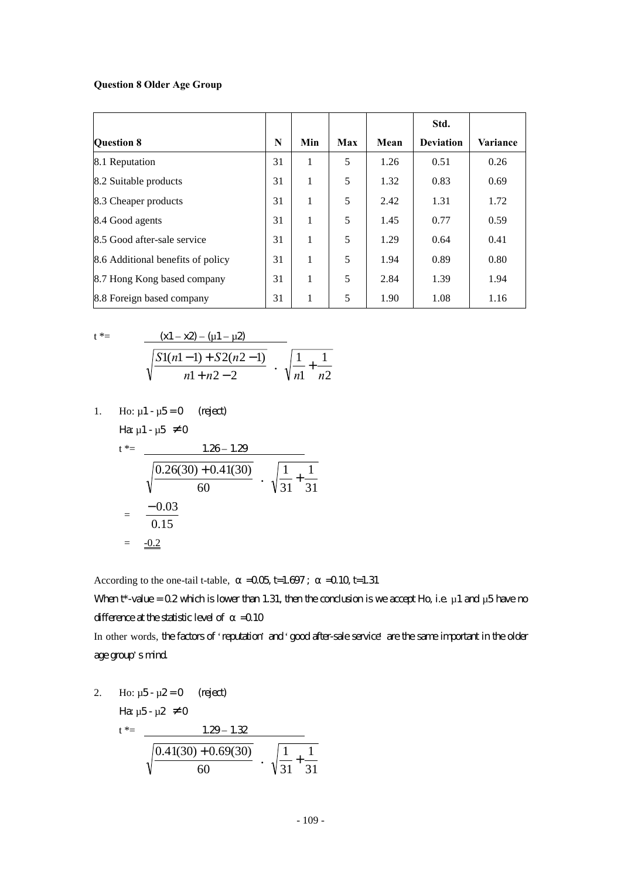#### **Question 8 Older Age Group**

|                                   |    |     |     |      | Std.             |                 |
|-----------------------------------|----|-----|-----|------|------------------|-----------------|
| <b>Question 8</b>                 | N  | Min | Max | Mean | <b>Deviation</b> | <b>Variance</b> |
| 8.1 Reputation                    | 31 | 1   | 5   | 1.26 | 0.51             | 0.26            |
| 8.2 Suitable products             | 31 | 1   | 5   | 1.32 | 0.83             | 0.69            |
| 8.3 Cheaper products              | 31 | 1   | 5   | 2.42 | 1.31             | 1.72            |
| 8.4 Good agents                   | 31 | 1   | 5   | 1.45 | 0.77             | 0.59            |
| 8.5 Good after-sale service       | 31 | 1   | 5   | 1.29 | 0.64             | 0.41            |
| 8.6 Additional benefits of policy | 31 | 1   | 5   | 1.94 | 0.89             | 0.80            |
| 8.7 Hong Kong based company       | 31 | 1   | 5   | 2.84 | 1.39             | 1.94            |
| 8.8 Foreign based company         | 31 | 1   | 5   | 1.90 | 1.08             | 1.16            |

$$
t^* =
$$

$$
\frac{(x1 - x2) - (u1 - u2)}{\sqrt{\frac{S1(n1 - 1) + S2(n2 - 1)}{n1 + n2 - 2}} \cdot \sqrt{\frac{1}{n1} + \frac{1}{n2}}}
$$

1. Ho:  $\mu$ 1 -  $\mu$ 5 = 0 (reject) Ha:  $\mu$ 1 -  $\mu$ 5  $\neq$  0

$$
t^* = \frac{1.26 - 1.29}{\sqrt{\frac{0.26(30) + 0.41(30)}{60}} \cdot \sqrt{\frac{1}{31} + \frac{1}{31}}
$$
  
=  $\frac{-0.03}{0.15}$   
=  $\frac{-0.2}{\sqrt{\frac{0.2}{31}}}$ 

According to the one-tail t-table,  $=0.05$  t=1.697;  $=0.10$  t=1.31

When  $t^*$ -value = 0.2 which is lower than 1.31, then the conclusion is we accept Ho, i.e.  $\mu$  1 and  $\mu$ 5 have no difference at the statistic level of  $=$  0.10

In other words, the factors of 'reputation' and 'good after-sale service' are the same important in the older age group's mind.

2. Ho: 
$$
\mu 5 - \mu 2 = 0
$$
 (reject)  
\n
$$
\begin{aligned}\n\text{Hence,} \quad \mu 5 - \mu 2 \neq 0 \\
\text{Hence,} \quad t^* = \frac{1.29 - 1.32}{\sqrt{\frac{0.41(30) + 0.69(30)}{60}} \cdot \sqrt{\frac{1}{31} + \frac{1}{31}}}\n\end{aligned}
$$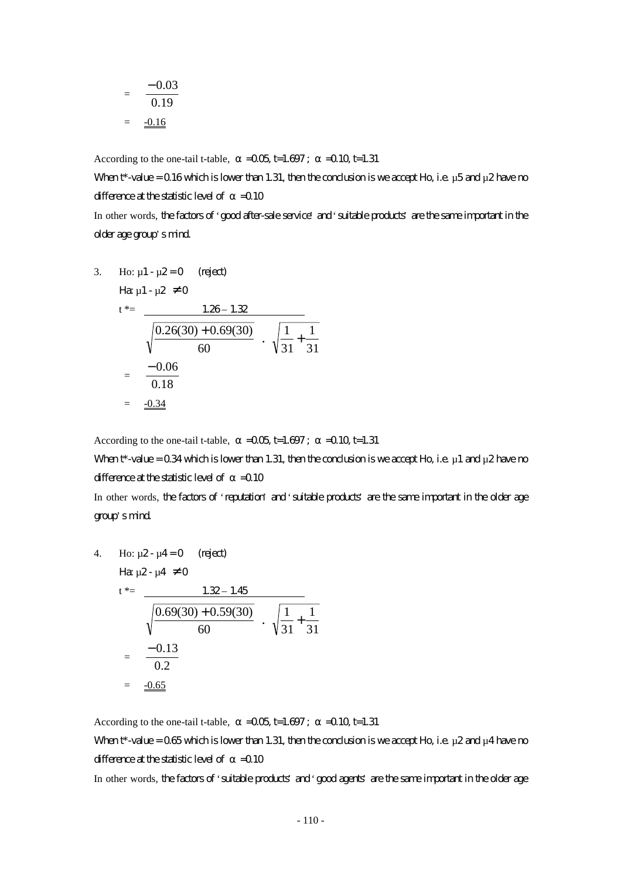$$
= \frac{-0.03}{0.19}
$$

$$
= \frac{-0.16}{}
$$

According to the one-tail t-table,  $=0.05$  t=1.697;  $=0.10$  t=1.31

When  $t^*$ -value = 0.16 which is lower than 1.31, then the conclusion is we accept Ho, i.e.  $\mu$ 5 and  $\mu$ 2 have no difference at the statistic level of  $=0.10$ 

In other words, the factors of 'good after-sale service' and 'suitable products' are the same important in the older age group's mind.

3. Ho: 
$$
\mu_1 - \mu_2 = 0
$$
 (reject)  
\n
$$
\begin{aligned}\n\text{Hence,} \\
t^* &= \frac{1.26 - 1.32}{\sqrt{\frac{0.26(30) + 0.69(30)}{60}} \cdot \sqrt{\frac{1}{31} + \frac{1}{31}} \\
&= \frac{-0.06}{0.18} \\
&= \frac{-0.34}{\sqrt{\frac{0.34}{60}}}\n\end{aligned}
$$

According to the one-tail t-table,  $=$   $-0.05$  t=1.697;  $=$   $-0.10$  t=1.31

When  $t^*$ -value = 0.34 which is lower than 1.31, then the conclusion is we accept Ho, i.e.  $\mu$ 1 and  $\mu$ 2 have no difference at the statistic level of  $=0.10$ 

In other words, the factors of 'reputation' and 'suitable products' are the same important in the older age group's mind.

4. Ho: 
$$
\mu
$$
2- $\mu$ 4=0 (reject)  
\n $t^* = \frac{1.32 - 1.45}{\sqrt{\frac{0.69(30) + 0.59(30)}{60}} \cdot \sqrt{\frac{1}{31} + \frac{1}{31}}$   
\n $= \frac{-0.13}{0.2}$   
\n $= \frac{-0.65}{0.2}$ 

According to the one-tail t-table,  $=$   $-0.05$  t=1.697;  $=$   $-0.10$  t=1.31 When  $t^*$ -value = 0.65 which is lower than 1.31, then the conclusion is we accept Ho, i.e.  $\mu$ 2 and  $\mu$ 4 have no difference at the statistic level of  $=$  0.10

In other words, the factors of 'suitable products' and 'good agents' are the same important in the older age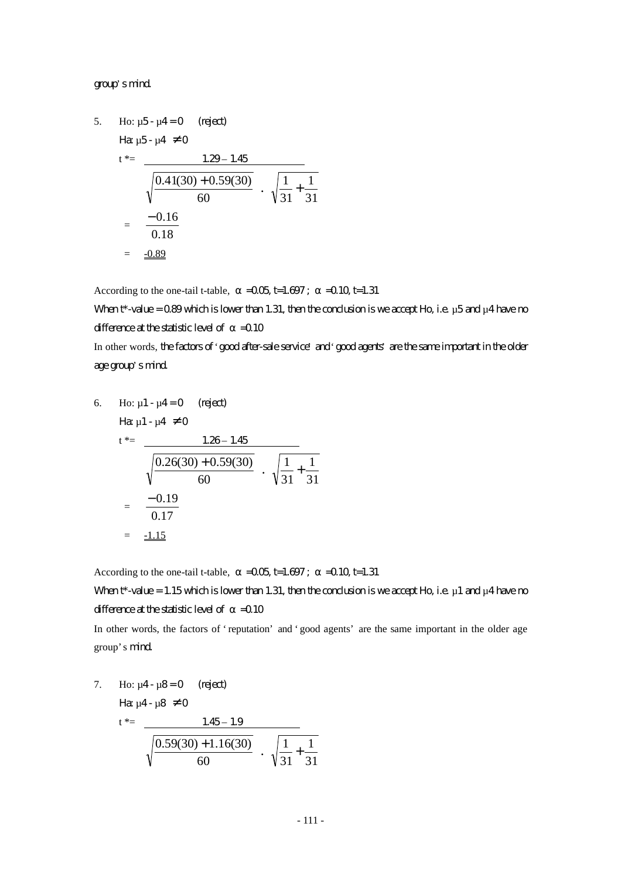#### group's mind.

5. Ho: 
$$
\mu
$$
5- $\mu$ 4=0 (reject)  
\n $t^* = \frac{1.29 - 1.45}{\sqrt{\frac{0.41(30) + 0.59(30)}{60}} \cdot \sqrt{\frac{1}{31} + \frac{1}{31}}$   
\n $= \frac{-0.16}{0.18}$   
\n $= \frac{-0.89}{\sqrt{\frac{0.89}{60}}}$ 

According to the one-tail t-table,  $=$   $-0.05$  t=1.697;  $=$   $-0.10$  t=1.31

When  $t^*$ -value = 0.89 which is lower than 1.31, then the conclusion is we accept Ho, i.e.  $\mu$ 5 and  $\mu$ 4 have no difference at the statistic level of  $=0.10$ 

In other words, the factors of 'good after-sale service' and 'good agents' are the same important in the older age group's mind.

6. Ho: 
$$
\mu
$$
1 -  $\mu$ 4 = 0 (reject)  
\n
$$
\begin{aligned}\n\text{Hence,} \\
t^* &= \frac{1.26 - 1.45}{\sqrt{\frac{0.26(30) + 0.59(30)}{60}} \cdot \sqrt{\frac{1}{31} + \frac{1}{31}}}\n\\
&= \frac{-0.19}{0.17} \\
&= \frac{-1.15}{\sqrt{\frac{0.26(30) + 0.59(30)}{60}}}\n\end{aligned}
$$

According to the one-tail t-table,  $=$   $-0.05$  t=1.697;  $=$   $-0.10$  t=1.31

When  $t^*$ -value = 1.15 which is lower than 1.31, then the conclusion is we accept Ho, i.e.  $\mu$ 1 and  $\mu$ 4 have no difference at the statistic level of  $=$  0.10

In other words, the factors of 'reputation' and 'good agents' are the same important in the older age group's mind.

7. Ho:  $\mu$ 4 -  $\mu$ 8 = 0 (reject) Ha:  $\mu$ 4 -  $\mu$ 8  $\neq$  0  $t^* =$  1.45 – 1.9 60  $\frac{0.59(30) + 1.16(30)}{60}$   $\cdot \sqrt{\frac{1}{31} + \frac{1}{31}}$ 1 31  $\frac{1}{\cdot}$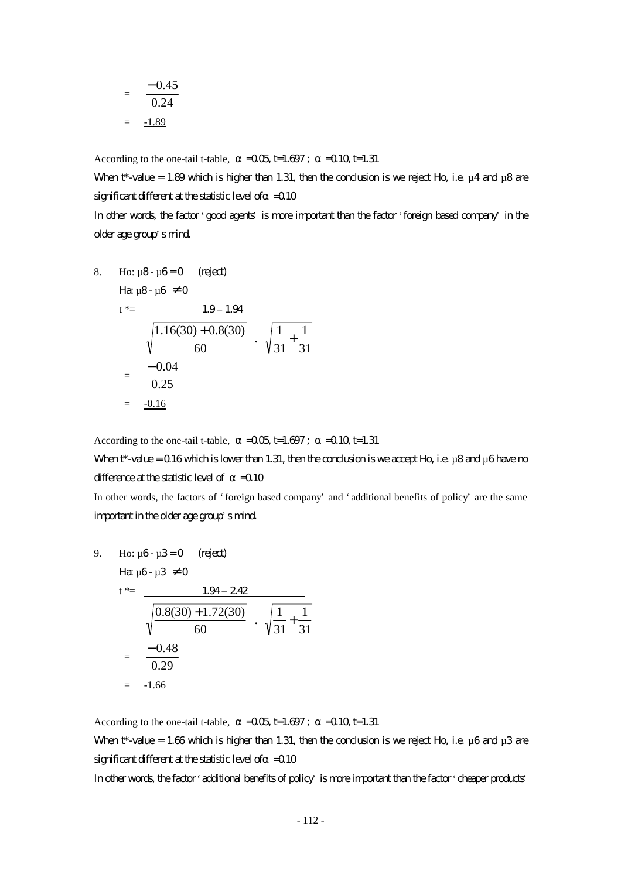$$
= \frac{-0.45}{0.24} = \frac{-1.89}{}
$$

According to the one-tail t-table,  $=0.05$  t=1.697;  $=0.10$  t=1.31

When t\*-value = 1.89 which is higher than 1.31, then the conclusion is we reject Ho, i.e.  $\mu$ 4 and  $\mu$ 8 are significant different at the statistic level of  $=$  0.10

In other words, the factor 'good agents' is more important than the factor 'foreign based company' in the older age group's mind.

8. Ho: 
$$
\mu
$$
8-  $\mu$ 6=0 (reject)  
\n $t^* = \frac{1.9 - 1.94}{\sqrt{\frac{1.16(30) + 0.8(30)}{60}} \cdot \sqrt{\frac{1}{31} + \frac{1}{31}}$   
\n $= \frac{-0.04}{0.25}$   
\n $= \frac{-0.16}{\sqrt{\frac{1.16}{60}}}$ 

According to the one-tail t-table,  $=$   $-0.05$  t=1.697;  $=$   $-0.10$  t=1.31

### When  $t^*$ -value = 0.16 which is lower than 1.31, then the conclusion is we accept Ho, i.e.  $\mu$ 8 and  $\mu$ 6 have no difference at the statistic level of  $=0.10$

In other words, the factors of 'foreign based company' and 'additional benefits of policy' are the same important in the older age group's mind.

9. Ho: 
$$
\mu
$$
6- $\mu$ 3=0 (reject)  
\n $t^* = \frac{1.94 - 242}{\sqrt{\frac{0.8(30) + 1.72(30)}{60}} \cdot \sqrt{\frac{1}{31} + \frac{1}{31}}$   
\n $= \frac{-0.48}{0.29}$   
\n $= \frac{-1.66}{\sqrt{\frac{0.8(30) + 1.72(30)}{0.29}}}$ 

According to the one-tail t-table,  $=$   $-0.05$  t=1.697;  $=$   $-0.10$  t=1.31 When t\*-value = 1.66 which is higher than 1.31, then the conclusion is we reject Ho, i.e.  $\mu$ 6 and  $\mu$ 3 are significant different at the statistic level of  $=$  0.10

In other words, the factor 'additional benefits of policy' is more important than the factor 'cheaper products'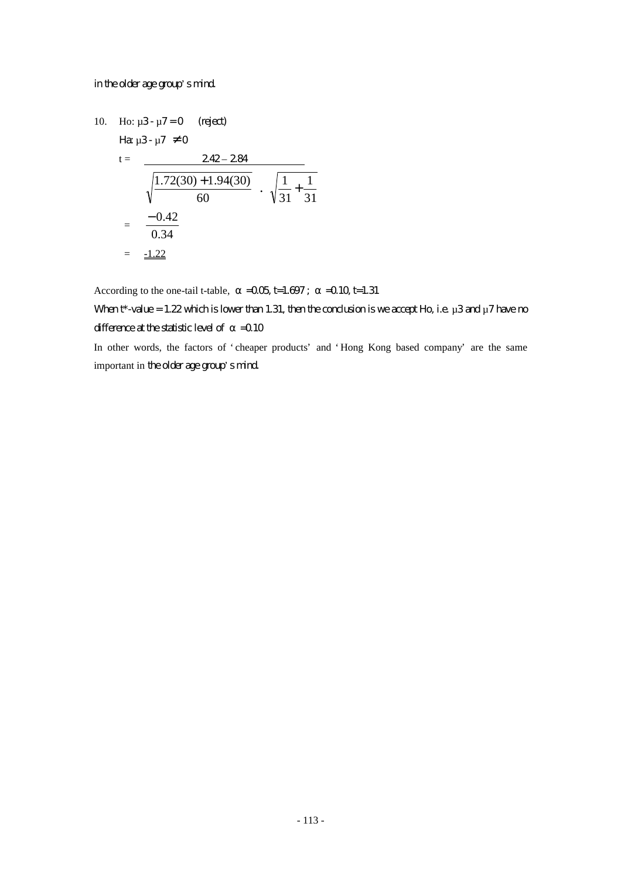#### in the older age group's mind.

10. Ho: 
$$
\mu
$$
3-  $\mu$ 7=0 (reject)  
\n
$$
\begin{aligned}\n\text{Hence,} \\
\mu \text{Hence,} \\
\mu \text{Hence,} \\
\mu \text{Hence,} \\
\mu \text{Hence,} \\
\mu \text{Hence,} \\
\mu \text{Hence,} \\
\mu \text{Hence,} \\
\mu \text{Hence,} \\
\mu \text{Hence,} \\
\mu \text{Hence,} \\
\mu \text{Hence,} \\
\mu \text{Hence,} \\
\mu \text{Hence,} \\
\mu \text{Hence,} \\
\mu \text{Hence,} \\
\mu \text{Hence,} \\
\mu \text{Hence,} \\
\mu \text{Hence,} \\
\mu \text{Hence,} \\
\mu \text{Hence,} \\
\mu \text{Hence,} \\
\mu \text{Hence,} \\
\mu \text{Hence,} \\
\mu \text{Hence,} \\
\mu \text{Hence,} \\
\mu \text{Hence,} \\
\mu \text{Hence,} \\
\mu \text{Hence,} \\
\mu \text{Hence,} \\
\mu \text{Hence,} \\
\mu \text{Hence,} \\
\mu \text{Hence,} \\
\mu \text{Hence,} \\
\mu \text{Hence,} \\
\mu \text{Hence,} \\
\mu \text{Hence,} \\
\mu \text{Hence,} \\
\mu \text{Hence,} \\
\mu \text{Hence,} \\
\mu \text{Hence,} \\
\mu \text{Hence,} \\
\mu \text{Hence,} \\
\mu \text{Hence,} \\
\mu \text{Hence,} \\
\mu \text{Hence,} \\
\mu \text{Hence,} \\
\mu \text{Hence,} \\
\mu \text{Hence,} \\
\mu \text{Hence,} \\
\mu \text{Hence,} \\
\mu \text{Hence,} \\
\mu \text{Hence,} \\
\mu \text{Hence,} \\
\mu \text{Hence,} \\
\mu \text{Hence,} \\
\mu \text{Hence,} \\
\mu \text{Hence,} \\
\mu \text{Hence,} \\
\mu \text{Hence,} \\
\mu \text{Hence,} \\
\mu \text{Hence,} \\
\mu \text{Hence,} \\
\mu \text{Hence,} \\
\mu \text{Hence,} \\
\mu \text{Hence,} \\
\mu \text{Hence,} \\
\mu \text{Hence,} \\
\mu \text{Hence,} \\
\mu \text{Hence,} \\
\mu \text{Hence,} \\
\mu \text{Hence,} \\
\mu \text{H
$$

According to the one-tail t-table,  $=$   $-0.05$  t=1.697;  $=$   $-0.10$  t=1.31

## When  $t^*$ -value = 1.22 which is lower than 1.31, then the conclusion is we accept Ho, i.e.  $\mu$ 3 and  $\mu$ 7 have no difference at the statistic level of  $=$  0.10

In other words, the factors of 'cheaper products' and 'Hong Kong based company' are the same important in the older age group's mind.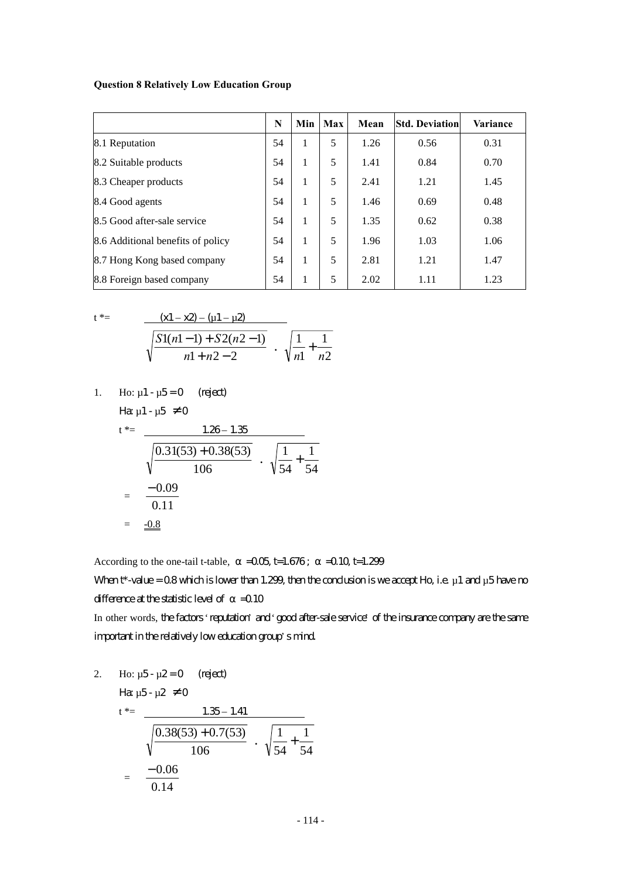#### **Question 8 Relatively Low Education Group**

|                                   | N  | Min | Max | Mean | <b>Std. Deviation</b> | Variance |
|-----------------------------------|----|-----|-----|------|-----------------------|----------|
| 8.1 Reputation                    | 54 | 1   | 5   | 1.26 | 0.56                  | 0.31     |
| 8.2 Suitable products             | 54 |     | 5   | 1.41 | 0.84                  | 0.70     |
| 8.3 Cheaper products              | 54 | 1   | 5   | 2.41 | 1.21                  | 1.45     |
| 8.4 Good agents                   | 54 | 1   | 5   | 1.46 | 0.69                  | 0.48     |
| 8.5 Good after-sale service       | 54 | 1   | 5   | 1.35 | 0.62                  | 0.38     |
| 8.6 Additional benefits of policy | 54 | 1   | 5   | 1.96 | 1.03                  | 1.06     |
| 8.7 Hong Kong based company       | 54 |     | 5   | 2.81 | 1.21                  | 1.47     |
| 8.8 Foreign based company         | 54 |     | 5   | 2.02 | 1.11                  | 1.23     |

$$
t^* = \frac{(x1 - x2) - (u1 - u2)}{\sqrt{\frac{S1(n1 - 1) + S2(n2 - 1)}{n1 + n2 - 2}} \cdot \sqrt{\frac{1}{n1} + \frac{1}{n2}}}
$$

1. Ho: 
$$
\mu
$$
1 -  $\mu$ 5 = 0 (reject)

Ha $\mu$ 1 -  $\mu$ 5  $\neq$  0

$$
t^* = \frac{1.26 - 1.35}{\sqrt{\frac{0.31(53) + 0.38(53)}{106}} \cdot \sqrt{\frac{1}{54} + \frac{1}{54}}}
$$
  
=  $\frac{-0.09}{0.11}$   
=  $\frac{-0.8}{\sqrt{0.8}}$ 

According to the one-tail t-table,  $=$   $-0.05$  t=1.676;  $=$   $-0.10$  t=1.299

When  $t^*$ -value = 0.8 which is lower than 1.299, then the conclusion is we accept Ho, i.e.  $\mu$  1 and  $\mu$ 5 have no difference at the statistic level of  $=$  0.10

In other words, the factors 'reputation' and 'good after-sale service' of the insurance company are the same important in the relatively low education group's mind.

2. Ho: 
$$
\mu 5 - \mu 2 = 0
$$
 (reject)  
\n
$$
\begin{aligned}\n\text{Hence,} \quad \mu 5 - \mu 2 \neq 0 \\
\text{Hence,} \quad t^* = \frac{1.35 - 1.41}{\sqrt{\frac{0.38(53) + 0.7(53)}{106}} \cdot \sqrt{\frac{1}{54} + \frac{1}{54}} \\
&= \frac{-0.06}{0.14}\n\end{aligned}
$$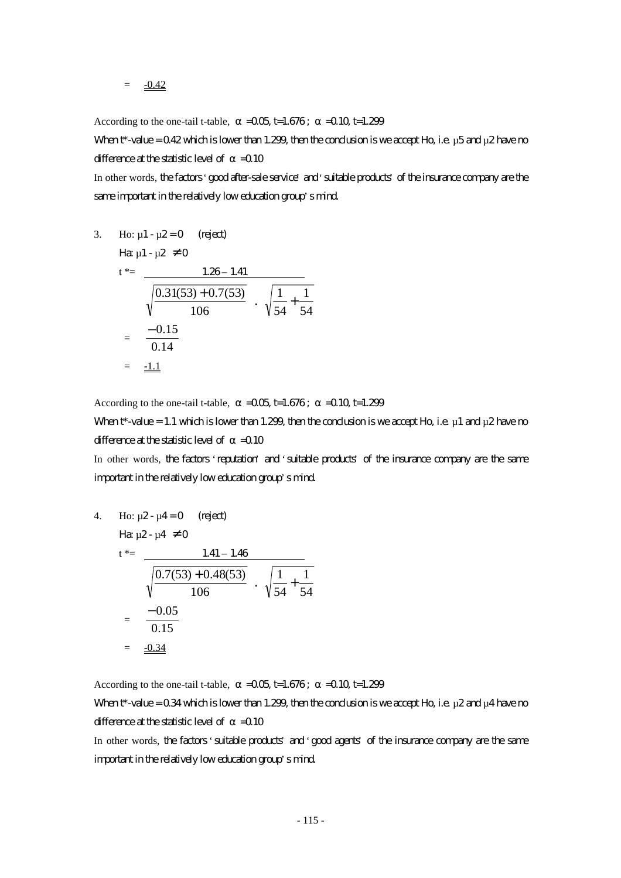According to the one-tail t-table,  $=0.05$  t=1.676;  $=0.10$  t=1.299

When t\*-value =  $0.42$  which is lower than 1.299, then the conclusion is we accept Ho, i.e. µ5 and µ2 have no difference at the statistic level of  $=$  0.10

In other words, the factors 'good after-sale service' and 'suitable products' of the insurance company are the same important in the relatively low education group's mind.

3. Ho: 
$$
\mu_1 - \mu_2 = 0
$$
 (reject)  
\n
$$
\begin{aligned}\n\text{Hence,} \\
t^* &= \frac{1.26 - 1.41}{\sqrt{\frac{0.31(53) + 0.7(53)}{106}} \cdot \sqrt{\frac{1}{54} + \frac{1}{54}} \\
&= \frac{-0.15}{0.14} \\
&= \frac{-1.1}{\sqrt{0.14}}\n\end{aligned}
$$

According to the one-tail t-table,  $=$   $-0.05$  t=1.676;  $=$   $-0.10$  t=1.299

When t\*-value = 1.1 which is lower than 1.299, then the conclusion is we accept Ho, i.e.  $\mu$  1 and  $\mu$ 2 have no difference at the statistic level of  $=$  0.10

In other words, the factors 'reputation' and 'suitable products' of the insurance company are the same important in the relatively low education group's mind.

4. Ho: 
$$
\mu
$$
2- $\mu$ 4=0 (right)  
\n $t^* = \frac{1.41 - 1.46}{\sqrt{\frac{0.7(53) + 0.48(53)}{106}} \cdot \sqrt{\frac{1}{54} + \frac{1}{54}}$   
\n $= \frac{-0.05}{0.15}$   
\n $= \frac{-0.34}{\sqrt{\frac{0.34}{106}}}$ 

According to the one-tail t-table,  $=$   $-0.05$  t=1.676;  $=$   $-0.10$  t=1.299

When  $t^*$ -value = 0.34 which is lower than 1.299, then the conclusion is we accept Ho, i.e.  $\mu$ 2 and  $\mu$ 4 have no difference at the statistic level of  $=$  0.10

In other words, the factors 'suitable products' and 'good agents' of the insurance company are the same important in the relatively low education group's mind.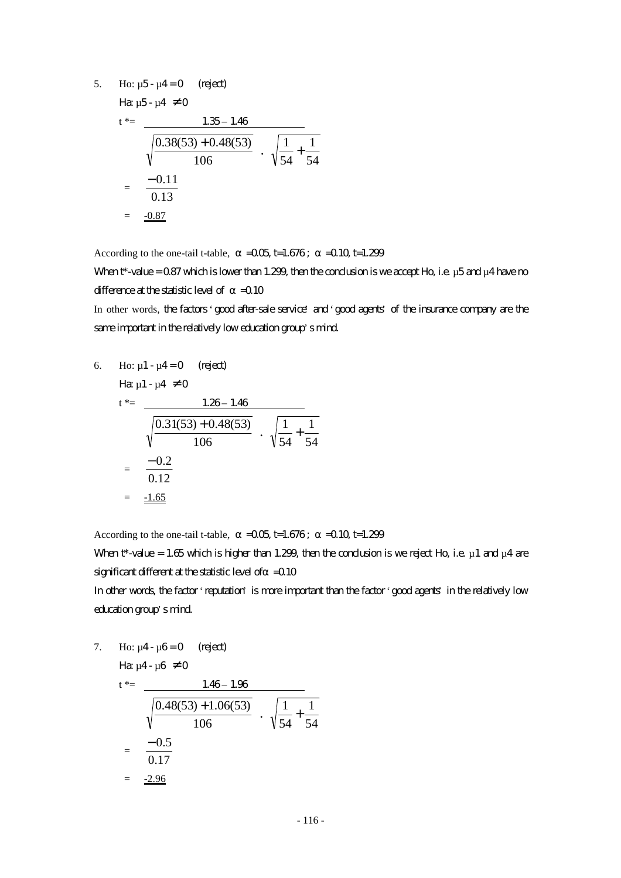5. Ho:  $\mu$ 5 -  $\mu$ 4 = 0 (reject)

Ha  $\mu$ 5 -  $\mu$ 4  $\neq$  0

$$
t^* = \frac{1.35 - 1.46}{\sqrt{\frac{0.38(53) + 0.48(53)}{106}} \cdot \sqrt{\frac{1}{54} + \frac{1}{54}}
$$

$$
= \frac{-0.11}{0.13}
$$

$$
= \frac{-0.87}{\sqrt{\frac{0.87}{100}}}
$$

According to the one-tail t-table,  $=$   $-0.05$  t=1.676;  $=$   $-0.10$  t=1.299

When  $t^*$ -value = 0.87 which is lower than 1.299, then the conclusion is we accept Ho, i.e.  $\mu$ 5 and  $\mu$ 4 have no difference at the statistic level of  $=0.10$ 

In other words, the factors 'good after-sale service' and 'good agents' of the insurance company are the same important in the relatively low education group's mind.

6. Ho: 
$$
\mu
$$
1 -  $\mu$ 4 = 0 (reject)  
\n
$$
H\mathbf{a} \mu
$$
1 -  $\mu$ 4  $\neq$  0  
\n
$$
t^* = \frac{1.26 - 1.46}{\sqrt{\frac{0.31(53) + 0.48(53)}{106}} \cdot \sqrt{\frac{1}{54} + \frac{1}{54}}}
$$
\n
$$
= \frac{-0.2}{0.12}
$$
\n
$$
= \frac{-1.65}{\sqrt{\frac{0.31(53) + 0.48(53)}{106}}}
$$

According to the one-tail t-table,  $=$   $-0.05$  t=1.676;  $=$   $-0.10$  t=1.299

When t\*-value = 1.65 which is higher than 1.299, then the conclusion is we reject Ho, i.e.  $\mu$  1 and  $\mu$ 4 are significant different at the statistic level of  $=$  0.10 In other words, the factor 'reputation' is more important than the factor 'good agents' in the relatively low

#### education group's mind.

7. Ho:  $\mu$ 4 -  $\mu$ 6 = 0 (reject)

$$
\begin{aligned}\n\text{Hence,} \text{Hence,} \text{Hence,} \text{Hence,} \text{Hence,} \\
\text{Hence,} \text{Hence,} \text{Hence,} \text{Hence,} \\
\text{Hence,} \text{Hence,} \text{Hence,} \\
\text{Hence,} \text{Hence,} \\
\text{Hence,} \text{Hence,} \\
\text{Hence,} \text{Hence,} \\
\text{Hence,} \text{Hence,} \\
\text{Hence,} \text{Hence,} \\
\text{Hence,} \text{Hence,} \\
\text{Hence,} \text{Hence,} \\
\text{Hence,} \text{Hence,} \\
\text{Hence,} \text{Hence,} \\
\text{Hence,} \text{Hence,} \\
\text{Hence,} \text{Hence,} \\
\text{Hence,} \text{Hence,} \\
\text{Hence,} \text{Hence,} \\
\text{Hence,} \text{Hence,} \\
\text{Hence,} \text{Hence,} \\
\text{Hence,} \text{Hence,} \\
\text{Hence,} \text{Hence,} \\
\text{Hence,} \text{Hence,} \\
\text{Hence,} \text{Hence,} \\
\text{Hence,} \text{Hence,} \\
\text{Hence,} \text{Hence,} \\
\text{Hence,} \text{Hence,} \\
\text{Hence,} \text{Hence,} \\
\text{Hence,} \text{Hence,} \\
\text{Hence,} \text{Hence,} \\
\text{Hence,} \text{Hence,} \\
\text{Hence,} \text{Hence,} \\
\text{Hence,} \text{Hence,} \\
\text{Hence,} \text{Hence,} \\
\text{Hence,} \text{Hence,} \\
\text{Hence,} \text{Hence,} \\
\text{Hence,} \text{Hence,} \\
\text{Hence,} \text{Hence,} \\
\text{Hence,} \text{Hence,} \\
\text{Hence,} \text{Hence,} \\
\text{Hence,} \text{Hence,} \\
\text{Hence,} \text{Hence,} \\
\text{Hence,} \text{Hence,} \\
\text{Hence,} \text{Hence,} \\
\text{Hence,} \text{Hence,} \\
\text{Hence,} \text{Hence,} \\
\text{Hence,} \text{Hence,} \\
\text{Hence,} \text{Hence,} \\
\text{Hence,} \text{Hence,} \\
\text{Hence,
$$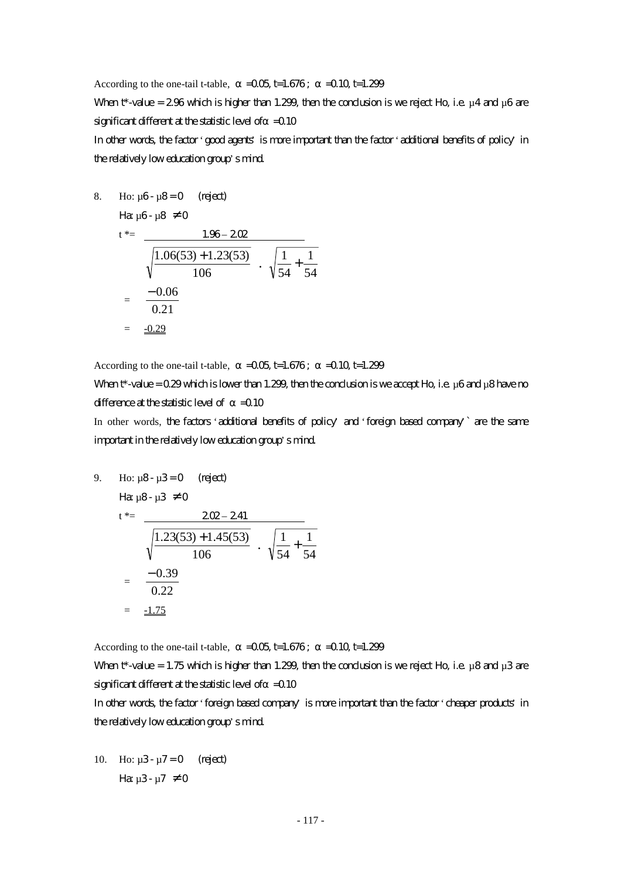According to the one-tail t-table,  $=$   $-0.05$  t=1.676;  $=$   $-0.10$  t=1.299 When  $t^*$ -value = 2.96 which is higher than 1.299, then the conclusion is we reject Ho, i.e.  $\mu$ 4 and  $\mu$ 6 are significant different at the statistic level of  $=$  0.10 In other words, the factor 'good agents' is more important than the factor 'additional benefits of policy' in the relatively low education group's mind.

1

8. Ho: 
$$
\mu
$$
6- $\mu$ 8=0 (reject)  
\n $t^* = \frac{1.96-202}{\sqrt{\frac{1.06(53)+1.23(53)}{106}} \cdot \sqrt{\frac{1}{54} + \frac{1}{54}}$   
\n $= \frac{-0.06}{0.21}$   
\n $= \frac{-0.29}{0.29}$ 

According to the one-tail t-table,  $=$   $-0.05$  t=1.676;  $=$   $-0.10$  t=1.299

When  $t^*$ -value = 0.29 which is lower than 1.299, then the conclusion is we accept Ho, i.e. µ6 and µ8 have no difference at the statistic level of  $=$  0.10

In other words, the factors 'additional benefits of policy' and 'foreign based company' are the same important in the relatively low education group's mind.

9. Ho: 
$$
\mu
$$
8- $\mu$ 3=0 (reject)  
\n $t^* = \frac{202 - 241}{\sqrt{\frac{1.23(53) + 1.45(53)}{106}} \cdot \sqrt{\frac{1}{54} + \frac{1}{54}}$   
\n $= \frac{-0.39}{0.22}$   
\n $= \frac{-1.75}{0.25}$ 

According to the one-tail t-table,  $=$   $-0.05$  t=1.676;  $=$   $-0.10$  t=1.299

When  $t^*$ -value = 1.75 which is higher than 1.299, then the conclusion is we reject Ho, i.e.  $\mu$ 8 and  $\mu$ 3 are significant different at the statistic level of  $=$  0.10

In other words, the factor 'foreign based company' is more important than the factor 'cheaper products' in the relatively low education group's mind.

10. Ho:  $\mu$ 3 -  $\mu$ 7 = 0 (reject) Ha  $\mu$ 3- $\mu$ 7  $\neq$  0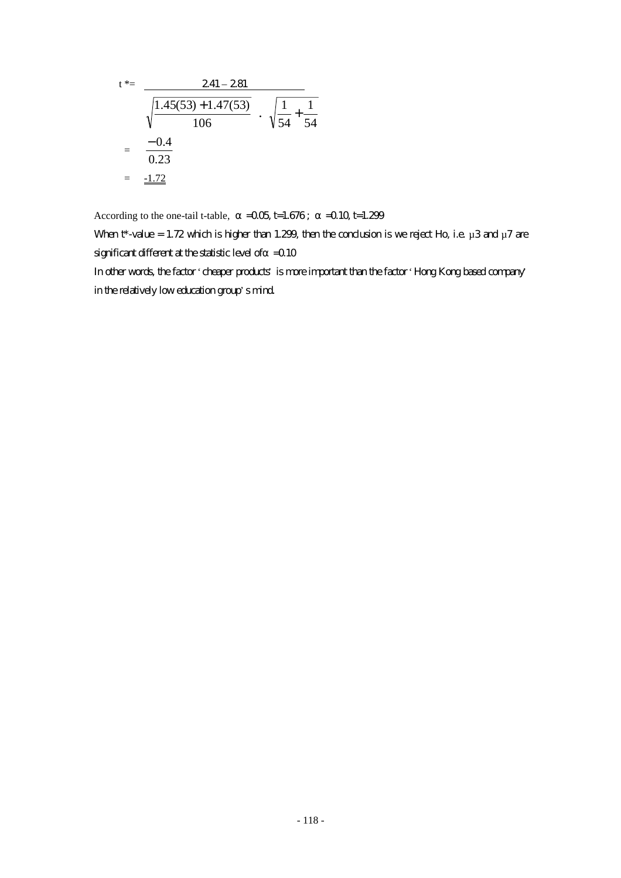$$
t^* = \frac{241 - 281}{\sqrt{\frac{1.45(53) + 1.47(53)}{106}} \cdot \sqrt{\frac{1}{54} + \frac{1}{54}}
$$
  
=  $\frac{-0.4}{0.23}$   
=  $\frac{-1.72}{\sqrt{54}}$ 

According to the one-tail t-table,  $=0.05$  t=1.676;  $=0.10$  t=1.299

When  $t^*$ -value = 1.72 which is higher than 1.299, then the conclusion is we reject Ho, i.e.  $\mu$ 3 and  $\mu$ 7 are significant different at the statistic level of  $=$  0.10

In other words, the factor 'cheaper products' is more important than the factor 'Hong Kong based company' in the relatively low education group's mind.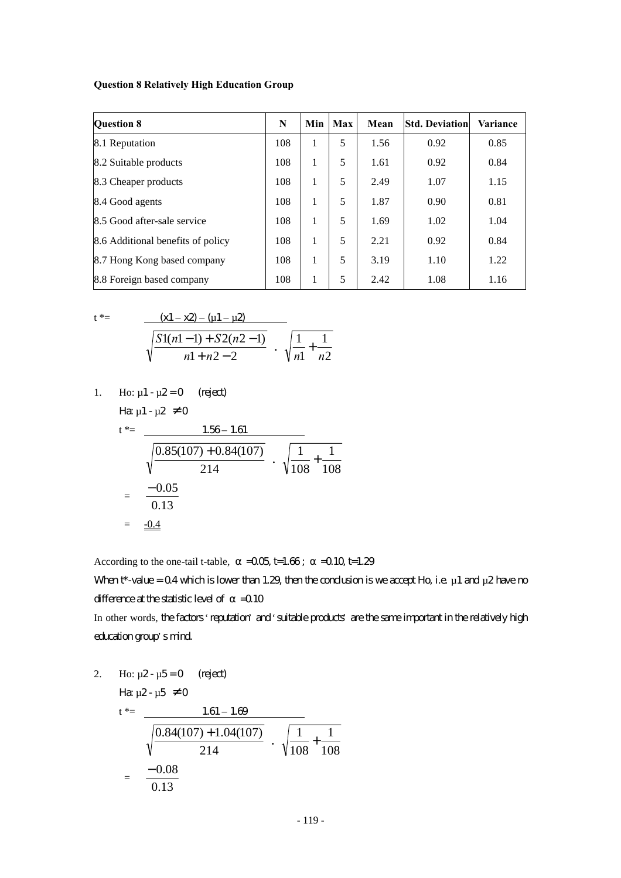#### **Question 8 Relatively High Education Group**

| <b>Question 8</b>                 | N   | Min | Max | Mean | <b>Std. Deviation</b> | <b>Variance</b> |
|-----------------------------------|-----|-----|-----|------|-----------------------|-----------------|
| 8.1 Reputation                    | 108 | 1   | 5   | 1.56 | 0.92                  | 0.85            |
| 8.2 Suitable products             | 108 | 1   | 5   | 1.61 | 0.92                  | 0.84            |
| 8.3 Cheaper products              | 108 | 1   | 5   | 2.49 | 1.07                  | 1.15            |
| 8.4 Good agents                   | 108 | 1   | 5   | 1.87 | 0.90                  | 0.81            |
| 8.5 Good after-sale service       | 108 | 1   | 5   | 1.69 | 1.02                  | 1.04            |
| 8.6 Additional benefits of policy | 108 | 1   | 5   | 2.21 | 0.92                  | 0.84            |
| 8.7 Hong Kong based company       | 108 | 1   | 5   | 3.19 | 1.10                  | 1.22            |
| 8.8 Foreign based company         | 108 | 1   | 5   | 2.42 | 1.08                  | 1.16            |

2

$$
t^* = \frac{(x1 - x2) - (u1 - u2)}{\sqrt{\frac{S1(n1 - 1) + S2(n2 - 1)}{n1 + n2 - 2}} \cdot \sqrt{\frac{1}{n1} + \frac{1}{n2}}}
$$

1. Ho: 
$$
\mu
$$
1 -  $\mu$ 2 = 0 (reject)

Ha  $\mu$ 1 -  $\mu$ 2  $\neq$  0

$$
t^* = \frac{1.56 - 1.61}{\sqrt{\frac{0.85(107) + 0.84(107)}{214}} \cdot \sqrt{\frac{1}{108} + \frac{1}{108}}
$$

$$
= \frac{-0.05}{0.13}
$$

$$
= \frac{-0.4}{0.13}
$$

According to the one-tail t-table,  $=0.05$  t=1.66;  $=0.10$  t=1.29

When  $t^*$ -value = 0.4 which is lower than 1.29, then the conclusion is we accept Ho, i.e.  $\mu$  1 and  $\mu$ 2 have no difference at the statistic level of  $=$  0.10

In other words, the factors 'reputation' and 'suitable products' are the same important in the relatively high education group's mind.

2. Ho: 
$$
\mu
$$
2- $\mu$ 5=0 (reject)  
\n
$$
\begin{aligned}\n\text{Hence,} \\
t^* &= \frac{1.61 - 1.69}{\sqrt{\frac{0.84(107) + 1.04(107)}{214}} \cdot \sqrt{\frac{1}{108} + \frac{1}{108}} \\
&= \frac{-0.08}{0.13}\n\end{aligned}
$$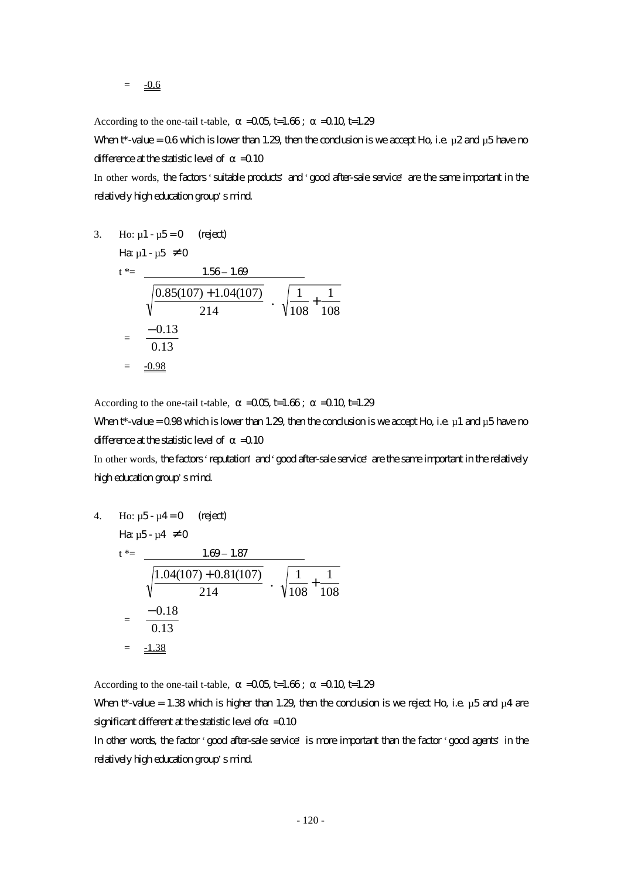According to the one-tail t-table,  $=$   $-0.05$  t=1.66;  $=$   $-0.10$  t=1.29

When  $t^*$ -value = 0.6 which is lower than 1.29, then the conclusion is we accept Ho, i.e.  $\mu$ 2 and  $\mu$ 5 have no difference at the statistic level of  $=$  0.10

In other words, the factors 'suitable products' and 'good after-sale service' are the same important in the relatively high education group's mind.

3. Ho: 
$$
\mu
$$
1- $\mu$ 5=0 (reject)  
\n $t^* = \frac{1.56 - 1.69}{\sqrt{\frac{0.85(107) + 1.04(107)}{214}} \cdot \sqrt{\frac{1}{108} + \frac{1}{108}}$   
\n $= \frac{-0.13}{0.13}$   
\n $= \frac{-0.98}{}$ 

According to the one-tail t-table,  $=$   $-0.05$  t=1.66;  $=$   $-0.10$  t=1.29

When  $t^*$ -value = 0.98 which is lower than 1.29, then the conclusion is we accept Ho, i.e.  $\mu$ 1 and  $\mu$ 5 have no difference at the statistic level of  $=$  0.10

In other words, the factors 'reputation' and 'good after-sale service' are the same important in the relatively high education group's mind.

4. Ho: 
$$
\mu
$$
5- $\mu$ 4=0 (reject)  
\n $t^* = \frac{1.69-1.87}{\sqrt{\frac{1.04(107)+0.81(107)}{214}} \cdot \sqrt{\frac{1}{108} + \frac{1}{108}}$   
\n $= \frac{-0.18}{0.13}$   
\n $= \frac{-1.38}{0.13}$ 

According to the one-tail t-table,  $=$   $-0.05$  t=1.66;  $=$   $-0.10$  t=1.29

When  $t^*$ -value = 1.38 which is higher than 1.29, then the conclusion is we reject Ho, i.e.  $\mu$ 5 and  $\mu$ 4 are significant different at the statistic level of  $=$  0.10

In other words, the factor 'good after-sale service' is more important than the factor 'good agents' in the relatively high education group's mind.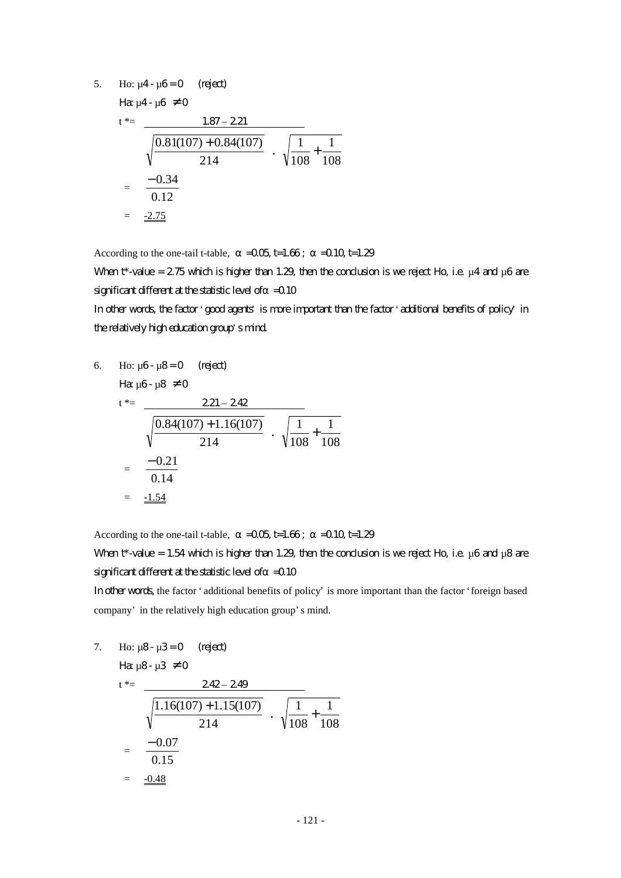5. Ho:  $\mu$ 4 -  $\mu$ 6 = 0 (reject)

Ha:  $\mu$ 4 -  $\mu$ 6  $\neq$  0

$$
t^* = \frac{1.87 - 2.21}{\sqrt{\frac{0.81(107) + 0.84(107)}{214}} \cdot \sqrt{\frac{1}{108} + \frac{1}{108}}
$$

$$
= \frac{-0.34}{0.12}
$$

$$
= \frac{-2.75}{4}
$$

According to the one-tail t-table,  $=$   $-0.05$  t=1.66;  $=$   $-0.10$  t=1.29

When  $t^*$ -value = 2.75 which is higher than 1.29, then the conclusion is we reject Ho, i.e.  $\mu$ 4 and  $\mu$ 6 are significant different at the statistic level of  $=$  0.10

In other words, the factor 'good agents' is more important than the factor 'additional benefits of policy' in the relatively high education group's mind.

6. Ho: 
$$
\mu
$$
6-  $\mu$ 8=0 (reject)  
\n
$$
\begin{aligned}\n\text{Hg } \mu \text{G} \cdot \mu \text{S} &\neq 0 \\
t^* &= \frac{221 - 242}{\sqrt{\frac{0.84(107) + 1.16(107)}{214}} \cdot \sqrt{\frac{1}{108} + \frac{1}{108}} \\
&= \frac{-0.21}{0.14} \\
&= \frac{-1.54}{\sqrt{\frac{0.84(107) + 1.16(107)}{214}} \cdot \sqrt{\frac{1}{108} + \frac{1}{108}} \\
&= \frac{-1.54}{\sqrt{\frac{0.84(107) + 1.16(107)}{214}} \cdot \sqrt{\frac{1}{108} + \frac{1}{108}}\n\end{aligned}
$$

According to the one-tail t-table,  $=$   $-0.05$  t=1.66;  $=$   $-0.10$  t=1.29

When  $t^*$ -value = 1.54 which is higher than 1.29, then the conclusion is we reject Ho, i.e.  $\mu$ 6 and  $\mu$ 8 are significant different at the statistic level of  $=$  0.10

In other words, the factor 'additional benefits of policy' is more important than the factor 'foreign based company' in the relatively high education group's mind.

7. Ho:  $\mu$ 8 -  $\mu$ 3 = 0 (reject)

$$
\begin{aligned}\n\text{Hg } \mu\text{B} - \mu\text{3} &\neq 0 \\
\text{t}^* &= \frac{242 - 249}{\sqrt{\frac{1.16(107) + 1.15(107)}{214}} \cdot \sqrt{\frac{1}{108} + \frac{1}{108}} \\
&= \frac{-0.07}{0.15} \\
&= \frac{-0.48}{\sqrt{\frac{1}{108} + \frac{1}{108}}} \\
\text{Fg } \mu\text{C}^* &= \frac{-0.07}{0.15}\n\end{aligned}
$$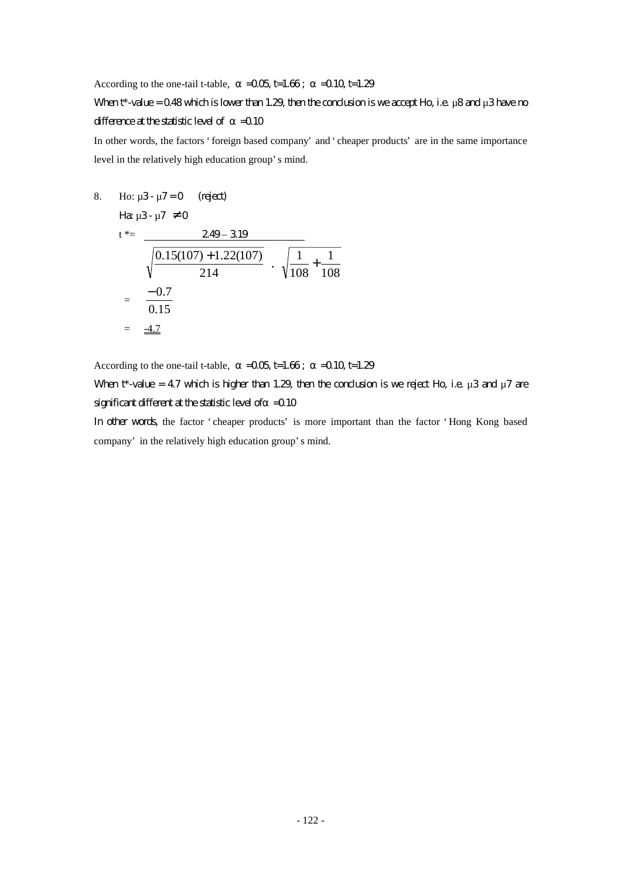According to the one-tail t-table,  $=$   $-0.05$  t=1.66;  $=$   $-0.10$  t=1.29

## When  $t^*$ -value = 0.48 which is lower than 1.29, then the conclusion is we accept Ho, i.e.  $\mu$ 8 and  $\mu$ 3 have no difference at the statistic level of  $=$  0.10

In other words, the factors 'foreign based company' and 'cheaper products' are in the same importance level in the relatively high education group's mind.

8. Ho:  $\mu$ 3 -  $\mu$ 7 = 0 (reject)

$$
\begin{aligned}\n\text{Hg } \mu 3 - \mu 7 & \neq 0 \\
\text{t}^* &= \frac{249 - 319}{\sqrt{0.15(107) + 1.22(107)}} \\
&= \frac{-0.7}{0.15} \\
&= \frac{-4.7}{\sqrt{0.15}}\n\end{aligned}
$$

According to the one-tail t-table,  $=$   $-0.05$  t=1.66;  $=$   $-0.10$  t=1.29

When  $t^*$ -value = 4.7 which is higher than 1.29, then the conclusion is we reject Ho, i.e.  $\mu$ 3 and  $\mu$ 7 are significant different at the statistic level of  $=$  0.10

In other words, the factor 'cheaper products' is more important than the factor 'Hong Kong based company' in the relatively high education group's mind.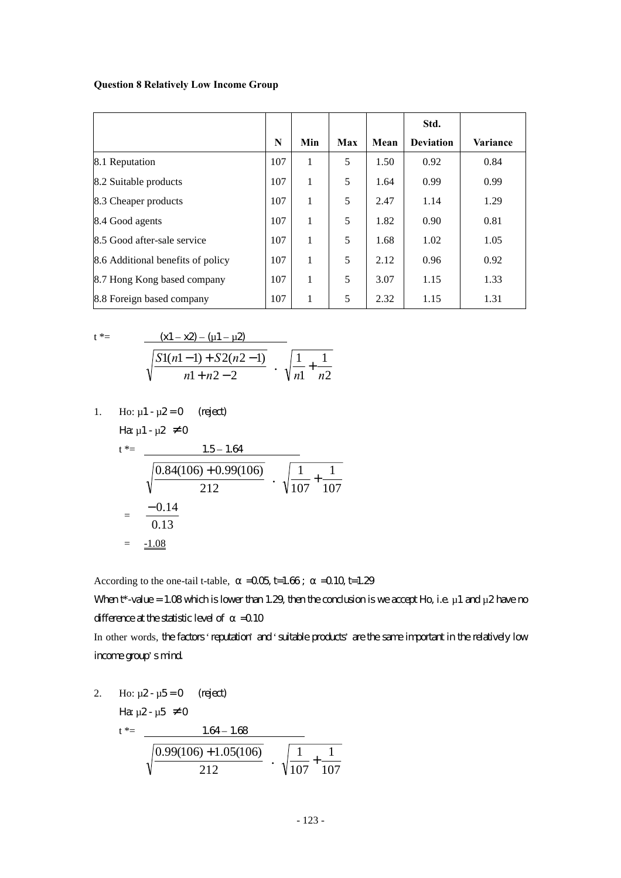#### **Question 8 Relatively Low Income Group**

|                                   |     |     |     |      | Std.             |          |
|-----------------------------------|-----|-----|-----|------|------------------|----------|
|                                   | N   | Min | Max | Mean | <b>Deviation</b> | Variance |
| 8.1 Reputation                    | 107 | 1   | 5   | 1.50 | 0.92             | 0.84     |
| 8.2 Suitable products             | 107 | 1   | 5   | 1.64 | 0.99             | 0.99     |
| 8.3 Cheaper products              | 107 | 1   | 5   | 2.47 | 1.14             | 1.29     |
| 8.4 Good agents                   | 107 | 1   | 5   | 1.82 | 0.90             | 0.81     |
| 8.5 Good after-sale service       | 107 | 1   | 5   | 1.68 | 1.02             | 1.05     |
| 8.6 Additional benefits of policy | 107 | 1   | 5   | 2.12 | 0.96             | 0.92     |
| 8.7 Hong Kong based company       | 107 | 1   | 5   | 3.07 | 1.15             | 1.33     |
| 8.8 Foreign based company         | 107 | 1   | 5   | 2.32 | 1.15             | 1.31     |

 $\frac{1}{n^2} + \frac{1}{n^2}$ 

1 1 *n n* +

1

$$
t^* = \frac{(x1 - x2) - (u1 - \mu2)}{\sqrt{\frac{S1(n1 - 1) + S2(n2 - 1)}{n1 + n2 - 2}}}
$$

1. Ho: 
$$
\mu
$$
1 -  $\mu$ 2 = 0 (reject)  
Ha  $\mu$ 1 -  $\mu$ 2  $\neq$  0

$$
t^* = \frac{1.5 - 1.64}{\sqrt{\frac{0.84(106) + 0.99(106)}{212}} \cdot \sqrt{\frac{1}{107} + \frac{1}{107}}
$$

$$
= \frac{-0.14}{0.13}
$$

$$
= \frac{-1.08}{\sqrt{0.13}}
$$

According to the one-tail t-table,  $=0.05$  t=1.66;  $=0.10$  t=1.29

When  $t^*$ -value = 1.08 which is lower than 1.29, then the conclusion is we accept Ho, i.e.  $\mu$  1 and  $\mu$ 2 have no difference at the statistic level of  $=$  0.10

In other words, the factors 'reputation' and 'suitable products' are the same important in the relatively low income group's mind.

2. Ho: 
$$
\mu
$$
2- $\mu$ 5=0 (reject)  
\n
$$
\text{Hence, } \mu
$$
164-1.68  
\n
$$
t^* = \frac{1.64-1.68}{\sqrt{\frac{0.99(106)+1.05(106)}{212}} \cdot \sqrt{\frac{1}{107} + \frac{1}{107}}}
$$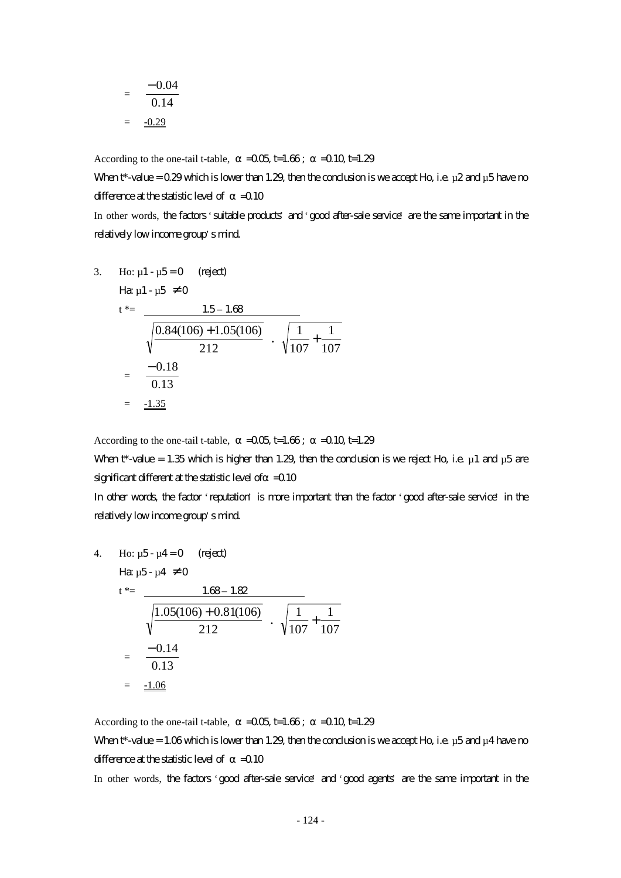$$
= \frac{-0.04}{0.14}
$$

$$
= \frac{-0.29}{}
$$

According to the one-tail t-table,  $=$   $-0.05$  t=1.66;  $=$   $-0.10$  t=1.29

When  $t^*$ -value = 0.29 which is lower than 1.29, then the conclusion is we accept Ho, i.e.  $\mu$ 2 and  $\mu$ 5 have no difference at the statistic level of  $=$  0.10

In other words, the factors 'suitable products' and 'good after-sale service' are the same important in the relatively low income group's mind.

3. Ho: 
$$
\mu
$$
1- $\mu$ 5=0 (reject)  
\n $t^* = \frac{1.5-1.68}{\sqrt{\frac{0.84(106)+1.05(106)}{212}} \cdot \sqrt{\frac{1}{107} + \frac{1}{107}}$   
\n $= \frac{-0.18}{0.13}$   
\n $= \frac{-1.35}{0.13}$ 

According to the one-tail t-table,  $=$   $-0.05$  t=1.66;  $=$   $-0.10$  t=1.29

When  $t^*$ -value = 1.35 which is higher than 1.29, then the conclusion is we reject Ho, i.e.  $\mu$ 1 and  $\mu$ 5 are significant different at the statistic level of  $=$  0.10

In other words, the factor 'reputation' is more important than the factor 'good after-sale service' in the relatively low income group's mind.

4. Ho: 
$$
\mu
$$
5- $\mu$ 4=0 (reject)  
\n $t^* = \frac{1.68 - 1.82}{\sqrt{\frac{1.05(106) + 0.81(106)}{212}} \cdot \sqrt{\frac{1}{107} + \frac{1}{107}}$   
\n $= \frac{-0.14}{0.13}$   
\n $= \frac{-1.06}{\sqrt{\frac{1.06}{107}}}$ 

According to the one-tail t-table,  $=$   $-0.05$  t=1.66;  $=$   $-0.10$  t=1.29

When  $t^*$ -value = 1.06 which is lower than 1.29, then the conclusion is we accept Ho, i.e.  $\mu$ 5 and  $\mu$ 4 have no difference at the statistic level of  $=$  0.10

In other words, the factors 'good after-sale service' and 'good agents' are the same important in the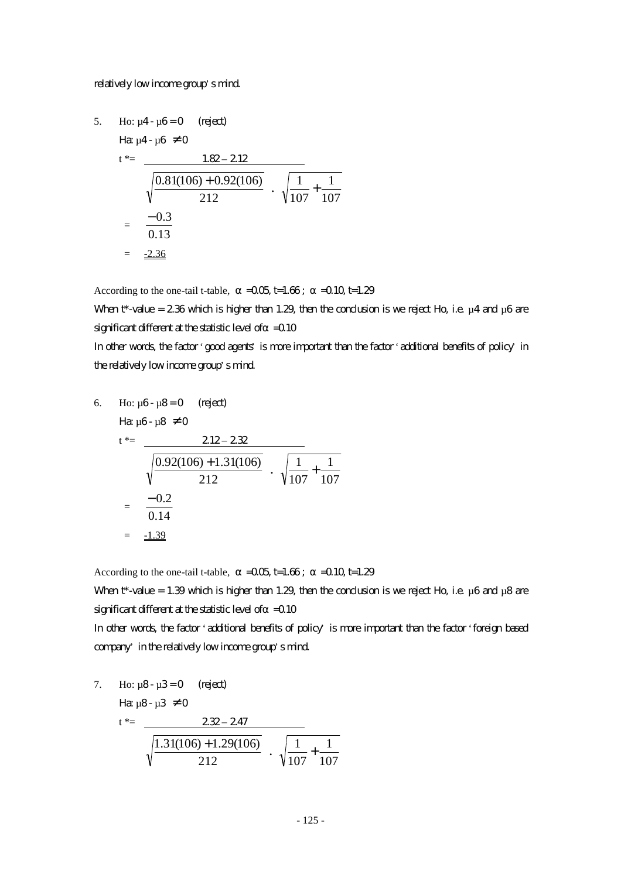#### relatively low income group's mind.

5. Ho: 
$$
\mu
$$
4- $\mu$ 6=0 (reject)  
\n
$$
\begin{aligned}\n\text{Hence,} \quad \mu \text{Hence,} \quad \mu \text{Hence,} \\
t^* &= \frac{1.82 - 2.12}{\sqrt{\frac{0.81(106) + 0.92(106)}{212}}} \\
&= \frac{-0.3}{0.13} \\
&= \frac{-2.36}{\sqrt{\frac{0.81(106)}{212}}}\n\end{aligned}
$$

According to the one-tail t-table,  $=0.05$  t=1.66;  $=0.10$  t=1.29

When  $t^*$ -value = 2.36 which is higher than 1.29, then the conclusion is we reject Ho, i.e.  $\mu$ 4 and  $\mu$ 6 are significant different at the statistic level of  $=$  0.10

In other words, the factor 'good agents' is more important than the factor 'additional benefits of policy' in the relatively low income group's mind.

6. Ho: 
$$
\mu
$$
6-  $\mu$ 8=0 (reject)  
\n
$$
\begin{aligned}\n\text{Hg } \mu \text{G} - \mu \text{S} &\neq 0 \\
t^* &= \frac{212 - 232}{\sqrt{\frac{0.92(106) + 1.31(106)}{212}} \cdot \sqrt{\frac{1}{107} + \frac{1}{107}} \\
&= \frac{-0.2}{0.14} \\
&= \frac{-1.39}{\sqrt{\frac{0.92(106)}{107}} + \frac{1}{107}} \\
&= \frac{-1.39}{\sqrt{\frac{0.92(106)}{107}} + \frac{1}{107}} \\
&= \frac{-1.39}{\sqrt{\frac{0.92(106)}{107}}} \\
&= \frac{-1.39}{\sqrt{\frac{0.92(106)}{107}}} \\
&= \frac{-1.39}{\sqrt{\frac{0.92(106)}{107}}} \\
&= \frac{-1.39}{\sqrt{\frac{0.92(106)}{107}}} \\
&= \frac{-1.39}{\sqrt{\frac{0.92(106)}{107}}} \\
&= \frac{-1.39}{\sqrt{\frac{0.92(106)}{107}}} \\
&= \frac{-1.39}{\sqrt{\frac{0.92(106)}{107}}} \\
&= \frac{-1.39}{\sqrt{\frac{0.92(106)}{107}}} \\
&= \frac{-1.39}{\sqrt{\frac{0.92(106)}{107}}} \\
&= \frac{-1.39}{\sqrt{\frac{0.92(106)}{107}}} \\
&= \frac{-1.39}{\sqrt{\frac{0.92(106)}{107}}} \\
&= \frac{-1.39}{\sqrt{\frac{0.92(106)}{107}}} \\
&= \frac{-1.39}{\sqrt{\frac{0.92(106)}{107}}} \\
&= \frac{-1.39}{\sqrt{\frac{0.92(106)}{107}}} \\
&= \frac{-1.39}{\sqrt{\frac{0.92(106)}{107}}} \\
&= \frac{-1.39}{\sqrt{\frac{0.92(106)}{107}}} \\
&= \frac{-1.39}{\sqrt{\frac{0.92(106)}{107
$$

According to the one-tail t-table,  $=$   $-0.05$  t=1.66;  $=$   $-0.10$  t=1.29

When  $t^*$ -value = 1.39 which is higher than 1.29, then the conclusion is we reject Ho, i.e.  $\mu$ 6 and  $\mu$ 8 are significant different at the statistic level of  $=$  0.10

In other words, the factor 'additional benefits of policy' is more important than the factor 'foreign based company' in the relatively low income group's mind.

7. Ho: 
$$
\mu
$$
8-  $\mu$ 3=0 (reject)  
\n
$$
\begin{array}{rcl}\n\text{Hg } \mu \text{B} - \mu \text{3} \neq 0 \\
\text{Hg } \mu \text{B} - \mu \text{3} \neq 0\n\end{array}
$$
\n
$$
\frac{232 - 247}{\sqrt{\frac{1.31(106) + 1.29(106)}{212}} \cdot \sqrt{\frac{1}{107} + \frac{1}{107}}}
$$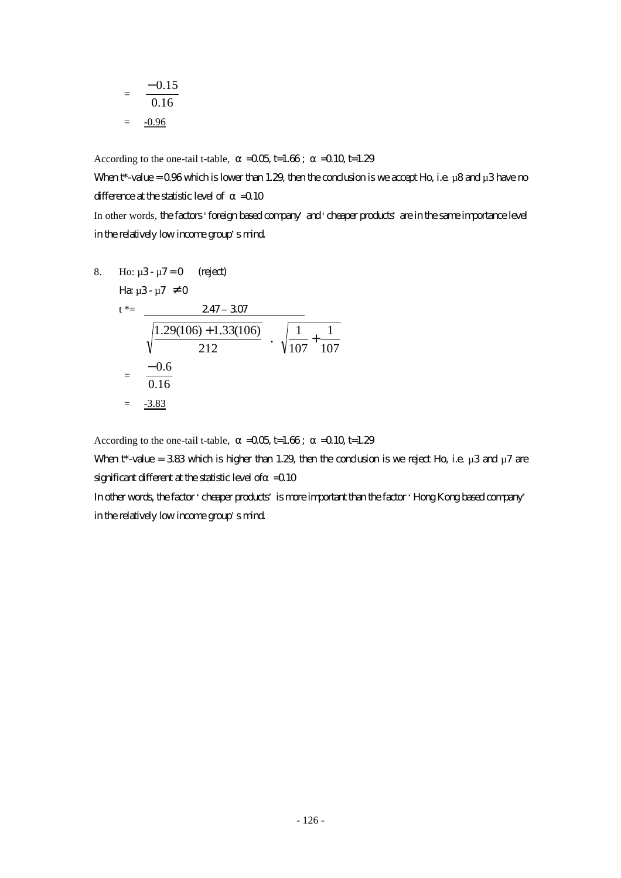$$
= \frac{-0.15}{0.16}
$$

$$
= \frac{-0.96}{}
$$

According to the one-tail t-table,  $=$   $-0.05$  t=1.66;  $=$   $-0.10$  t=1.29

When  $t^*$ -value = 0.96 which is lower than 1.29, then the conclusion is we accept Ho, i.e.  $\mu$ 8 and  $\mu$ 3 have no difference at the statistic level of  $=0.10$ In other words, the factors 'foreign based company' and 'cheaper products' are in the same importance level

in the relatively low income group's mind.

8. Ho: 
$$
\mu
$$
3-  $\mu$ 7=0 (right)  
\n $t^* = \frac{247 - 307}{\sqrt{\frac{1.29(106) + 1.33(106)}{212}} \cdot \sqrt{\frac{1}{107} + \frac{1}{107}}$   
\n $= \frac{-0.6}{0.16}$   
\n $= \frac{-3.83}{}$ 

According to the one-tail t-table,  $=$   $-0.05$  t=1.66;  $=$   $-0.10$  t=1.29

When  $t^*$ -value = 3.83 which is higher than 1.29, then the conclusion is we reject Ho, i.e.  $\mu$ 3 and  $\mu$ 7 are significant different at the statistic level of  $=$  0.10

In other words, the factor 'cheaper products' is more important than the factor 'Hong Kong based company' in the relatively low income group's mind.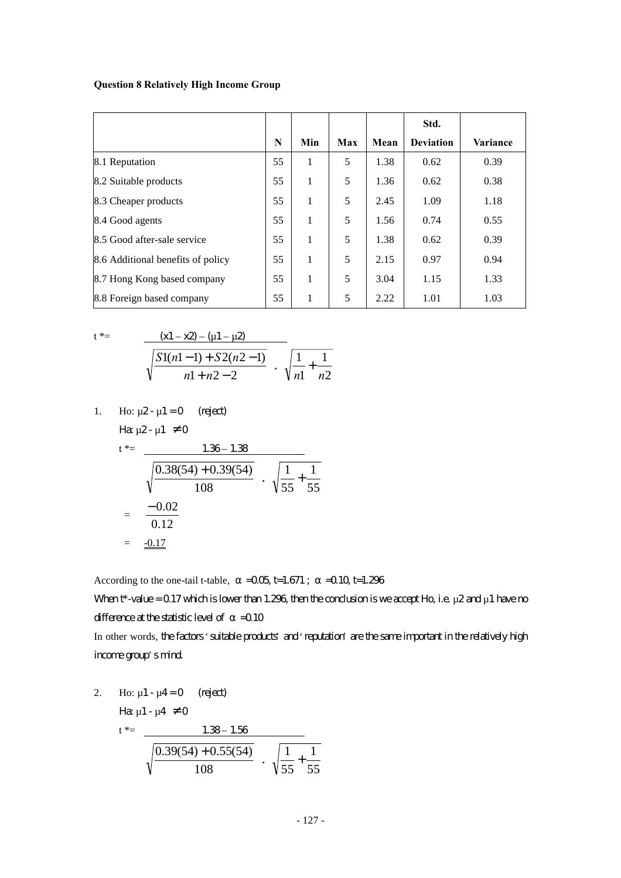#### **Question 8 Relatively High Income Group**

|                                   |    |     |     |      | Std.             |          |
|-----------------------------------|----|-----|-----|------|------------------|----------|
|                                   | N  | Min | Max | Mean | <b>Deviation</b> | Variance |
| 8.1 Reputation                    | 55 | 1   | 5   | 1.38 | 0.62             | 0.39     |
| 8.2 Suitable products             | 55 | 1   | 5   | 1.36 | 0.62             | 0.38     |
| 8.3 Cheaper products              | 55 | 1   | 5   | 2.45 | 1.09             | 1.18     |
| 8.4 Good agents                   | 55 | 1   | 5   | 1.56 | 0.74             | 0.55     |
| 8.5 Good after-sale service       | 55 | 1   | 5   | 1.38 | 0.62             | 0.39     |
| 8.6 Additional benefits of policy | 55 | 1   | 5   | 2.15 | 0.97             | 0.94     |
| 8.7 Hong Kong based company       | 55 | 1   | 5   | 3.04 | 1.15             | 1.33     |
| 8.8 Foreign based company         | 55 | 1   | 5   | 2.22 | 1.01             | 1.03     |

$$
t^* \equiv
$$

$$
\frac{(x1-x2) - (u1-u2)}{\sqrt{\frac{S1(n1-1) + S2(n2-1)}{n1+n2-2}}} \cdot \sqrt{\frac{1}{n1} + \frac{1}{n2}}
$$

1. Ho: 
$$
\mu
$$
2- $\mu$ 1 = 0 (reject)  
Ha  $\mu$ 2- $\mu$ 1  $\neq$  0  
t\*= 1.36-1.38

$$
\frac{1.35 - 1.36}{\sqrt{\frac{0.38(54) + 0.39(54)}{108}} \cdot \sqrt{\frac{1}{55} + \frac{1}{55}}
$$
  
=  $\frac{-0.02}{0.12}$   
=  $\frac{-0.17}{\sqrt{\frac{0.38(54) + 0.39(54)}{108}}}$ 

According to the one-tail t-table,  $=0.05$  t=1.671;  $=0.10$  t=1.296

When  $t^*$ -value = 0.17 which is lower than 1.296, then the conclusion is we accept Ho, i.e.  $\mu$ 2 and  $\mu$ 1 have no difference at the statistic level of  $=$  0.10

In other words, the factors 'suitable products' and 'reputation' are the same important in the relatively high income group's mind.

2. Ho: 
$$
\mu
$$
1 -  $\mu$ 4 = 0 (reject)  
\n
$$
H\alpha \mu
$$
1 -  $\mu$ 4  $\neq$  0  
\nt\*= 
$$
\frac{1.38 - 1.56}{\sqrt{\frac{0.39(54) + 0.55(54)}{108}} \cdot \sqrt{\frac{1}{55} + \frac{1}{55}}
$$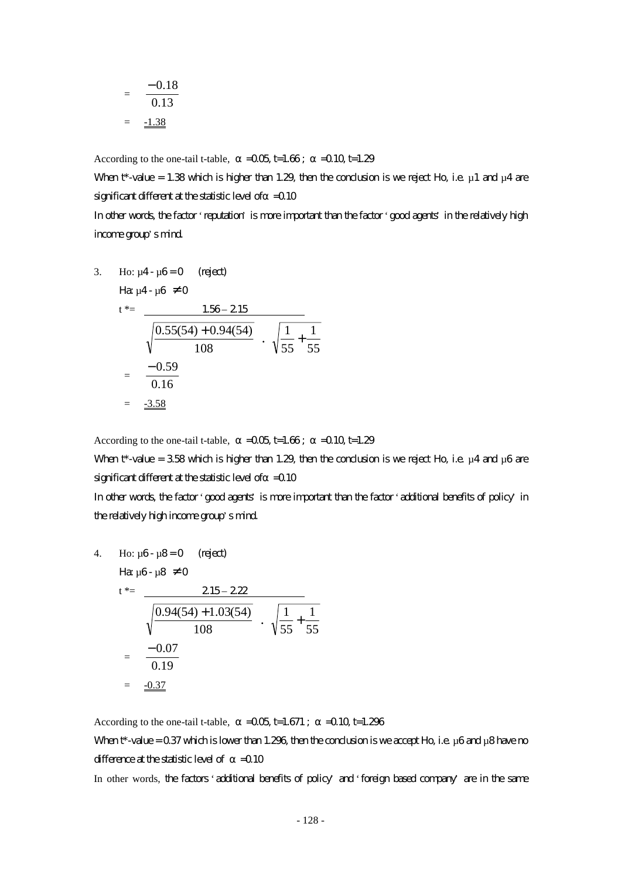$$
= \frac{-0.18}{0.13}
$$

$$
= \frac{-1.38}{}
$$

According to the one-tail t-table,  $=$   $-0.05$  t=1.66;  $=$   $-0.10$  t=1.29

When  $t^*$ -value = 1.38 which is higher than 1.29, then the conclusion is we reject Ho, i.e.  $\mu$ 1 and  $\mu$ 4 are significant different at the statistic level of  $=$  0.10

In other words, the factor 'reputation' is more important than the factor 'good agents' in the relatively high income group's mind.

3. Ho: 
$$
\mu
$$
4- $\mu$ 6=0 (reject)  
\n
$$
\begin{aligned}\n\text{Hg } \mu \text{4-}\mu \text{6} &\neq 0 \\
t^* &= \frac{1.56 - 2.15}{\sqrt{\frac{0.55(54) + 0.94(54)}{108}} \cdot \sqrt{\frac{1}{55} + \frac{1}{55}} \\
&= \frac{-0.59}{0.16} \\
&= \frac{-3.58}{\sqrt{0.56}}\n\end{aligned}
$$

According to the one-tail t-table,  $=$   $-0.05$  t=1.66;  $=$   $-0.10$  t=1.29

When  $t^*$ -value = 3.58 which is higher than 1.29, then the conclusion is we reject Ho, i.e.  $\mu$ 4 and  $\mu$ 6 are significant different at the statistic level of  $=$  0.10

In other words, the factor 'good agents' is more important than the factor 'additional benefits of policy' in the relatively high income group's mind.

4. Ho: 
$$
\mu
$$
6-  $\mu$ 8 = 0 (reject)  
\n $t^* = \frac{215 - 222}{\sqrt{\frac{0.94(54) + 1.03(54)}{108}} \cdot \sqrt{\frac{1}{55} + \frac{1}{55}}$   
\n $= \frac{-0.07}{0.19}$   
\n $= \frac{-0.37}{\sqrt{0.337}}$ 

According to the one-tail t-table,  $=$   $-0.05$  t=1.671;  $=$   $-0.10$  t=1.296 When  $t^*$ -value = 0.37 which is lower than 1.296, then the conclusion is we accept Ho, i.e.  $\mu$ 6 and  $\mu$ 8 have no difference at the statistic level of  $=$  0.10

In other words, the factors 'additional benefits of policy' and 'foreign based company' are in the same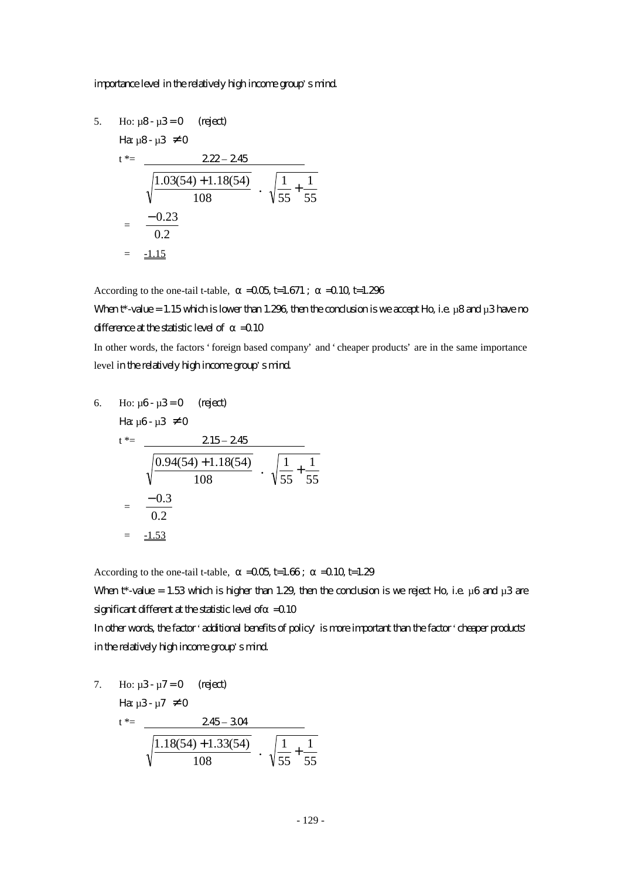#### importance level in the relatively high income group's mind.

5. Ho:  $\mu$ 8 -  $\mu$ 3 = 0 (reject)  $\text{H}_{2,0}$  $\text{R}_{-1}$  $\text{R}_{-1}$  $\text{R}_{+}$   $\text{R}_{-1}$ 

$$
t^* = \frac{222 - 245}{\sqrt{\frac{1.03(54) + 1.18(54)}{108}} \cdot \sqrt{\frac{1}{55} + \frac{1}{55}}
$$

$$
= \frac{-0.23}{0.2}
$$

$$
= \frac{-1.15}{0.2}
$$

According to the one-tail t-table,  $=0.05$  t=1.671;  $=0.10$  t=1.296

When  $t^*$ -value = 1.15 which is lower than 1.296, then the conclusion is we accept Ho, i.e.  $\mu$ 8 and  $\mu$ 3 have no difference at the statistic level of  $=0.10$ 

In other words, the factors 'foreign based company' and 'cheaper products' are in the same importance level in the relatively high income group's mind.

6. Ho: 
$$
\mu
$$
6-  $\mu$ 3=0 (reject)  
\n $t^* = \frac{215 - 245}{\sqrt{\frac{0.94(54) + 1.18(54)}{108}} \cdot \sqrt{\frac{1}{55} + \frac{1}{55}}$   
\n $= \frac{-0.3}{0.2}$   
\n $= \frac{-1.53}{0.2}$ 

According to the one-tail t-table,  $=$   $-0.05$  t=1.66;  $=$   $-0.10$  t=1.29

When  $t^*$ -value = 1.53 which is higher than 1.29, then the conclusion is we reject Ho, i.e.  $\mu$ 6 and  $\mu$ 3 are significant different at the statistic level of  $=$  0.10

In other words, the factor 'additional benefits of policy' is more important than the factor 'cheaper products' in the relatively high income group's mind.

7. Ho: 
$$
\mu
$$
3-  $\mu$ 7=0 (reject)  
\n
$$
\begin{array}{rcl}\n\text{H\ddot{a}} & \mu 3-\mu 7 \neq 0 \\
\text{t*} & = & 245-304 \\
\hline\n\sqrt{\frac{1.18(54)+1.33(54)}{108}} & \sqrt{\frac{1}{55} + \frac{1}{55}}\n\end{array}
$$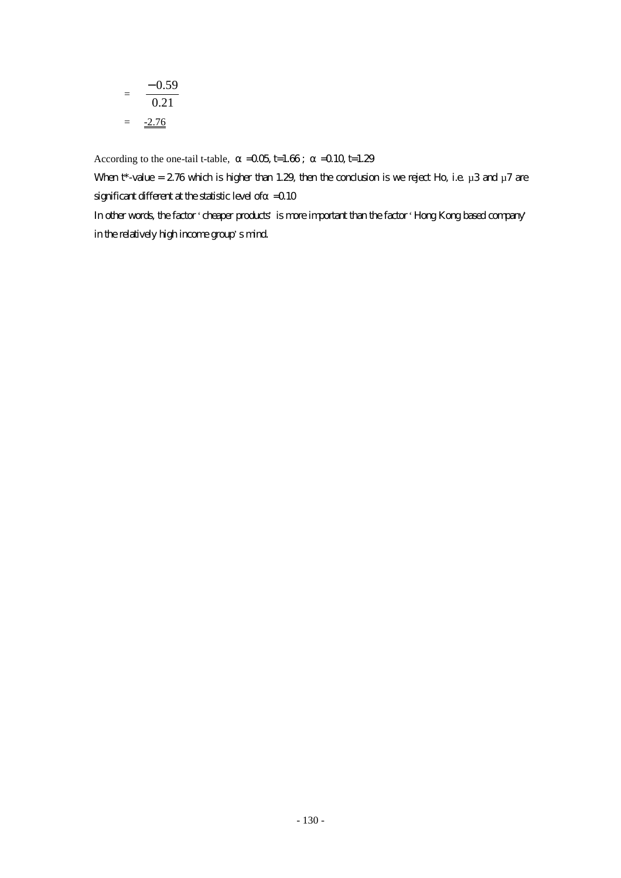$$
= \frac{-0.59}{0.21}
$$

$$
= \frac{-2.76}{}
$$

According to the one-tail t-table,  $=0.05$  t=1.66;  $=0.10$  t=1.29

When  $t^*$ -value = 2.76 which is higher than 1.29, then the conclusion is we reject Ho, i.e.  $\mu$ 3 and  $\mu$ 7 are significant different at the statistic level of  $=$  0.10

In other words, the factor 'cheaper products' is more important than the factor 'Hong Kong based company' in the relatively high income group's mind.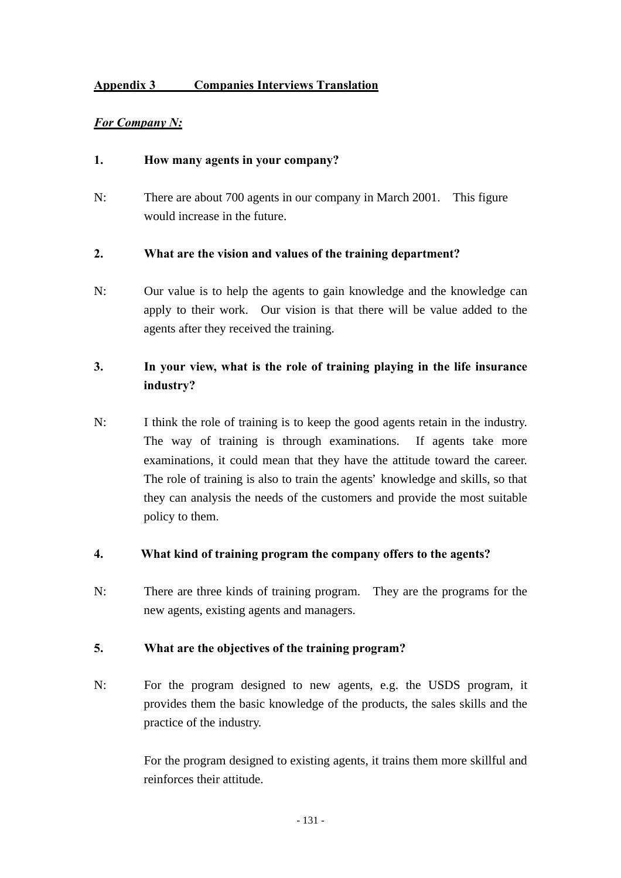## **Appendix 3 Companies Interviews Translation**

### *For Company N:*

### **1. How many agents in your company?**

N: There are about 700 agents in our company in March 2001. This figure would increase in the future.

#### **2. What are the vision and values of the training department?**

N: Our value is to help the agents to gain knowledge and the knowledge can apply to their work. Our vision is that there will be value added to the agents after they received the training.

## **3. In your view, what is the role of training playing in the life insurance industry?**

N: I think the role of training is to keep the good agents retain in the industry. The way of training is through examinations. If agents take more examinations, it could mean that they have the attitude toward the career. The role of training is also to train the agents' knowledge and skills, so that they can analysis the needs of the customers and provide the most suitable policy to them.

#### **4. What kind of training program the company offers to the agents?**

N: There are three kinds of training program. They are the programs for the new agents, existing agents and managers.

#### **5. What are the objectives of the training program?**

N: For the program designed to new agents, e.g. the USDS program, it provides them the basic knowledge of the products, the sales skills and the practice of the industry.

> For the program designed to existing agents, it trains them more skillful and reinforces their attitude.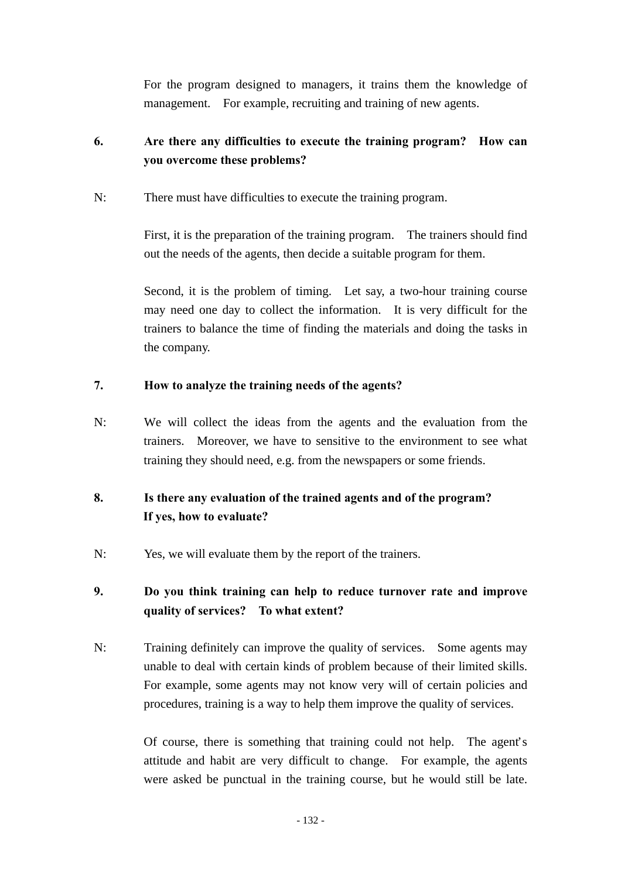For the program designed to managers, it trains them the knowledge of management. For example, recruiting and training of new agents.

# **6. Are there any difficulties to execute the training program? How can you overcome these problems?**

N: There must have difficulties to execute the training program.

First, it is the preparation of the training program. The trainers should find out the needs of the agents, then decide a suitable program for them.

Second, it is the problem of timing. Let say, a two-hour training course may need one day to collect the information. It is very difficult for the trainers to balance the time of finding the materials and doing the tasks in the company.

## **7. How to analyze the training needs of the agents?**

N: We will collect the ideas from the agents and the evaluation from the trainers. Moreover, we have to sensitive to the environment to see what training they should need, e.g. from the newspapers or some friends.

# **8. Is there any evaluation of the trained agents and of the program? If yes, how to evaluate?**

N: Yes, we will evaluate them by the report of the trainers.

# **9. Do you think training can help to reduce turnover rate and improve quality of services? To what extent?**

N: Training definitely can improve the quality of services. Some agents may unable to deal with certain kinds of problem because of their limited skills. For example, some agents may not know very will of certain policies and procedures, training is a way to help them improve the quality of services.

> Of course, there is something that training could not help. The agent's attitude and habit are very difficult to change. For example, the agents were asked be punctual in the training course, but he would still be late.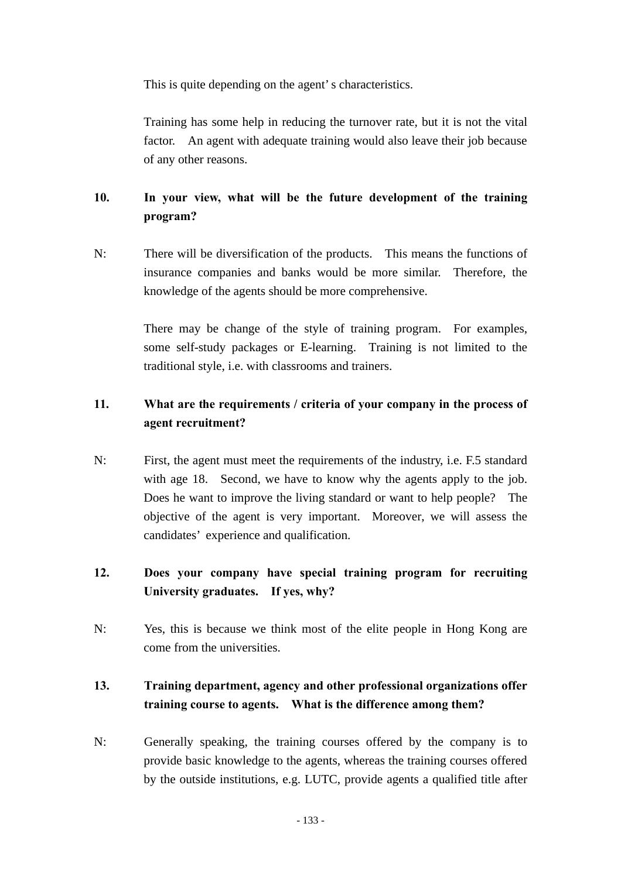This is quite depending on the agent's characteristics.

Training has some help in reducing the turnover rate, but it is not the vital factor. An agent with adequate training would also leave their job because of any other reasons.

# **10. In your view, what will be the future development of the training program?**

N: There will be diversification of the products. This means the functions of insurance companies and banks would be more similar. Therefore, the knowledge of the agents should be more comprehensive.

> There may be change of the style of training program. For examples, some self-study packages or E-learning. Training is not limited to the traditional style, i.e. with classrooms and trainers.

## **11. What are the requirements / criteria of your company in the process of agent recruitment?**

N: First, the agent must meet the requirements of the industry, i.e. F.5 standard with age 18. Second, we have to know why the agents apply to the job. Does he want to improve the living standard or want to help people? The objective of the agent is very important. Moreover, we will assess the candidates' experience and qualification.

# **12. Does your company have special training program for recruiting University graduates. If yes, why?**

N: Yes, this is because we think most of the elite people in Hong Kong are come from the universities.

# **13. Training department, agency and other professional organizations offer training course to agents. What is the difference among them?**

N: Generally speaking, the training courses offered by the company is to provide basic knowledge to the agents, whereas the training courses offered by the outside institutions, e.g. LUTC, provide agents a qualified title after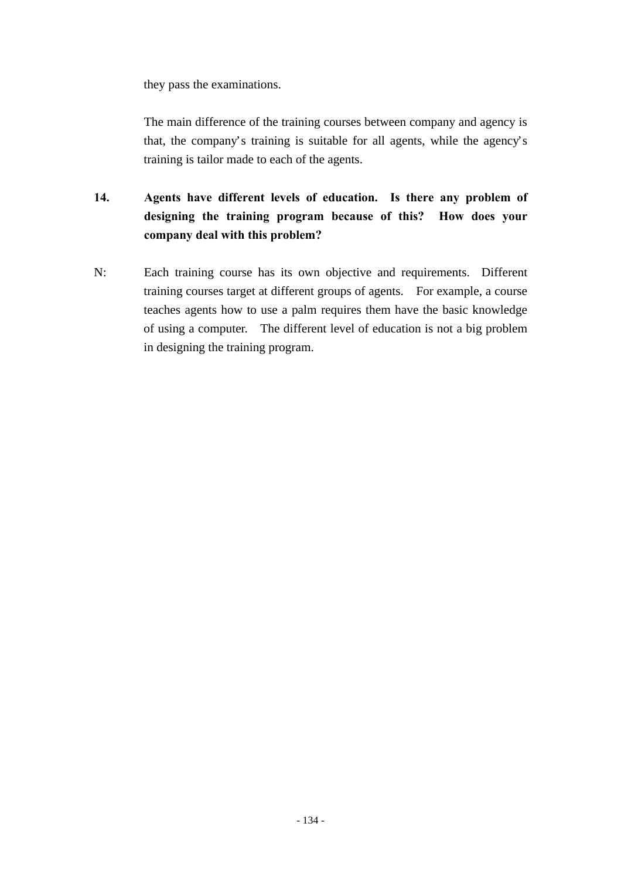they pass the examinations.

The main difference of the training courses between company and agency is that, the company's training is suitable for all agents, while the agency's training is tailor made to each of the agents.

- **14. Agents have different levels of education. Is there any problem of designing the training program because of this? How does your company deal with this problem?**
- N: Each training course has its own objective and requirements. Different training courses target at different groups of agents. For example, a course teaches agents how to use a palm requires them have the basic knowledge of using a computer. The different level of education is not a big problem in designing the training program.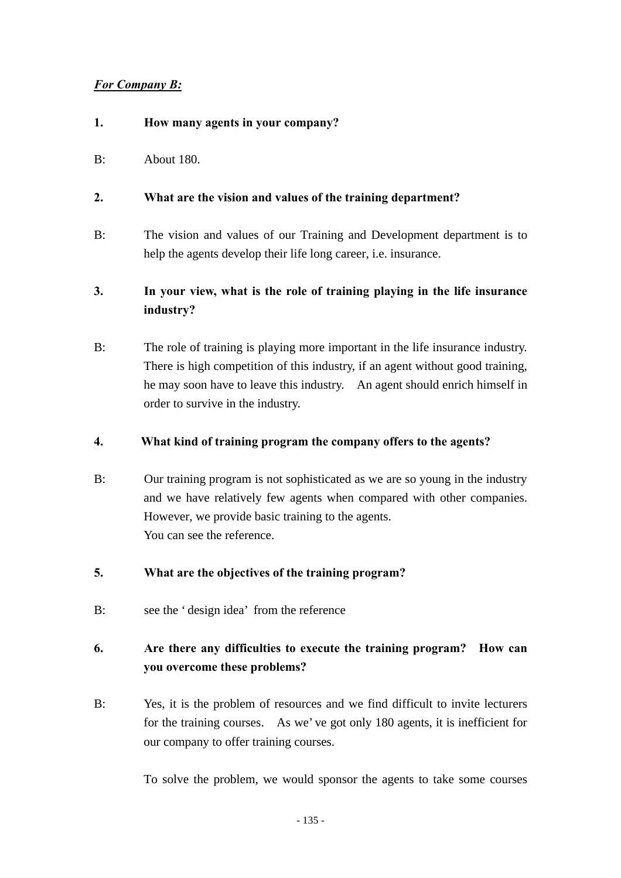## *For Company B:*

- **1. How many agents in your company?**
- B: About 180.

## **2. What are the vision and values of the training department?**

- B: The vision and values of our Training and Development department is to help the agents develop their life long career, i.e. insurance.
- **3. In your view, what is the role of training playing in the life insurance industry?**
- B: The role of training is playing more important in the life insurance industry. There is high competition of this industry, if an agent without good training, he may soon have to leave this industry. An agent should enrich himself in order to survive in the industry.

## **4. What kind of training program the company offers to the agents?**

- B: Our training program is not sophisticated as we are so young in the industry and we have relatively few agents when compared with other companies. However, we provide basic training to the agents. You can see the reference.
- **5. What are the objectives of the training program?**
- B: see the 'design idea' from the reference

# **6. Are there any difficulties to execute the training program? How can you overcome these problems?**

B: Yes, it is the problem of resources and we find difficult to invite lecturers for the training courses. As we've got only 180 agents, it is inefficient for our company to offer training courses.

To solve the problem, we would sponsor the agents to take some courses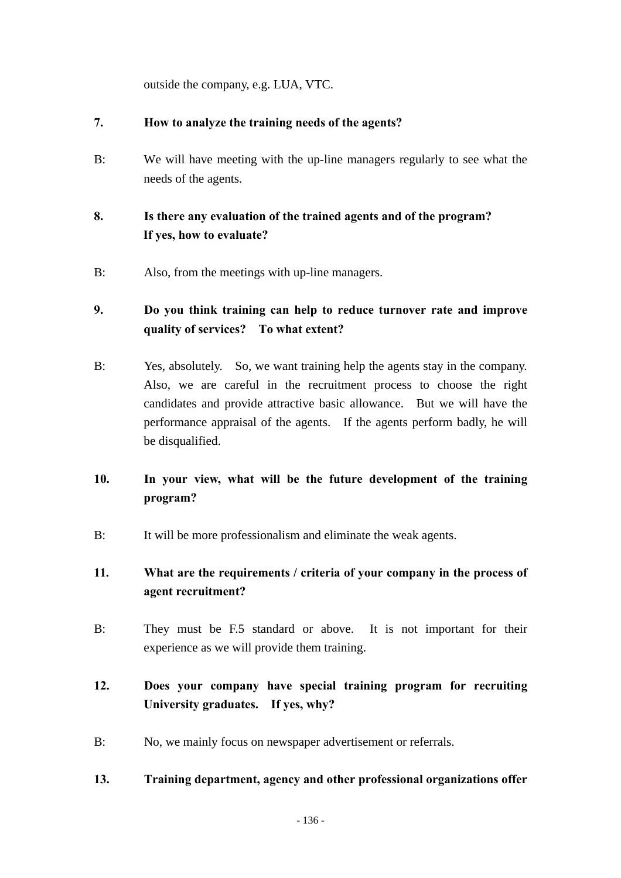outside the company, e.g. LUA, VTC.

## **7. How to analyze the training needs of the agents?**

B: We will have meeting with the up-line managers regularly to see what the needs of the agents.

## **8. Is there any evaluation of the trained agents and of the program? If yes, how to evaluate?**

B: Also, from the meetings with up-line managers.

## **9. Do you think training can help to reduce turnover rate and improve quality of services? To what extent?**

- B: Yes, absolutely. So, we want training help the agents stay in the company. Also, we are careful in the recruitment process to choose the right candidates and provide attractive basic allowance. But we will have the performance appraisal of the agents. If the agents perform badly, he will be disqualified.
- **10. In your view, what will be the future development of the training program?**
- B: It will be more professionalism and eliminate the weak agents.

## **11. What are the requirements / criteria of your company in the process of agent recruitment?**

B: They must be F.5 standard or above. It is not important for their experience as we will provide them training.

# **12. Does your company have special training program for recruiting University graduates. If yes, why?**

B: No, we mainly focus on newspaper advertisement or referrals.

### **13. Training department, agency and other professional organizations offer**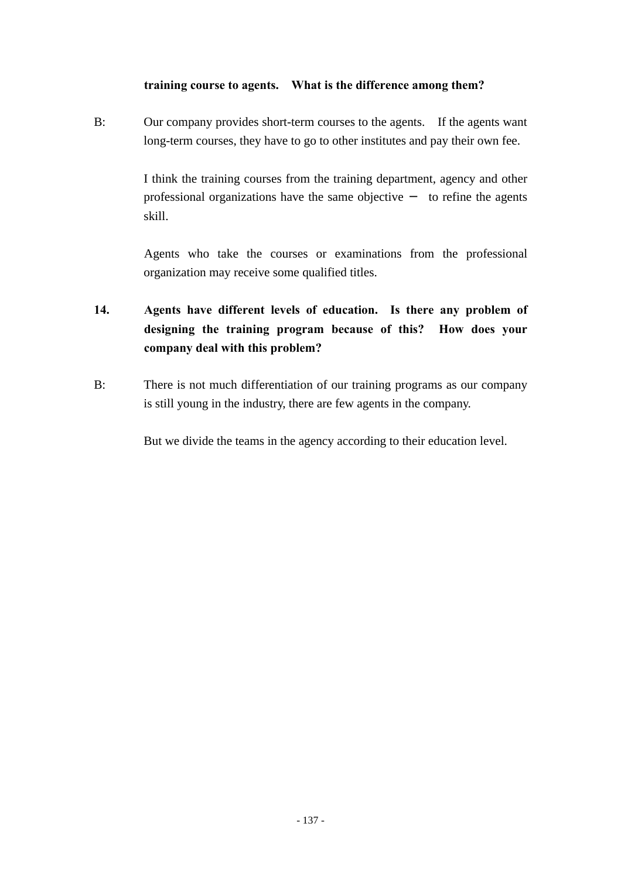### **training course to agents. What is the difference among them?**

B: Our company provides short-term courses to the agents. If the agents want long-term courses, they have to go to other institutes and pay their own fee.

> I think the training courses from the training department, agency and other professional organizations have the same objective to refine the agents skill.

> Agents who take the courses or examinations from the professional organization may receive some qualified titles.

- **14. Agents have different levels of education. Is there any problem of designing the training program because of this? How does your company deal with this problem?**
- B: There is not much differentiation of our training programs as our company is still young in the industry, there are few agents in the company.

But we divide the teams in the agency according to their education level.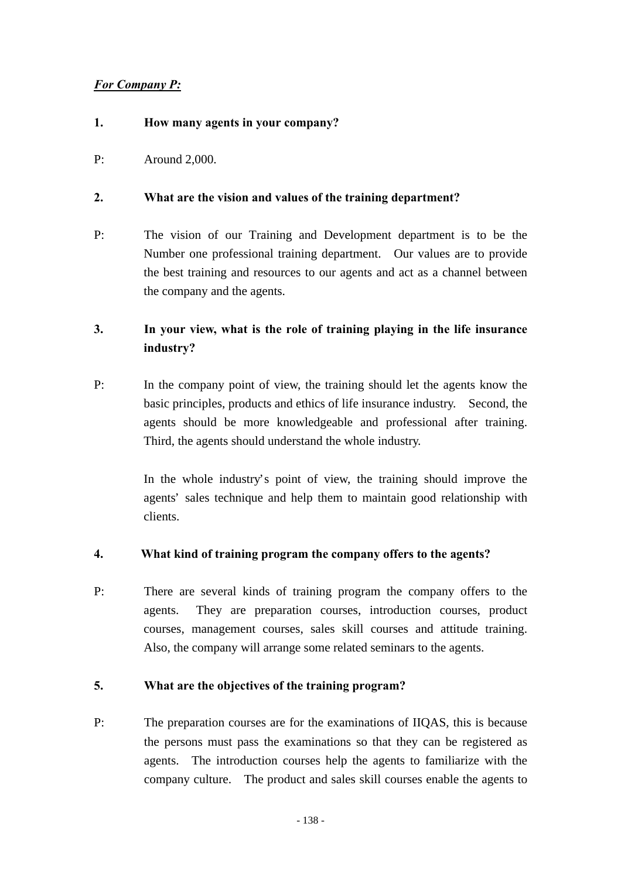## *For Company P:*

### **1. How many agents in your company?**

P: Around 2,000.

### **2. What are the vision and values of the training department?**

P: The vision of our Training and Development department is to be the Number one professional training department. Our values are to provide the best training and resources to our agents and act as a channel between the company and the agents.

## **3. In your view, what is the role of training playing in the life insurance industry?**

P: In the company point of view, the training should let the agents know the basic principles, products and ethics of life insurance industry. Second, the agents should be more knowledgeable and professional after training. Third, the agents should understand the whole industry.

> In the whole industry's point of view, the training should improve the agents' sales technique and help them to maintain good relationship with clients.

### **4. What kind of training program the company offers to the agents?**

P: There are several kinds of training program the company offers to the agents. They are preparation courses, introduction courses, product courses, management courses, sales skill courses and attitude training. Also, the company will arrange some related seminars to the agents.

### **5. What are the objectives of the training program?**

P: The preparation courses are for the examinations of IIQAS, this is because the persons must pass the examinations so that they can be registered as agents. The introduction courses help the agents to familiarize with the company culture. The product and sales skill courses enable the agents to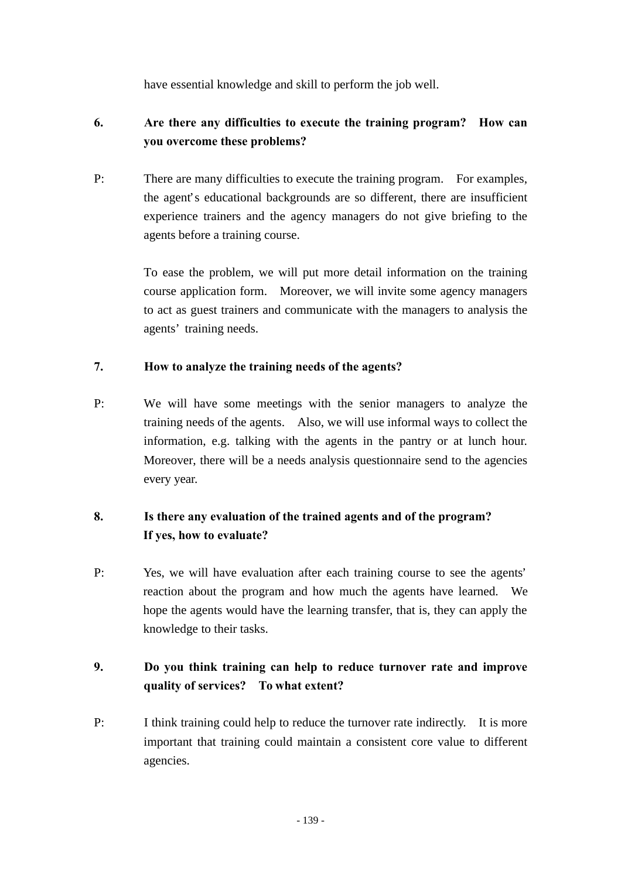have essential knowledge and skill to perform the job well.

# **6. Are there any difficulties to execute the training program? How can you overcome these problems?**

P: There are many difficulties to execute the training program. For examples, the agent's educational backgrounds are so different, there are insufficient experience trainers and the agency managers do not give briefing to the agents before a training course.

> To ease the problem, we will put more detail information on the training course application form. Moreover, we will invite some agency managers to act as guest trainers and communicate with the managers to analysis the agents' training needs.

## **7. How to analyze the training needs of the agents?**

P: We will have some meetings with the senior managers to analyze the training needs of the agents. Also, we will use informal ways to collect the information, e.g. talking with the agents in the pantry or at lunch hour. Moreover, there will be a needs analysis questionnaire send to the agencies every year.

# **8. Is there any evaluation of the trained agents and of the program? If yes, how to evaluate?**

P: Yes, we will have evaluation after each training course to see the agents' reaction about the program and how much the agents have learned. We hope the agents would have the learning transfer, that is, they can apply the knowledge to their tasks.

# **9. Do you think training can help to reduce turnover rate and improve quality of services? To what extent?**

P: I think training could help to reduce the turnover rate indirectly. It is more important that training could maintain a consistent core value to different agencies.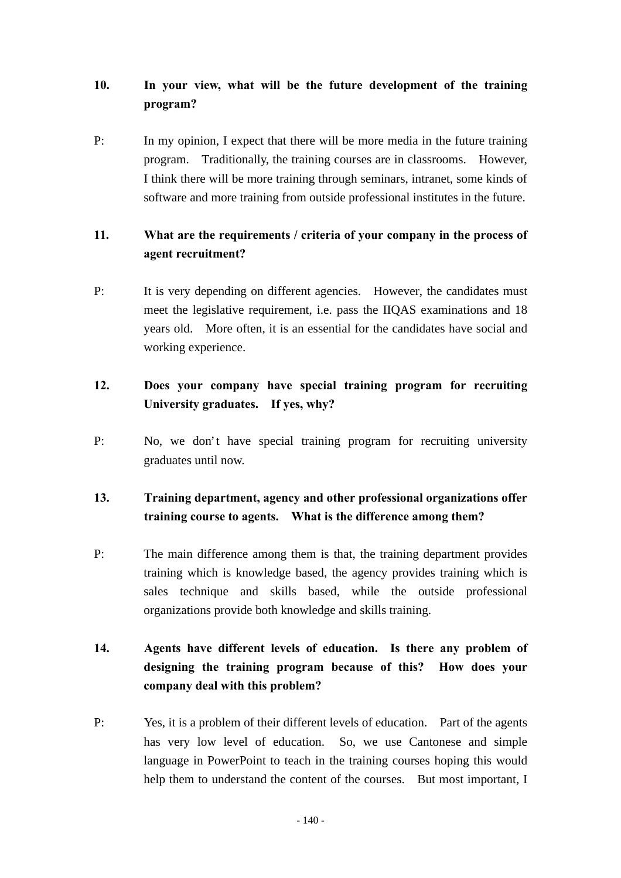# **10. In your view, what will be the future development of the training program?**

P: In my opinion, I expect that there will be more media in the future training program. Traditionally, the training courses are in classrooms. However, I think there will be more training through seminars, intranet, some kinds of software and more training from outside professional institutes in the future.

## **11. What are the requirements / criteria of your company in the process of agent recruitment?**

P: It is very depending on different agencies. However, the candidates must meet the legislative requirement, i.e. pass the IIQAS examinations and 18 years old. More often, it is an essential for the candidates have social and working experience.

## **12. Does your company have special training program for recruiting University graduates. If yes, why?**

P: No, we don't have special training program for recruiting university graduates until now.

# **13. Training department, agency and other professional organizations offer training course to agents. What is the difference among them?**

P: The main difference among them is that, the training department provides training which is knowledge based, the agency provides training which is sales technique and skills based, while the outside professional organizations provide both knowledge and skills training.

# **14. Agents have different levels of education. Is there any problem of designing the training program because of this? How does your company deal with this problem?**

P: Yes, it is a problem of their different levels of education. Part of the agents has very low level of education. So, we use Cantonese and simple language in PowerPoint to teach in the training courses hoping this would help them to understand the content of the courses. But most important, I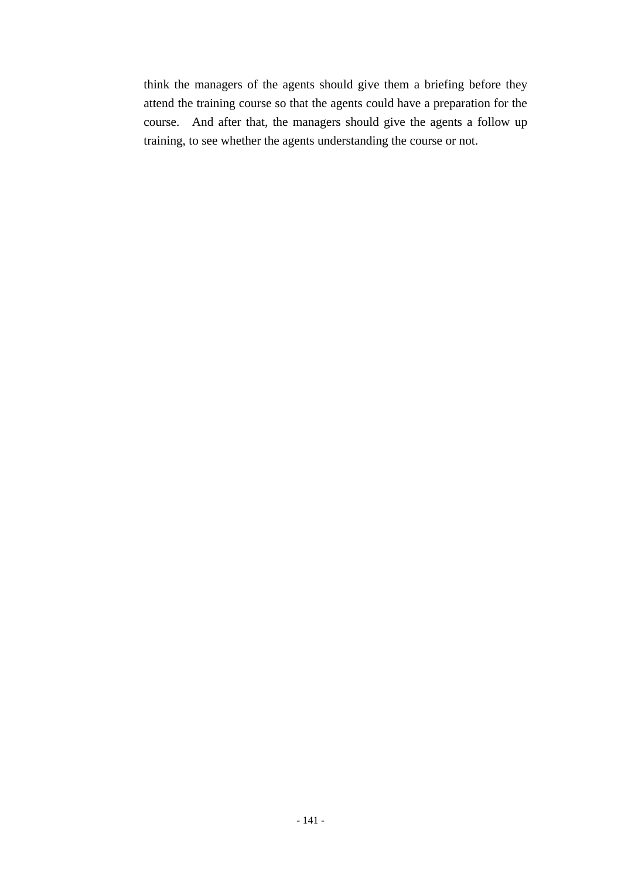think the managers of the agents should give them a briefing before they attend the training course so that the agents could have a preparation for the course. And after that, the managers should give the agents a follow up training, to see whether the agents understanding the course or not.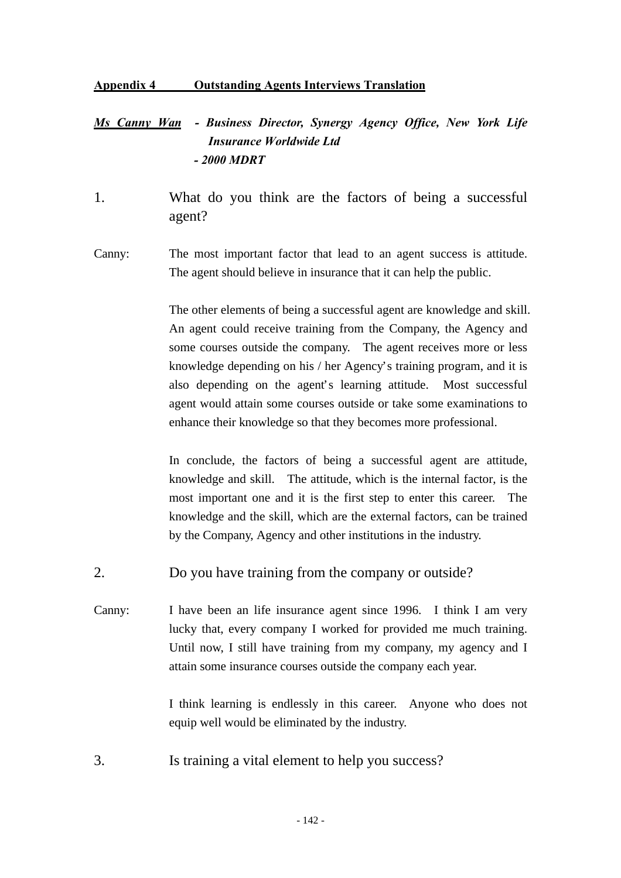#### **Appendix 4 Outstanding Agents Interviews Translation**

# *Ms Canny Wan - Business Director, Synergy Agency Office, New York Life Insurance Worldwide Ltd - 2000 MDRT*

- 1. What do you think are the factors of being a successful agent?
- Canny: The most important factor that lead to an agent success is attitude. The agent should believe in insurance that it can help the public.

The other elements of being a successful agent are knowledge and skill. An agent could receive training from the Company, the Agency and some courses outside the company. The agent receives more or less knowledge depending on his / her Agency's training program, and it is also depending on the agent's learning attitude. Most successful agent would attain some courses outside or take some examinations to enhance their knowledge so that they becomes more professional.

In conclude, the factors of being a successful agent are attitude, knowledge and skill. The attitude, which is the internal factor, is the most important one and it is the first step to enter this career. The knowledge and the skill, which are the external factors, can be trained by the Company, Agency and other institutions in the industry.

- 2. Do you have training from the company or outside?
- Canny: I have been an life insurance agent since 1996. I think I am very lucky that, every company I worked for provided me much training. Until now, I still have training from my company, my agency and I attain some insurance courses outside the company each year.

I think learning is endlessly in this career. Anyone who does not equip well would be eliminated by the industry.

3. Is training a vital element to help you success?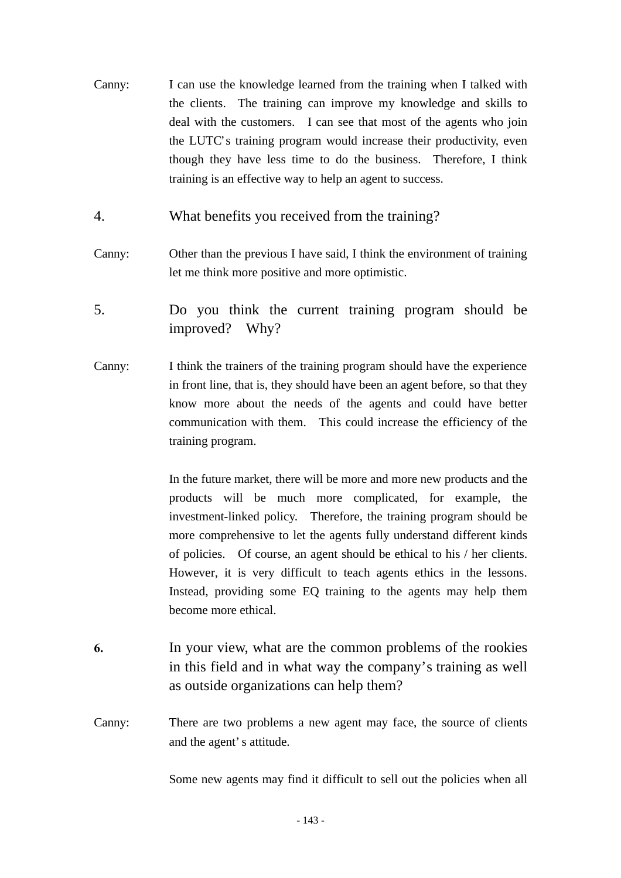- Canny: I can use the knowledge learned from the training when I talked with the clients. The training can improve my knowledge and skills to deal with the customers. I can see that most of the agents who join the LUTC's training program would increase their productivity, even though they have less time to do the business. Therefore, I think training is an effective way to help an agent to success.
- 4. What benefits you received from the training?
- Canny: Other than the previous I have said, I think the environment of training let me think more positive and more optimistic.
- 5. Do you think the current training program should be improved? Why?
- Canny: I think the trainers of the training program should have the experience in front line, that is, they should have been an agent before, so that they know more about the needs of the agents and could have better communication with them. This could increase the efficiency of the training program.

In the future market, there will be more and more new products and the products will be much more complicated, for example, the investment-linked policy. Therefore, the training program should be more comprehensive to let the agents fully understand different kinds of policies. Of course, an agent should be ethical to his / her clients. However, it is very difficult to teach agents ethics in the lessons. Instead, providing some EQ training to the agents may help them become more ethical.

- **6.** In your view, what are the common problems of the rookies in this field and in what way the company's training as well as outside organizations can help them?
- Canny: There are two problems a new agent may face, the source of clients and the agent's attitude.

Some new agents may find it difficult to sell out the policies when all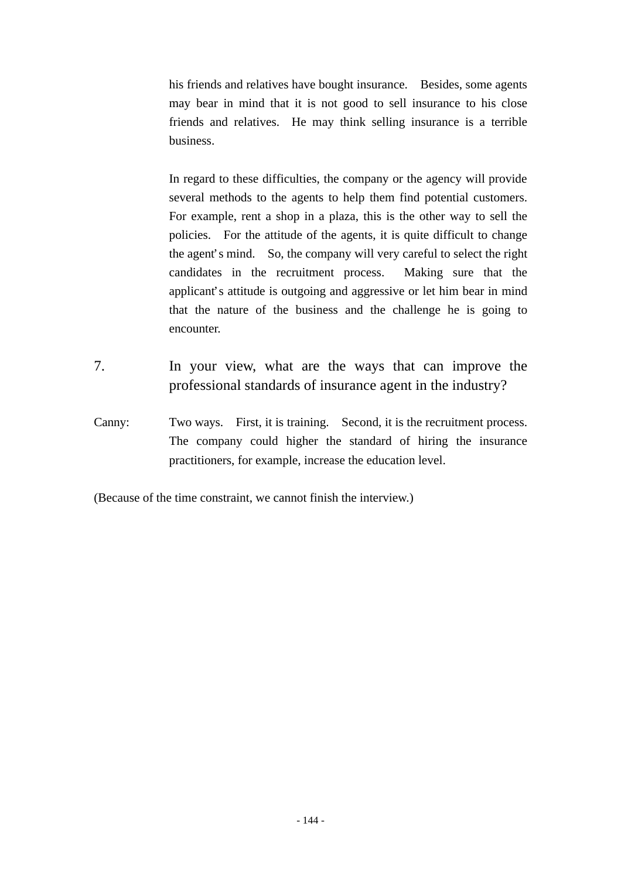his friends and relatives have bought insurance. Besides, some agents may bear in mind that it is not good to sell insurance to his close friends and relatives. He may think selling insurance is a terrible business.

In regard to these difficulties, the company or the agency will provide several methods to the agents to help them find potential customers. For example, rent a shop in a plaza, this is the other way to sell the policies. For the attitude of the agents, it is quite difficult to change the agent's mind. So, the company will very careful to select the right candidates in the recruitment process. Making sure that the applicant's attitude is outgoing and aggressive or let him bear in mind that the nature of the business and the challenge he is going to encounter.

- 7. In your view, what are the ways that can improve the professional standards of insurance agent in the industry?
- Canny: Two ways. First, it is training. Second, it is the recruitment process. The company could higher the standard of hiring the insurance practitioners, for example, increase the education level.

(Because of the time constraint, we cannot finish the interview.)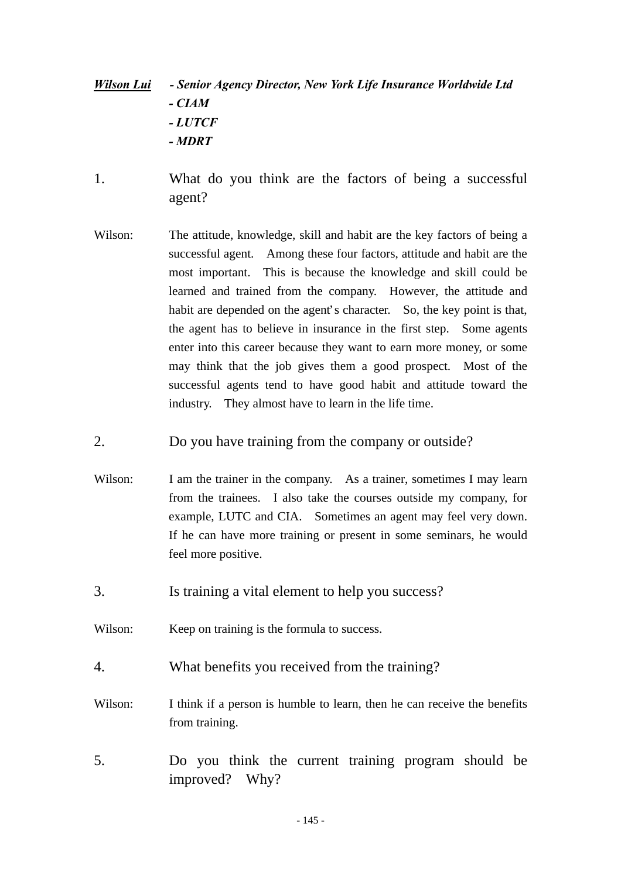## *Wilson Lui - Senior Agency Director, New York Life Insurance Worldwide Ltd - CIAM - LUTCF - MDRT*

- 1. What do you think are the factors of being a successful agent?
- Wilson: The attitude, knowledge, skill and habit are the key factors of being a successful agent. Among these four factors, attitude and habit are the most important. This is because the knowledge and skill could be learned and trained from the company. However, the attitude and habit are depended on the agent's character. So, the key point is that, the agent has to believe in insurance in the first step. Some agents enter into this career because they want to earn more money, or some may think that the job gives them a good prospect. Most of the successful agents tend to have good habit and attitude toward the industry. They almost have to learn in the life time.
- 2. Do you have training from the company or outside?
- Wilson: I am the trainer in the company. As a trainer, sometimes I may learn from the trainees. I also take the courses outside my company, for example, LUTC and CIA. Sometimes an agent may feel very down. If he can have more training or present in some seminars, he would feel more positive.
- 3. Is training a vital element to help you success?
- Wilson: Keep on training is the formula to success.
- 4. What benefits you received from the training?
- Wilson: I think if a person is humble to learn, then he can receive the benefits from training.
- 5. Do you think the current training program should be improved? Why?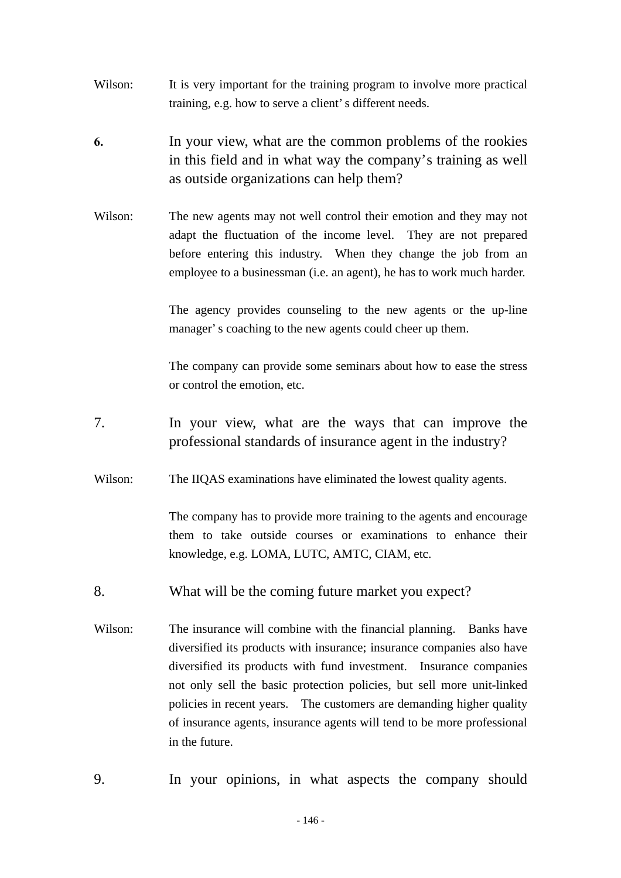- Wilson: It is very important for the training program to involve more practical training, e.g. how to serve a client's different needs.
- **6.** In your view, what are the common problems of the rookies in this field and in what way the company's training as well as outside organizations can help them?
- Wilson: The new agents may not well control their emotion and they may not adapt the fluctuation of the income level. They are not prepared before entering this industry. When they change the job from an employee to a businessman (i.e. an agent), he has to work much harder.

The agency provides counseling to the new agents or the up-line manager's coaching to the new agents could cheer up them.

The company can provide some seminars about how to ease the stress or control the emotion, etc.

- 7. In your view, what are the ways that can improve the professional standards of insurance agent in the industry?
- Wilson: The IIQAS examinations have eliminated the lowest quality agents.

The company has to provide more training to the agents and encourage them to take outside courses or examinations to enhance their knowledge, e.g. LOMA, LUTC, AMTC, CIAM, etc.

- 8. What will be the coming future market you expect?
- Wilson: The insurance will combine with the financial planning. Banks have diversified its products with insurance; insurance companies also have diversified its products with fund investment. Insurance companies not only sell the basic protection policies, but sell more unit-linked policies in recent years. The customers are demanding higher quality of insurance agents, insurance agents will tend to be more professional in the future.
- 9. In your opinions, in what aspects the company should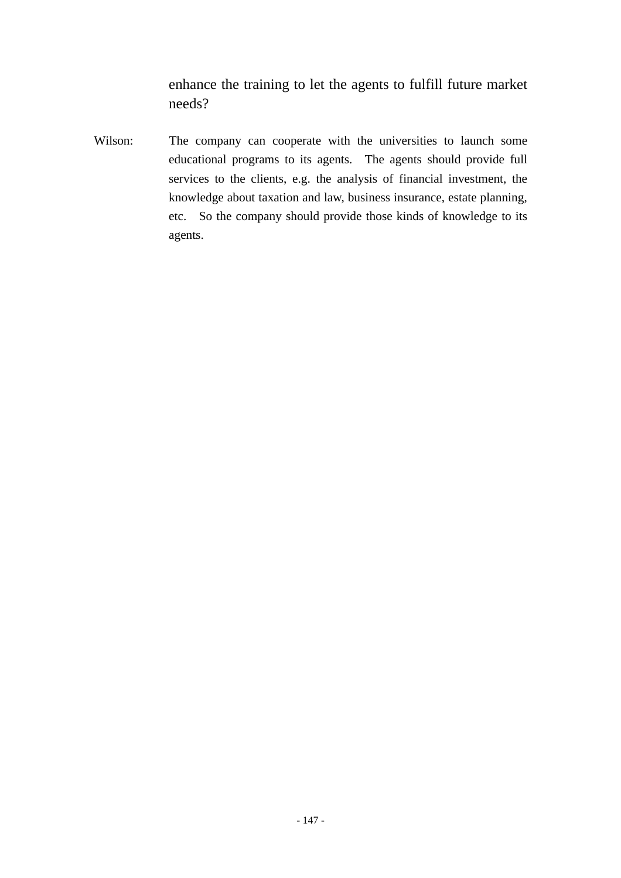enhance the training to let the agents to fulfill future market needs?

Wilson: The company can cooperate with the universities to launch some educational programs to its agents. The agents should provide full services to the clients, e.g. the analysis of financial investment, the knowledge about taxation and law, business insurance, estate planning, etc. So the company should provide those kinds of knowledge to its agents.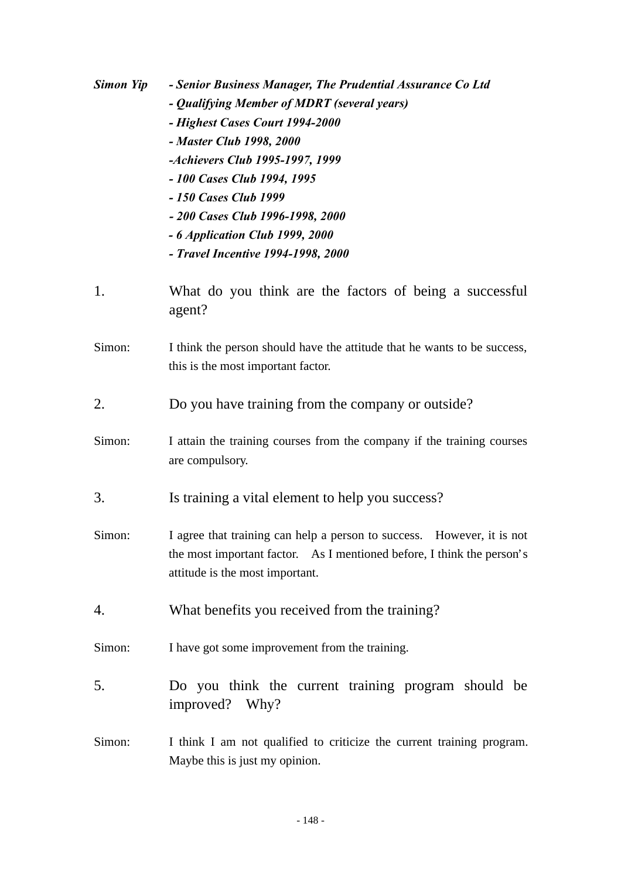| Simon Yip | - Senior Business Manager, The Prudential Assurance Co Ltd<br>- Qualifying Member of MDRT (several years)<br>- Highest Cases Court 1994-2000<br>- Master Club 1998, 2000<br>-Achievers Club 1995-1997, 1999<br>- 100 Cases Club 1994, 1995<br>- 150 Cases Club 1999<br>- 200 Cases Club 1996-1998, 2000<br>- 6 Application Club 1999, 2000<br>- Travel Incentive 1994-1998, 2000 |
|-----------|----------------------------------------------------------------------------------------------------------------------------------------------------------------------------------------------------------------------------------------------------------------------------------------------------------------------------------------------------------------------------------|
| 1.        | What do you think are the factors of being a successful<br>agent?                                                                                                                                                                                                                                                                                                                |
| Simon:    | I think the person should have the attitude that he wants to be success,<br>this is the most important factor.                                                                                                                                                                                                                                                                   |
| 2.        | Do you have training from the company or outside?                                                                                                                                                                                                                                                                                                                                |
| Simon:    | I attain the training courses from the company if the training courses<br>are compulsory.                                                                                                                                                                                                                                                                                        |
| 3.        | Is training a vital element to help you success?                                                                                                                                                                                                                                                                                                                                 |
| Simon:    | I agree that training can help a person to success.<br>However, it is not<br>the most important factor. As I mentioned before, I think the person's<br>attitude is the most important.                                                                                                                                                                                           |
| 4.        | What benefits you received from the training?                                                                                                                                                                                                                                                                                                                                    |
| Simon:    | I have got some improvement from the training.                                                                                                                                                                                                                                                                                                                                   |
| 5.        | Do you think the current training program should be<br>improved? Why?                                                                                                                                                                                                                                                                                                            |
| Simon:    | I think I am not qualified to criticize the current training program.<br>Maybe this is just my opinion.                                                                                                                                                                                                                                                                          |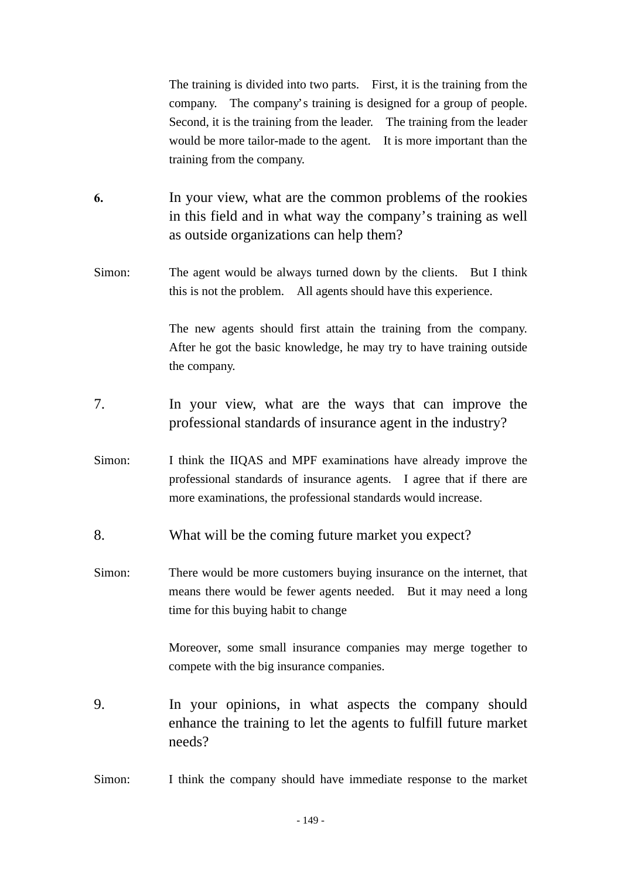The training is divided into two parts. First, it is the training from the company. The company's training is designed for a group of people. Second, it is the training from the leader. The training from the leader would be more tailor-made to the agent. It is more important than the training from the company.

- **6.** In your view, what are the common problems of the rookies in this field and in what way the company's training as well as outside organizations can help them?
- Simon: The agent would be always turned down by the clients. But I think this is not the problem. All agents should have this experience.

The new agents should first attain the training from the company. After he got the basic knowledge, he may try to have training outside the company.

- 7. In your view, what are the ways that can improve the professional standards of insurance agent in the industry?
- Simon: I think the IIQAS and MPF examinations have already improve the professional standards of insurance agents. I agree that if there are more examinations, the professional standards would increase.
- 8. What will be the coming future market you expect?
- Simon: There would be more customers buying insurance on the internet, that means there would be fewer agents needed. But it may need a long time for this buying habit to change

Moreover, some small insurance companies may merge together to compete with the big insurance companies.

- 9. In your opinions, in what aspects the company should enhance the training to let the agents to fulfill future market needs?
- Simon: I think the company should have immediate response to the market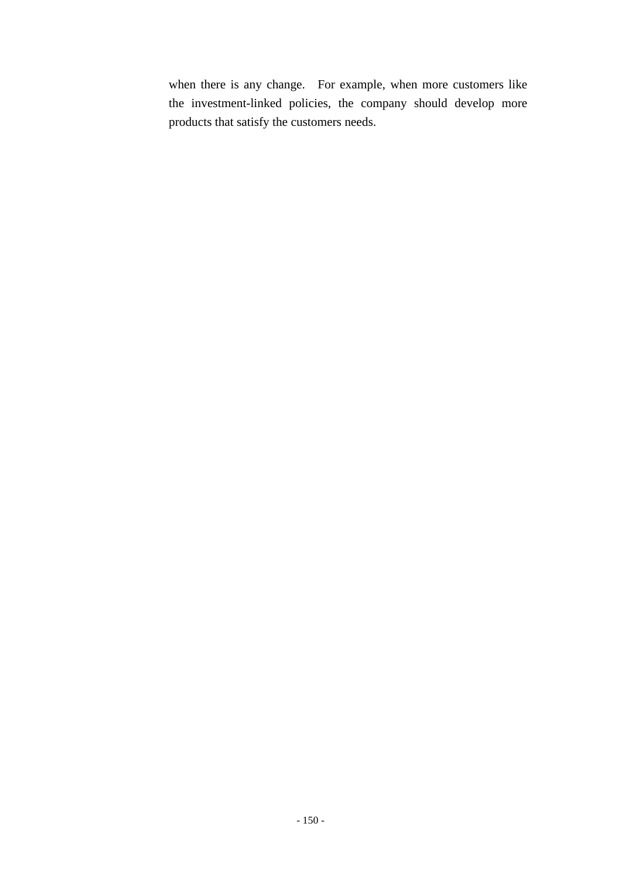when there is any change. For example, when more customers like the investment-linked policies, the company should develop more products that satisfy the customers needs.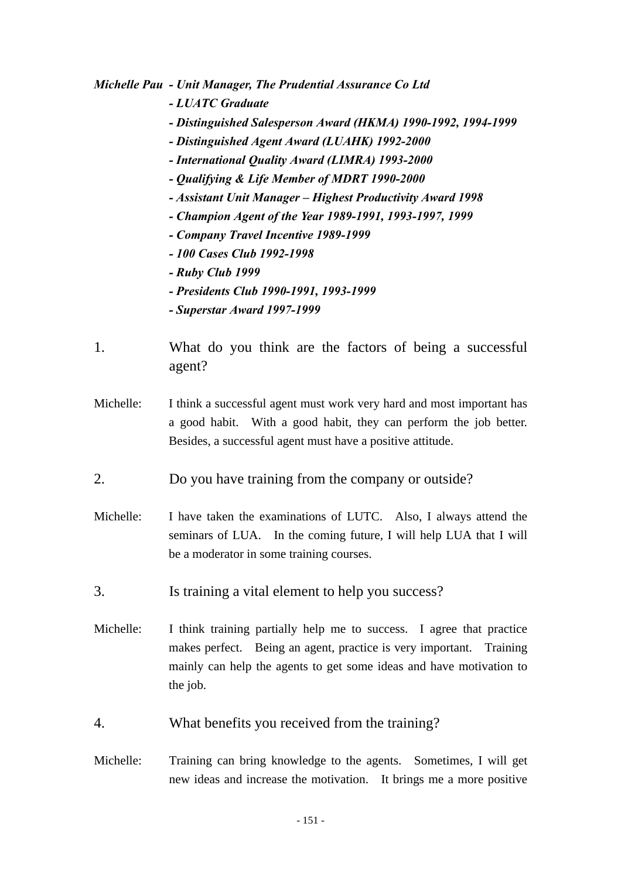*Michelle Pau - Unit Manager, The Prudential Assurance Co Ltd*

- *LUATC Graduate*
- *Distinguished Salesperson Award (HKMA) 1990-1992, 1994-1999*
- *Distinguished Agent Award (LUAHK) 1992-2000*
- *International Quality Award (LIMRA) 1993-2000*
- *Qualifying & Life Member of MDRT 1990-2000*
- *Assistant Unit Manager Highest Productivity Award 1998*
- *Champion Agent of the Year 1989-1991, 1993-1997, 1999*
- *Company Travel Incentive 1989-1999*
- *100 Cases Club 1992-1998*
- *Ruby Club 1999*
- *Presidents Club 1990-1991, 1993-1999*
- *Superstar Award 1997-1999*
- 1. What do you think are the factors of being a successful agent?
- Michelle: I think a successful agent must work very hard and most important has a good habit. With a good habit, they can perform the job better. Besides, a successful agent must have a positive attitude.
- 2. Do you have training from the company or outside?
- Michelle: I have taken the examinations of LUTC. Also, I always attend the seminars of LUA. In the coming future, I will help LUA that I will be a moderator in some training courses.
- 3. Is training a vital element to help you success?
- Michelle: I think training partially help me to success. I agree that practice makes perfect. Being an agent, practice is very important. Training mainly can help the agents to get some ideas and have motivation to the job.
- 4. What benefits you received from the training?
- Michelle: Training can bring knowledge to the agents. Sometimes, I will get new ideas and increase the motivation. It brings me a more positive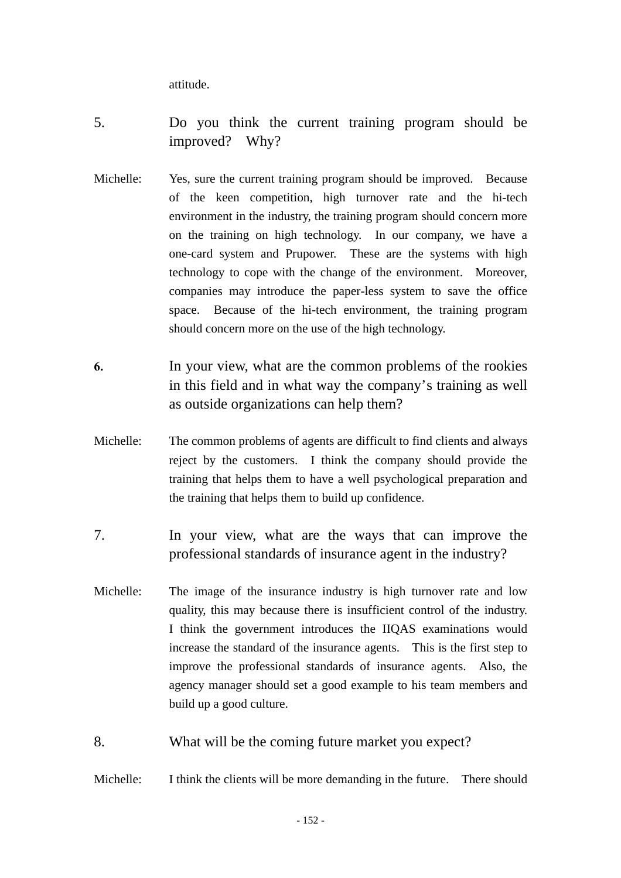attitude.

- 5. Do you think the current training program should be improved? Why?
- Michelle: Yes, sure the current training program should be improved. Because of the keen competition, high turnover rate and the hi-tech environment in the industry, the training program should concern more on the training on high technology. In our company, we have a one-card system and Prupower. These are the systems with high technology to cope with the change of the environment. Moreover, companies may introduce the paper-less system to save the office space. Because of the hi-tech environment, the training program should concern more on the use of the high technology.
- **6.** In your view, what are the common problems of the rookies in this field and in what way the company's training as well as outside organizations can help them?
- Michelle: The common problems of agents are difficult to find clients and always reject by the customers. I think the company should provide the training that helps them to have a well psychological preparation and the training that helps them to build up confidence.
- 7. In your view, what are the ways that can improve the professional standards of insurance agent in the industry?
- Michelle: The image of the insurance industry is high turnover rate and low quality, this may because there is insufficient control of the industry. I think the government introduces the IIQAS examinations would increase the standard of the insurance agents. This is the first step to improve the professional standards of insurance agents. Also, the agency manager should set a good example to his team members and build up a good culture.
- 8. What will be the coming future market you expect?

Michelle: I think the clients will be more demanding in the future. There should